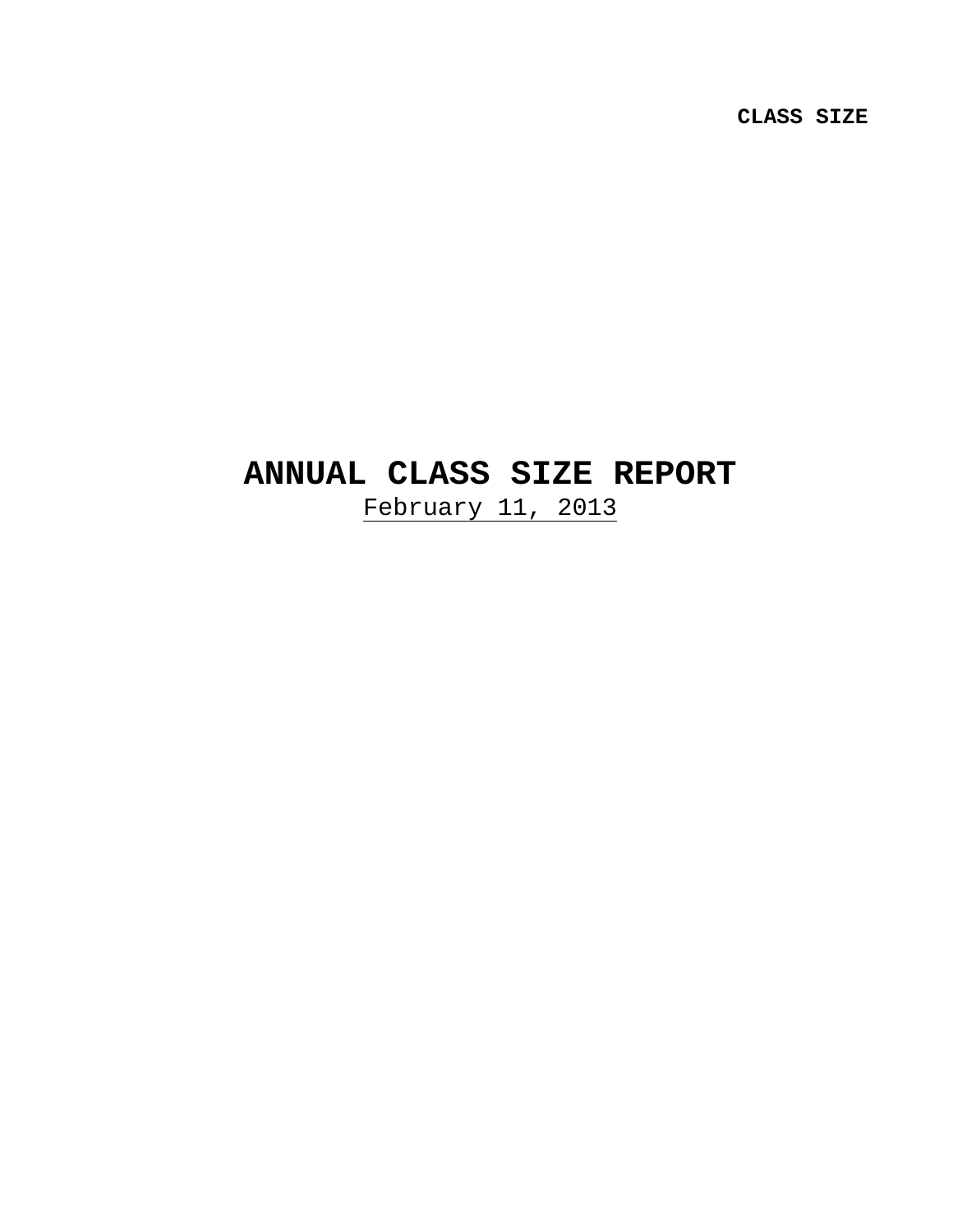**CLASS SIZE** 

# **ANNUAL CLASS SIZE REPORT**

February 11, 2013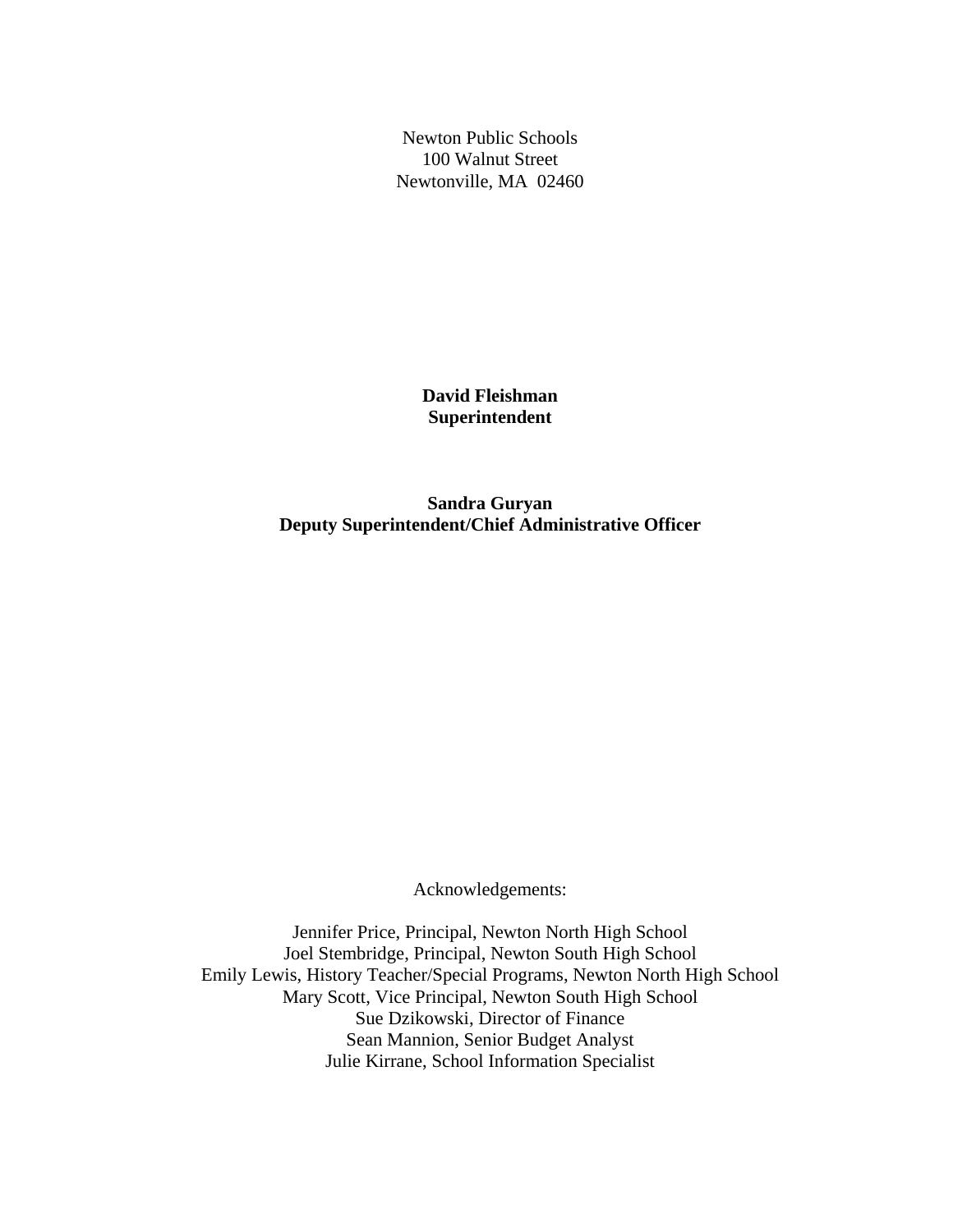Newton Public Schools 100 Walnut Street Newtonville, MA 02460

> **David Fleishman Superintendent**

**Sandra Guryan Deputy Superintendent/Chief Administrative Officer** 

Acknowledgements:

Jennifer Price, Principal, Newton North High School Joel Stembridge, Principal, Newton South High School Emily Lewis, History Teacher/Special Programs, Newton North High School Mary Scott, Vice Principal, Newton South High School Sue Dzikowski, Director of Finance Sean Mannion, Senior Budget Analyst Julie Kirrane, School Information Specialist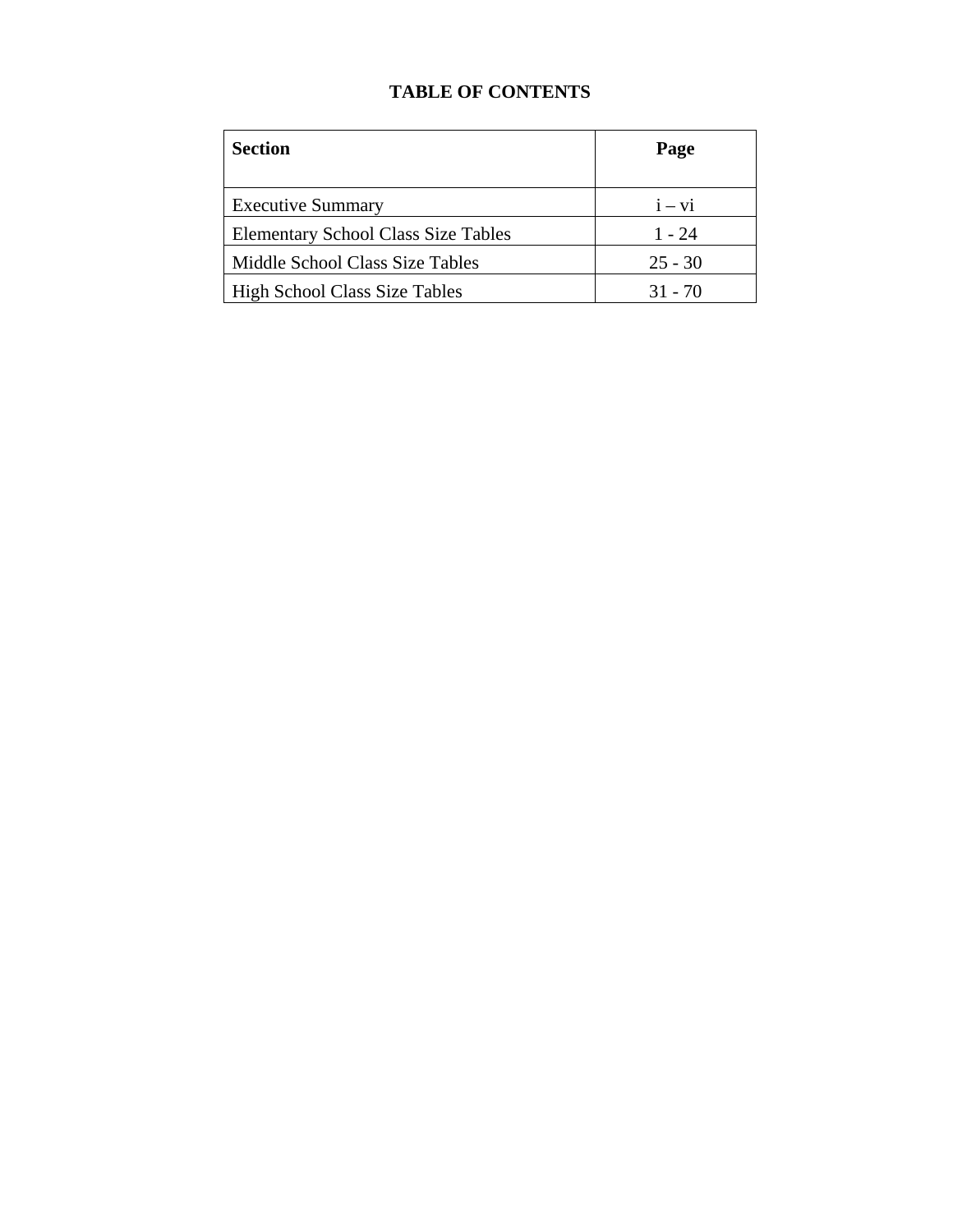# **TABLE OF CONTENTS**

| <b>Section</b>                             | Page      |
|--------------------------------------------|-----------|
| <b>Executive Summary</b>                   | $i - vi$  |
| <b>Elementary School Class Size Tables</b> | 1 - 24    |
| Middle School Class Size Tables            | $25 - 30$ |
| <b>High School Class Size Tables</b>       | $31 - 70$ |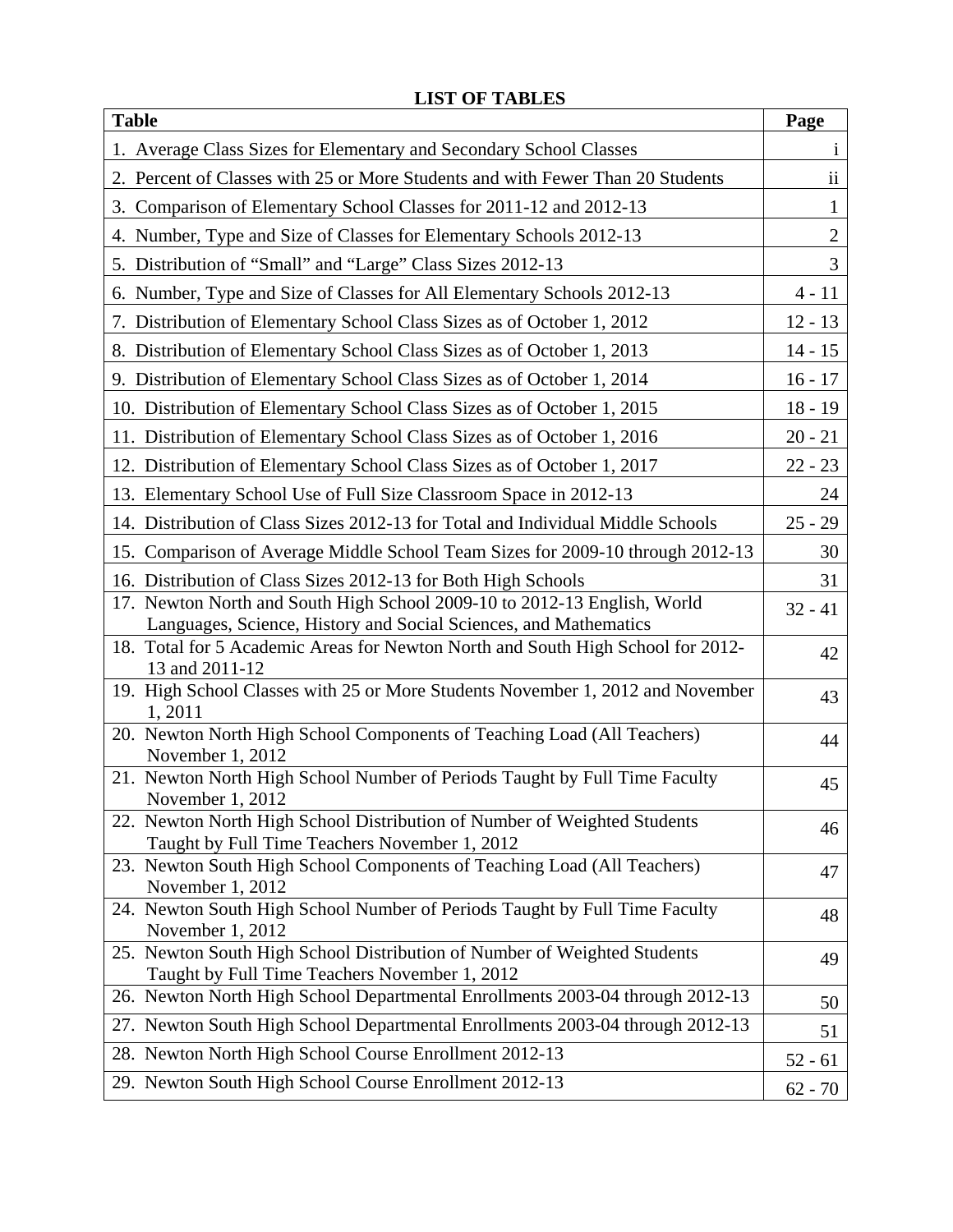| <b>Table</b>                                                                                                              | Page                    |
|---------------------------------------------------------------------------------------------------------------------------|-------------------------|
| 1. Average Class Sizes for Elementary and Secondary School Classes                                                        | $\mathbf{1}$            |
| 2. Percent of Classes with 25 or More Students and with Fewer Than 20 Students                                            | $\overline{\mathbf{u}}$ |
| 3. Comparison of Elementary School Classes for 2011-12 and 2012-13                                                        | $\mathbf{1}$            |
| 4. Number, Type and Size of Classes for Elementary Schools 2012-13                                                        | $\overline{2}$          |
| 5. Distribution of "Small" and "Large" Class Sizes 2012-13                                                                | 3                       |
| 6. Number, Type and Size of Classes for All Elementary Schools 2012-13                                                    | $4 - 11$                |
| 7. Distribution of Elementary School Class Sizes as of October 1, 2012                                                    | $12 - 13$               |
| 8. Distribution of Elementary School Class Sizes as of October 1, 2013                                                    | $14 - 15$               |
| 9. Distribution of Elementary School Class Sizes as of October 1, 2014                                                    | $16 - 17$               |
| 10. Distribution of Elementary School Class Sizes as of October 1, 2015                                                   | $18 - 19$               |
| 11. Distribution of Elementary School Class Sizes as of October 1, 2016                                                   | $20 - 21$               |
| 12. Distribution of Elementary School Class Sizes as of October 1, 2017                                                   | $22 - 23$               |
| 13. Elementary School Use of Full Size Classroom Space in 2012-13                                                         | 24                      |
| 14. Distribution of Class Sizes 2012-13 for Total and Individual Middle Schools                                           | $25 - 29$               |
| 15. Comparison of Average Middle School Team Sizes for 2009-10 through 2012-13                                            | 30                      |
| 16. Distribution of Class Sizes 2012-13 for Both High Schools                                                             | 31                      |
| 17. Newton North and South High School 2009-10 to 2012-13 English, World                                                  | $32 - 41$               |
| Languages, Science, History and Social Sciences, and Mathematics                                                          |                         |
| 18. Total for 5 Academic Areas for Newton North and South High School for 2012-<br>13 and 2011-12                         | 42                      |
| 19. High School Classes with 25 or More Students November 1, 2012 and November                                            | 43                      |
| 1,2011                                                                                                                    |                         |
| 20. Newton North High School Components of Teaching Load (All Teachers)<br>November 1, 2012                               | 44                      |
| 21. Newton North High School Number of Periods Taught by Full Time Faculty                                                | 45                      |
| November 1, 2012                                                                                                          |                         |
| 22. Newton North High School Distribution of Number of Weighted Students<br>Taught by Full Time Teachers November 1, 2012 | 46                      |
| 23. Newton South High School Components of Teaching Load (All Teachers)                                                   | 47                      |
| November 1, 2012                                                                                                          |                         |
| 24. Newton South High School Number of Periods Taught by Full Time Faculty                                                | 48                      |
| November 1, 2012<br>25. Newton South High School Distribution of Number of Weighted Students                              | 49                      |
| Taught by Full Time Teachers November 1, 2012                                                                             |                         |
| 26. Newton North High School Departmental Enrollments 2003-04 through 2012-13                                             | 50                      |
| 27. Newton South High School Departmental Enrollments 2003-04 through 2012-13                                             | 51                      |
| 28. Newton North High School Course Enrollment 2012-13                                                                    | $52 - 61$               |
| 29. Newton South High School Course Enrollment 2012-13                                                                    | $62 - 70$               |

# **LIST OF TABLES**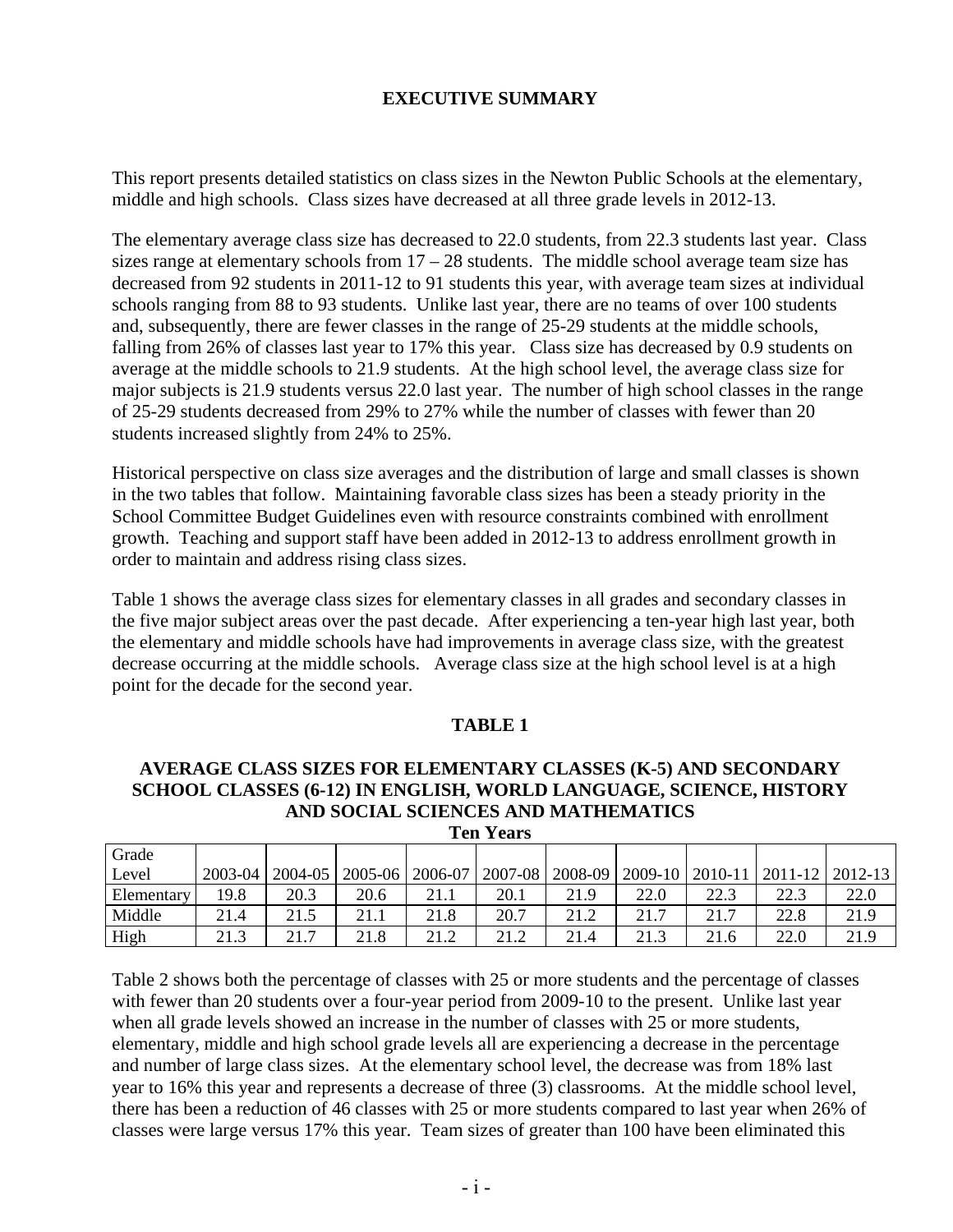## **EXECUTIVE SUMMARY**

This report presents detailed statistics on class sizes in the Newton Public Schools at the elementary, middle and high schools. Class sizes have decreased at all three grade levels in 2012-13.

The elementary average class size has decreased to 22.0 students, from 22.3 students last year. Class sizes range at elementary schools from  $17 - 28$  students. The middle school average team size has decreased from 92 students in 2011-12 to 91 students this year, with average team sizes at individual schools ranging from 88 to 93 students. Unlike last year, there are no teams of over 100 students and, subsequently, there are fewer classes in the range of 25-29 students at the middle schools, falling from 26% of classes last year to 17% this year. Class size has decreased by 0.9 students on average at the middle schools to 21.9 students. At the high school level, the average class size for major subjects is 21.9 students versus 22.0 last year. The number of high school classes in the range of 25-29 students decreased from 29% to 27% while the number of classes with fewer than 20 students increased slightly from 24% to 25%.

Historical perspective on class size averages and the distribution of large and small classes is shown in the two tables that follow. Maintaining favorable class sizes has been a steady priority in the School Committee Budget Guidelines even with resource constraints combined with enrollment growth. Teaching and support staff have been added in 2012-13 to address enrollment growth in order to maintain and address rising class sizes.

Table 1 shows the average class sizes for elementary classes in all grades and secondary classes in the five major subject areas over the past decade. After experiencing a ten-year high last year, both the elementary and middle schools have had improvements in average class size, with the greatest decrease occurring at the middle schools. Average class size at the high school level is at a high point for the decade for the second year.

#### **TABLE 1**

#### **AVERAGE CLASS SIZES FOR ELEMENTARY CLASSES (K-5) AND SECONDARY SCHOOL CLASSES (6-12) IN ENGLISH, WORLD LANGUAGE, SCIENCE, HISTORY AND SOCIAL SCIENCES AND MATHEMATICS Ten Years**

| тен театэ  |         |             |         |         |             |         |      |                     |      |                     |
|------------|---------|-------------|---------|---------|-------------|---------|------|---------------------|------|---------------------|
| Grade      |         |             |         |         |             |         |      |                     |      |                     |
| Level      | 2003-04 | $2004 - 05$ | 2005-06 | 2006-07 | $2007 - 08$ | 2008-09 |      | $2009-10$   2010-11 |      | $ 2011-12 2012-13 $ |
| Elementary | 19.8    | 20.3        | 20.6    | 21.1    | 20.1        | 21.9    | 22.0 | 22.3                | 22.3 | 22.0                |
| Middle     | 21.4    | 21.5        | 21.1    | 21.8    | 20.7        | 21.2    | 21.7 | 21.7                | 22.8 | 21.9                |
| High       | 21.3    | 21.7        | 21.8    | 21.2    | 21.2        | 21.4    | 21.3 | 21.6                | 22.0 | 21.9                |

Table 2 shows both the percentage of classes with 25 or more students and the percentage of classes with fewer than 20 students over a four-year period from 2009-10 to the present. Unlike last year when all grade levels showed an increase in the number of classes with 25 or more students, elementary, middle and high school grade levels all are experiencing a decrease in the percentage and number of large class sizes. At the elementary school level, the decrease was from 18% last year to 16% this year and represents a decrease of three (3) classrooms. At the middle school level, there has been a reduction of 46 classes with 25 or more students compared to last year when 26% of classes were large versus 17% this year. Team sizes of greater than 100 have been eliminated this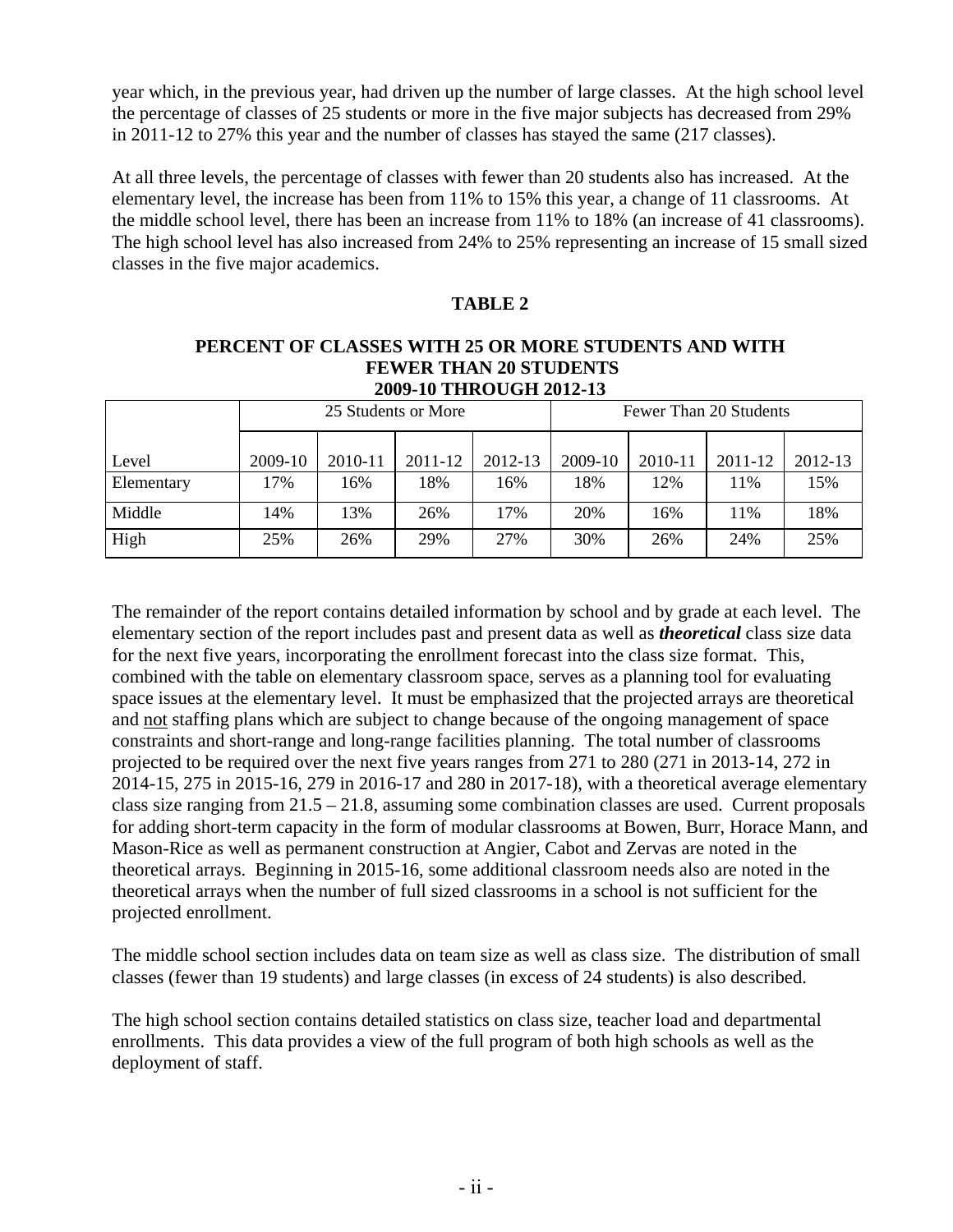year which, in the previous year, had driven up the number of large classes. At the high school level the percentage of classes of 25 students or more in the five major subjects has decreased from 29% in 2011-12 to 27% this year and the number of classes has stayed the same (217 classes).

At all three levels, the percentage of classes with fewer than 20 students also has increased. At the elementary level, the increase has been from 11% to 15% this year, a change of 11 classrooms. At the middle school level, there has been an increase from 11% to 18% (an increase of 41 classrooms). The high school level has also increased from 24% to 25% representing an increase of 15 small sized classes in the five major academics.

### **TABLE 2**

#### **PERCENT OF CLASSES WITH 25 OR MORE STUDENTS AND WITH FEWER THAN 20 STUDENTS 2009-10 THROUGH 2012-13**

|            |         |         | 25 Students or More |         | Fewer Than 20 Students |         |         |         |  |
|------------|---------|---------|---------------------|---------|------------------------|---------|---------|---------|--|
| Level      | 2009-10 | 2010-11 | 2011-12             | 2012-13 | 2009-10                | 2010-11 | 2011-12 | 2012-13 |  |
| Elementary | 17%     | 16%     | 18%                 | 16%     | 18%                    | 12%     | 11%     | 15%     |  |
| Middle     | 14%     | 13%     | 26%                 | 17%     | 20%                    | 16%     | 11%     | 18%     |  |
| High       | 25%     | 26%     | 29%                 | 27%     | 30%                    | 26%     | 24%     | 25%     |  |

The remainder of the report contains detailed information by school and by grade at each level. The elementary section of the report includes past and present data as well as *theoretical* class size data for the next five years, incorporating the enrollment forecast into the class size format. This, combined with the table on elementary classroom space, serves as a planning tool for evaluating space issues at the elementary level. It must be emphasized that the projected arrays are theoretical and not staffing plans which are subject to change because of the ongoing management of space constraints and short-range and long-range facilities planning. The total number of classrooms projected to be required over the next five years ranges from 271 to 280 (271 in 2013-14, 272 in 2014-15, 275 in 2015-16, 279 in 2016-17 and 280 in 2017-18), with a theoretical average elementary class size ranging from 21.5 – 21.8, assuming some combination classes are used. Current proposals for adding short-term capacity in the form of modular classrooms at Bowen, Burr, Horace Mann, and Mason-Rice as well as permanent construction at Angier, Cabot and Zervas are noted in the theoretical arrays. Beginning in 2015-16, some additional classroom needs also are noted in the theoretical arrays when the number of full sized classrooms in a school is not sufficient for the projected enrollment.

The middle school section includes data on team size as well as class size. The distribution of small classes (fewer than 19 students) and large classes (in excess of 24 students) is also described.

The high school section contains detailed statistics on class size, teacher load and departmental enrollments. This data provides a view of the full program of both high schools as well as the deployment of staff.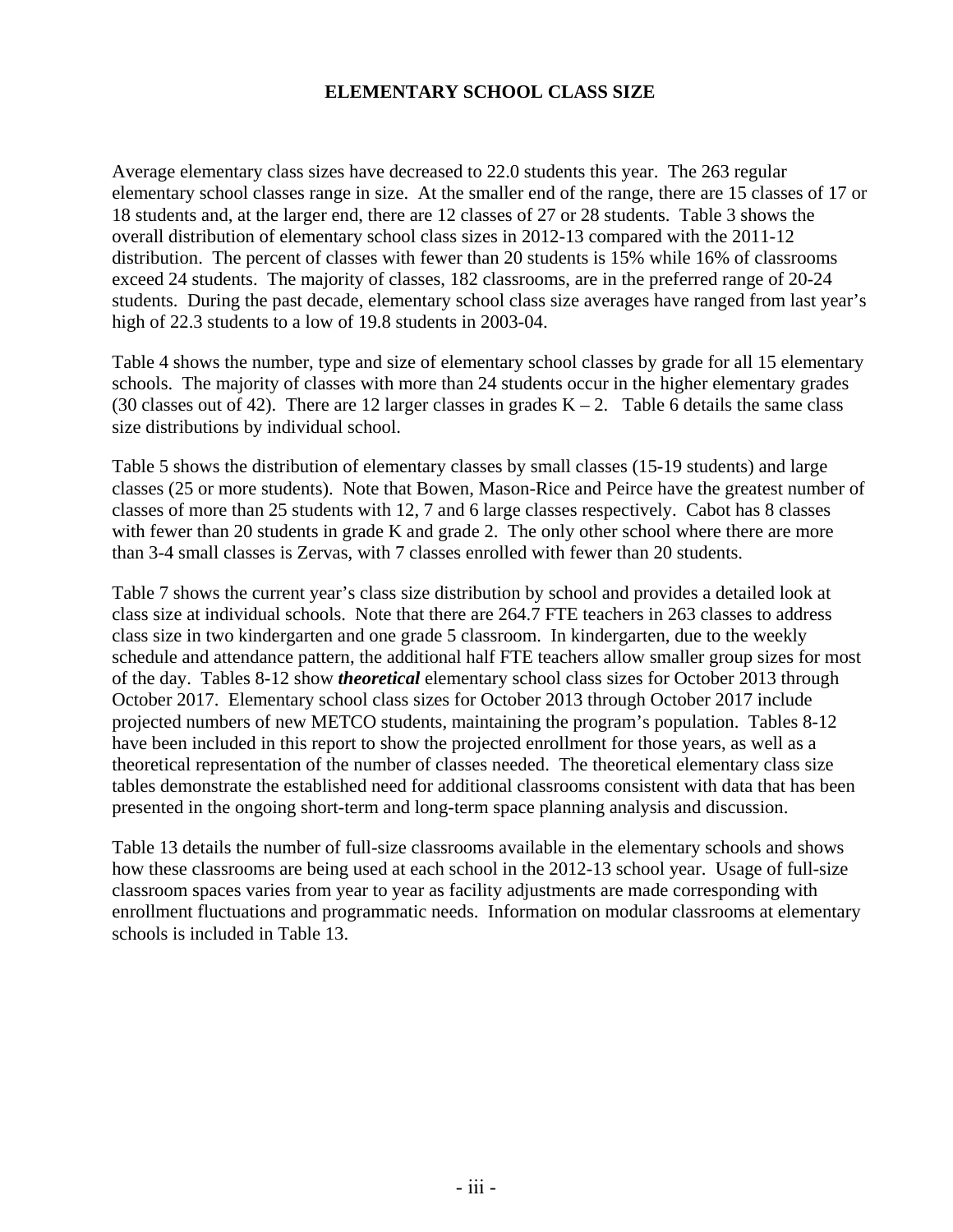## **ELEMENTARY SCHOOL CLASS SIZE**

Average elementary class sizes have decreased to 22.0 students this year. The 263 regular elementary school classes range in size. At the smaller end of the range, there are 15 classes of 17 or 18 students and, at the larger end, there are 12 classes of 27 or 28 students. Table 3 shows the overall distribution of elementary school class sizes in 2012-13 compared with the 2011-12 distribution. The percent of classes with fewer than 20 students is 15% while 16% of classrooms exceed 24 students. The majority of classes, 182 classrooms, are in the preferred range of 20-24 students. During the past decade, elementary school class size averages have ranged from last year's high of 22.3 students to a low of 19.8 students in 2003-04.

Table 4 shows the number, type and size of elementary school classes by grade for all 15 elementary schools. The majority of classes with more than 24 students occur in the higher elementary grades (30 classes out of 42). There are 12 larger classes in grades  $K - 2$ . Table 6 details the same class size distributions by individual school.

Table 5 shows the distribution of elementary classes by small classes (15-19 students) and large classes (25 or more students). Note that Bowen, Mason-Rice and Peirce have the greatest number of classes of more than 25 students with 12, 7 and 6 large classes respectively. Cabot has 8 classes with fewer than 20 students in grade K and grade 2. The only other school where there are more than 3-4 small classes is Zervas, with 7 classes enrolled with fewer than 20 students.

Table 7 shows the current year's class size distribution by school and provides a detailed look at class size at individual schools. Note that there are 264.7 FTE teachers in 263 classes to address class size in two kindergarten and one grade 5 classroom. In kindergarten, due to the weekly schedule and attendance pattern, the additional half FTE teachers allow smaller group sizes for most of the day. Tables 8-12 show *theoretical* elementary school class sizes for October 2013 through October 2017. Elementary school class sizes for October 2013 through October 2017 include projected numbers of new METCO students, maintaining the program's population. Tables 8-12 have been included in this report to show the projected enrollment for those years, as well as a theoretical representation of the number of classes needed. The theoretical elementary class size tables demonstrate the established need for additional classrooms consistent with data that has been presented in the ongoing short-term and long-term space planning analysis and discussion.

Table 13 details the number of full-size classrooms available in the elementary schools and shows how these classrooms are being used at each school in the 2012-13 school year. Usage of full-size classroom spaces varies from year to year as facility adjustments are made corresponding with enrollment fluctuations and programmatic needs. Information on modular classrooms at elementary schools is included in Table 13.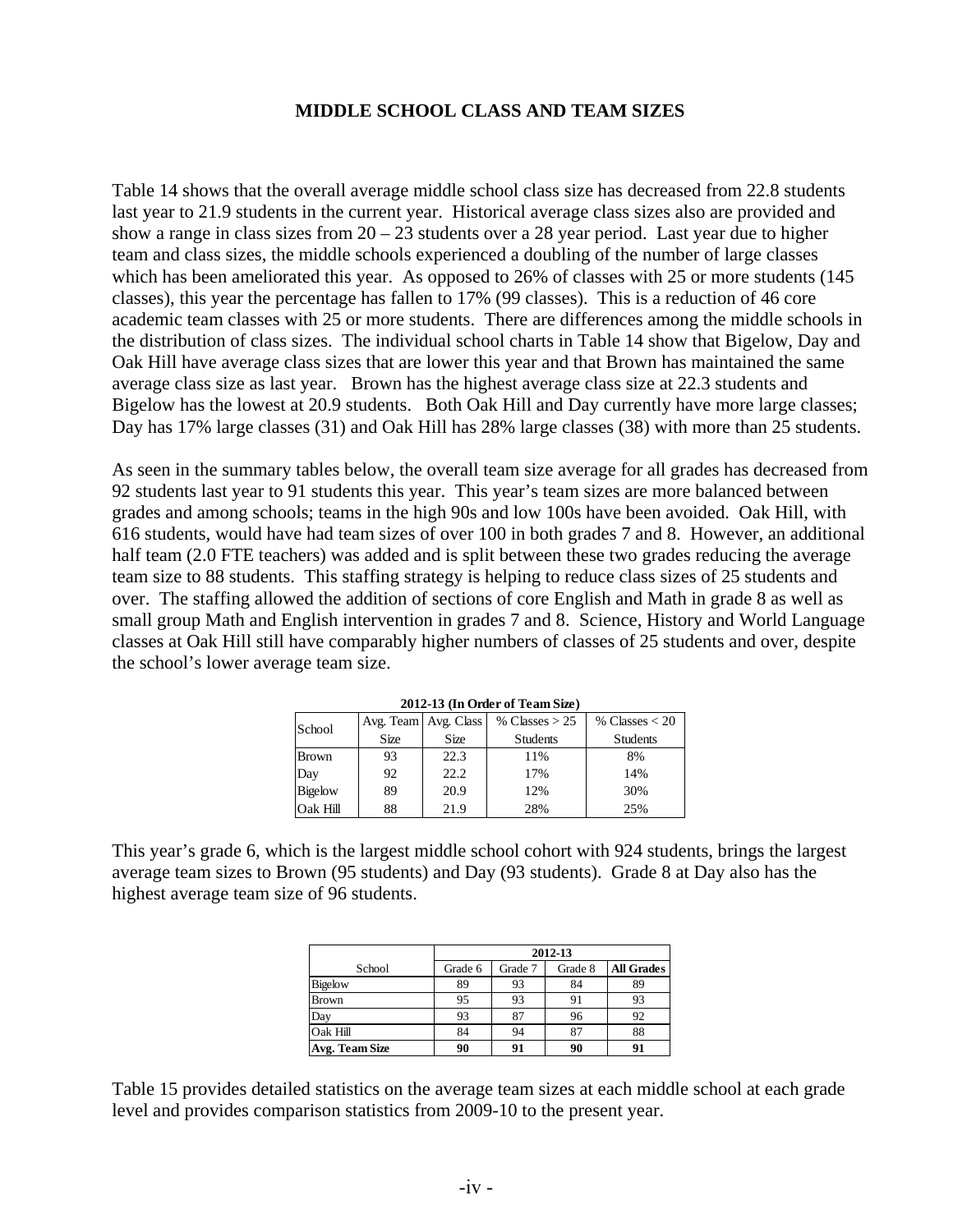### **MIDDLE SCHOOL CLASS AND TEAM SIZES**

Table 14 shows that the overall average middle school class size has decreased from 22.8 students last year to 21.9 students in the current year. Historical average class sizes also are provided and show a range in class sizes from  $20 - 23$  students over a 28 year period. Last year due to higher team and class sizes, the middle schools experienced a doubling of the number of large classes which has been ameliorated this year. As opposed to 26% of classes with 25 or more students (145 classes), this year the percentage has fallen to 17% (99 classes). This is a reduction of 46 core academic team classes with 25 or more students. There are differences among the middle schools in the distribution of class sizes. The individual school charts in Table 14 show that Bigelow, Day and Oak Hill have average class sizes that are lower this year and that Brown has maintained the same average class size as last year. Brown has the highest average class size at 22.3 students and Bigelow has the lowest at 20.9 students. Both Oak Hill and Day currently have more large classes; Day has 17% large classes (31) and Oak Hill has 28% large classes (38) with more than 25 students.

As seen in the summary tables below, the overall team size average for all grades has decreased from 92 students last year to 91 students this year. This year's team sizes are more balanced between grades and among schools; teams in the high 90s and low 100s have been avoided. Oak Hill, with 616 students, would have had team sizes of over 100 in both grades 7 and 8. However, an additional half team (2.0 FTE teachers) was added and is split between these two grades reducing the average team size to 88 students. This staffing strategy is helping to reduce class sizes of 25 students and over. The staffing allowed the addition of sections of core English and Math in grade 8 as well as small group Math and English intervention in grades 7 and 8. Science, History and World Language classes at Oak Hill still have comparably higher numbers of classes of 25 students and over, despite the school's lower average team size.

| $2012 - 13$ (III OTGET 01 Team Size) |      |                        |                  |                  |  |  |  |  |  |
|--------------------------------------|------|------------------------|------------------|------------------|--|--|--|--|--|
| School                               |      | Avg. Team   Avg. Class | % Classes $> 25$ | % Classes $<$ 20 |  |  |  |  |  |
|                                      | Size | Size                   | <b>Students</b>  | <b>Students</b>  |  |  |  |  |  |
| Brown                                | 93   | 22.3                   | 11%              | 8%               |  |  |  |  |  |
| Day                                  | 92   | 22.2                   | 17%              | 14%              |  |  |  |  |  |
| <b>Bigelow</b>                       | 89   | 20.9                   | 12%              | 30%              |  |  |  |  |  |
| Oak Hill                             | 88   | 21.9                   | 28%              | 25%              |  |  |  |  |  |

**2012-13 (In Order of Team Size)**

This year's grade 6, which is the largest middle school cohort with 924 students, brings the largest average team sizes to Brown (95 students) and Day (93 students). Grade 8 at Day also has the highest average team size of 96 students.

|                | 2012-13 |         |         |                   |  |  |  |  |
|----------------|---------|---------|---------|-------------------|--|--|--|--|
| School         | Grade 6 | Grade 7 | Grade 8 | <b>All Grades</b> |  |  |  |  |
| Bigelow        | 89      | 93      | 84      | 89                |  |  |  |  |
| <b>Brown</b>   | 95      | 93      | 91      | 93                |  |  |  |  |
| Day            | 93      | 87      | 96      | 92                |  |  |  |  |
| Oak Hill       | 84      | 94      | 87      | 88                |  |  |  |  |
| Avg. Team Size | 90      | 91      | 90      | 91                |  |  |  |  |

Table 15 provides detailed statistics on the average team sizes at each middle school at each grade level and provides comparison statistics from 2009-10 to the present year.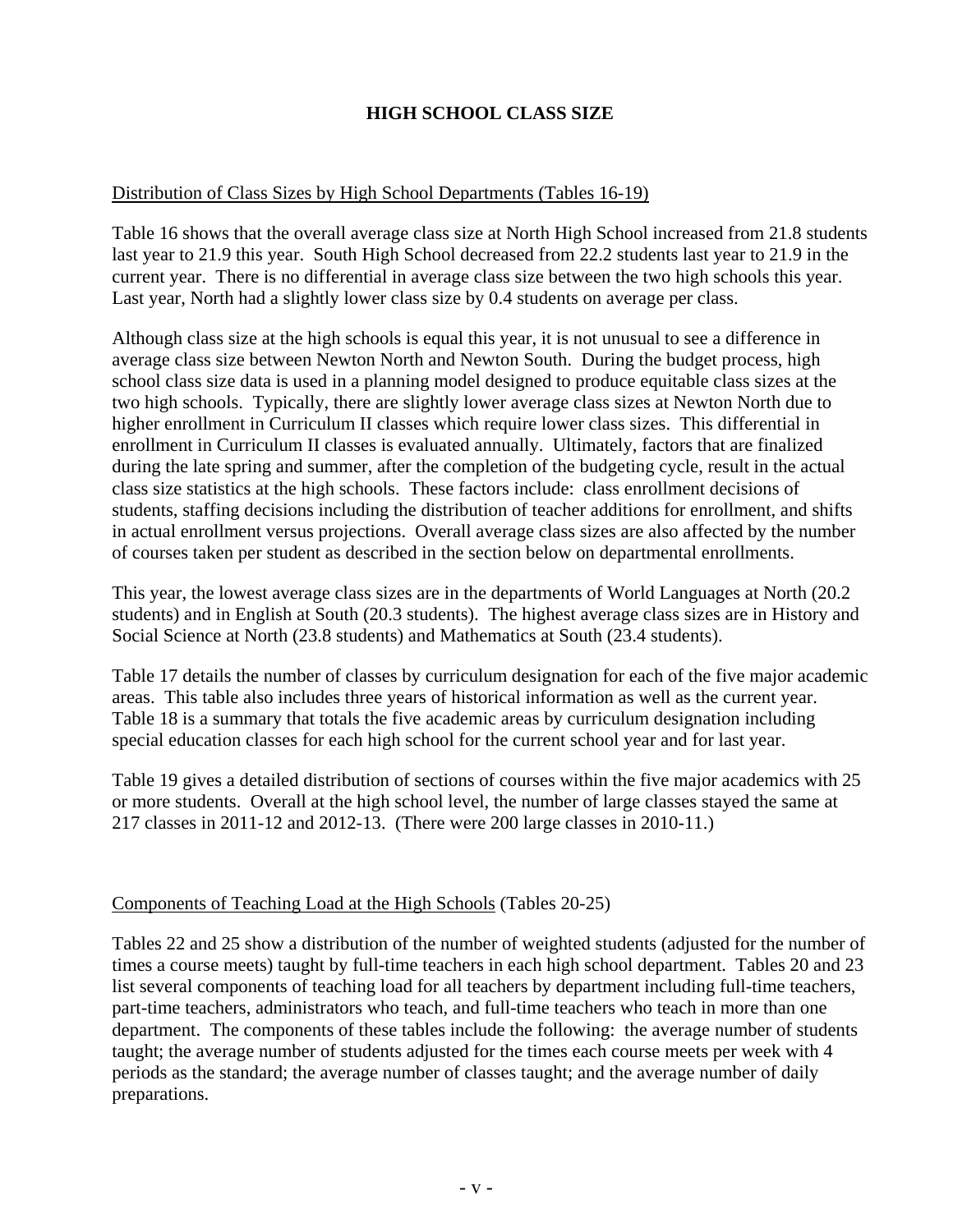# **HIGH SCHOOL CLASS SIZE**

#### Distribution of Class Sizes by High School Departments (Tables 16-19)

Table 16 shows that the overall average class size at North High School increased from 21.8 students last year to 21.9 this year. South High School decreased from 22.2 students last year to 21.9 in the current year. There is no differential in average class size between the two high schools this year. Last year, North had a slightly lower class size by 0.4 students on average per class.

Although class size at the high schools is equal this year, it is not unusual to see a difference in average class size between Newton North and Newton South. During the budget process, high school class size data is used in a planning model designed to produce equitable class sizes at the two high schools. Typically, there are slightly lower average class sizes at Newton North due to higher enrollment in Curriculum II classes which require lower class sizes. This differential in enrollment in Curriculum II classes is evaluated annually. Ultimately, factors that are finalized during the late spring and summer, after the completion of the budgeting cycle, result in the actual class size statistics at the high schools. These factors include: class enrollment decisions of students, staffing decisions including the distribution of teacher additions for enrollment, and shifts in actual enrollment versus projections. Overall average class sizes are also affected by the number of courses taken per student as described in the section below on departmental enrollments.

This year, the lowest average class sizes are in the departments of World Languages at North (20.2 students) and in English at South (20.3 students). The highest average class sizes are in History and Social Science at North (23.8 students) and Mathematics at South (23.4 students).

Table 17 details the number of classes by curriculum designation for each of the five major academic areas. This table also includes three years of historical information as well as the current year. Table 18 is a summary that totals the five academic areas by curriculum designation including special education classes for each high school for the current school year and for last year.

Table 19 gives a detailed distribution of sections of courses within the five major academics with 25 or more students. Overall at the high school level, the number of large classes stayed the same at 217 classes in 2011-12 and 2012-13. (There were 200 large classes in 2010-11.)

#### Components of Teaching Load at the High Schools (Tables 20-25)

Tables 22 and 25 show a distribution of the number of weighted students (adjusted for the number of times a course meets) taught by full-time teachers in each high school department. Tables 20 and 23 list several components of teaching load for all teachers by department including full-time teachers, part-time teachers, administrators who teach, and full-time teachers who teach in more than one department. The components of these tables include the following: the average number of students taught; the average number of students adjusted for the times each course meets per week with 4 periods as the standard; the average number of classes taught; and the average number of daily preparations.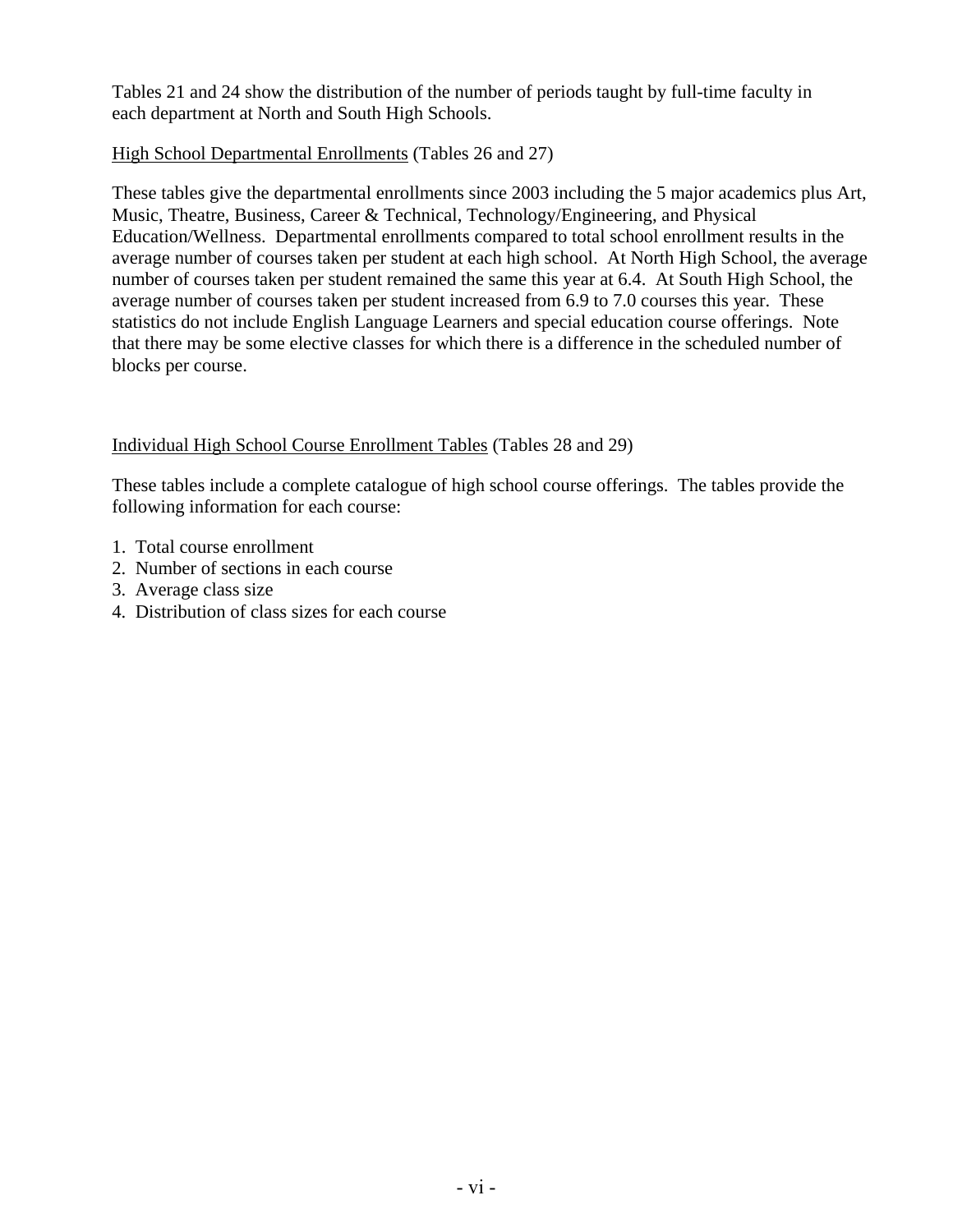Tables 21 and 24 show the distribution of the number of periods taught by full-time faculty in each department at North and South High Schools.

## High School Departmental Enrollments (Tables 26 and 27)

These tables give the departmental enrollments since 2003 including the 5 major academics plus Art, Music, Theatre, Business, Career & Technical, Technology/Engineering, and Physical Education/Wellness. Departmental enrollments compared to total school enrollment results in the average number of courses taken per student at each high school. At North High School, the average number of courses taken per student remained the same this year at 6.4. At South High School, the average number of courses taken per student increased from 6.9 to 7.0 courses this year. These statistics do not include English Language Learners and special education course offerings. Note that there may be some elective classes for which there is a difference in the scheduled number of blocks per course.

# Individual High School Course Enrollment Tables (Tables 28 and 29)

These tables include a complete catalogue of high school course offerings. The tables provide the following information for each course:

- 1. Total course enrollment
- 2. Number of sections in each course
- 3. Average class size
- 4. Distribution of class sizes for each course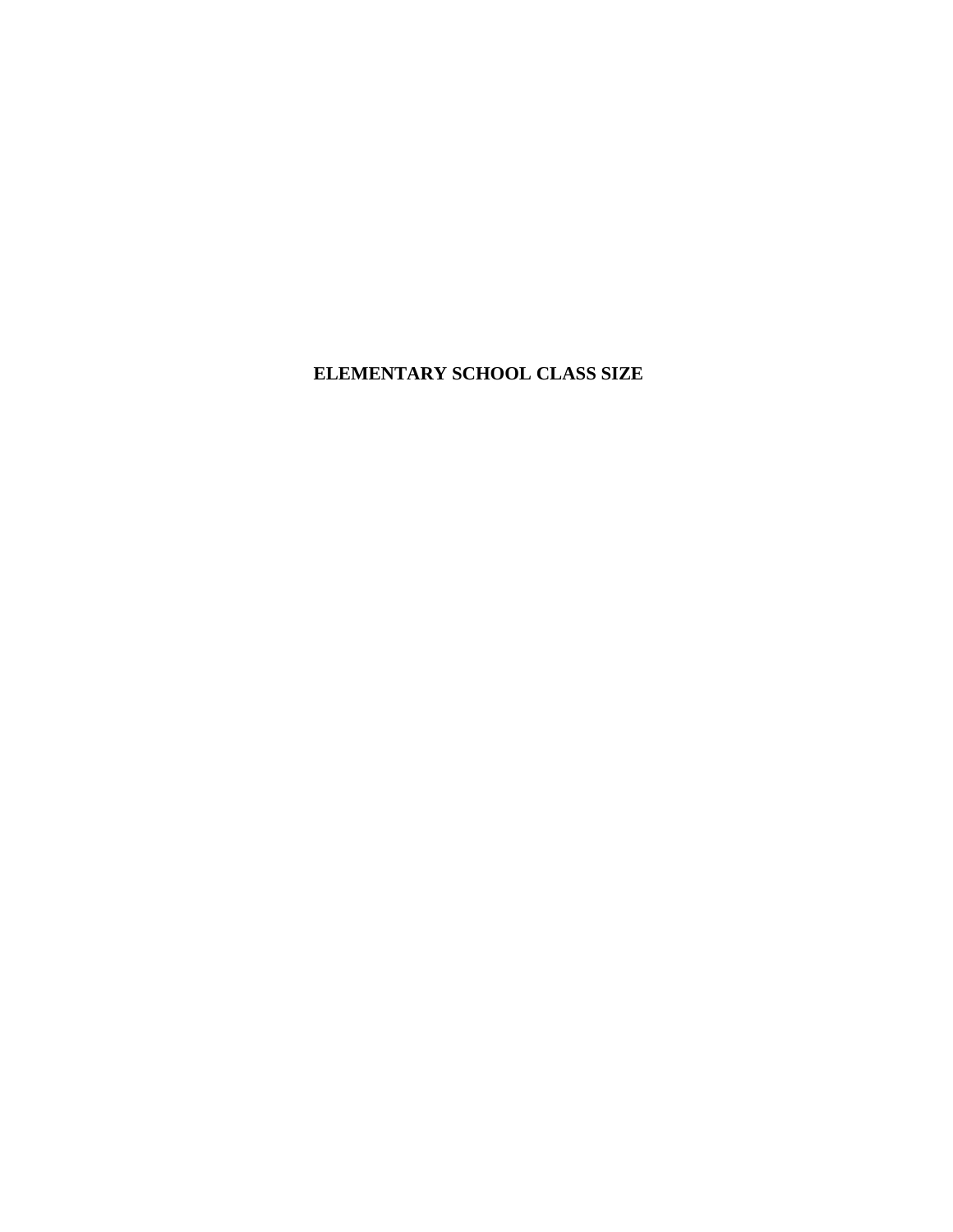**ELEMENTARY SCHOOL CLASS SIZE**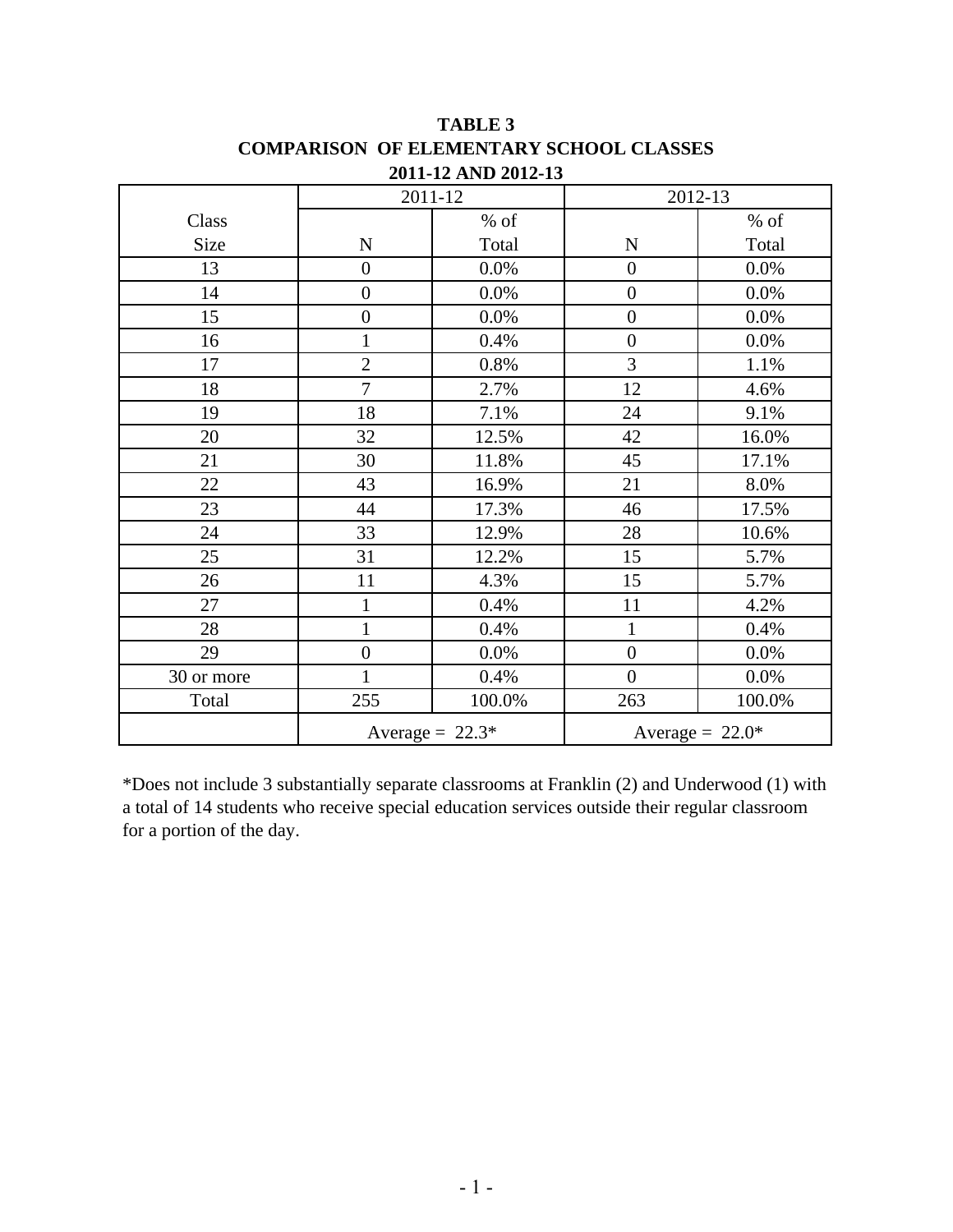|            |                  | 2011-12           | 2012-13           |         |
|------------|------------------|-------------------|-------------------|---------|
| Class      |                  | $%$ of            |                   | $%$ of  |
| Size       | ${\bf N}$        | Total             | ${\bf N}$         | Total   |
| 13         | $\boldsymbol{0}$ | 0.0%              | $\boldsymbol{0}$  | 0.0%    |
| 14         | $\overline{0}$   | 0.0%              | $\boldsymbol{0}$  | 0.0%    |
| 15         | $\overline{0}$   | $0.0\%$           | $\overline{0}$    | $0.0\%$ |
| 16         | $\mathbf{1}$     | 0.4%              | $\boldsymbol{0}$  | 0.0%    |
| 17         | $\overline{2}$   | $0.8\%$           | 3                 | 1.1%    |
| 18         | $\overline{7}$   | 2.7%              | 12                | 4.6%    |
| 19         | 18               | 7.1%              | 24                | 9.1%    |
| 20         | 32               | 12.5%             | 42                | 16.0%   |
| 21         | 30               | 11.8%             | 45                | 17.1%   |
| 22         | 43               | 16.9%             | 21                | 8.0%    |
| 23         | 44               | 17.3%             | 46                | 17.5%   |
| 24         | 33               | 12.9%             | 28                | 10.6%   |
| 25         | 31               | 12.2%             | 15                | 5.7%    |
| 26         | 11               | 4.3%              | 15                | 5.7%    |
| 27         | $\mathbf{1}$     | 0.4%              | 11                | 4.2%    |
| 28         | $\mathbf{1}$     | 0.4%              | $\mathbf{1}$      | 0.4%    |
| 29         | $\boldsymbol{0}$ | 0.0%              | $\boldsymbol{0}$  | 0.0%    |
| 30 or more | $\mathbf{1}$     | 0.4%              | $\overline{0}$    | 0.0%    |
| Total      | 255              | 100.0%            | 263               | 100.0%  |
|            |                  | Average = $22.3*$ | Average = $22.0*$ |         |

**TABLE 3 2011-12 AND 2012-13 COMPARISON OF ELEMENTARY SCHOOL CLASSES**

\*Does not include 3 substantially separate classrooms at Franklin (2) and Underwood (1) with a total of 14 students who receive special education services outside their regular classroom for a portion of the day.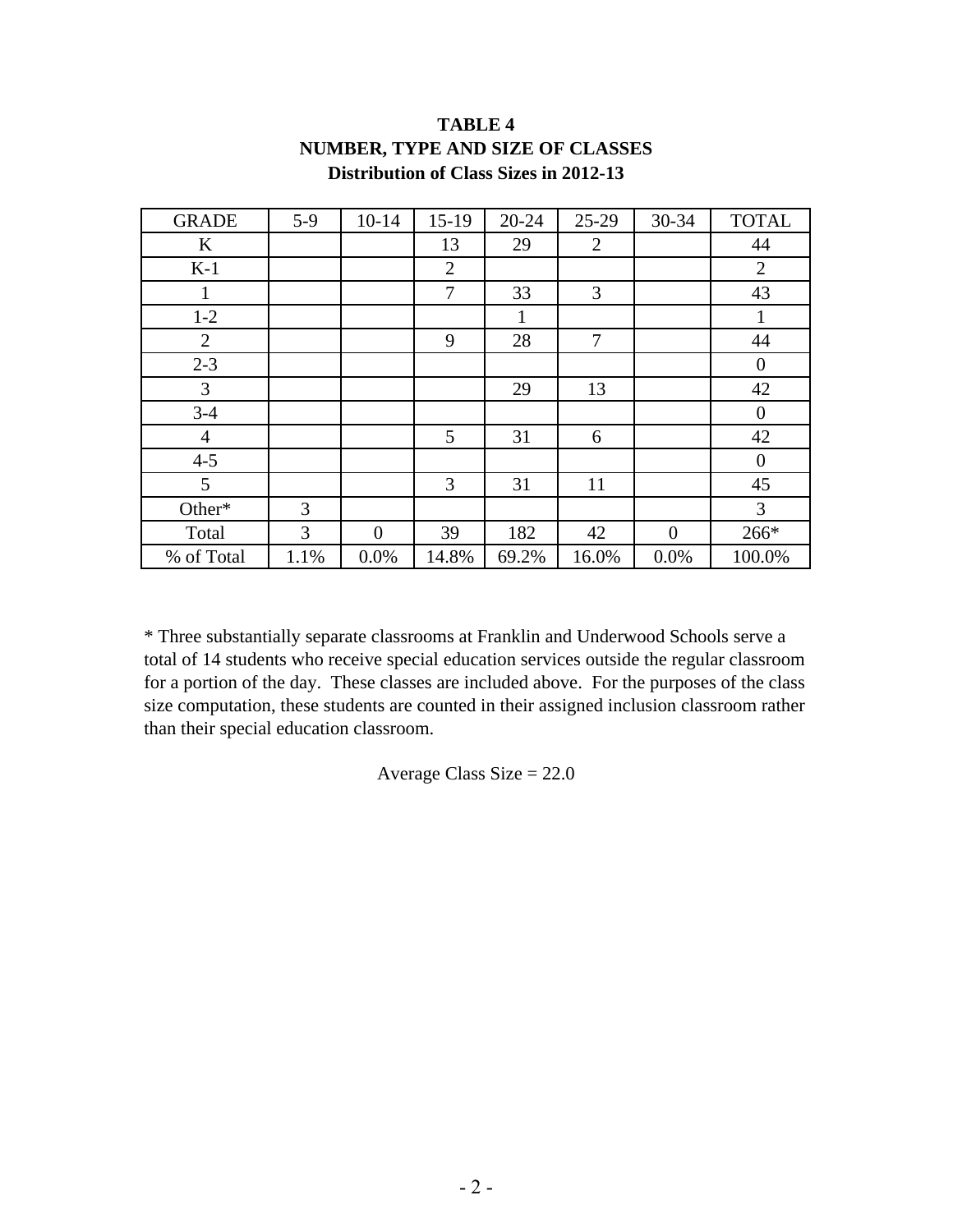| <b>GRADE</b>   | $5-9$ | $10 - 14$      | $15-19$        | 20-24 | $25-29$ | 30-34          | <b>TOTAL</b>   |
|----------------|-------|----------------|----------------|-------|---------|----------------|----------------|
| $\bf K$        |       |                | 13             | 29    | 2       |                | 44             |
| $K-1$          |       |                | $\overline{2}$ |       |         |                | $\overline{2}$ |
| 1              |       |                | 7              | 33    | 3       |                | 43             |
| $1 - 2$        |       |                |                | 1     |         |                | 1              |
| $\overline{2}$ |       |                | 9              | 28    | 7       |                | 44             |
| $2 - 3$        |       |                |                |       |         |                | $\overline{0}$ |
| 3              |       |                |                | 29    | 13      |                | 42             |
| $3 - 4$        |       |                |                |       |         |                | $\theta$       |
| $\overline{4}$ |       |                | 5              | 31    | 6       |                | 42             |
| $4 - 5$        |       |                |                |       |         |                | $\theta$       |
| 5              |       |                | 3              | 31    | 11      |                | 45             |
| Other*         | 3     |                |                |       |         |                | 3              |
| Total          | 3     | $\overline{0}$ | 39             | 182   | 42      | $\overline{0}$ | 266*           |
| % of Total     | 1.1%  | 0.0%           | 14.8%          | 69.2% | 16.0%   | 0.0%           | 100.0%         |

# **TABLE 4 NUMBER, TYPE AND SIZE OF CLASSES Distribution of Class Sizes in 2012-13**

\* Three substantially separate classrooms at Franklin and Underwood Schools serve a total of 14 students who receive special education services outside the regular classroom for a portion of the day. These classes are included above. For the purposes of the class size computation, these students are counted in their assigned inclusion classroom rather than their special education classroom.

Average Class Size = 22.0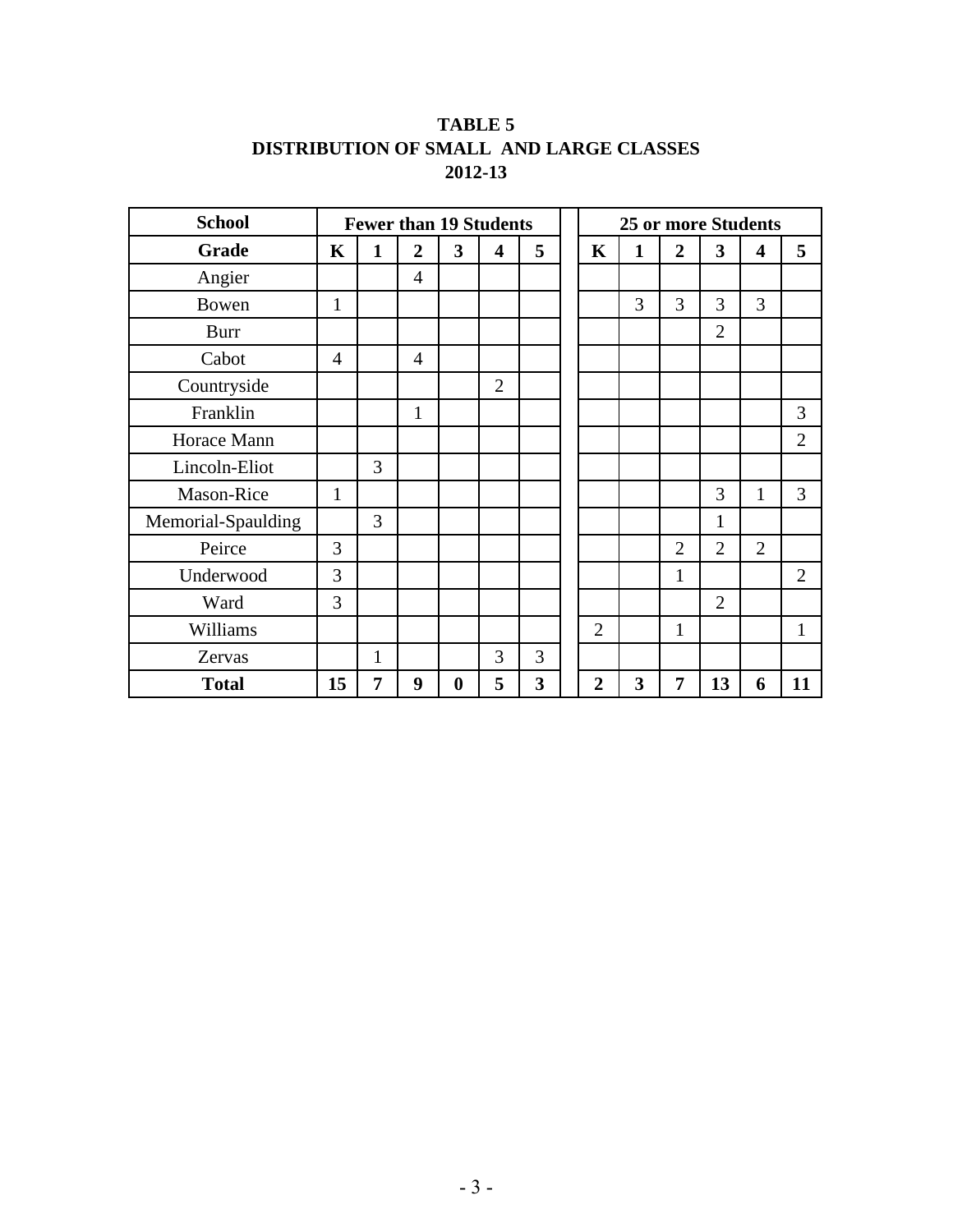# **TABLE 5 2012-13 DISTRIBUTION OF SMALL AND LARGE CLASSES**

| <b>School</b>      |                | <b>Fewer than 19 Students</b> |                |                         |                         |   |                | <b>25 or more Students</b> |                |                |                         |                |
|--------------------|----------------|-------------------------------|----------------|-------------------------|-------------------------|---|----------------|----------------------------|----------------|----------------|-------------------------|----------------|
| Grade              | $\mathbf K$    | $\mathbf{1}$                  | $\overline{2}$ | $\overline{\mathbf{3}}$ | $\overline{\mathbf{4}}$ | 5 | $\mathbf K$    | 1                          | $\overline{2}$ | 3              | $\overline{\mathbf{4}}$ | 5              |
| Angier             |                |                               | $\overline{4}$ |                         |                         |   |                |                            |                |                |                         |                |
| Bowen              | $\mathbf{1}$   |                               |                |                         |                         |   |                | 3                          | 3              | 3              | 3                       |                |
| <b>Burr</b>        |                |                               |                |                         |                         |   |                |                            |                | $\overline{2}$ |                         |                |
| Cabot              | $\overline{4}$ |                               | $\overline{4}$ |                         |                         |   |                |                            |                |                |                         |                |
| Countryside        |                |                               |                |                         | $\overline{2}$          |   |                |                            |                |                |                         |                |
| Franklin           |                |                               | 1              |                         |                         |   |                |                            |                |                |                         | 3              |
| Horace Mann        |                |                               |                |                         |                         |   |                |                            |                |                |                         | $\overline{2}$ |
| Lincoln-Eliot      |                | 3                             |                |                         |                         |   |                |                            |                |                |                         |                |
| Mason-Rice         | $\mathbf{1}$   |                               |                |                         |                         |   |                |                            |                | 3              | $\mathbf{1}$            | 3              |
| Memorial-Spaulding |                | 3                             |                |                         |                         |   |                |                            |                | $\mathbf{1}$   |                         |                |
| Peirce             | 3              |                               |                |                         |                         |   |                |                            | $\overline{2}$ | $\overline{2}$ | $\overline{2}$          |                |
| Underwood          | 3              |                               |                |                         |                         |   |                |                            | 1              |                |                         | $\overline{2}$ |
| Ward               | 3              |                               |                |                         |                         |   |                |                            |                | $\overline{2}$ |                         |                |
| Williams           |                |                               |                |                         |                         |   | $\overline{2}$ |                            | $\mathbf{1}$   |                |                         | 1              |
| Zervas             |                | 1                             |                |                         | 3                       | 3 |                |                            |                |                |                         |                |
| <b>Total</b>       | 15             | 7                             | 9              | $\boldsymbol{0}$        | 5                       | 3 | $\mathbf 2$    | 3                          | 7              | 13             | 6                       | 11             |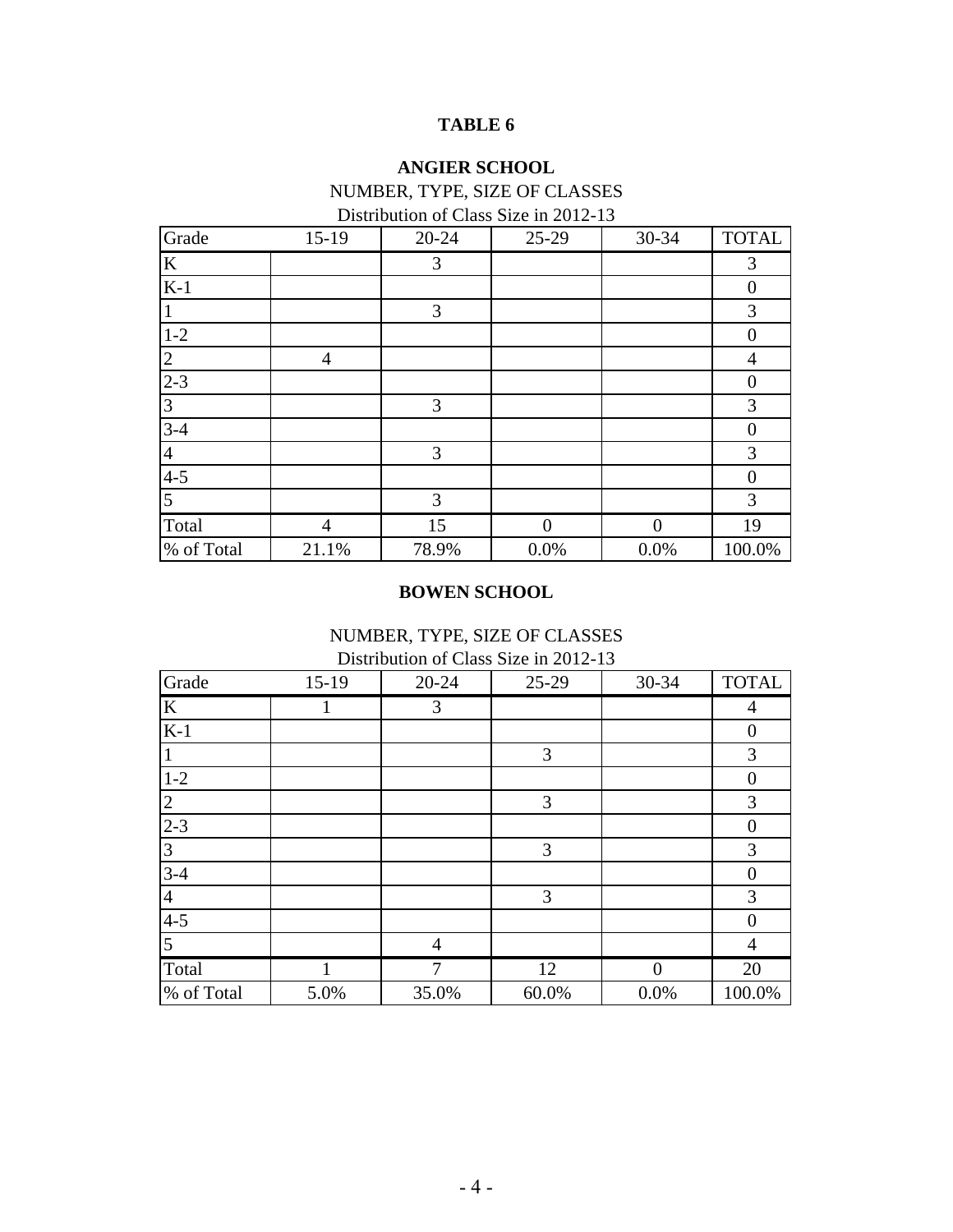# **TABLE 6**

# **ANGIER SCHOOL**

# NUMBER, TYPE, SIZE OF CLASSES

| Distribution of Class Size in 2012-13 |  |  |
|---------------------------------------|--|--|
|                                       |  |  |

| Grade          | $15-19$ | $20 - 24$ | 25-29 | 30-34 | <b>TOTAL</b>   |
|----------------|---------|-----------|-------|-------|----------------|
| K              |         | 3         |       |       | 3              |
| $K-1$          |         |           |       |       | $\overline{0}$ |
|                |         | 3         |       |       | 3              |
| $1-2$          |         |           |       |       | $\theta$       |
| $\overline{2}$ | 4       |           |       |       | $\overline{4}$ |
| $2 - 3$        |         |           |       |       | $\Omega$       |
| 3              |         | 3         |       |       | 3              |
| $3-4$          |         |           |       |       | $\theta$       |
| $\overline{4}$ |         | 3         |       |       | 3              |
| $4 - 5$        |         |           |       |       | $\overline{0}$ |
| 5              |         | 3         |       |       | $\mathfrak{Z}$ |
| Total          | 4       | 15        | ∩     | ∩     | 19             |
| % of Total     | 21.1%   | 78.9%     | 0.0%  | 0.0%  | 100.0%         |

# **BOWEN SCHOOL**

NUMBER, TYPE, SIZE OF CLASSES

Distribution of Class Size in 2012-13

| Grade          | 15-19 | $20 - 24$      | $25-29$ | 30-34    | <b>TOTAL</b>   |
|----------------|-------|----------------|---------|----------|----------------|
| K              |       | 3              |         |          | 4              |
| $K-1$          |       |                |         |          | $\theta$       |
|                |       |                | 3       |          | $\mathfrak{Z}$ |
| $1-2$          |       |                |         |          | $\theta$       |
| $\overline{2}$ |       |                | 3       |          | 3              |
| $2 - 3$        |       |                |         |          | $\theta$       |
| 3              |       |                | 3       |          | 3              |
| $3-4$          |       |                |         |          | $\overline{0}$ |
| $\overline{4}$ |       |                | 3       |          | 3              |
| $4 - 5$        |       |                |         |          | $\Omega$       |
| 5              |       | $\overline{4}$ |         |          | $\overline{4}$ |
| Total          |       | 7              | 12      | $\Omega$ | 20             |
| % of Total     | 5.0%  | 35.0%          | 60.0%   | 0.0%     | 100.0%         |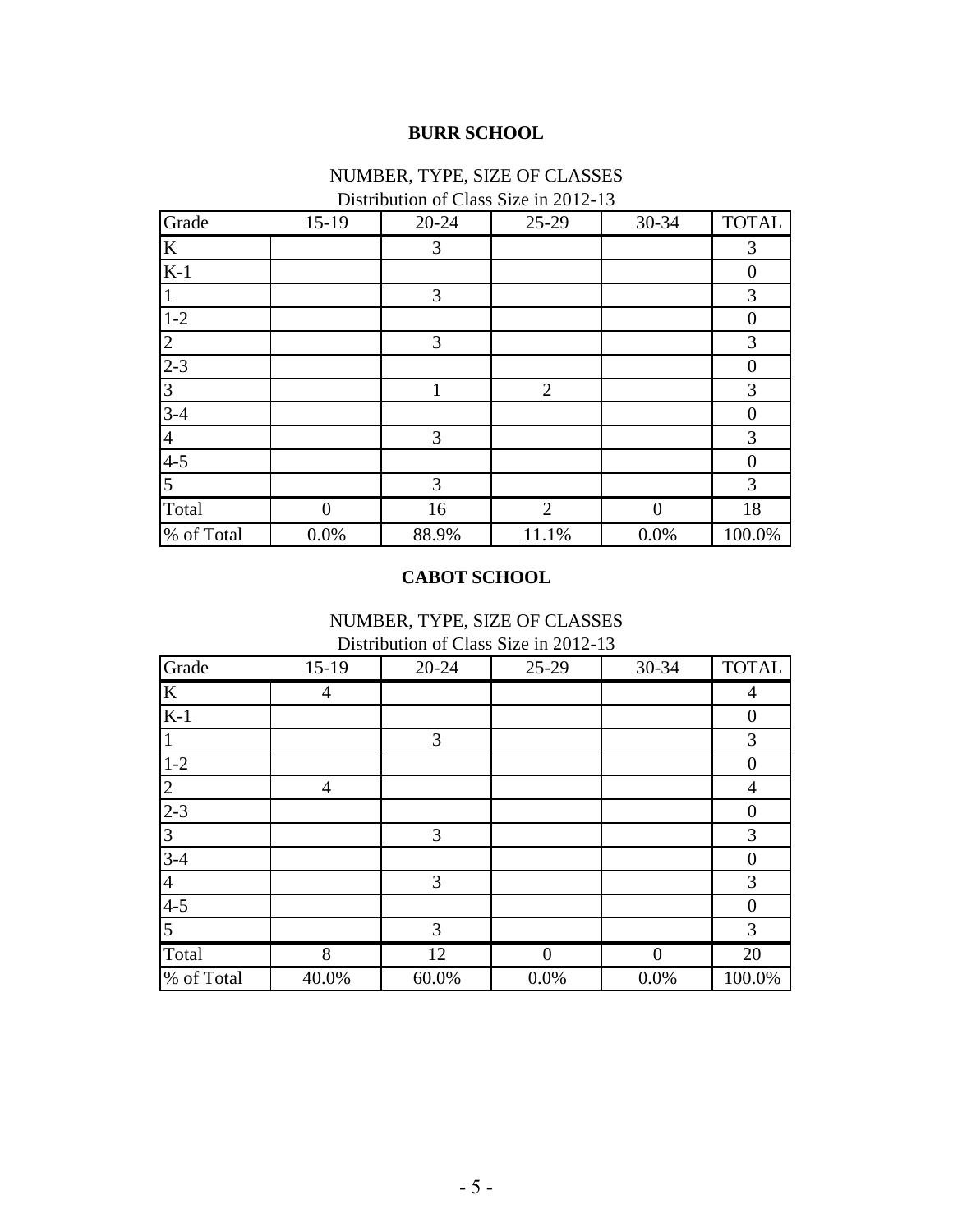# **BURR SCHOOL**

# NUMBER, TYPE, SIZE OF CLASSES

| Grade          | $15-19$ | 20-24 | 25-29          | 30-34    | <b>TOTAL</b>   |
|----------------|---------|-------|----------------|----------|----------------|
| $\mathbf K$    |         | 3     |                |          | 3              |
| $K-1$          |         |       |                |          | $\overline{0}$ |
| $\overline{1}$ |         | 3     |                |          | 3              |
| $1-2$          |         |       |                |          | $\theta$       |
| $\overline{2}$ |         | 3     |                |          | 3              |
| $2 - 3$        |         |       |                |          | $\overline{0}$ |
| $\overline{3}$ |         | 1     | $\overline{2}$ |          | 3              |
| $3 - 4$        |         |       |                |          | $\Omega$       |
| $\overline{4}$ |         | 3     |                |          | 3              |
| $4 - 5$        |         |       |                |          | $\overline{0}$ |
| $\overline{5}$ |         | 3     |                |          | 3              |
| Total          | 0       | 16    | $\overline{2}$ | $\Omega$ | 18             |
| % of Total     | 0.0%    | 88.9% | 11.1%          | 0.0%     | 100.0%         |

# Distribution of Class Size in 2012-13

# **CABOT SCHOOL**

### Distribution of Class Size in 2012-13 NUMBER, TYPE, SIZE OF CLASSES

|                |         |           | $D$ to the wind it of $D$ two $D$ in $D$ is $D$ is $D$ |          |                |
|----------------|---------|-----------|--------------------------------------------------------|----------|----------------|
| Grade          | $15-19$ | $20 - 24$ | 25-29                                                  | 30-34    | <b>TOTAL</b>   |
| $\mathbf K$    | 4       |           |                                                        |          | 4              |
| $K-1$          |         |           |                                                        |          | $\overline{0}$ |
|                |         | 3         |                                                        |          | 3              |
| $1-2$          |         |           |                                                        |          | $\theta$       |
| 2              | 4       |           |                                                        |          | $\overline{4}$ |
| $2 - 3$        |         |           |                                                        |          | $\overline{0}$ |
| 3              |         | 3         |                                                        |          | 3              |
| $3-4$          |         |           |                                                        |          | $\theta$       |
| $\overline{4}$ |         | 3         |                                                        |          | 3              |
| $4 - 5$        |         |           |                                                        |          | $\theta$       |
| 5              |         | 3         |                                                        |          | 3              |
| Total          | 8       | 12        | 0                                                      | $\Omega$ | 20             |
| % of Total     | 40.0%   | 60.0%     | 0.0%                                                   | 0.0%     | 100.0%         |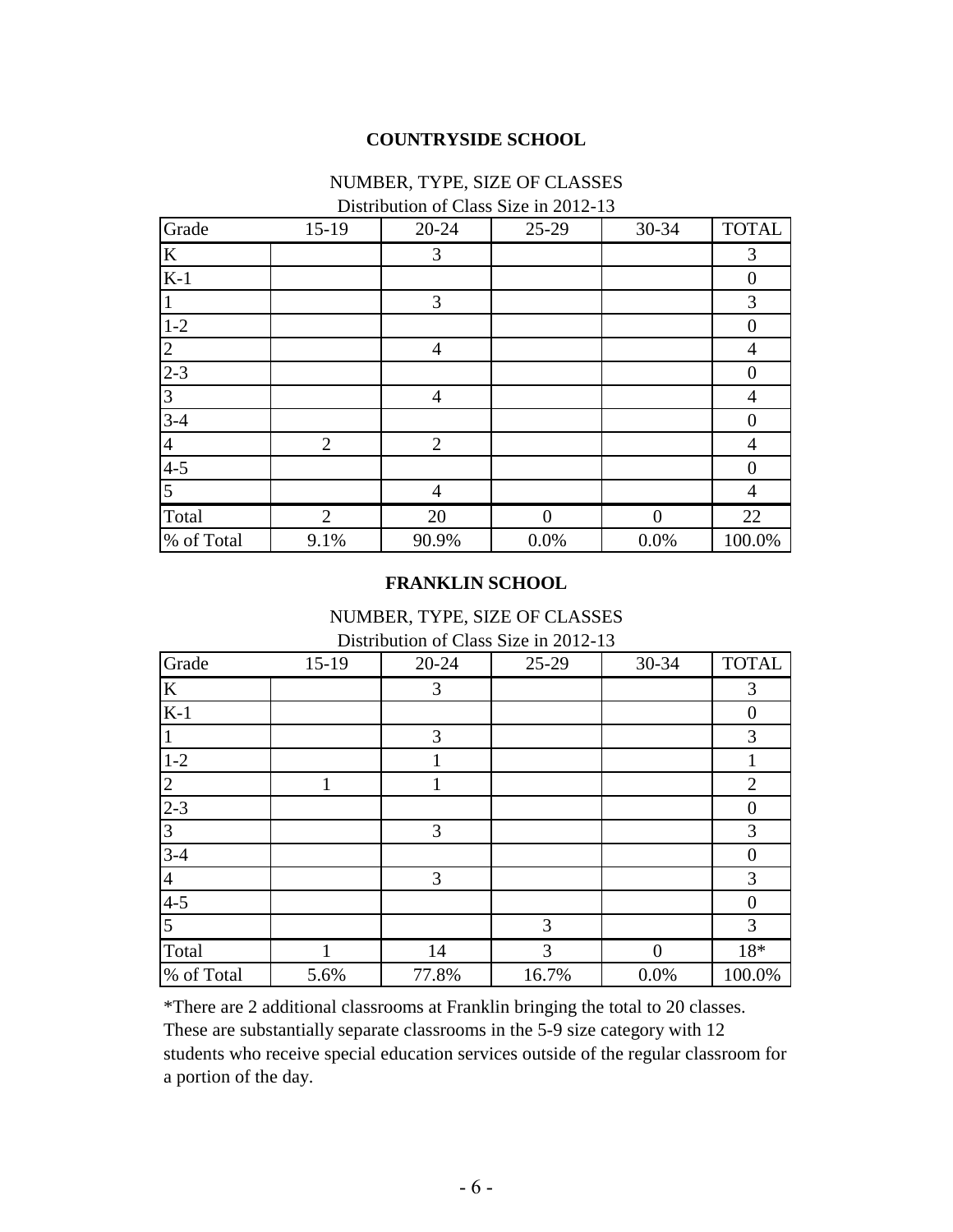## **COUNTRYSIDE SCHOOL**

### NUMBER, TYPE, SIZE OF CLASSES

| Grade          | $15-19$        | $20 - 24$      | 25-29    | $30 - 34$ | <b>TOTAL</b>   |
|----------------|----------------|----------------|----------|-----------|----------------|
| K              |                | 3              |          |           | 3              |
| $K-1$          |                |                |          |           | $\theta$       |
|                |                | 3              |          |           | 3              |
| $1-2$          |                |                |          |           | $\theta$       |
| 2              |                | $\overline{4}$ |          |           | $\overline{4}$ |
| $2 - 3$        |                |                |          |           | $\Omega$       |
| 3              |                | $\overline{4}$ |          |           | 4              |
| $3-4$          |                |                |          |           | $\theta$       |
| $\overline{4}$ | $\overline{2}$ | $\overline{2}$ |          |           | $\overline{4}$ |
| $4 - 5$        |                |                |          |           | $\Omega$       |
| 5              |                | $\overline{4}$ |          |           | $\overline{4}$ |
| Total          | $\overline{2}$ | 20             | $\Omega$ | $\Omega$  | 22             |
| % of Total     | 9.1%           | 90.9%          | 0.0%     | 0.0%      | 100.0%         |

## **FRANKLIN SCHOOL**

#### NUMBER, TYPE, SIZE OF CLASSES Distribution of Class Size in 2012-13

| Grade          | $15-19$ | 20-24 | 25-29 | 30-34    | <b>TOTAL</b>   |
|----------------|---------|-------|-------|----------|----------------|
| $\bf K$        |         | 3     |       |          | 3              |
| $K-1$          |         |       |       |          | $\overline{0}$ |
|                |         | 3     |       |          | 3              |
| $1-2$          |         |       |       |          |                |
| $\overline{2}$ | 1       | 1     |       |          | $\overline{2}$ |
| $2 - 3$        |         |       |       |          | $\theta$       |
| 3              |         | 3     |       |          | 3              |
| $3-4$          |         |       |       |          | $\overline{0}$ |
| $\overline{4}$ |         | 3     |       |          | 3              |
| $4 - 5$        |         |       |       |          | $\theta$       |
| 5              |         |       | 3     |          | 3              |
| Total          |         | 14    | 3     | $\Omega$ | 18*            |
| % of Total     | 5.6%    | 77.8% | 16.7% | 0.0%     | 100.0%         |

\*There are 2 additional classrooms at Franklin bringing the total to 20 classes. These are substantially separate classrooms in the 5-9 size category with 12 students who receive special education services outside of the regular classroom for a portion of the day.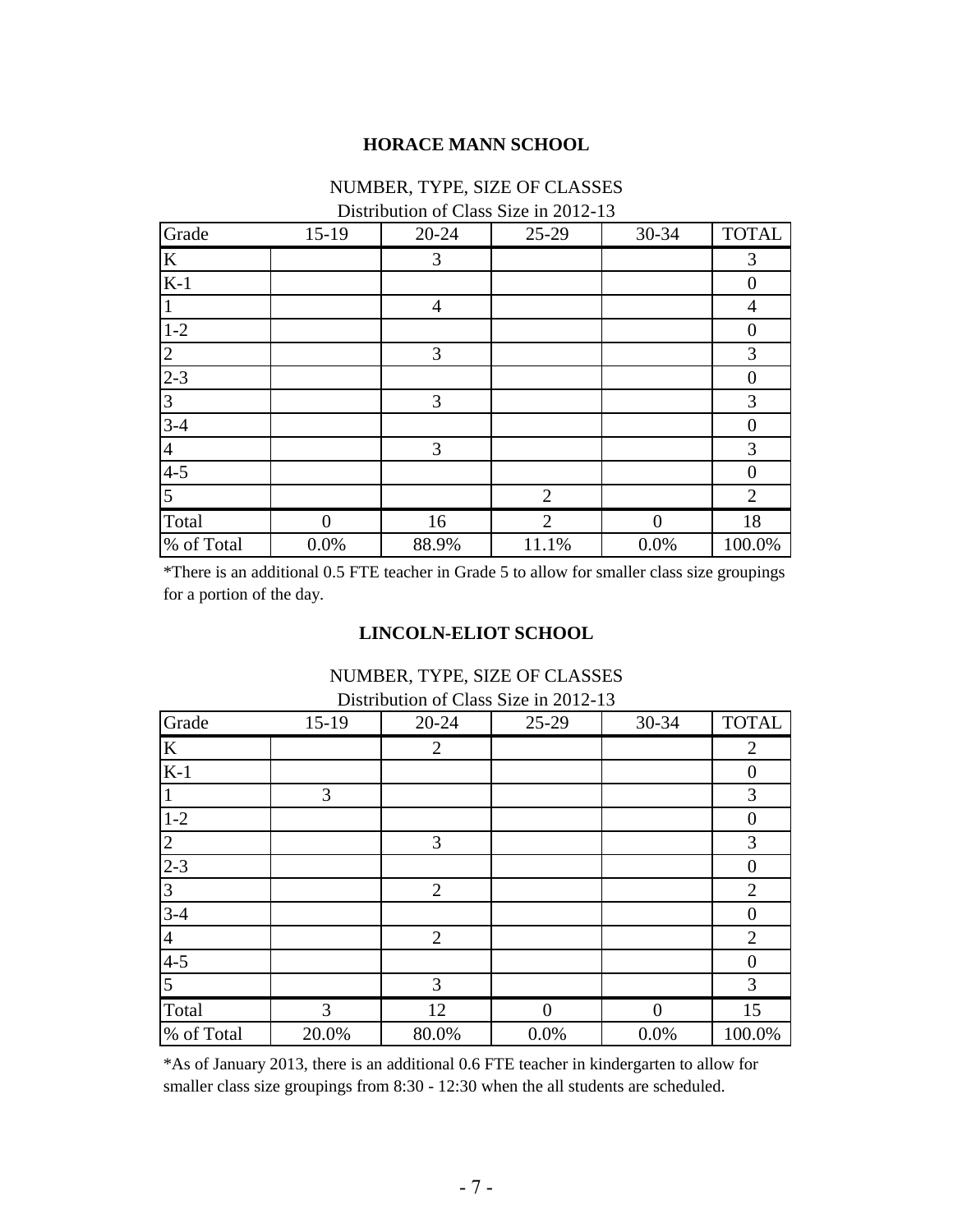#### **HORACE MANN SCHOOL**

# NUMBER, TYPE, SIZE OF CLASSES

#### Distribution of Class Size in 2012-13

| Grade          | $15-19$  | $20 - 24$      | 25-29          | 30-34    | <b>TOTAL</b>   |
|----------------|----------|----------------|----------------|----------|----------------|
| $\bf K$        |          | 3              |                |          | 3              |
| $K-1$          |          |                |                |          | $\overline{0}$ |
|                |          | $\overline{4}$ |                |          | 4              |
| $1 - 2$        |          |                |                |          | $\theta$       |
| 2              |          | 3              |                |          | 3              |
| $2 - 3$        |          |                |                |          | $\theta$       |
| 3              |          | 3              |                |          | 3              |
| $3-4$          |          |                |                |          | $\overline{0}$ |
| $\overline{4}$ |          | 3              |                |          | 3              |
| $4 - 5$        |          |                |                |          | $\overline{0}$ |
| 5              |          |                | $\overline{2}$ |          | $\overline{2}$ |
| Total          | $\Omega$ | 16             | $\overline{2}$ | $\Omega$ | 18             |
| % of Total     | 0.0%     | 88.9%          | 11.1%          | 0.0%     | 100.0%         |

\*There is an additional 0.5 FTE teacher in Grade 5 to allow for smaller class size groupings for a portion of the day.

### **LINCOLN-ELIOT SCHOOL**

# Grade 15-19 20-24 25-29 30-34 TOTAL K2 2 K-1 0 1 3 3 3 3 1-2 0 2 3 3 3 2-3 0 3 2 2 2 2 2 3-4 0 4 2 2 2 2 4-5 0 5 3 3 3 3 Total 13 12 0 0 15 % of Total 20.0% 80.0% 0.0% 0.0% 100.0% Distribution of Class Size in 2012-13

NUMBER, TYPE, SIZE OF CLASSES

\*As of January 2013, there is an additional 0.6 FTE teacher in kindergarten to allow for smaller class size groupings from 8:30 - 12:30 when the all students are scheduled.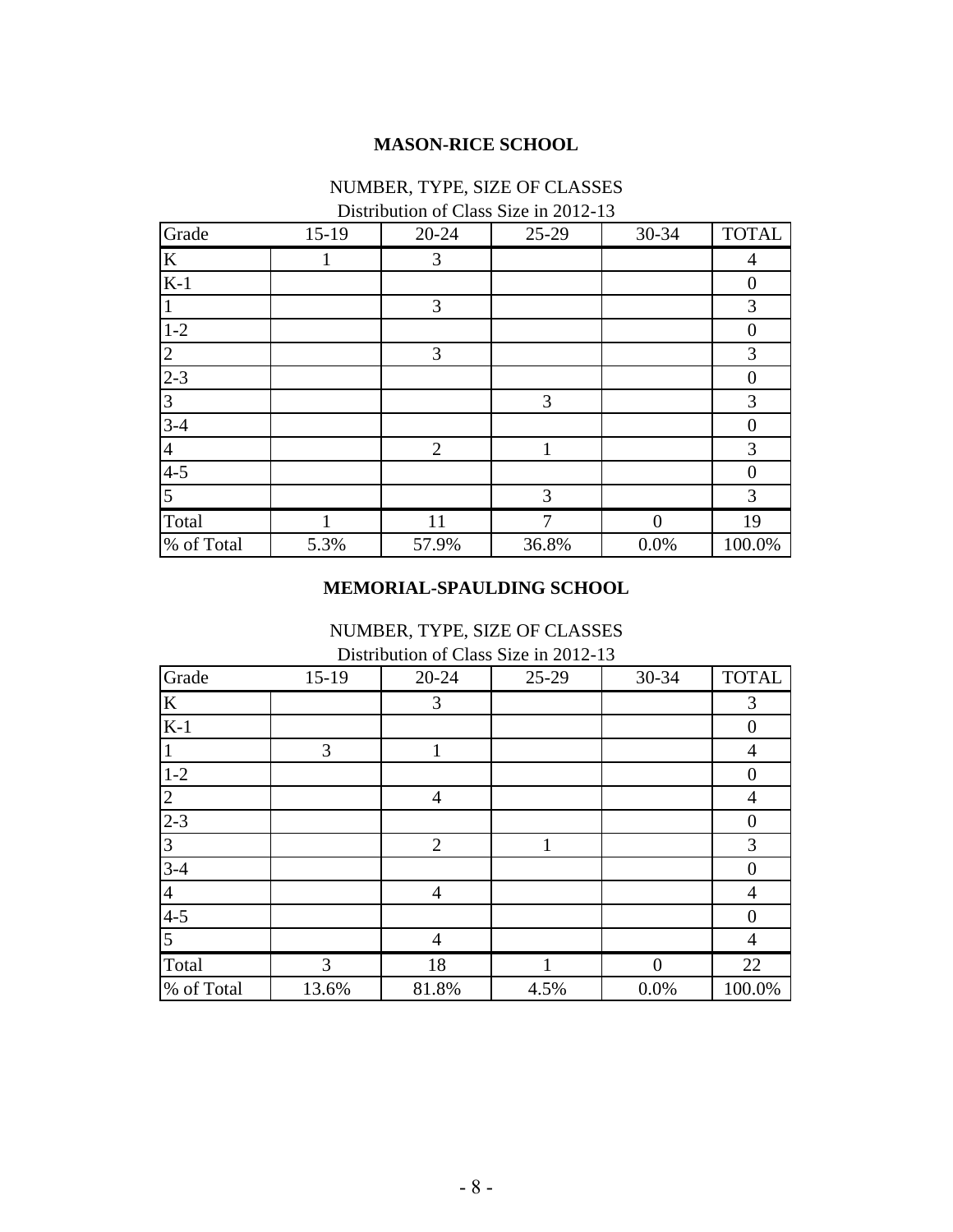#### **MASON-RICE SCHOOL**

## NUMBER, TYPE, SIZE OF CLASSES

Distribution of Class Size in 2012-13

| Grade          | $15-19$ | $20 - 24$      | 25-29 | 30-34    | <b>TOTAL</b>   |
|----------------|---------|----------------|-------|----------|----------------|
| $\bf K$        |         | 3              |       |          | 4              |
| $K-1$          |         |                |       |          | $\overline{0}$ |
|                |         | 3              |       |          | 3              |
| $1 - 2$        |         |                |       |          | $\Omega$       |
| 2              |         | 3              |       |          | 3              |
| $2 - 3$        |         |                |       |          | $\overline{0}$ |
| 3              |         |                | 3     |          | 3              |
| $3-4$          |         |                |       |          | $\overline{0}$ |
| $\overline{4}$ |         | $\overline{2}$ | 1     |          | 3              |
| $4 - 5$        |         |                |       |          | $\theta$       |
| 5              |         |                | 3     |          | $\mathfrak{Z}$ |
| Total          |         | 11             | 7     | $\Omega$ | 19             |
| % of Total     | 5.3%    | 57.9%          | 36.8% | 0.0%     | 100.0%         |

#### **MEMORIAL-SPAULDING SCHOOL**

NUMBER, TYPE, SIZE OF CLASSES Distribution of Class Size in 2012-13

| Grade          | $15-19$ | 20-24          | $25-29$ | 30-34    | <b>TOTAL</b>   |
|----------------|---------|----------------|---------|----------|----------------|
| K              |         | 3              |         |          | 3              |
| $K-1$          |         |                |         |          | $\overline{0}$ |
|                | 3       |                |         |          | $\overline{4}$ |
| $1 - 2$        |         |                |         |          | $\overline{0}$ |
| $\overline{2}$ |         | $\overline{4}$ |         |          | $\overline{4}$ |
| $2 - 3$        |         |                |         |          | $\overline{0}$ |
| 3              |         | $\overline{2}$ | 1       |          | 3              |
| $3-4$          |         |                |         |          | $\theta$       |
| 4              |         | $\overline{4}$ |         |          | $\overline{4}$ |
| $4 - 5$        |         |                |         |          | $\Omega$       |
| 5              |         | $\overline{4}$ |         |          | $\overline{4}$ |
| Total          | 3       | 18             |         | $\Omega$ | 22             |
| % of Total     | 13.6%   | 81.8%          | 4.5%    | 0.0%     | 100.0%         |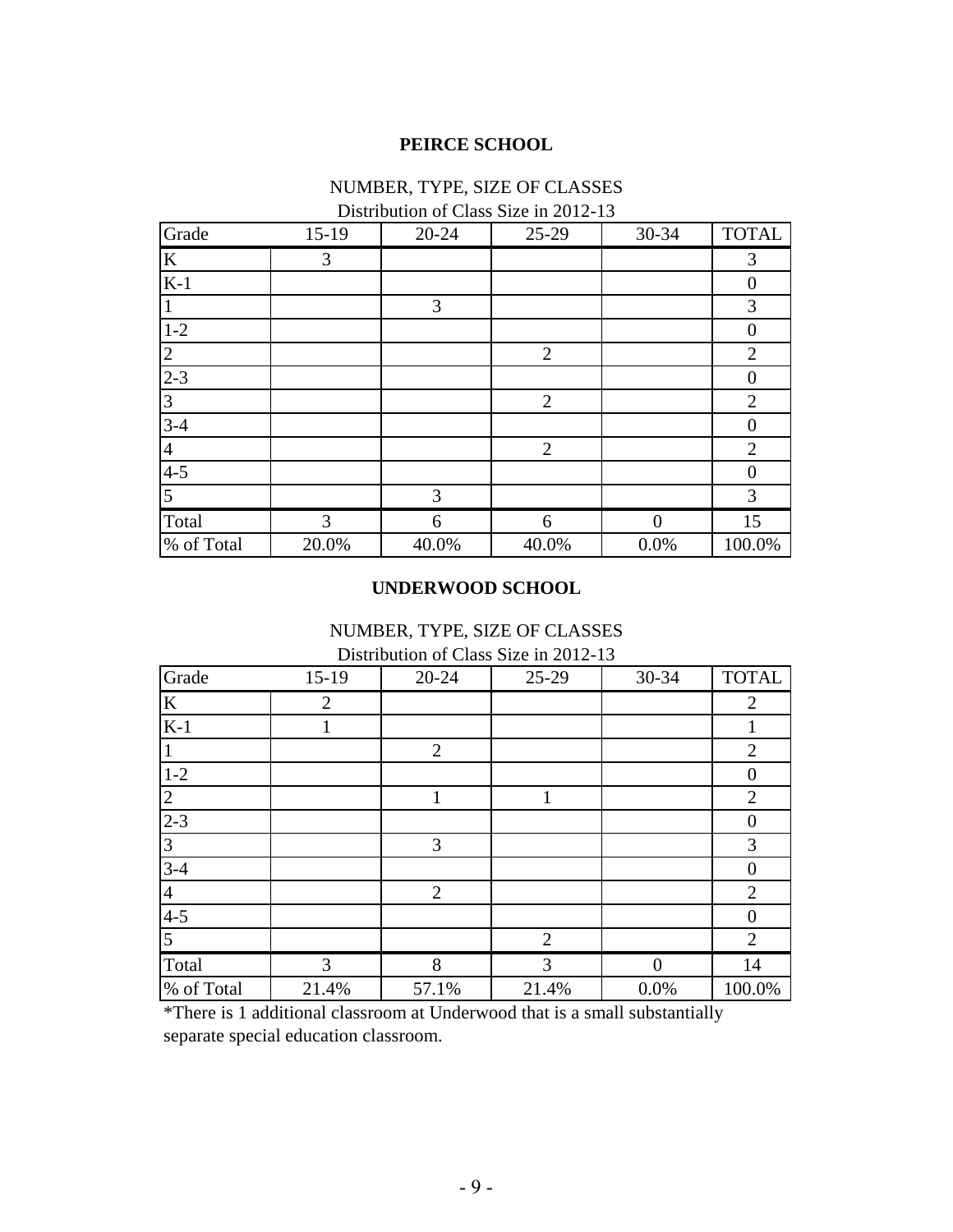#### **PEIRCE SCHOOL**

## NUMBER, TYPE, SIZE OF CLASSES

Distribution of Class Size in 2012-13

| Grade          | $15-19$ | $20 - 24$ | 25-29          | 30-34         | <b>TOTAL</b>   |
|----------------|---------|-----------|----------------|---------------|----------------|
| K              | 3       |           |                |               | 3              |
| $K-1$          |         |           |                |               | $\overline{0}$ |
|                |         | 3         |                |               | 3              |
| $1 - 2$        |         |           |                |               | $\Omega$       |
| $\overline{2}$ |         |           | $\overline{2}$ |               | $\overline{2}$ |
| $2 - 3$        |         |           |                |               | $\theta$       |
| 3              |         |           | 2              |               | $\overline{2}$ |
| $3-4$          |         |           |                |               | $\overline{0}$ |
| $\overline{4}$ |         |           | $\overline{2}$ |               | $\overline{2}$ |
| $4 - 5$        |         |           |                |               | $\Omega$       |
| 5              |         | 3         |                |               | 3              |
| Total          | 3       | 6         | 6              | $\mathcal{L}$ | 15             |
| % of Total     | 20.0%   | 40.0%     | 40.0%          | 0.0%          | 100.0%         |

#### **UNDERWOOD SCHOOL**

Distribution of Class Size in 2012-13 NUMBER, TYPE, SIZE OF CLASSES

| Grade          | $15-19$ | $20 - 24$      | 25-29          | 30-34    | <b>TOTAL</b>     |
|----------------|---------|----------------|----------------|----------|------------------|
| K              | 2       |                |                |          | 2                |
| $K-1$          |         |                |                |          |                  |
|                |         | $\overline{2}$ |                |          | $\overline{2}$   |
| $1 - 2$        |         |                |                |          | $\theta$         |
| $\overline{2}$ |         | 1              | 1              |          | $\overline{2}$   |
| $2 - 3$        |         |                |                |          | $\boldsymbol{0}$ |
| $\overline{3}$ |         | 3              |                |          | 3                |
| $3-4$          |         |                |                |          | $\Omega$         |
| $\overline{4}$ |         | $\overline{2}$ |                |          | $\overline{2}$   |
| $4 - 5$        |         |                |                |          | $\Omega$         |
| $\overline{5}$ |         |                | $\overline{2}$ |          | $\overline{2}$   |
| Total          | 3       | 8              | 3              | $\Omega$ | 14               |
| % of Total     | 21.4%   | 57.1%          | 21.4%          | 0.0%     | 100.0%           |

\*There is 1 additional classroom at Underwood that is a small substantially separate special education classroom.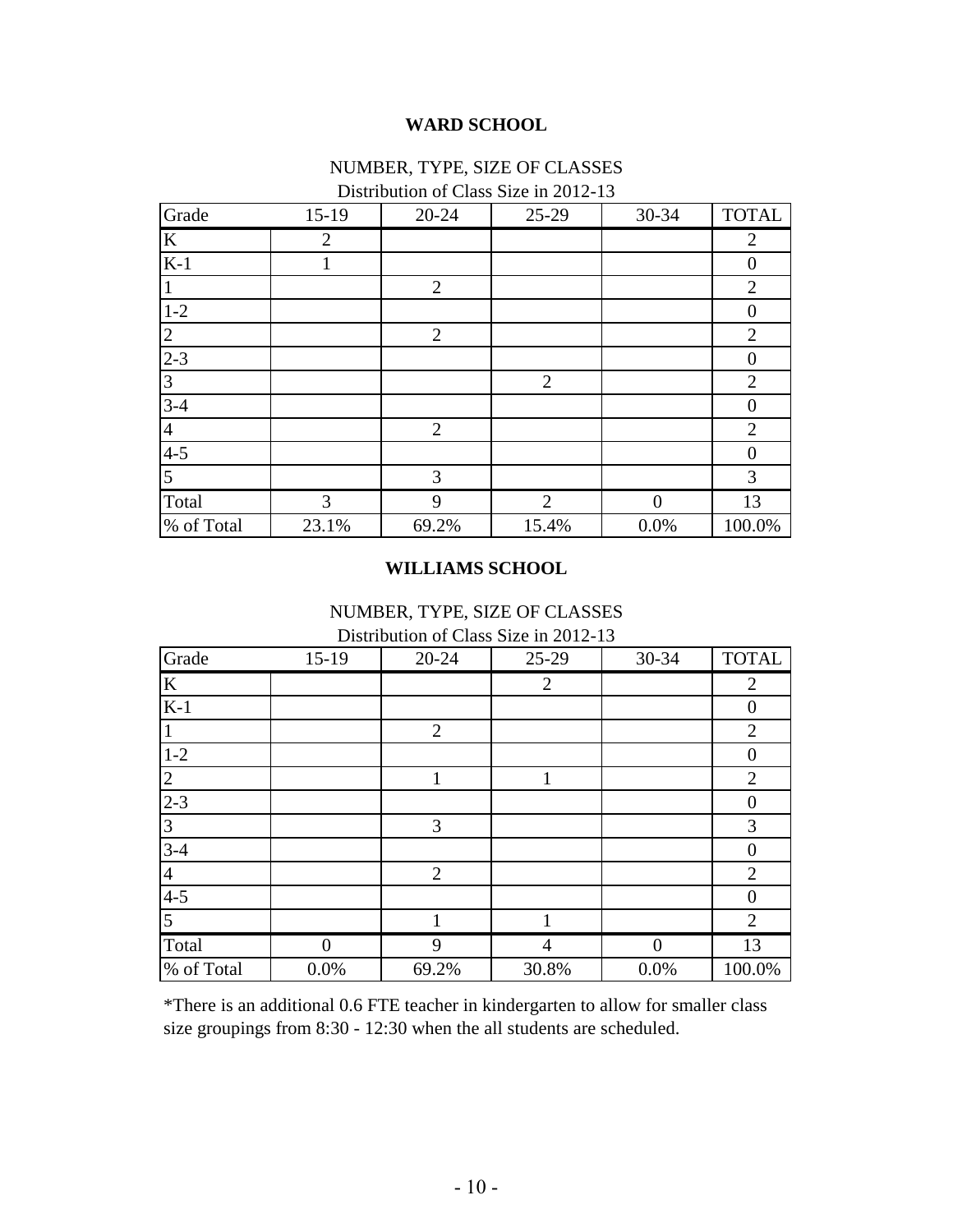### **WARD SCHOOL**

# NUMBER, TYPE, SIZE OF CLASSES

| Grade            | $15-19$ | 20-24          | $D$ is the divisor of $C$ and $D$ is the $D$ is the $D$<br>25-29 | 30-34    | <b>TOTAL</b>     |
|------------------|---------|----------------|------------------------------------------------------------------|----------|------------------|
| K                | 2       |                |                                                                  |          | 2                |
| $K-1$            |         |                |                                                                  |          | $\boldsymbol{0}$ |
|                  |         | 2              |                                                                  |          | $\overline{2}$   |
| $1-2$            |         |                |                                                                  |          | $\boldsymbol{0}$ |
| $\overline{2}$   |         | $\overline{2}$ |                                                                  |          | $\overline{2}$   |
| $2 - 3$          |         |                |                                                                  |          | $\overline{0}$   |
| 3                |         |                | $\overline{2}$                                                   |          | $\overline{2}$   |
| $3 - 4$          |         |                |                                                                  |          | $\theta$         |
| $\overline{4}$   |         | $\overline{2}$ |                                                                  |          | $\overline{2}$   |
| $\overline{4-5}$ |         |                |                                                                  |          | $\overline{0}$   |
| $\overline{5}$   |         | 3              |                                                                  |          | $\mathfrak{Z}$   |
| Total            | 3       | 9              | $\overline{2}$                                                   | $\Omega$ | 13               |
| % of Total       | 23.1%   | 69.2%          | 15.4%                                                            | 0.0%     | 100.0%           |

# Distribution of Class Size in 2012-13

#### **WILLIAMS SCHOOL**

NUMBER, TYPE, SIZE OF CLASSES

Distribution of Class Size in 2012-13

| Grade          | $15-19$ | $20 - 24$      | $25-29$        | 30-34    | <b>TOTAL</b>   |
|----------------|---------|----------------|----------------|----------|----------------|
| K              |         |                | $\overline{2}$ |          | $\overline{2}$ |
| $K-1$          |         |                |                |          | $\overline{0}$ |
|                |         | $\overline{2}$ |                |          | $\overline{2}$ |
| $1 - 2$        |         |                |                |          | $\overline{0}$ |
| 2              |         | 1              | 1              |          | $\overline{2}$ |
| $2 - 3$        |         |                |                |          | $\overline{0}$ |
| 3              |         | 3              |                |          | 3              |
| $3-4$          |         |                |                |          | $\overline{0}$ |
| $\overline{4}$ |         | $\overline{2}$ |                |          | $\overline{2}$ |
| $4 - 5$        |         |                |                |          | $\overline{0}$ |
| 5              |         |                |                |          | $\overline{2}$ |
| Total          | 0       | 9              | 4              | $\Omega$ | 13             |
| % of Total     | 0.0%    | 69.2%          | 30.8%          | 0.0%     | 100.0%         |

\*There is an additional 0.6 FTE teacher in kindergarten to allow for smaller class size groupings from 8:30 - 12:30 when the all students are scheduled.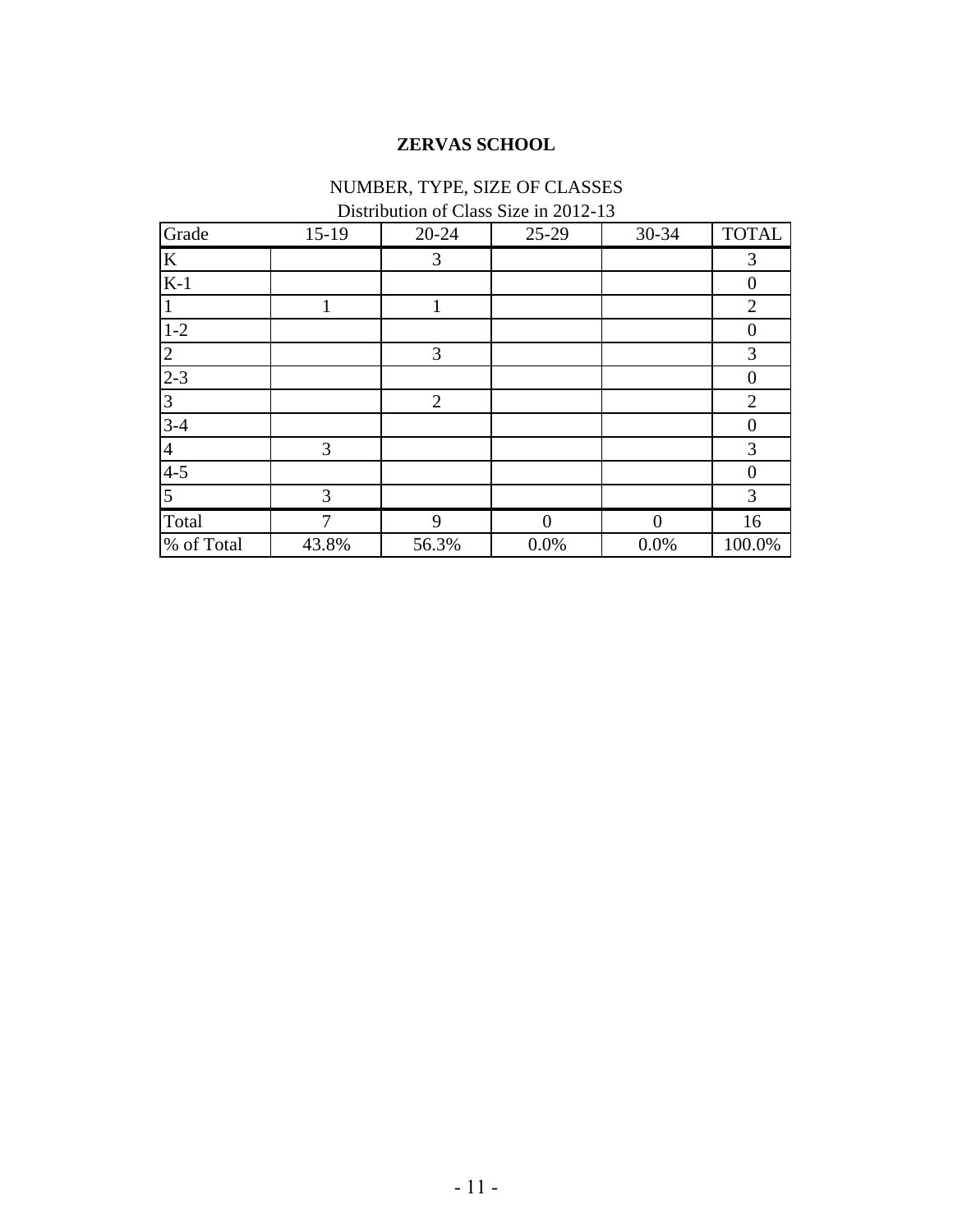# **ZERVAS SCHOOL**

# NUMBER, TYPE, SIZE OF CLASSES

Distribution of Class Size in 2012-13

| Grade      | $15-19$ | $20 - 24$      | 25-29             | 30-34 | <b>TOTAL</b>   |
|------------|---------|----------------|-------------------|-------|----------------|
| $\bf K$    |         | 3              |                   |       | 3              |
| $K-1$      |         |                |                   |       | $\mathbf{0}$   |
|            |         |                |                   |       | $\overline{2}$ |
| $1-2$      |         |                |                   |       | $\theta$       |
| 2          |         | 3              |                   |       | $\mathfrak{Z}$ |
| $2 - 3$    |         |                |                   |       | $\mathbf{0}$   |
| 3          |         | $\overline{2}$ |                   |       | $\overline{2}$ |
| $3-4$      |         |                |                   |       | $\overline{0}$ |
| 4          | 3       |                |                   |       | 3              |
| $4 - 5$    |         |                |                   |       | $\Omega$       |
| 5          | 3       |                |                   |       | $\mathfrak{Z}$ |
| Total      | ⇁       | 9              | $\mathbf{\Omega}$ |       | 16             |
| % of Total | 43.8%   | 56.3%          | $0.0\%$           | 0.0%  | 100.0%         |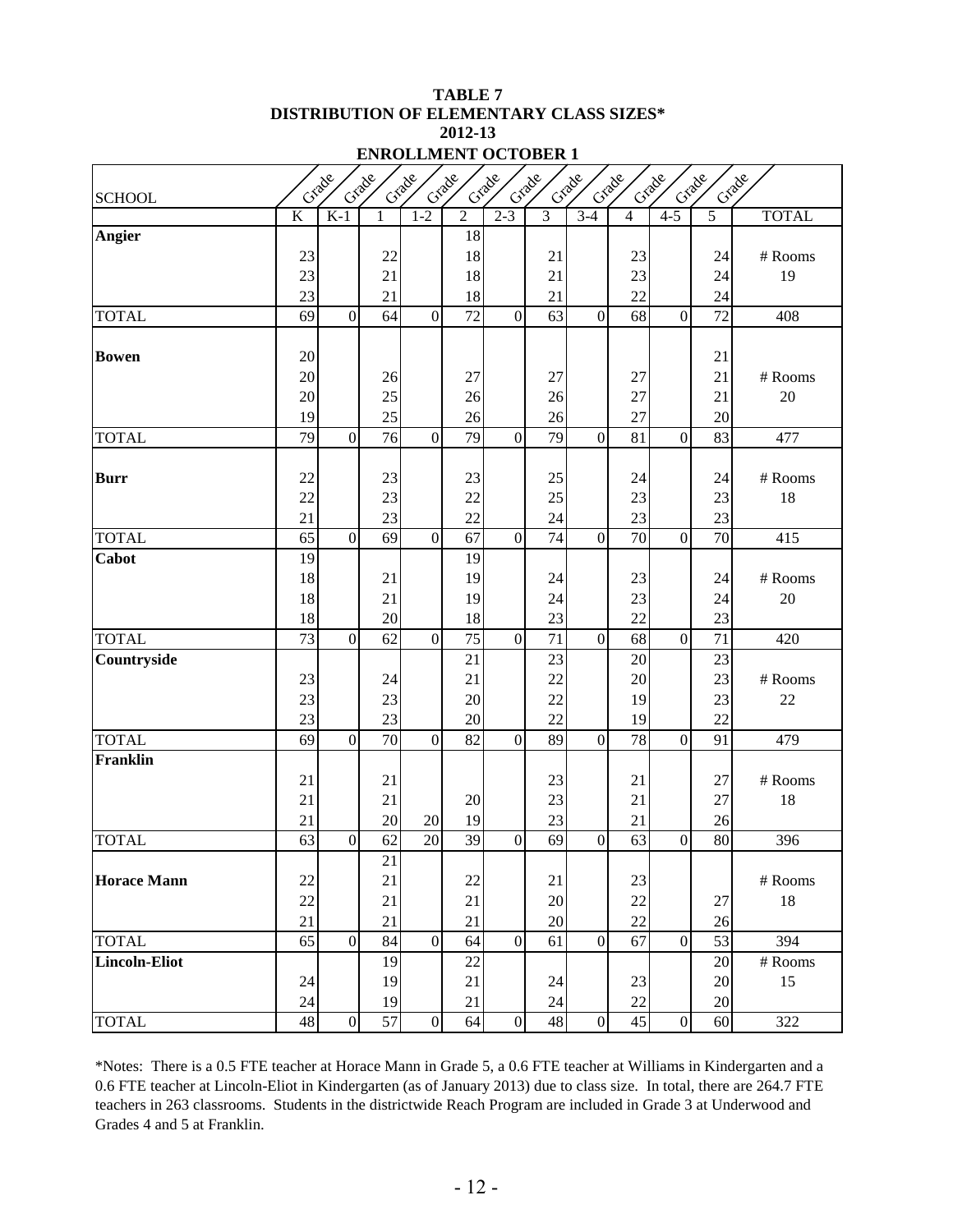#### **TABLE 7 DISTRIBUTION OF ELEMENTARY CLASS SIZES\* 2012-13 ENROLLMENT OCTOBER 1**

|                      |                       | Crade          | Crade           | Grade            | Crade                 | Crade            | Grade          | Crade            | Crade    | Crade            | Crade<br>Crack        |                  |
|----------------------|-----------------------|----------------|-----------------|------------------|-----------------------|------------------|----------------|------------------|----------|------------------|-----------------------|------------------|
| <b>SCHOOL</b>        | K                     | $K-1$          | 1               | $1 - 2$          | $\overline{2}$        | $2 - 3$          | $\overline{3}$ | $3-4$            | 4        | $\overline{4-5}$ | 5                     | <b>TOTAL</b>     |
| Angier               |                       |                |                 |                  | 18                    |                  |                |                  |          |                  |                       |                  |
|                      | 23                    |                | 22              |                  | 18                    |                  | 21             |                  | 23       |                  | 24                    | # Rooms          |
|                      | 23                    |                | 21              |                  | 18                    |                  | 21             |                  | 23       |                  | 24                    | 19               |
|                      | 23                    |                | 21              |                  | 18                    |                  | 21             |                  | 22       |                  | 24                    |                  |
| <b>TOTAL</b>         | 69                    | $\overline{0}$ | 64              | $\mathbf{0}$     | 72                    | $\mathbf{0}$     | 63             | $\mathbf{0}$     | 68       | $\overline{0}$   | 72                    | 408              |
| <b>Bowen</b>         | 20                    |                |                 |                  |                       |                  |                |                  |          |                  | 21                    |                  |
|                      | 20                    |                | 26              |                  | 27                    |                  | 27             |                  | 27       |                  | 21                    | # Rooms          |
|                      | 20                    |                | 25              |                  | 26                    |                  | 26             |                  | 27       |                  | 21                    | 20               |
|                      | 19                    |                | 25              |                  | 26                    |                  | 26             |                  | 27       |                  | 20                    |                  |
| <b>TOTAL</b>         | 79                    | $\overline{0}$ | 76              | $\boldsymbol{0}$ | 79                    | $\mathbf{0}$     | 79             | $\mathbf{0}$     | 81       | $\overline{0}$   | 83                    | 477              |
|                      |                       |                |                 |                  |                       |                  |                |                  |          |                  |                       |                  |
| <b>Burr</b>          | 22                    |                | 23              |                  | 23                    |                  | 25             |                  | 24       |                  | 24                    | # Rooms          |
|                      | 22                    |                | 23              |                  | 22                    |                  | 25             |                  | 23       |                  | 23                    | 18               |
|                      | 21                    |                | 23              |                  | 22                    |                  | 24             |                  | 23       |                  | 23                    |                  |
| <b>TOTAL</b>         | 65                    | $\overline{0}$ | 69              | $\mathbf{0}$     | 67                    | $\overline{0}$   | 74             | $\mathbf{0}$     | 70       | $\overline{0}$   | 70                    | 415              |
| Cabot                | 19                    |                |                 |                  | 19                    |                  |                |                  |          |                  |                       |                  |
|                      | 18                    |                | 21              |                  | 19                    |                  | 24             |                  | 23       |                  | 24                    | # Rooms          |
|                      | 18                    |                | 21              |                  | 19                    |                  | 24             |                  | 23       |                  | 24                    | 20               |
| <b>TOTAL</b>         | 18<br>$\overline{73}$ | $\overline{0}$ | 20<br>62        | $\boldsymbol{0}$ | 18<br>$\overline{75}$ | $\mathbf{0}$     | 23<br>71       | $\overline{0}$   | 22<br>68 | $\overline{0}$   | 23<br>$\overline{71}$ | 420              |
| Countryside          |                       |                |                 |                  | 21                    |                  | 23             |                  | 20       |                  | 23                    |                  |
|                      | 23                    |                | 24              |                  | 21                    |                  | 22             |                  | 20       |                  | 23                    | # Rooms          |
|                      | 23                    |                | 23              |                  | 20                    |                  | 22             |                  | 19       |                  | 23                    | 22               |
|                      | 23                    |                | 23              |                  | 20                    |                  | 22             |                  | 19       |                  | 22                    |                  |
| <b>TOTAL</b>         | 69                    | $\overline{0}$ | $\overline{70}$ | $\mathbf{0}$     | $\overline{82}$       | $\mathbf{0}$     | 89             | $\mathbf{0}$     | 78       | $\overline{0}$   | 91                    | 479              |
| <b>Franklin</b>      |                       |                |                 |                  |                       |                  |                |                  |          |                  |                       |                  |
|                      | 21                    |                | 21              |                  |                       |                  | 23             |                  | 21       |                  | 27                    | # Rooms          |
|                      | 21                    |                | 21              |                  | 20                    |                  | 23             |                  | 21       |                  | 27                    | 18               |
|                      | 21                    |                | 20              | 20               | 19                    |                  | 23             |                  | 21       |                  | 26                    |                  |
| <b>TOTAL</b>         | 63                    | $\overline{0}$ | 62              | 20               | $\overline{39}$       | $\boldsymbol{0}$ | 69             | $\boldsymbol{0}$ | 63       | $\overline{0}$   | 80                    | 396              |
|                      |                       |                | 21              |                  |                       |                  |                |                  |          |                  |                       |                  |
| <b>Horace Mann</b>   | $22\,$                |                | 21              |                  | 22                    |                  | 21             |                  | 23       |                  |                       | # Rooms          |
|                      | 22                    |                | 21              |                  | 21                    |                  | 20             |                  | $22\,$   |                  | 27                    | 18               |
|                      | 21                    |                | 21              |                  | 21                    |                  | 20             |                  | 22       |                  | 26                    |                  |
| <b>TOTAL</b>         | 65                    | $\overline{0}$ | 84              | $\overline{0}$   | 64                    | $\overline{0}$   | 61             | $\boldsymbol{0}$ | 67       | $\overline{0}$   | 53                    | 394              |
| <b>Lincoln-Eliot</b> |                       |                | 19              |                  | 22                    |                  |                |                  |          |                  | 20                    | # Rooms          |
|                      | 24                    |                | 19              |                  | 21                    |                  | 24             |                  | 23       |                  | 20                    | 15               |
|                      | 24                    |                | 19              |                  | 21                    |                  | 24             |                  | 22       |                  | 20                    |                  |
| <b>TOTAL</b>         | 48                    | $\overline{0}$ | 57              | $\boldsymbol{0}$ | 64                    | $\boldsymbol{0}$ | 48             | $\overline{0}$   | 45       | $\overline{0}$   | 60                    | $\overline{322}$ |

\*Notes: There is a 0.5 FTE teacher at Horace Mann in Grade 5, a 0.6 FTE teacher at Williams in Kindergarten and a 0.6 FTE teacher at Lincoln-Eliot in Kindergarten (as of January 2013) due to class size. In total, there are 264.7 FTE teachers in 263 classrooms. Students in the districtwide Reach Program are included in Grade 3 at Underwood and Grades 4 and 5 at Franklin.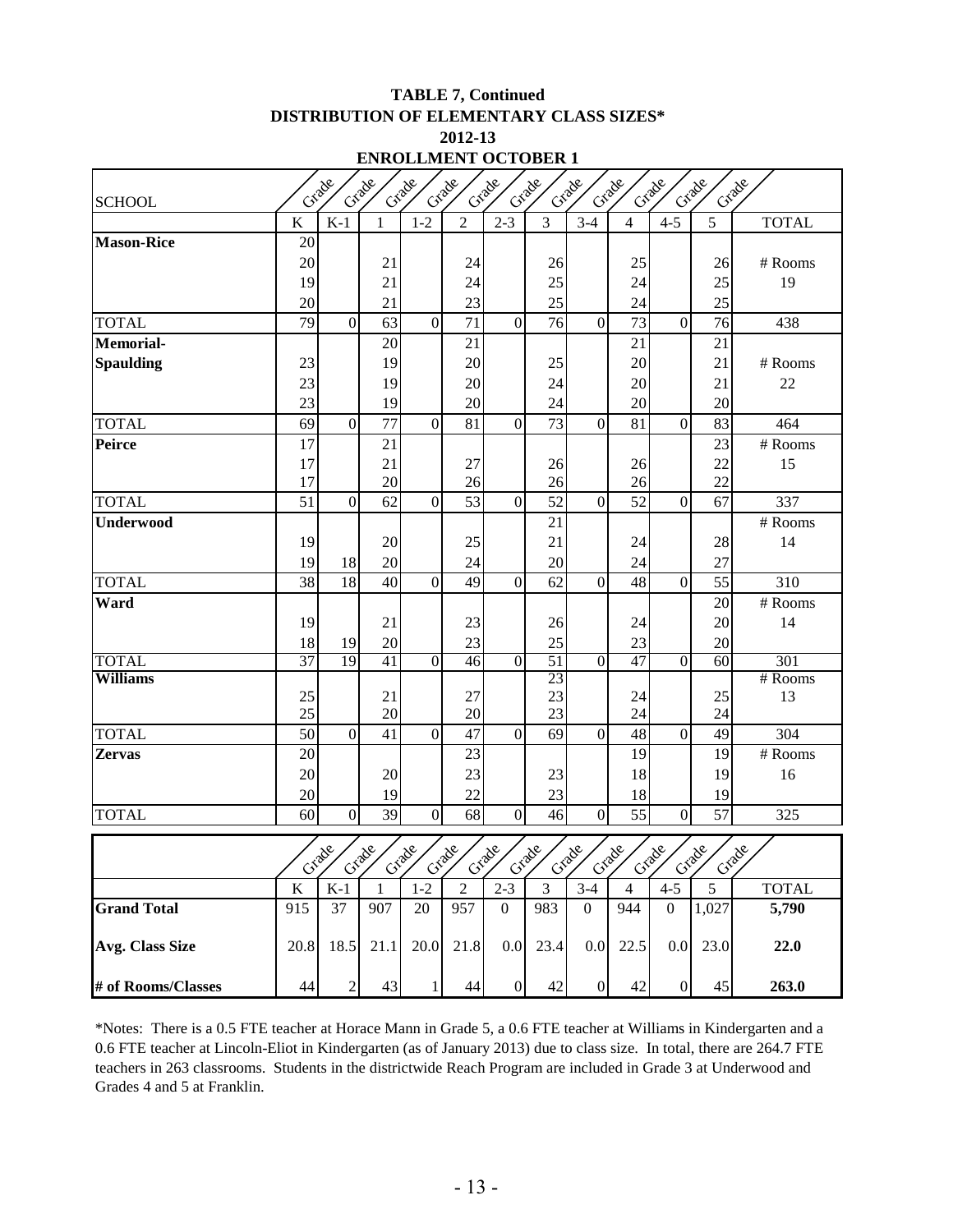#### **TABLE 7, Continued DISTRIBUTION OF ELEMENTARY CLASS SIZES\* 2012-13**

| Grade<br>Grade<br>Grade<br>Grade<br>Grade<br>Grade<br>Grade<br>Grade<br>Grade<br>Grade<br>Grade |          |                |              |                |                |                  |                |                  |                |                  |          |              |
|-------------------------------------------------------------------------------------------------|----------|----------------|--------------|----------------|----------------|------------------|----------------|------------------|----------------|------------------|----------|--------------|
| <b>SCHOOL</b>                                                                                   |          |                |              |                |                |                  |                |                  |                |                  |          |              |
|                                                                                                 | $\bf K$  | $K-1$          | 1            | $1 - 2$        | $\overline{2}$ | $2 - 3$          | $\overline{3}$ | $3-4$            | $\overline{4}$ | $4 - 5$          | 5        | <b>TOTAL</b> |
| <b>Mason-Rice</b>                                                                               | 20       |                |              |                |                |                  |                |                  |                |                  |          |              |
|                                                                                                 | 20       |                | 21           |                | 24             |                  | 26             |                  | 25             |                  | 26       | # Rooms      |
|                                                                                                 | 19       |                | 21           |                | 24             |                  | 25             |                  | 24             |                  | 25       | 19           |
|                                                                                                 | 20       |                | 21           |                | 23             |                  | 25             |                  | 24             |                  | 25       |              |
| <b>TOTAL</b>                                                                                    | 79       | $\mathbf{0}$   | 63           | $\mathbf{0}$   | 71             | $\boldsymbol{0}$ | 76             | $\boldsymbol{0}$ | 73             | $\overline{0}$   | 76       | 438          |
| <b>Memorial-</b>                                                                                |          |                | 20           |                | 21             |                  |                |                  | 21             |                  | 21       |              |
| <b>Spaulding</b>                                                                                | 23       |                | 19           |                | 20             |                  | 25             |                  | 20             |                  | 21       | # Rooms      |
|                                                                                                 | 23       |                | 19           |                | 20             |                  | 24             |                  | 20             |                  | 21       | 22           |
|                                                                                                 | 23       |                | 19           |                | 20             |                  | 24             |                  | 20             |                  | 20       |              |
| <b>TOTAL</b>                                                                                    | 69       | $\overline{0}$ | 77           | $\mathbf{0}$   | 81             | $\mathbf{0}$     | 73             | $\boldsymbol{0}$ | 81             | $\mathbf{0}$     | 83       | 464          |
| <b>Peirce</b>                                                                                   | 17       |                | 21           |                |                |                  |                |                  |                |                  | 23       | $#$ Rooms    |
|                                                                                                 | 17       |                | 21           |                | 27             |                  | 26             |                  | 26             |                  | 22       | 15           |
|                                                                                                 | 17       |                | 20           |                | 26             |                  | 26             |                  | 26             |                  | 22       |              |
| <b>TOTAL</b>                                                                                    | 51       | $\overline{0}$ | 62           | $\overline{0}$ | 53             | $\mathbf{0}$     | 52             | $\boldsymbol{0}$ | 52             | $\overline{0}$   | 67       | 337          |
| Underwood                                                                                       |          |                |              |                |                |                  | 21             |                  |                |                  |          | # Rooms      |
|                                                                                                 | 19       |                | 20           |                | 25             |                  | 21             |                  | 24             |                  | 28       | 14           |
|                                                                                                 | 19       | 18             | 20           |                | 24             |                  | 20             |                  | 24             |                  | 27       |              |
| <b>TOTAL</b>                                                                                    | 38       | 18             | 40           | $\mathbf{0}$   | 49             | $\boldsymbol{0}$ | 62             | $\overline{0}$   | 48             | $\mathbf{0}$     | 55       | 310          |
| Ward                                                                                            |          |                |              |                |                |                  |                |                  |                |                  | 20       | # Rooms      |
|                                                                                                 | 19       |                | 21           |                | 23             |                  | 26             |                  | 24             |                  | 20       | 14           |
|                                                                                                 | 18       | 19             | 20           |                | 23             |                  | 25             |                  | 23             |                  | 20       |              |
| <b>TOTAL</b>                                                                                    | 37       | 19             | 41           | $\overline{0}$ | 46             | $\overline{0}$   | 51             | $\overline{0}$   | 47             | $\overline{0}$   | 60       | 301          |
| <b>Williams</b>                                                                                 |          |                |              |                |                |                  | 23             |                  |                |                  |          | # Rooms      |
|                                                                                                 | 25<br>25 |                | 21<br>20     |                | 27<br>20       |                  | 23<br>23       |                  | 24<br>24       |                  | 25<br>24 | 13           |
| <b>TOTAL</b>                                                                                    | 50       | $\mathbf{0}$   | 41           | $\Omega$       | 47             | $\boldsymbol{0}$ | 69             | $\mathbf{0}$     | 48             | $\overline{0}$   | 49       | 304          |
| <b>Zervas</b>                                                                                   | 20       |                |              |                | 23             |                  |                |                  | 19             |                  | 19       | # Rooms      |
|                                                                                                 | 20       |                | $20\,$       |                | 23             |                  | 23             |                  | 18             |                  | 19       | 16           |
|                                                                                                 | 20       |                | 19           |                | 22             |                  | 23             |                  | 18             |                  | 19       |              |
| <b>TOTAL</b>                                                                                    | 60       | $\mathbf{0}$   | 39           | $\mathbf{0}$   | 68             | $\boldsymbol{0}$ | 46             | $\mathbf{0}$     | 55             | $\mathbf{0}$     | 57       | 325          |
|                                                                                                 |          |                |              |                |                |                  |                |                  |                |                  |          |              |
|                                                                                                 |          | Grade          | Grade        | Grade          | Grade          | Crade            | Grade          | Grade            | Grade          | Criade           | Crade    | Crade        |
|                                                                                                 | $\bf K$  | $K-1$          | $\mathbf{1}$ | $1 - 2$        | $\overline{2}$ | $2 - 3$          | 3              | $3-4$            | $\overline{4}$ | $4 - 5$          | 5        | <b>TOTAL</b> |
| <b>Grand Total</b>                                                                              | 915      | 37             | 907          | 20             | 957            | $\boldsymbol{0}$ | 983            | $\boldsymbol{0}$ | 944            | $\overline{0}$   | 1,027    | 5,790        |
| Avg. Class Size                                                                                 | 20.8     | 18.5           | 21.1         | 20.0           | 21.8           | 0.0              | 23.4           | 0.0              | 22.5           | 0.0              | 23.0     | 22.0         |
| # of Rooms/Classes                                                                              | 44       | $\mathbf{2}$   | 43           | 1              | 44             | $\boldsymbol{0}$ | 42             | $\boldsymbol{0}$ | 42             | $\boldsymbol{0}$ | 45       | 263.0        |

\*Notes: There is a 0.5 FTE teacher at Horace Mann in Grade 5, a 0.6 FTE teacher at Williams in Kindergarten and a 0.6 FTE teacher at Lincoln-Eliot in Kindergarten (as of January 2013) due to class size. In total, there are 264.7 FTE teachers in 263 classrooms. Students in the districtwide Reach Program are included in Grade 3 at Underwood and Grades 4 and 5 at Franklin.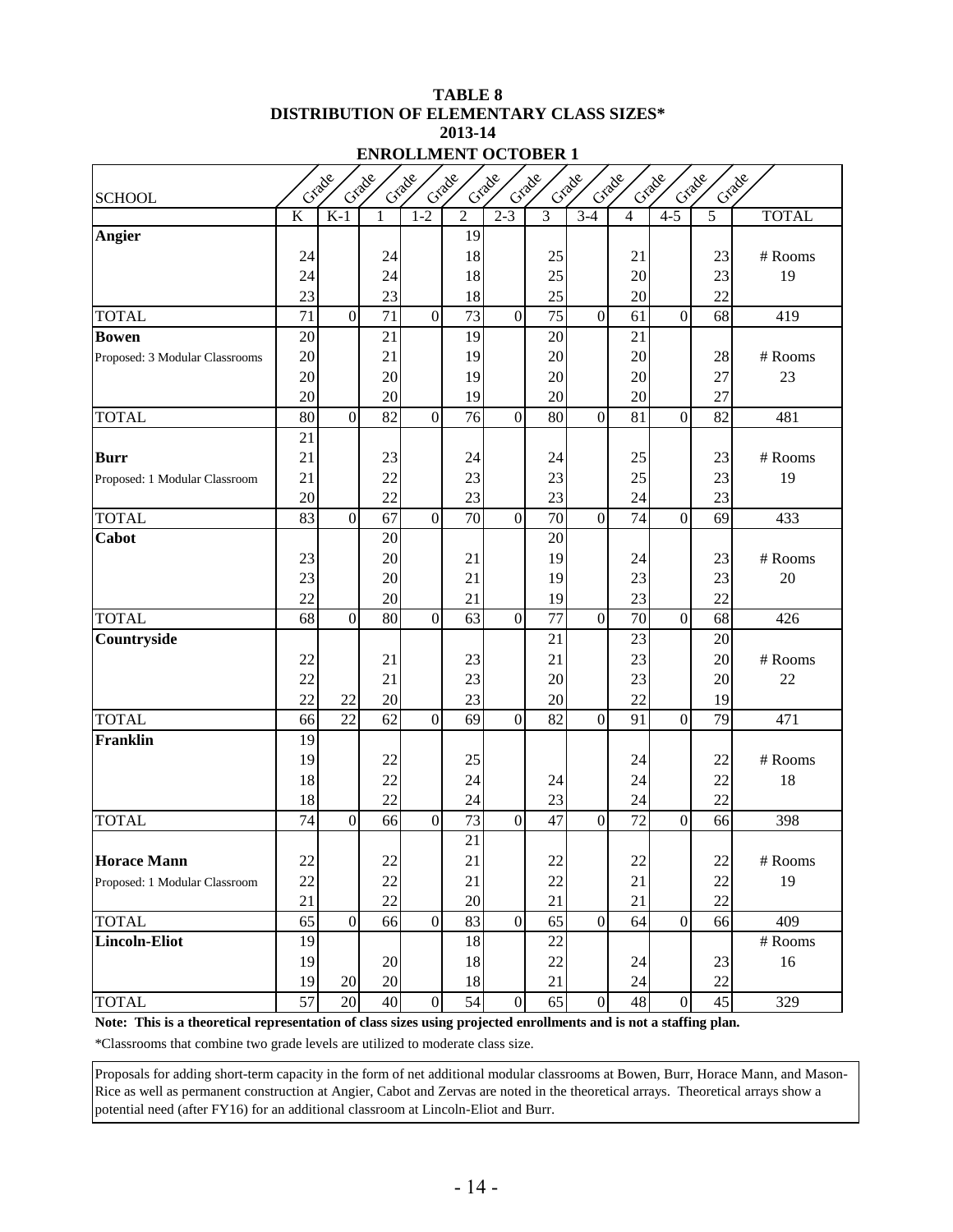#### **TABLE 8 DISTRIBUTION OF ELEMENTARY CLASS SIZES\* 2013-14 ENROLLMENT OCTOBER 1**

| <b>SCHOOL</b>                  | Grade<br>Grade<br>Crade<br>Grade<br>Crack<br>Crade<br>Grade<br>Grade<br>Crack<br>Crade<br>Crack |                |          |                  |                 |                  |                |                  |          |                |          |              |  |
|--------------------------------|-------------------------------------------------------------------------------------------------|----------------|----------|------------------|-----------------|------------------|----------------|------------------|----------|----------------|----------|--------------|--|
|                                | K                                                                                               | $K-1$          |          | $1-2$            | $\overline{2}$  | $2 - 3$          | $\overline{3}$ | $3-4$            | 4        | $4 - 5$        | 5        | <b>TOTAL</b> |  |
| <b>Angier</b>                  |                                                                                                 |                |          |                  | 19              |                  |                |                  |          |                |          |              |  |
|                                | 24                                                                                              |                | 24       |                  | 18              |                  | 25             |                  | 21       |                | 23       | # Rooms      |  |
|                                | 24                                                                                              |                | 24       |                  | 18              |                  | 25             |                  | 20       |                | 23       | 19           |  |
|                                | 23                                                                                              |                | 23       |                  | 18              |                  | 25             |                  | 20       |                | 22       |              |  |
| <b>TOTAL</b>                   | 71                                                                                              | $\overline{0}$ | 71       | $\mathbf{0}$     | 73              | $\overline{0}$   | 75             | $\overline{0}$   | 61       | $\overline{0}$ | 68       | 419          |  |
| <b>Bowen</b>                   | 20                                                                                              |                | 21       |                  | 19              |                  | 20             |                  | 21       |                |          |              |  |
| Proposed: 3 Modular Classrooms | 20                                                                                              |                | 21       |                  | 19              |                  | 20             |                  | 20       |                | 28       | # Rooms      |  |
|                                | 20                                                                                              |                | 20       |                  | 19              |                  | 20             |                  | 20       |                | 27       | 23           |  |
|                                | 20                                                                                              |                | 20       |                  | 19              |                  | 20             |                  | 20       |                | 27       |              |  |
| <b>TOTAL</b>                   | 80                                                                                              | $\overline{0}$ | 82       | $\boldsymbol{0}$ | 76              | $\mathbf{0}$     | 80             | $\Omega$         | 81       | $\overline{0}$ | 82       | 481          |  |
|                                | 21                                                                                              |                |          |                  |                 |                  |                |                  |          |                |          |              |  |
| <b>Burr</b>                    | 21                                                                                              |                | 23       |                  | 24              |                  | 24             |                  | 25       |                | 23       | # Rooms      |  |
| Proposed: 1 Modular Classroom  | 21                                                                                              |                | 22       |                  | 23              |                  | 23             |                  | 25       |                | 23       | 19           |  |
|                                | 20                                                                                              |                | 22       |                  | 23              |                  | 23             |                  | 24       |                | 23       |              |  |
| <b>TOTAL</b>                   | 83                                                                                              | $\overline{0}$ | 67       | $\boldsymbol{0}$ | $\overline{70}$ | $\mathbf{0}$     | 70             | $\overline{0}$   | 74       | $\overline{0}$ | 69       | 433          |  |
| Cabot                          |                                                                                                 |                | 20       |                  |                 |                  | 20             |                  |          |                |          |              |  |
|                                | 23                                                                                              |                | 20       |                  | 21              |                  | 19             |                  | 24       |                | 23       | # Rooms      |  |
|                                | 23                                                                                              |                | 20       |                  | 21              |                  | 19             |                  | 23       |                | 23       | 20           |  |
|                                | 22                                                                                              |                | 20       |                  | 21              |                  | 19             |                  | 23       |                | 22       |              |  |
| <b>TOTAL</b>                   | 68                                                                                              | $\overline{0}$ | 80       | $\boldsymbol{0}$ | 63              | $\mathbf{0}$     | 77             | $\overline{0}$   | 70       | $\overline{0}$ | 68       | 426          |  |
| Countryside                    |                                                                                                 |                |          |                  |                 |                  | 21             |                  | 23       |                | 20       |              |  |
|                                | 22                                                                                              |                | 21       |                  | 23              |                  | 21             |                  | 23       |                | 20       | # Rooms      |  |
|                                | 22                                                                                              |                | 21       |                  | 23              |                  | 20             |                  | 23       |                | 20       | 22           |  |
| <b>TOTAL</b>                   | 22                                                                                              | 22<br>22       | 20<br>62 | $\mathbf{0}$     | 23<br>69        | $\overline{0}$   | 20<br>82       | $\overline{0}$   | 22<br>91 | $\overline{0}$ | 19<br>79 | 471          |  |
| <b>Franklin</b>                | 66<br>19                                                                                        |                |          |                  |                 |                  |                |                  |          |                |          |              |  |
|                                | 19                                                                                              |                | 22       |                  | 25              |                  |                |                  | 24       |                | 22       | # Rooms      |  |
|                                | 18                                                                                              |                | 22       |                  | 24              |                  | 24             |                  | 24       |                | 22       | 18           |  |
|                                | 18                                                                                              |                | 22       |                  | 24              |                  | 23             |                  | 24       |                | 22       |              |  |
| <b>TOTAL</b>                   | 74                                                                                              | $\overline{0}$ | 66       | $\mathbf{0}$     | 73              | $\overline{0}$   | 47             | $\overline{0}$   | 72       | $\overline{0}$ | 66       | 398          |  |
|                                |                                                                                                 |                |          |                  | 21              |                  |                |                  |          |                |          |              |  |
| <b>Horace Mann</b>             | $22\,$                                                                                          |                | $22\,$   |                  | 21              |                  | $22\,$         |                  | $22\,$   |                | $22\,$   | $\#$ Rooms   |  |
| Proposed: 1 Modular Classroom  | 22                                                                                              |                | 22       |                  | 21              |                  | 22             |                  | 21       |                | $22\,$   | 19           |  |
|                                | 21                                                                                              |                | 22       |                  | 20              |                  | 21             |                  | 21       |                | 22       |              |  |
| <b>TOTAL</b>                   | 65                                                                                              | $\overline{0}$ | 66       | $\boldsymbol{0}$ | 83              | $\boldsymbol{0}$ | 65             | $\boldsymbol{0}$ | 64       | $\overline{0}$ | 66       | 409          |  |
| Lincoln-Eliot                  | 19                                                                                              |                |          |                  | 18              |                  | 22             |                  |          |                |          | # Rooms      |  |
|                                | 19                                                                                              |                | 20       |                  | 18              |                  | 22             |                  | 24       |                | 23       | 16           |  |
|                                | 19                                                                                              | 20             | 20       |                  | 18              |                  | 21             |                  | 24       |                | 22       |              |  |
| <b>TOTAL</b>                   | $\overline{57}$                                                                                 | 20             | 40       | $\boldsymbol{0}$ | 54              | $\mathbf{0}$     | 65             | $\mathbf{0}$     | 48       | $\overline{0}$ | 45       | 329          |  |

**Note: This is a theoretical representation of class sizes using projected enrollments and is not a staffing plan.** \*Classrooms that combine two grade levels are utilized to moderate class size.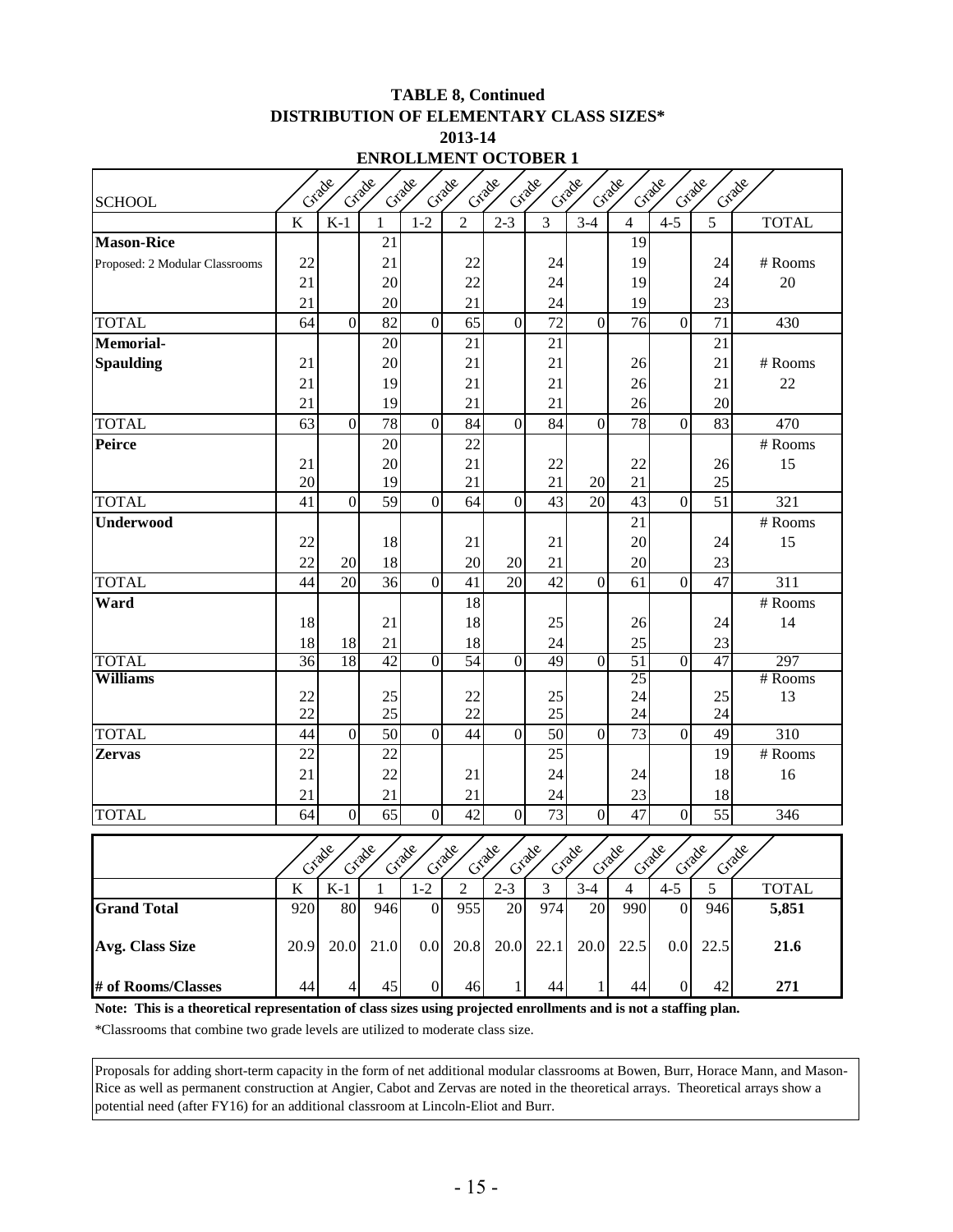#### **TABLE 8, Continued DISTRIBUTION OF ELEMENTARY CLASS SIZES\* 2013-14 ENROLLMENT OCTOBER 1**

| Екибериет остовек                                                                                                 |                                           |                                                 |                               |                                                  |                  |                                           |                |                                    |                  |                  |                              |              |  |
|-------------------------------------------------------------------------------------------------------------------|-------------------------------------------|-------------------------------------------------|-------------------------------|--------------------------------------------------|------------------|-------------------------------------------|----------------|------------------------------------|------------------|------------------|------------------------------|--------------|--|
| Grade<br>Crade<br>Grade<br>Grade<br>Grade<br>Crade<br>Crade<br>Cracke<br>Grade<br>Grade<br>Grade<br><b>SCHOOL</b> |                                           |                                                 |                               |                                                  |                  |                                           |                |                                    |                  |                  |                              |              |  |
|                                                                                                                   | $\bf K$                                   | $K-1$                                           | $\mathbf{1}$                  | $1 - 2$                                          | $\overline{2}$   | $2 - 3$                                   | $\overline{3}$ | $3-4$                              | $\overline{4}$   | $4 - 5$          | 5                            | <b>TOTAL</b> |  |
| <b>Mason-Rice</b>                                                                                                 |                                           |                                                 | 21                            |                                                  |                  |                                           |                |                                    | 19               |                  |                              |              |  |
| Proposed: 2 Modular Classrooms                                                                                    | 22                                        |                                                 | 21                            |                                                  | 22               |                                           | 24             |                                    | 19               |                  | 24                           | # Rooms      |  |
|                                                                                                                   | 21                                        |                                                 | 20                            |                                                  | 22               |                                           | 24             |                                    | 19               |                  | 24                           | 20           |  |
|                                                                                                                   | 21                                        |                                                 | 20                            |                                                  | 21               |                                           | 24             |                                    | 19               |                  | 23                           |              |  |
| <b>TOTAL</b>                                                                                                      | 64                                        | $\overline{0}$                                  | 82                            | $\overline{0}$                                   | 65               | $\mathbf{0}$                              | 72             | $\mathbf{0}$                       | 76               | $\overline{0}$   | 71                           | 430          |  |
| <b>Memorial-</b>                                                                                                  |                                           |                                                 | 20                            |                                                  | 21               |                                           | 21             |                                    |                  |                  | 21                           |              |  |
| <b>Spaulding</b>                                                                                                  | 21                                        |                                                 | 20                            |                                                  | 21               |                                           | 21             |                                    | 26               |                  | 21                           | # Rooms      |  |
|                                                                                                                   | 21                                        |                                                 | 19                            |                                                  | 21               |                                           | 21             |                                    | 26               |                  | 21                           | 22           |  |
|                                                                                                                   | 21                                        |                                                 | 19                            |                                                  | 21               |                                           | 21             |                                    | 26               |                  | 20                           |              |  |
| <b>TOTAL</b>                                                                                                      | 63                                        | $\overline{0}$                                  | 78                            | $\boldsymbol{0}$                                 | 84               | $\mathbf{0}$                              | 84             | $\mathbf{0}$                       | 78               | $\overline{0}$   | 83                           | 470          |  |
| <b>Peirce</b>                                                                                                     |                                           |                                                 | 20                            |                                                  | 22               |                                           |                |                                    |                  |                  |                              | # Rooms      |  |
|                                                                                                                   | 21                                        |                                                 | 20                            |                                                  | 21               |                                           | 22             |                                    | 22               |                  | 26                           | 15           |  |
|                                                                                                                   | 20                                        |                                                 | 19                            |                                                  | 21               |                                           | 21             | 20                                 | 21               |                  | 25                           |              |  |
| <b>TOTAL</b>                                                                                                      | 41                                        | $\overline{0}$                                  | 59                            | $\mathbf{0}$                                     | 64               | $\boldsymbol{0}$                          | 43             | 20                                 | 43               | $\overline{0}$   | 51                           | 321          |  |
| <b>Underwood</b>                                                                                                  |                                           |                                                 |                               |                                                  |                  |                                           |                |                                    | 21               |                  |                              | # Rooms      |  |
|                                                                                                                   | 22                                        |                                                 | 18                            |                                                  | 21               |                                           | 21             |                                    | 20               |                  | 24                           | 15           |  |
|                                                                                                                   | 22                                        | 20                                              | 18                            |                                                  | 20               | 20                                        | 21             |                                    | 20               |                  | 23                           |              |  |
| <b>TOTAL</b>                                                                                                      | 44                                        | $\overline{20}$                                 | 36                            | $\overline{0}$                                   | 41               | 20                                        | 42             | $\overline{0}$                     | 61               | $\overline{0}$   | 47                           | 311          |  |
| Ward                                                                                                              |                                           |                                                 |                               |                                                  | 18               |                                           |                |                                    |                  |                  |                              | # Rooms      |  |
|                                                                                                                   | 18                                        |                                                 | 21                            |                                                  | 18               |                                           | 25             |                                    | 26               |                  | 24                           | 14           |  |
|                                                                                                                   | 18                                        | 18                                              | 21                            |                                                  | 18               |                                           | 24             |                                    | 25               |                  | 23                           |              |  |
| <b>TOTAL</b>                                                                                                      | 36                                        | 18                                              | 42                            | $\overline{0}$                                   | 54               | $\overline{0}$                            | 49             | $\overline{0}$                     | 51               | $\overline{0}$   | 47                           | 297          |  |
| <b>Williams</b>                                                                                                   |                                           |                                                 |                               |                                                  |                  |                                           |                |                                    | 25               |                  |                              | # Rooms      |  |
|                                                                                                                   | 22<br>22                                  |                                                 | 25<br>25                      |                                                  | 22<br>22         |                                           | 25<br>25       |                                    | 24<br>24         |                  | 25<br>24                     | 13           |  |
| <b>TOTAL</b>                                                                                                      | 44                                        | $\overline{0}$                                  | 50                            | $\mathbf{0}$                                     | 44               | $\boldsymbol{0}$                          | 50             | $\overline{0}$                     | 73               | $\overline{0}$   | 49                           | 310          |  |
| <b>Zervas</b>                                                                                                     | 22                                        |                                                 | 22                            |                                                  |                  |                                           | 25             |                                    |                  |                  | 19                           | # Rooms      |  |
|                                                                                                                   | 21                                        |                                                 | 22                            |                                                  | 21               |                                           | 24             |                                    | 24               |                  | 18                           | 16           |  |
|                                                                                                                   | 21                                        |                                                 | 21                            |                                                  | 21               |                                           | 24             |                                    | 23               |                  | 18                           |              |  |
| <b>TOTAL</b>                                                                                                      | 64                                        | $\overline{0}$                                  | 65                            | $\boldsymbol{0}$                                 | 42               | $\boldsymbol{0}$                          | 73             | $\mathbf{0}$                       | 47               | $\mathbf{0}$     | 55                           | 346          |  |
|                                                                                                                   |                                           |                                                 |                               |                                                  |                  |                                           |                |                                    |                  |                  |                              |              |  |
|                                                                                                                   | $\mathcal{C}^{\mathcal{S}^{\mathcal{O}}}$ | 28<br>$\mathcal{C}^{\mathcal{S}^{\mathcal{O}}}$ | 280<br>$\mathfrak{S}^{\circ}$ | 280<br>$\mathcal{C}^{\mathcal{S}^{\mathcal{O}}}$ | $\infty$<br>Gray | Š,<br>$\mathcal{C}^{\mathcal{S}^{\circ}}$ | $x^2$<br>Cray  | Se,<br>$\mathcal{C}^{\mathcal{C}}$ | $\infty$<br>Crai | $\infty$<br>Craz | se,<br>$\mathcal{S}^{\circ}$ | 200          |  |
|                                                                                                                   | $\bf K$                                   | $K-1$                                           | 1                             | $1-2$                                            | $\overline{2}$   | $\overline{2-3}$                          | $\overline{3}$ | $3-4$                              | $\overline{4}$   | $4 - 5$          | 5                            | <b>TOTAL</b> |  |
| <b>Grand Total</b>                                                                                                | 920                                       | 80                                              | 946                           | $\boldsymbol{0}$                                 | 955              | 20                                        | 974            | 20                                 | 990              | $\overline{0}$   | 946                          | 5,851        |  |
| <b>Avg. Class Size</b>                                                                                            | 20.9                                      | 20.0                                            | 21.0                          | $0.0\,$                                          | 20.8             | 20.0                                      | 22.1           | 20.0                               | 22.5             | 0.0              | 22.5                         | 21.6         |  |
| # of Rooms/Classes                                                                                                | 44                                        | $\overline{4}$                                  | 45                            | $\boldsymbol{0}$                                 | 46               | $\mathbf{1}$                              | 44             | 1                                  | 44               | $\Omega$         | 42                           | 271          |  |

**Note: This is a theoretical representation of class sizes using projected enrollments and is not a staffing plan.**

\*Classrooms that combine two grade levels are utilized to moderate class size.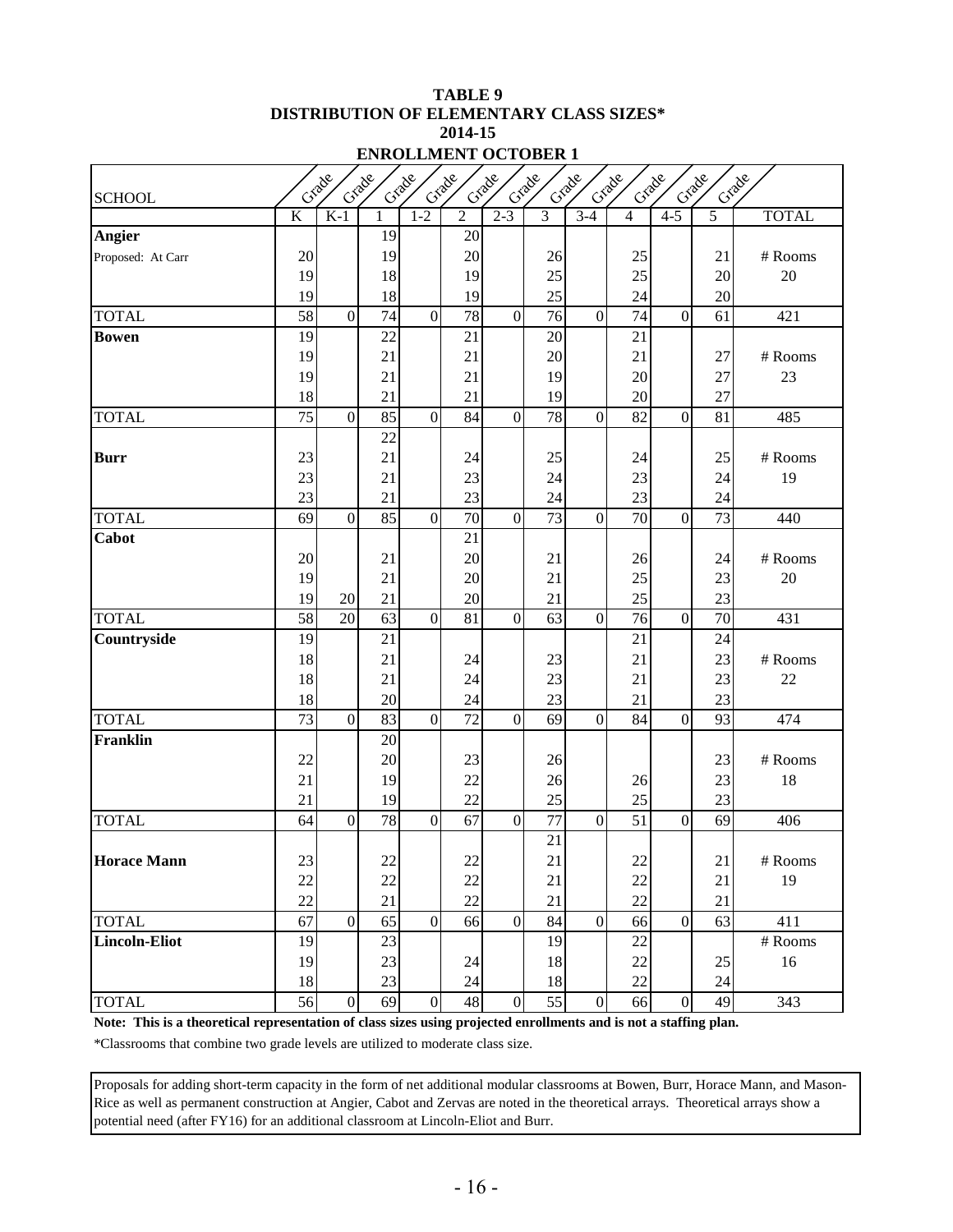#### **TABLE 9 DISTRIBUTION OF ELEMENTARY CLASS SIZES\* 2014-15 ENROLLMENT OCTOBER 1**

| <b>SCHOOL</b>        |                 | Crade           | Grade    | Grade            | Grade           | Crade            | Crade    | Crade            | Grade           | Crade          | Grade          | Grade        |
|----------------------|-----------------|-----------------|----------|------------------|-----------------|------------------|----------|------------------|-----------------|----------------|----------------|--------------|
|                      | K               | $K-1$           |          | $1 - 2$          | $\overline{c}$  | $2 - 3$          | 3        | $3 - 4$          | 4               | $4 - 5$        | $\overline{5}$ | <b>TOTAL</b> |
| Angier               |                 |                 | 19       |                  | 20              |                  |          |                  |                 |                |                |              |
| Proposed: At Carr    | 20              |                 | 19       |                  | 20              |                  | 26       |                  | 25              |                | 21             | # Rooms      |
|                      | 19              |                 | 18       |                  | 19              |                  | 25       |                  | 25              |                | 20             | $20\,$       |
|                      | 19              |                 | 18       |                  | 19              |                  | 25       |                  | 24              |                | 20             |              |
| <b>TOTAL</b>         | 58              | $\overline{0}$  | 74       | $\overline{0}$   | 78              | $\boldsymbol{0}$ | 76       | $\boldsymbol{0}$ | 74              | $\overline{0}$ | 61             | 421          |
| <b>Bowen</b>         | 19              |                 | 22       |                  | 21              |                  | 20       |                  | 21              |                |                |              |
|                      | 19              |                 | 21       |                  | 21              |                  | 20       |                  | 21              |                | 27             | # Rooms      |
|                      | 19              |                 | 21       |                  | 21              |                  | 19       |                  | 20              |                | 27             | 23           |
|                      | 18              |                 | 21       |                  | 21              |                  | 19       |                  | 20              |                | 27             |              |
| <b>TOTAL</b>         | $\overline{75}$ | $\overline{0}$  | 85       | $\overline{0}$   | 84              | $\overline{0}$   | 78       | $\mathbf{0}$     | $\overline{82}$ | $\overline{0}$ | 81             | 485          |
|                      |                 |                 | 22       |                  |                 |                  |          |                  |                 |                |                |              |
| <b>Burr</b>          | 23              |                 | 21       |                  | 24              |                  | 25       |                  | 24              |                | 25             | # Rooms      |
|                      | 23              |                 | 21       |                  | 23              |                  | 24       |                  | 23              |                | 24             | 19           |
|                      | 23              |                 | 21       |                  | 23              |                  | 24       |                  | 23              |                | 24             |              |
| <b>TOTAL</b>         | 69              | $\mathbf{0}$    | 85       | $\mathbf{0}$     | 70              | $\overline{0}$   | 73       | $\overline{0}$   | 70              | $\overline{0}$ | 73             | 440          |
| Cabot                |                 |                 |          |                  | 21              |                  |          |                  |                 |                |                |              |
|                      | 20              |                 | 21       |                  | 20              |                  | 21       |                  | 26              |                | 24             | # Rooms      |
|                      | 19<br>19        |                 | 21<br>21 |                  | 20<br>20        |                  | 21<br>21 |                  | 25              |                | 23<br>23       | 20           |
| <b>TOTAL</b>         | 58              | 20<br>20        | 63       | $\overline{0}$   | 81              | $\mathbf{0}$     | 63       | $\boldsymbol{0}$ | 25<br>76        | $\overline{0}$ | 70             | 431          |
| Countryside          | 19              |                 | 21       |                  |                 |                  |          |                  | 21              |                | 24             |              |
|                      | 18              |                 | 21       |                  | 24              |                  | 23       |                  | 21              |                | 23             | # Rooms      |
|                      | 18              |                 | 21       |                  | 24              |                  | 23       |                  | 21              |                | 23             | 22           |
|                      | 18              |                 | 20       |                  | 24              |                  | 23       |                  | 21              |                | 23             |              |
| <b>TOTAL</b>         | 73              | $\overline{0}$  | 83       | $\mathbf{0}$     | 72              | $\mathbf{0}$     | 69       | $\mathbf{0}$     | 84              | $\overline{0}$ | 93             | 474          |
| <b>Franklin</b>      |                 |                 | 20       |                  |                 |                  |          |                  |                 |                |                |              |
|                      | 22              |                 | 20       |                  | 23              |                  | 26       |                  |                 |                | 23             | # Rooms      |
|                      | 21              |                 | 19       |                  | 22              |                  | 26       |                  | 26              |                | 23             | 18           |
|                      | 21              |                 | 19       |                  | 22              |                  | 25       |                  | 25              |                | 23             |              |
| <b>TOTAL</b>         | 64              | $\overline{0}$  | 78       | $\mathbf{0}$     | 67              | $\overline{0}$   | 77       | $\overline{0}$   | $\overline{51}$ | $\overline{0}$ | 69             | 406          |
|                      |                 |                 |          |                  |                 |                  | 21       |                  |                 |                |                |              |
| <b>Horace Mann</b>   | 23              |                 | $22\,$   |                  | $22\,$          |                  | $21\,$   |                  | 22              |                | $21\,$         | # Rooms      |
|                      | 22              |                 | $22\,$   |                  | 22              |                  | 21       |                  | $22\,$          |                | 21             | 19           |
|                      | 22              |                 | 21       |                  | 22              |                  | 21       |                  | 22              |                | 21             |              |
| <b>TOTAL</b>         | 67              | $\overline{0}$  | 65       | $\overline{0}$   | $\overline{66}$ | $\overline{0}$   | 84       | $\mathbf{0}$     | 66              | $\overline{0}$ | 63             | 411          |
| <b>Lincoln-Eliot</b> | 19              |                 | 23       |                  |                 |                  | 19       |                  | $22\,$          |                |                | # Rooms      |
|                      | 19              |                 | 23       |                  | 24              |                  | 18       |                  | 22              |                | 25             | 16           |
|                      | 18              |                 | $23\,$   |                  | 24              |                  | 18       |                  | 22              |                | 24             |              |
| <b>TOTAL</b>         | 56              | $\vert 0 \vert$ | 69       | $\boldsymbol{0}$ | $\sqrt{48}$     | $\boldsymbol{0}$ | 55       | $\overline{0}$   | 66              | $\overline{0}$ | 49             | 343          |

**Note: This is a theoretical representation of class sizes using projected enrollments and is not a staffing plan.**

\*Classrooms that combine two grade levels are utilized to moderate class size.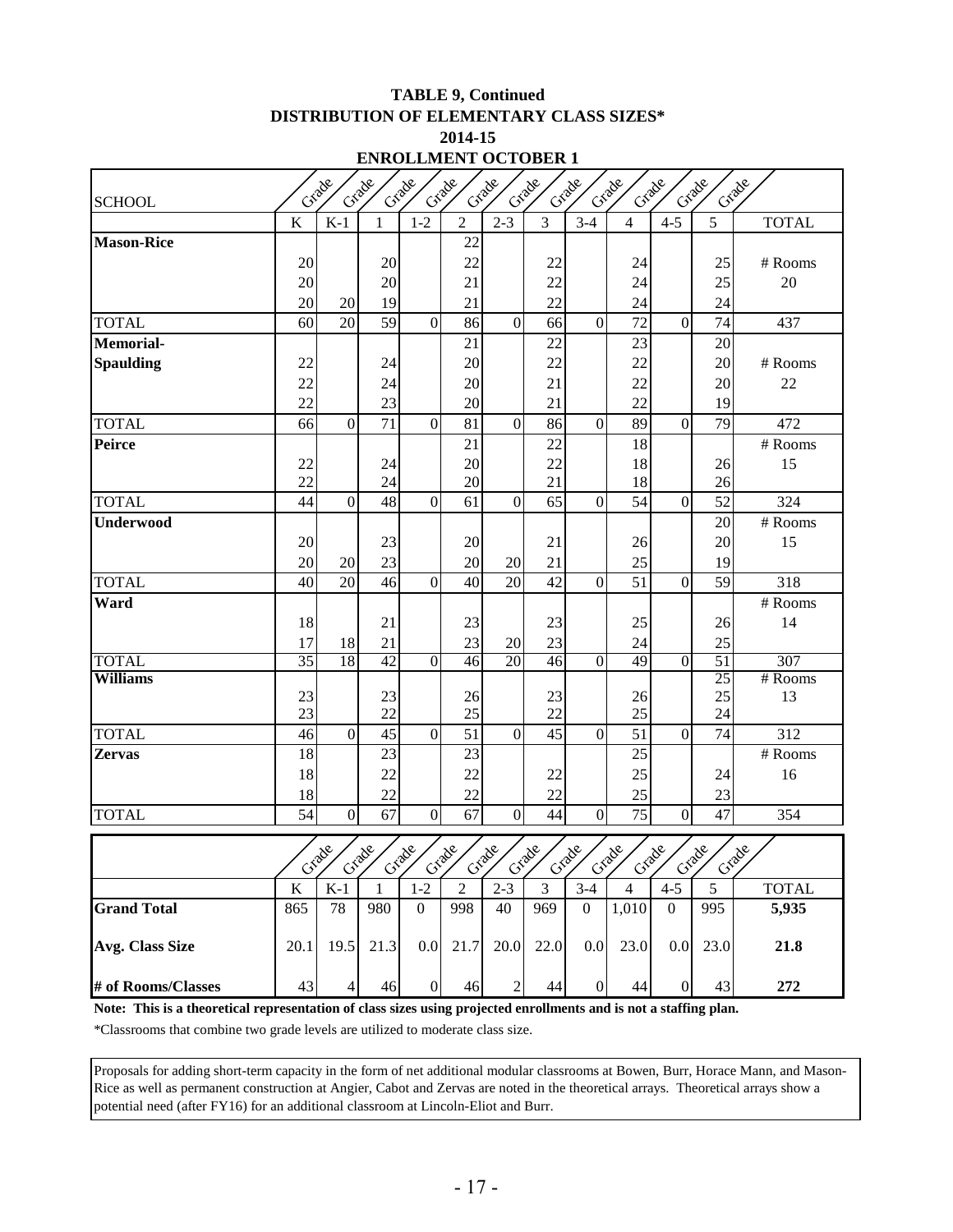### **TABLE 9, Continued DISTRIBUTION OF ELEMENTARY CLASS SIZES\* 2014-15**

|  |     |     |                | $\cdots$       |                      |                |       |             |                        |       |    |
|--|-----|-----|----------------|----------------|----------------------|----------------|-------|-------------|------------------------|-------|----|
|  |     |     |                |                | ENROLLMENT OCTOBER 1 |                |       |             |                        |       |    |
|  | 300 | 300 | ~ <u>x</u> acc | $\sim 10^{10}$ | Cracke               | $\sim 10^{10}$ | A 200 | <b>ARDE</b> | $\lambda$ and $\infty$ | ~ 000 | λ¢ |
|  |     |     |                |                |                      |                |       |             |                        |       |    |

| <b>SCHOOL</b>      | Craig                   |                  | Cray            | Cray             | Cray            | Cray             | Cray           | Crack<br>Crack   | Craig           |                  | Cray<br>Crack   |              |
|--------------------|-------------------------|------------------|-----------------|------------------|-----------------|------------------|----------------|------------------|-----------------|------------------|-----------------|--------------|
|                    | K                       | $K-1$            | 1               | $1-2$            | $\overline{2}$  | $2 - 3$          | $\overline{3}$ | $3-4$            | $\overline{4}$  | $4 - 5$          | 5               | <b>TOTAL</b> |
| <b>Mason-Rice</b>  |                         |                  |                 |                  | 22              |                  |                |                  |                 |                  |                 |              |
|                    | 20                      |                  | 20              |                  | 22              |                  | 22             |                  | 24              |                  | 25              | # Rooms      |
|                    | 20                      |                  | 20              |                  | 21              |                  | 22             |                  | 24              |                  | 25              | 20           |
|                    | 20                      | 20               | 19              |                  | 21              |                  | 22             |                  | 24              |                  | 24              |              |
| <b>TOTAL</b>       | 60                      | 20               | 59              | $\mathbf{0}$     | 86              | $\overline{0}$   | 66             | $\overline{0}$   | 72              | $\overline{0}$   | 74              | 437          |
| <b>Memorial-</b>   |                         |                  |                 |                  | 21              |                  | 22             |                  | 23              |                  | 20              |              |
| <b>Spaulding</b>   | 22                      |                  | 24              |                  | 20              |                  | 22             |                  | 22              |                  | 20              | # Rooms      |
|                    | 22                      |                  | 24              |                  | 20              |                  | 21             |                  | 22              |                  | 20              | 22           |
|                    | 22                      |                  | 23              |                  | 20              |                  | 21             |                  | 22              |                  | 19              |              |
| <b>TOTAL</b>       | 66                      | $\overline{0}$   | $\overline{71}$ | $\overline{0}$   | $\overline{81}$ | $\overline{0}$   | 86             | $\overline{0}$   | 89              | $\overline{0}$   | 79              | 472          |
| <b>Peirce</b>      |                         |                  |                 |                  | 21              |                  | 22             |                  | 18              |                  |                 | # Rooms      |
|                    | 22                      |                  | 24              |                  | 20              |                  | 22             |                  | 18              |                  | 26              | 15           |
|                    | 22                      |                  | 24              |                  | 20              |                  | 21             |                  | 18              |                  | 26              |              |
| <b>TOTAL</b>       | 44                      | $\mathbf{0}$     | 48              | $\mathbf{0}$     | 61              | $\boldsymbol{0}$ | 65             | $\mathbf{0}$     | 54              | $\overline{0}$   | 52              | 324          |
| <b>Underwood</b>   |                         |                  |                 |                  |                 |                  |                |                  |                 |                  | 20              | # Rooms      |
|                    | 20                      |                  | 23              |                  | 20              |                  | 21             |                  | 26              |                  | 20              | 15           |
|                    | 20                      | 20               | 23              |                  | 20              | 20               | 21             |                  | 25              |                  | 19              |              |
| <b>TOTAL</b>       | 40                      | 20               | 46              | $\overline{0}$   | 40              | 20               | 42             | $\overline{0}$   | 51              | $\overline{0}$   | $\overline{59}$ | 318          |
| Ward               |                         |                  |                 |                  |                 |                  |                |                  |                 |                  |                 | # Rooms      |
|                    | 18                      |                  | 21              |                  | 23              |                  | 23             |                  | 25              |                  | 26              | 14           |
|                    | 17                      | 18               | 21              |                  | 23              | 20               | 23             |                  | 24              |                  | 25              |              |
| <b>TOTAL</b>       | 35                      | 18               | 42              | $\overline{0}$   | 46              | 20               | 46             | $\Omega$         | 49              | $\overline{0}$   | 51              | 307          |
| <b>Williams</b>    | 23                      |                  | 23              |                  |                 |                  |                |                  |                 |                  | 25<br>25        | # Rooms      |
|                    | 23                      |                  | 22              |                  | 26<br>25        |                  | 23<br>22       |                  | 26<br>25        |                  | 24              | 13           |
| <b>TOTAL</b>       | 46                      | $\overline{0}$   | 45              | $\overline{0}$   | 51              | $\overline{0}$   | 45             | $\overline{0}$   | 51              | $\overline{0}$   | 74              | 312          |
| <b>Zervas</b>      | 18                      |                  | 23              |                  | 23              |                  |                |                  | 25              |                  |                 | # Rooms      |
|                    | 18                      |                  | 22              |                  | 22              |                  | 22             |                  | 25              |                  | 24              | 16           |
|                    | 18                      |                  | 22              |                  | 22              |                  | 22             |                  | 25              |                  | 23              |              |
| <b>TOTAL</b>       | 54                      | $\boldsymbol{0}$ | $\overline{67}$ | $\boldsymbol{0}$ | 67              | $\boldsymbol{0}$ | 44             | $\boldsymbol{0}$ | $\overline{75}$ | $\boldsymbol{0}$ | 47              | 354          |
|                    |                         |                  |                 |                  |                 |                  |                |                  |                 |                  |                 |              |
|                    |                         | Crade            | Crabe           | Crabe            | Crade           | Crade            | Crade          | Crade            | Crade<br>Crade  |                  | Grade           | Crade        |
|                    | $\overline{\mathbf{K}}$ | $K-1$            | 1               | $1 - 2$          | $\overline{2}$  | $2 - 3$          | $\overline{3}$ | $3-4$            | $\overline{4}$  | $4 - 5$          | $\overline{5}$  | <b>TOTAL</b> |
| <b>Grand Total</b> | 865                     | 78               | 980             | $\Omega$         | 998             | 40               | 969            | $\overline{0}$   | 1,010           | $\Omega$         | 995             | 5,935        |
| Avg. Class Size    | 20.1                    | 19.5             | 21.3            | 0.0              | 21.7            | 20.0             | 22.0           | $0.0\,$          | 23.0            | 0.0 <sub>l</sub> | 23.0            | 21.8         |
| # of Rooms/Classes | 43                      | $\overline{4}$   | 46              | $\overline{0}$   | 46              | $\mathbf{2}$     | 44             | $\overline{0}$   | 44              | $\overline{0}$   | 43              | 272          |

**Note: This is a theoretical representation of class sizes using projected enrollments and is not a staffing plan.**

\*Classrooms that combine two grade levels are utilized to moderate class size.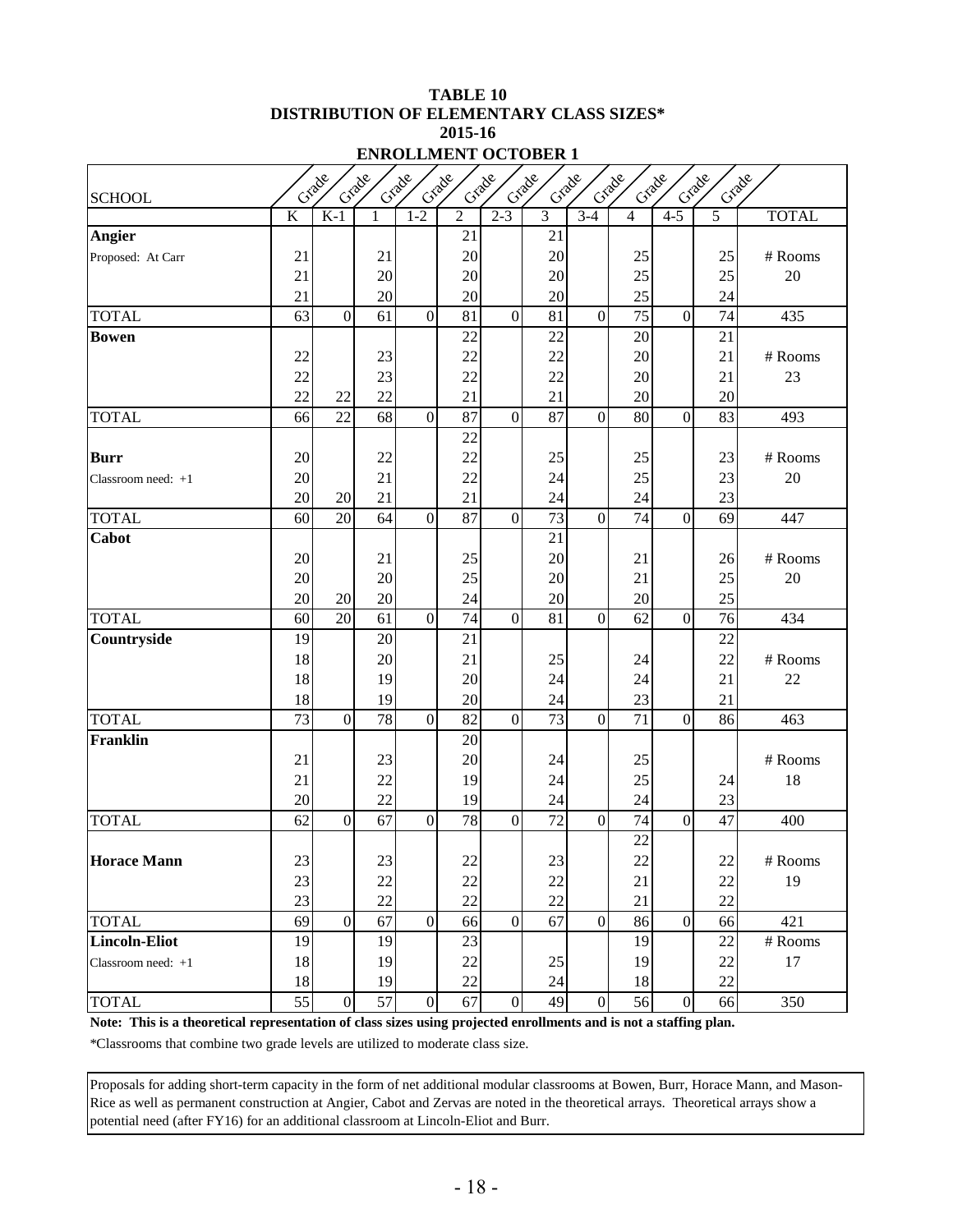#### **TABLE 10 DISTRIBUTION OF ELEMENTARY CLASS SIZES\* 2015-16 ENROLLMENT OCTOBER 1**

|                      | Grade<br>Grade<br>Grade<br>Grade<br>Grade<br>Grade<br>Grade<br>Crade<br>Crade<br>Grade<br>Grade |                |        |                  |                |                  |                 |                  |                 |                  |        |              |  |
|----------------------|-------------------------------------------------------------------------------------------------|----------------|--------|------------------|----------------|------------------|-----------------|------------------|-----------------|------------------|--------|--------------|--|
| <b>SCHOOL</b>        |                                                                                                 |                |        |                  |                |                  |                 |                  |                 |                  |        |              |  |
|                      | $\overline{\mathbf{K}}$                                                                         | $K-1$          | 1      | $1 - 2$          | $\overline{2}$ | $2 - 3$          | $\overline{3}$  | $3-4$            | 4               | $4 - 5$          | 5      | <b>TOTAL</b> |  |
| Angier               |                                                                                                 |                |        |                  | 21             |                  | 21              |                  |                 |                  |        |              |  |
| Proposed: At Carr    | 21                                                                                              |                | 21     |                  | 20             |                  | 20              |                  | 25              |                  | 25     | # Rooms      |  |
|                      | 21                                                                                              |                | 20     |                  | 20             |                  | 20              |                  | 25              |                  | 25     | 20           |  |
|                      | 21                                                                                              |                | 20     |                  | 20             |                  | 20              |                  | 25              |                  | 24     |              |  |
| <b>TOTAL</b>         | 63                                                                                              | $\overline{0}$ | 61     | $\mathbf{0}$     | 81             | $\mathbf{0}$     | 81              | $\mathbf{0}$     | 75              | $\overline{0}$   | 74     | 435          |  |
| <b>Bowen</b>         |                                                                                                 |                |        |                  | 22             |                  | 22              |                  | 20              |                  | 21     |              |  |
|                      | 22                                                                                              |                | 23     |                  | 22             |                  | 22              |                  | 20              |                  | 21     | # Rooms      |  |
|                      | 22                                                                                              |                | 23     |                  | 22             |                  | 22              |                  | 20              |                  | 21     | 23           |  |
|                      | 22                                                                                              | 22             | 22     |                  | 21             |                  | 21              |                  | 20              |                  | 20     |              |  |
| <b>TOTAL</b>         | 66                                                                                              | 22             | 68     | $\boldsymbol{0}$ | 87             | $\mathbf{0}$     | 87              | $\theta$         | 80              | $\mathbf{0}$     | 83     | 493          |  |
|                      |                                                                                                 |                |        |                  | 22             |                  |                 |                  |                 |                  |        |              |  |
| <b>Burr</b>          | 20                                                                                              |                | 22     |                  | 22             |                  | 25              |                  | 25              |                  | 23     | # Rooms      |  |
| Classroom need: $+1$ | 20                                                                                              |                | 21     |                  | 22             |                  | 24              |                  | 25              |                  | 23     | $20\,$       |  |
|                      | 20                                                                                              | 20             | 21     |                  | 21             |                  | 24              |                  | 24              |                  | 23     |              |  |
| <b>TOTAL</b>         | 60                                                                                              | 20             | 64     | $\boldsymbol{0}$ | 87             | $\overline{0}$   | $\overline{73}$ | $\mathbf{0}$     | $\overline{74}$ | $\mathbf{0}$     | 69     | 447          |  |
| Cabot                |                                                                                                 |                |        |                  |                |                  | 21              |                  |                 |                  |        |              |  |
|                      | 20                                                                                              |                | 21     |                  | 25             |                  | 20              |                  | 21              |                  | 26     | # Rooms      |  |
|                      | 20                                                                                              |                | 20     |                  | 25             |                  | 20              |                  | 21              |                  | 25     | 20           |  |
|                      | 20                                                                                              | 20             | 20     |                  | 24             |                  | 20              |                  | 20              |                  | 25     |              |  |
| <b>TOTAL</b>         | 60                                                                                              | 20             | 61     | $\mathbf{0}$     | 74             | $\overline{0}$   | 81              | $\mathbf{0}$     | 62              | $\overline{0}$   | 76     | 434          |  |
| Countryside          | 19                                                                                              |                | 20     |                  | 21             |                  |                 |                  |                 |                  | 22     |              |  |
|                      | 18                                                                                              |                | 20     |                  | 21             |                  | 25              |                  | 24              |                  | 22     | # Rooms      |  |
|                      | 18                                                                                              |                | 19     |                  | 20             |                  | 24              |                  | 24              |                  | 21     | 22           |  |
|                      | 18                                                                                              |                | 19     |                  | 20             |                  | 24              |                  | 23              |                  | 21     |              |  |
| <b>TOTAL</b>         | 73                                                                                              | $\overline{0}$ | 78     | $\mathbf{0}$     | 82             | $\mathbf{0}$     | 73              | $\mathbf{0}$     | 71              | $\overline{0}$   | 86     | 463          |  |
| <b>Franklin</b>      |                                                                                                 |                |        |                  | 20             |                  |                 |                  |                 |                  |        |              |  |
|                      | 21                                                                                              |                | 23     |                  | 20             |                  | 24              |                  | 25              |                  |        | # Rooms      |  |
|                      | 21                                                                                              |                | 22     |                  | 19             |                  | 24              |                  | 25              |                  | 24     | 18           |  |
|                      | 20                                                                                              |                | 22     |                  | 19             |                  | 24              |                  | 24              |                  | 23     |              |  |
| <b>TOTAL</b>         | 62                                                                                              | $\overline{0}$ | 67     | $\boldsymbol{0}$ | 78             | $\mathbf{0}$     | 72              | $\overline{0}$   | 74              | $\overline{0}$   | 47     | 400          |  |
|                      |                                                                                                 |                |        |                  |                |                  |                 |                  | 22              |                  |        |              |  |
| <b>Horace Mann</b>   | $23\,$                                                                                          |                | $23\,$ |                  | $22\,$         |                  | $23\,$          |                  | $22\,$          |                  | 22     | # Rooms      |  |
|                      | 23                                                                                              |                | 22     |                  | 22             |                  | 22              |                  | 21              |                  | 22     | 19           |  |
|                      | 23                                                                                              |                | 22     |                  | 22             |                  | 22              |                  | 21              |                  | 22     |              |  |
| <b>TOTAL</b>         | 69                                                                                              | $\overline{0}$ | 67     | $\boldsymbol{0}$ | 66             | $\overline{0}$   | 67              | $\boldsymbol{0}$ | 86              | $\overline{0}$   | 66     | 421          |  |
| <b>Lincoln-Eliot</b> | 19                                                                                              |                | 19     |                  | 23             |                  |                 |                  | 19              |                  | 22     | # Rooms      |  |
| Classroom need: $+1$ | 18                                                                                              |                | 19     |                  | 22             |                  | 25              |                  | 19              |                  | 22     | 17           |  |
|                      | 18                                                                                              |                | 19     |                  | $22\,$         |                  | 24              |                  | 18              |                  | $22\,$ |              |  |
| <b>TOTAL</b>         | 55                                                                                              | $\overline{0}$ | 57     | $\overline{0}$   | 67             | $\boldsymbol{0}$ | 49              | $\boldsymbol{0}$ | 56              | $\boldsymbol{0}$ | 66     | 350          |  |

**Note: This is a theoretical representation of class sizes using projected enrollments and is not a staffing plan.**

\*Classrooms that combine two grade levels are utilized to moderate class size.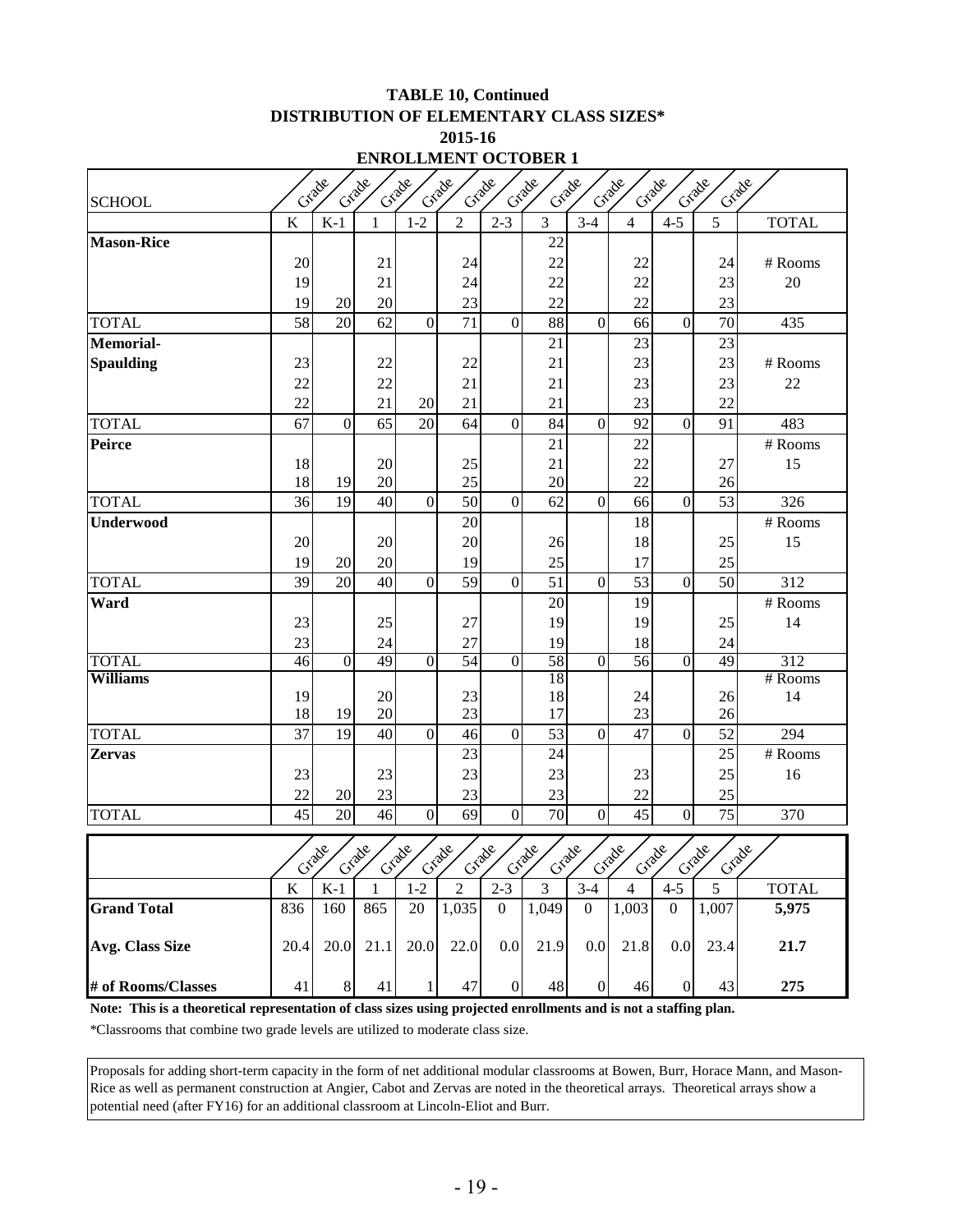#### **TABLE 10, Continued DISTRIBUTION OF ELEMENTARY CLASS SIZES\* 2015-16**

| <b>ENROLLMENT OCTOBER 1</b> |  |
|-----------------------------|--|
|                             |  |

| Grade<br>Crade<br>Grade<br>Grade<br>Crade<br>Grade<br>Grade<br>Grade<br>Cracke<br>Crade<br>Crade |          |                |              |                  |                |                  |                |                  |                |                  |                |              |
|--------------------------------------------------------------------------------------------------|----------|----------------|--------------|------------------|----------------|------------------|----------------|------------------|----------------|------------------|----------------|--------------|
| <b>SCHOOL</b>                                                                                    |          |                |              |                  |                |                  |                |                  |                |                  |                |              |
|                                                                                                  | K        | $K-1$          | $\mathbf{1}$ | $1 - 2$          | $\overline{2}$ | $2 - 3$          | 3              | $3-4$            | $\overline{4}$ | $4 - 5$          | 5              | <b>TOTAL</b> |
| <b>Mason-Rice</b>                                                                                |          |                |              |                  |                |                  | 22             |                  |                |                  |                |              |
|                                                                                                  | 20       |                | 21           |                  | 24             |                  | 22             |                  | 22             |                  | 24             | # Rooms      |
|                                                                                                  | 19       |                | 21           |                  | 24             |                  | 22             |                  | 22             |                  | 23             | 20           |
|                                                                                                  | 19       | 20             | 20           |                  | 23             |                  | 22             |                  | 22             |                  | 23             |              |
| <b>TOTAL</b><br><b>Memorial-</b>                                                                 | 58       | 20             | 62           | $\Omega$         | 71             | $\overline{0}$   | 88             | $\boldsymbol{0}$ | 66             | $\boldsymbol{0}$ | 70             | 435          |
|                                                                                                  |          |                |              |                  |                |                  | 21             |                  | 23             |                  | 23             |              |
| <b>Spaulding</b>                                                                                 | 23       |                | 22           |                  | 22             |                  | 21             |                  | 23             |                  | 23             | # Rooms      |
|                                                                                                  | 22       |                | 22           |                  | 21             |                  | 21             |                  | 23             |                  | 23             | 22           |
|                                                                                                  | 22       |                | 21           | 20               | 21             |                  | 21             |                  | 23             |                  | 22             |              |
| <b>TOTAL</b>                                                                                     | 67       | $\mathbf{0}$   | 65           | 20               | 64             | $\overline{0}$   | 84             | $\overline{0}$   | 92             | $\mathbf{0}$     | 91             | 483          |
| Peirce                                                                                           |          |                |              |                  |                |                  | 21             |                  | 22             |                  |                | # Rooms      |
|                                                                                                  | 18<br>18 | 19             | 20<br>20     |                  | 25<br>25       |                  | 21<br>20       |                  | 22<br>22       |                  | 27<br>26       | 15           |
| <b>TOTAL</b>                                                                                     | 36       | 19             | 40           | $\overline{0}$   | 50             | $\mathbf{0}$     | 62             | $\boldsymbol{0}$ | 66             | $\mathbf{0}$     | 53             | 326          |
| <b>Underwood</b>                                                                                 |          |                |              |                  | 20             |                  |                |                  | 18             |                  |                | # Rooms      |
|                                                                                                  | 20       |                | 20           |                  | 20             |                  |                |                  | 18             |                  | 25             | 15           |
|                                                                                                  | 19       |                | 20           |                  | 19             |                  | 26<br>25       |                  | 17             |                  | 25             |              |
| <b>TOTAL</b>                                                                                     | 39       | 20<br>20       | 40           | $\overline{0}$   | 59             | $\overline{0}$   | 51             | $\mathbf{0}$     | 53             | $\mathbf{0}$     | 50             | 312          |
| Ward                                                                                             |          |                |              |                  |                |                  | 20             |                  | 19             |                  |                | # Rooms      |
|                                                                                                  | 23       |                | 25           |                  | 27             |                  | 19             |                  | 19             |                  | 25             | 14           |
|                                                                                                  | 23       |                |              |                  | 27             |                  | 19             |                  |                |                  |                |              |
| <b>TOTAL</b>                                                                                     | 46       | $\overline{0}$ | 24<br>49     | $\overline{0}$   | 54             | $\overline{0}$   | 58             | $\overline{0}$   | 18<br>56       | $\overline{0}$   | 24<br>49       | 312          |
| <b>Williams</b>                                                                                  |          |                |              |                  |                |                  | 18             |                  |                |                  |                | # Rooms      |
|                                                                                                  | 19       |                | 20           |                  | 23             |                  | 18             |                  | 24             |                  | 26             | 14           |
|                                                                                                  | 18       | 19             | 20           |                  | 23             |                  | 17             |                  | 23             |                  | 26             |              |
| <b>TOTAL</b>                                                                                     | 37       | 19             | 40           | $\overline{0}$   | 46             | $\mathbf{0}$     | 53             | $\mathbf{0}$     | 47             | $\boldsymbol{0}$ | 52             | 294          |
| <b>Zervas</b>                                                                                    |          |                |              |                  | 23             |                  | 24             |                  |                |                  | 25             | # Rooms      |
|                                                                                                  | 23       |                | 23           |                  | 23             |                  | 23             |                  | 23             |                  | 25             | 16           |
|                                                                                                  | 22       | 20             | 23           |                  | 23             |                  | 23             |                  | 22             |                  | 25             |              |
| <b>TOTAL</b>                                                                                     | 45       | 20             | 46           | $\boldsymbol{0}$ | 69             | $\overline{0}$   | 70             | $\boldsymbol{0}$ | 45             | $\mathbf{0}$     | 75             | 370          |
|                                                                                                  |          |                |              |                  |                |                  |                |                  |                |                  |                |              |
|                                                                                                  |          | Crack          | Grade        | Grade            | Crade          | Grade            | Crade<br>Crade |                  | Crade<br>Crade |                  | Crade<br>Grade |              |
|                                                                                                  | $\bf K$  | $K-1$          | 1            | $1 - 2$          | $\overline{2}$ | $2 - 3$          | 3              | $3 - 4$          | $\overline{4}$ | $4 - 5$          | 5              | <b>TOTAL</b> |
| <b>Grand Total</b>                                                                               | 836      | 160            | 865          | 20               | 1,035          | $\overline{0}$   | 1,049          | $\overline{0}$   | 1,003          | $\boldsymbol{0}$ | 1,007          | 5,975        |
| <b>Avg. Class Size</b>                                                                           | 20.4     | 20.0           | 21.1         | 20.0             | 22.0           | 0.0              | 21.9           | 0.0              | 21.8           | 0.0              | 23.4           | 21.7         |
| # of Rooms/Classes                                                                               | 41       | 8              | 41           |                  | 47             | $\boldsymbol{0}$ | 48             | $\boldsymbol{0}$ | 46             | $\boldsymbol{0}$ | 43             | 275          |

**Note: This is a theoretical representation of class sizes using projected enrollments and is not a staffing plan.**

\*Classrooms that combine two grade levels are utilized to moderate class size.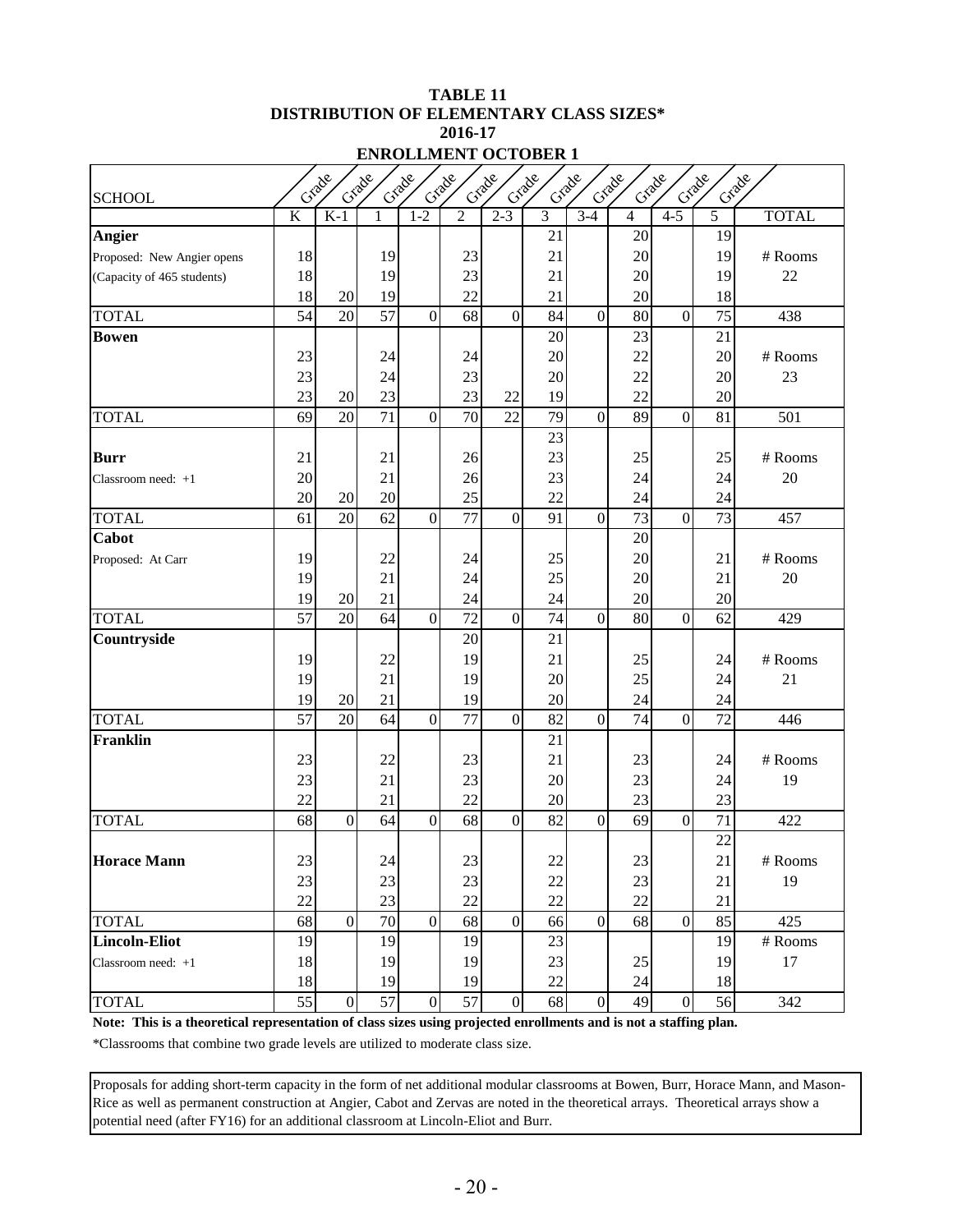#### **TABLE 11 DISTRIBUTION OF ELEMENTARY CLASS SIZES\* 2016-17 ENROLLMENT OCTOBER 1**

| Crade<br>Crade<br>Criade<br>Grade<br>Crade<br>Grade<br>Crade<br>Grade<br>Grade<br>Crade<br>Crade |                         |                 |                 |                |                 |                  |                |                  |                 |                |                 |              |  |
|--------------------------------------------------------------------------------------------------|-------------------------|-----------------|-----------------|----------------|-----------------|------------------|----------------|------------------|-----------------|----------------|-----------------|--------------|--|
| <b>SCHOOL</b>                                                                                    |                         |                 |                 |                |                 |                  |                |                  |                 |                |                 |              |  |
|                                                                                                  | $\overline{\mathrm{K}}$ | $K-1$           | 1               | $1 - 2$        | $\overline{2}$  | $2 - 3$          | $\overline{3}$ | $3-4$            | $\overline{4}$  | $4 - 5$        | 5               | <b>TOTAL</b> |  |
| <b>Angier</b>                                                                                    |                         |                 |                 |                |                 |                  | 21             |                  | 20              |                | 19              |              |  |
| Proposed: New Angier opens                                                                       | 18                      |                 | 19              |                | 23              |                  | 21             |                  | 20              |                | 19              | # Rooms      |  |
| (Capacity of 465 students)                                                                       | 18                      |                 | 19              |                | 23              |                  | 21             |                  | 20              |                | 19              | 22           |  |
|                                                                                                  | 18                      | 20              | 19              |                | 22              |                  | 21             |                  | 20              |                | 18              |              |  |
| <b>TOTAL</b>                                                                                     | 54                      | 20              | 57              | $\overline{0}$ | 68              | $\overline{0}$   | 84             | $\overline{0}$   | 80              | $\mathbf{0}$   | 75              | 438          |  |
| <b>Bowen</b>                                                                                     |                         |                 |                 |                |                 |                  | 20             |                  | 23              |                | 21              |              |  |
|                                                                                                  | 23                      |                 | 24              |                | 24              |                  | 20             |                  | 22              |                | 20              | # Rooms      |  |
|                                                                                                  | 23                      |                 | 24              |                | 23              |                  | 20             |                  | 22              |                | 20              | 23           |  |
|                                                                                                  | 23                      | 20              | 23              |                | 23              | 22               | 19             |                  | 22              |                | 20              |              |  |
| <b>TOTAL</b>                                                                                     | 69                      | 20              | $\overline{71}$ | $\overline{0}$ | $\overline{70}$ | $\overline{22}$  | 79             | $\overline{0}$   | 89              | $\overline{0}$ | 81              | 501          |  |
|                                                                                                  |                         |                 |                 |                |                 |                  | 23             |                  |                 |                |                 |              |  |
| <b>Burr</b>                                                                                      | 21                      |                 | 21              |                | 26              |                  | 23             |                  | 25              |                | 25              | # Rooms      |  |
| Classroom need: $+1$                                                                             | 20                      |                 | 21              |                | 26              |                  | 23             |                  | 24              |                | 24              | 20           |  |
|                                                                                                  | 20                      | 20              | 20              |                | 25              |                  | 22             |                  | 24              |                | 24              |              |  |
| <b>TOTAL</b>                                                                                     | 61                      | $\overline{20}$ | $\overline{62}$ | $\overline{0}$ | 77              | $\mathbf{0}$     | 91             | $\overline{0}$   | $\overline{73}$ | $\overline{0}$ | $\overline{73}$ | 457          |  |
| Cabot                                                                                            |                         |                 |                 |                |                 |                  |                |                  | 20              |                |                 |              |  |
| Proposed: At Carr                                                                                | 19                      |                 | 22              |                | 24              |                  | 25             |                  | 20              |                | 21              | # Rooms      |  |
|                                                                                                  | 19                      |                 | 21              |                | 24              |                  | 25             |                  | 20              |                | 21              | 20           |  |
|                                                                                                  | 19                      | 20              | 21              |                | 24              |                  | 24             |                  | 20              |                | 20              |              |  |
| <b>TOTAL</b>                                                                                     | 57                      | 20              | 64              | $\overline{0}$ | 72              | $\mathbf{0}$     | 74             | $\overline{0}$   | 80              | $\mathbf{0}$   | 62              | 429          |  |
| Countryside                                                                                      |                         |                 |                 |                | 20              |                  | 21             |                  |                 |                |                 |              |  |
|                                                                                                  | 19                      |                 | 22              |                | 19              |                  | 21             |                  | 25              |                | 24              | # Rooms      |  |
|                                                                                                  | 19                      |                 | 21              |                | 19              |                  | 20             |                  | 25              |                | 24              | 21           |  |
|                                                                                                  | 19                      | 20              | 21              |                | 19              |                  | 20             |                  | 24              |                | 24              |              |  |
| <b>TOTAL</b>                                                                                     | 57                      | 20              | 64              | $\overline{0}$ | 77              | $\mathbf{0}$     | 82             | $\mathbf{0}$     | 74              | $\overline{0}$ | 72              | 446          |  |
| <b>Franklin</b>                                                                                  |                         |                 |                 |                |                 |                  | 21             |                  |                 |                |                 |              |  |
|                                                                                                  | 23                      |                 | 22              |                | 23              |                  | 21             |                  | 23              |                | 24              | # Rooms      |  |
|                                                                                                  | 23                      |                 | 21              |                | 23              |                  | 20             |                  | 23              |                | 24              | 19           |  |
|                                                                                                  | 22                      |                 | 21              |                | 22              |                  | 20             |                  | 23              |                | 23              |              |  |
| <b>TOTAL</b>                                                                                     | 68                      | $\mathbf{0}$    | 64              | $\overline{0}$ | 68              | $\overline{0}$   | 82             | $\overline{0}$   | 69              | $\mathbf{0}$   | 71              | 422          |  |
|                                                                                                  |                         |                 |                 |                |                 |                  |                |                  |                 |                | 22              |              |  |
| <b>Horace Mann</b>                                                                               | 23                      |                 | 24              |                | $23\,$          |                  | $22\,$         |                  | $23\,$          |                | 21              | $\#$ Rooms   |  |
|                                                                                                  | 23                      |                 | 23              |                | 23              |                  | 22             |                  | 23              |                | 21              | 19           |  |
|                                                                                                  | 22                      |                 | 23              |                | 22              |                  | 22             |                  | $22\,$          |                | 21              |              |  |
| <b>TOTAL</b>                                                                                     | 68                      | $\overline{0}$  | 70              | $\overline{0}$ | 68              | $\boldsymbol{0}$ | 66             | $\boldsymbol{0}$ | 68              | $\overline{0}$ | 85              | 425          |  |
| <b>Lincoln-Eliot</b>                                                                             | 19                      |                 | 19              |                | 19              |                  | 23             |                  |                 |                | 19              | # Rooms      |  |
| Classroom need: +1                                                                               | 18                      |                 | 19              |                | 19              |                  | 23             |                  | $25\,$          |                | 19              | 17           |  |
|                                                                                                  | 18                      |                 | 19              |                | 19              |                  | $22\,$         |                  | 24              |                | 18              |              |  |
| <b>TOTAL</b>                                                                                     | 55                      | $\overline{0}$  | 57              | $\mathbf{0}$   | 57              | $\boldsymbol{0}$ | 68             | $\mathbf{0}$     | 49              | $\overline{0}$ | 56              | 342          |  |

**Note: This is a theoretical representation of class sizes using projected enrollments and is not a staffing plan.**

\*Classrooms that combine two grade levels are utilized to moderate class size.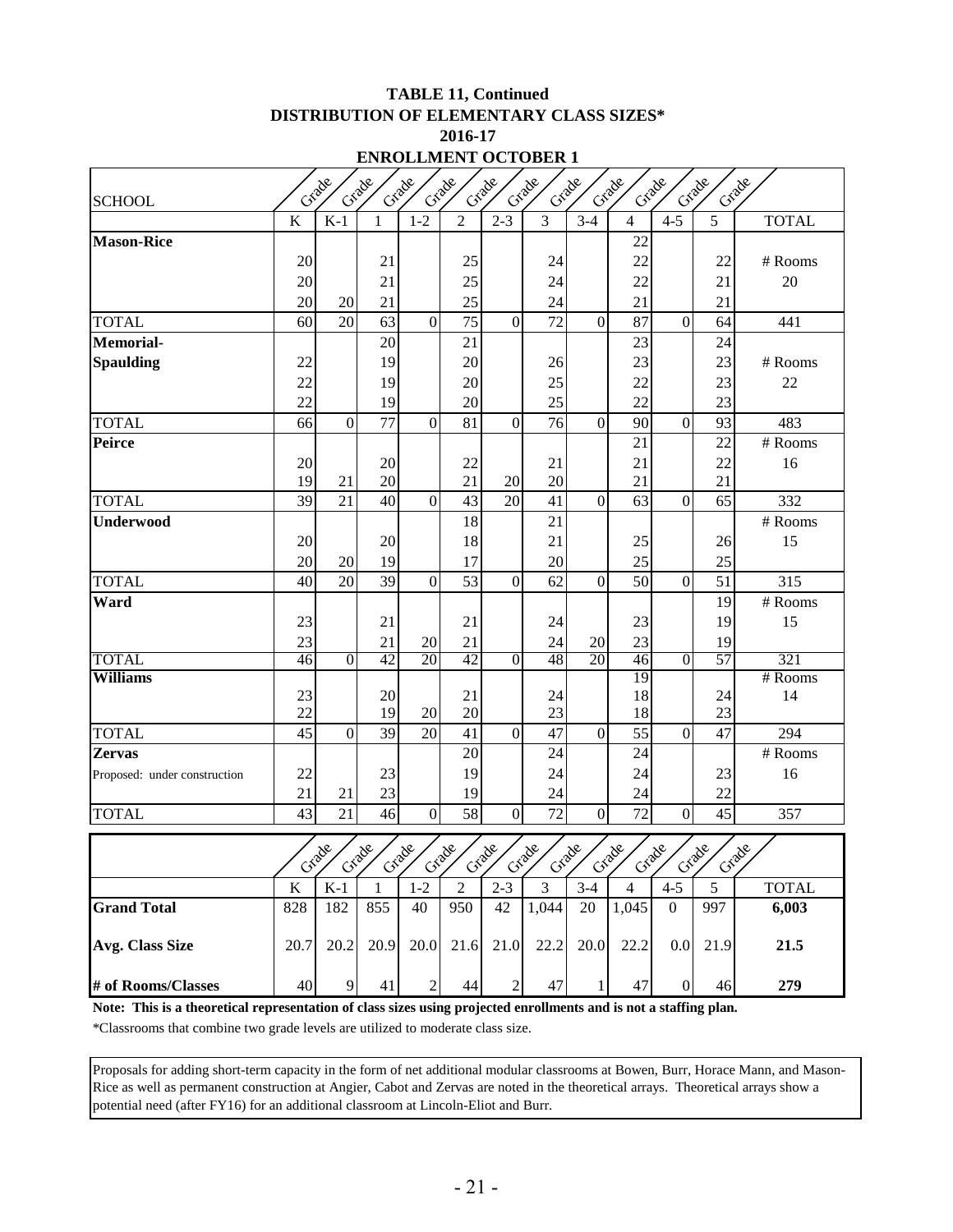#### **TABLE 11, Continued DISTRIBUTION OF ELEMENTARY CLASS SIZES\* 2016-17 ENROLLMENT OCTOBER 1**

| Criade<br>Grade<br>Grade<br>Grade<br>Crade<br>Crade<br>Grade<br>Crade |                         |                |          |                |                |                  |                |                  |                |                |                |                  |  |
|-----------------------------------------------------------------------|-------------------------|----------------|----------|----------------|----------------|------------------|----------------|------------------|----------------|----------------|----------------|------------------|--|
| <b>SCHOOL</b>                                                         | Grade<br>Grade<br>Crade |                |          |                |                |                  |                |                  |                |                |                |                  |  |
|                                                                       | $\overline{\mathbf{K}}$ | $K-1$          | 1        | $1 - 2$        | $\overline{2}$ | $\overline{2-3}$ | $\overline{3}$ | $3-4$            | $\overline{4}$ | $4 - 5$        | $\overline{5}$ | <b>TOTAL</b>     |  |
| <b>Mason-Rice</b>                                                     |                         |                |          |                |                |                  |                |                  | 22             |                |                |                  |  |
|                                                                       | 20                      |                | 21       |                | 25             |                  | 24             |                  | 22             |                | 22             | # Rooms          |  |
|                                                                       | 20                      |                | 21       |                | 25             |                  | 24             |                  | 22             |                | 21             | 20               |  |
|                                                                       | 20                      | 20             | 21       |                | 25             |                  | 24             |                  | 21             |                | 21             |                  |  |
| <b>TOTAL</b>                                                          | 60                      | 20             | 63       | $\overline{0}$ | 75             | $\overline{0}$   | 72             | $\mathbf{0}$     | 87             | $\overline{0}$ | 64             | 441              |  |
| <b>Memorial-</b>                                                      |                         |                | 20       |                | 21             |                  |                |                  | 23             |                | 24             |                  |  |
| <b>Spaulding</b>                                                      | 22                      |                | 19       |                | 20             |                  | 26             |                  | 23             |                | 23             | # Rooms          |  |
|                                                                       | 22                      |                | 19       |                | 20             |                  | 25             |                  | 22             |                | 23             | 22               |  |
|                                                                       | 22                      |                | 19       |                | 20             |                  | 25             |                  | 22             |                | 23             |                  |  |
| <b>TOTAL</b>                                                          | 66                      | $\overline{0}$ | 77       | $\overline{0}$ | 81             | $\boldsymbol{0}$ | 76             | $\overline{0}$   | 90             | $\overline{0}$ | 93             | 483              |  |
| Peirce                                                                |                         |                |          |                |                |                  |                |                  | 21             |                | 22             | # Rooms          |  |
|                                                                       | 20                      |                | 20       |                | 22             |                  | 21             |                  | 21             |                | 22             | 16               |  |
|                                                                       | 19                      | 21             | 20       |                | 21             | 20               | 20             |                  | 21             |                | 21             |                  |  |
| <b>TOTAL</b>                                                          | 39                      | 21             | 40       | $\overline{0}$ | 43             | $\overline{20}$  | 41             | $\overline{0}$   | 63             | $\overline{0}$ | 65             | 332              |  |
| <b>Underwood</b>                                                      |                         |                |          |                | 18             |                  | 21             |                  |                |                |                | # Rooms          |  |
|                                                                       | 20                      |                | 20       |                | 18             |                  | 21             |                  | 25             |                | 26             | 15               |  |
|                                                                       | 20                      | 20             | 19       |                | 17             |                  | 20             |                  | 25             |                | 25             |                  |  |
| <b>TOTAL</b>                                                          | 40                      | 20             | 39       | $\overline{0}$ | 53             | $\boldsymbol{0}$ | 62             | $\mathbf{0}$     | 50             | $\overline{0}$ | 51             | $\overline{315}$ |  |
| Ward                                                                  |                         |                |          |                |                |                  |                |                  |                |                | 19             | # Rooms          |  |
|                                                                       | 23                      |                | 21       |                | 21             |                  | 24             |                  | 23             |                | 19             | 15               |  |
|                                                                       | 23                      |                | 21       | 20             | 21             |                  | 24             | 20               | 23             |                | 19             |                  |  |
| <b>TOTAL</b>                                                          | 46                      | $\overline{0}$ | 42       | 20             | 42             | $\overline{0}$   | 48             | 20               | 46             | $\overline{0}$ | 57             | 321              |  |
| <b>Williams</b>                                                       |                         |                |          |                |                |                  |                |                  | 19<br>18       |                |                | # Rooms          |  |
|                                                                       | 23<br>22                |                | 20<br>19 | 20             | 21<br>20       |                  | 24<br>23       |                  | 18             |                | 24<br>23       | 14               |  |
| <b>TOTAL</b>                                                          | 45                      | $\overline{0}$ | 39       | 20             | 41             | $\overline{0}$   | 47             | $\mathbf{0}$     | 55             | $\overline{0}$ | 47             | 294              |  |
| <b>Zervas</b>                                                         |                         |                |          |                | 20             |                  | 24             |                  | 24             |                |                | # Rooms          |  |
| Proposed: under construction                                          | 22                      |                | 23       |                | 19             |                  | 24             |                  | 24             |                | 23             | 16               |  |
|                                                                       | 21                      | 21             | 23       |                | 19             |                  | 24             |                  | 24             |                | 22             |                  |  |
| <b>TOTAL</b>                                                          | 43                      | 21             | 46       | $\overline{0}$ | 58             | $\overline{0}$   | 72             | $\boldsymbol{0}$ | 72             | $\overline{0}$ | 45             | 357              |  |
|                                                                       |                         |                |          |                |                |                  |                |                  |                |                |                |                  |  |
|                                                                       | $\mathcal{O}'$          | Face           | Grade    | Grade          | Crade          | Grade            | Grade          | Crade            | Crade          | Crade          | Grade          | Grade            |  |
|                                                                       | $\bf K$                 | $K-1$          | 1        | $1 - 2$        | 2              | $2 - 3$          | 3              | $3 - 4$          | $\overline{4}$ | $4 - 5$        | 5              | <b>TOTAL</b>     |  |
| <b>Grand Total</b>                                                    | 828                     | 182            | 855      | 40             | 950            | 42               | 1,044          | 20               | 1,045          | $\overline{0}$ | 997            | 6,003            |  |
| <b>Avg. Class Size</b>                                                | 20.7                    | 20.2           | 20.9     | 20.0           | 21.6           | 21.0             | 22.2           | 20.0             | 22.2           | 0.0            | 21.9           | 21.5             |  |
| # of Rooms/Classes                                                    | 40                      | 9              | 41       | $\overline{2}$ | 44             | $\sqrt{2}$       | 47             | 1                | 47             | $\overline{0}$ | 46             | 279              |  |

**Note: This is a theoretical representation of class sizes using projected enrollments and is not a staffing plan.**

\*Classrooms that combine two grade levels are utilized to moderate class size.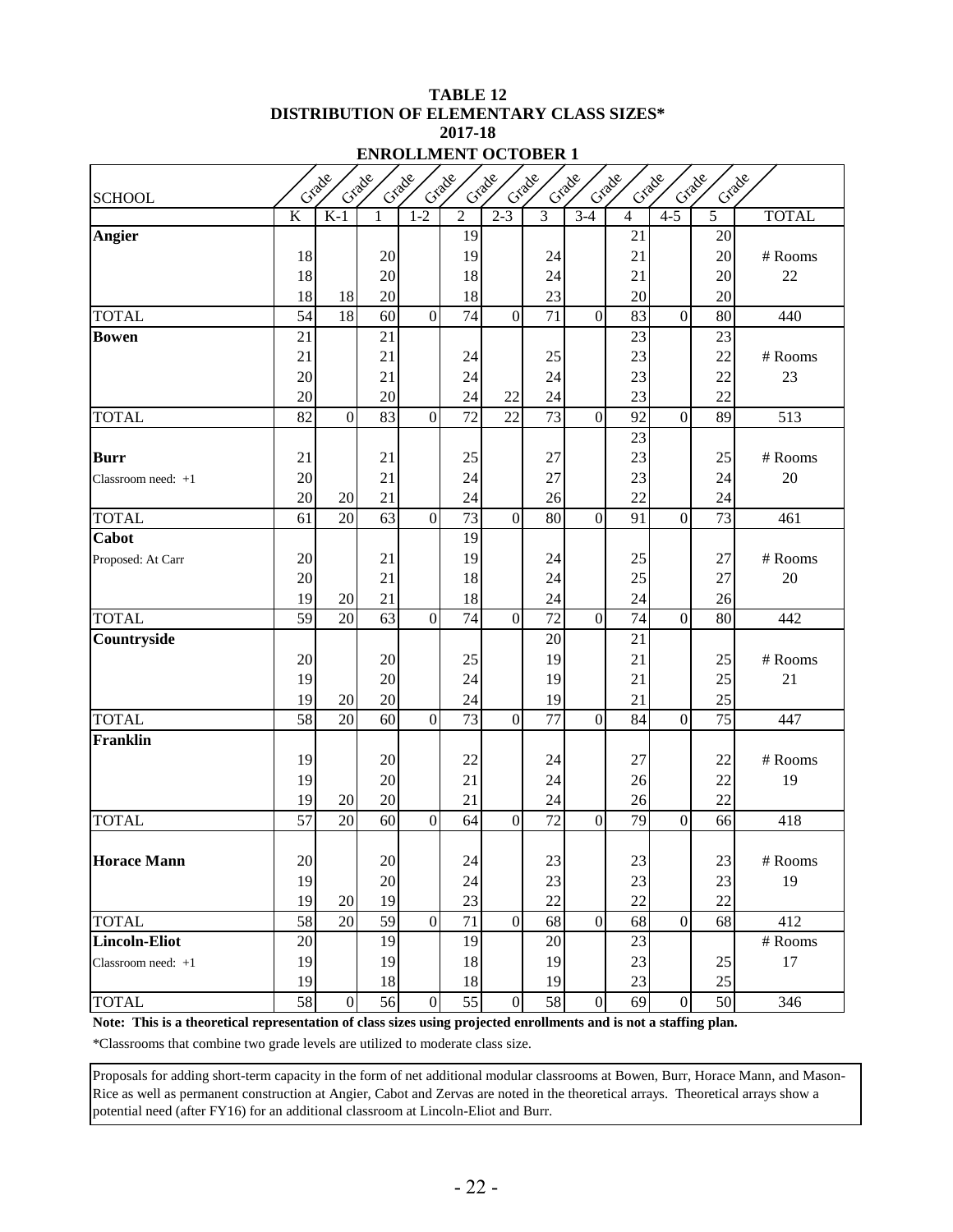#### **TABLE 12 DISTRIBUTION OF ELEMENTARY CLASS SIZES\* 2017-18 ENROLLMENT OCTOBER 1**

| Crade                |                                                                                         |                |          |                |                 |                  |          |                  |                |                |                 |              |  |
|----------------------|-----------------------------------------------------------------------------------------|----------------|----------|----------------|-----------------|------------------|----------|------------------|----------------|----------------|-----------------|--------------|--|
| <b>SCHOOL</b>        | Grade<br>Grade<br>Grade<br>Crade<br>Criade<br>Grade<br>Grade<br>Grade<br>Grade<br>Crade |                |          |                |                 |                  |          |                  |                |                |                 |              |  |
|                      | $\overline{K}$                                                                          | $K-1$          | 1        | $1-2$          | $\overline{c}$  | $2 - 3$          | 3        | $3-4$            | $\overline{4}$ | $4 - 5$        | 5               | <b>TOTAL</b> |  |
| <b>Angier</b>        |                                                                                         |                |          |                | 19              |                  |          |                  | 21             |                | 20              |              |  |
|                      | 18                                                                                      |                | $20\,$   |                | 19              |                  | 24       |                  | 21             |                | 20              | # Rooms      |  |
|                      | 18                                                                                      |                | 20       |                | 18              |                  | 24       |                  | 21             |                | 20              | 22           |  |
|                      | 18                                                                                      | 18             | 20       |                | 18              |                  | 23       |                  | 20             |                | 20              |              |  |
| <b>TOTAL</b>         | 54                                                                                      | 18             | 60       | $\overline{0}$ | 74              | $\mathbf{0}$     | 71       | $\mathbf{0}$     | 83             | $\mathbf{0}$   | 80              | 440          |  |
| <b>Bowen</b>         | 21                                                                                      |                | 21       |                |                 |                  |          |                  | 23             |                | 23              |              |  |
|                      | 21                                                                                      |                | 21       |                | 24              |                  | 25       |                  | 23             |                | 22              | # Rooms      |  |
|                      | 20                                                                                      |                | 21       |                | 24              |                  | 24       |                  | 23             |                | 22              | 23           |  |
|                      | 20                                                                                      |                | 20       |                | 24              | 22               | 24       |                  | 23             |                | 22              |              |  |
| <b>TOTAL</b>         | 82                                                                                      | $\overline{0}$ | 83       | $\overline{0}$ | 72              | 22               | 73       | $\boldsymbol{0}$ | 92             | $\theta$       | 89              | 513          |  |
|                      |                                                                                         |                |          |                |                 |                  |          |                  | 23             |                |                 |              |  |
| <b>Burr</b>          | 21                                                                                      |                | 21       |                | 25              |                  | 27       |                  | 23             |                | 25              | # Rooms      |  |
| Classroom need: $+1$ | 20                                                                                      |                | 21       |                | 24              |                  | 27       |                  | 23             |                | 24              | 20           |  |
|                      | 20                                                                                      | 20             | 21       |                | 24              |                  | 26       |                  | 22             |                | 24              |              |  |
| <b>TOTAL</b>         | 61                                                                                      | $20\,$         | 63       | $\overline{0}$ | $\overline{73}$ | $\boldsymbol{0}$ | 80       | $\boldsymbol{0}$ | 91             | $\overline{0}$ | $\overline{73}$ | 461          |  |
| Cabot                |                                                                                         |                |          |                | 19              |                  |          |                  |                |                |                 |              |  |
| Proposed: At Carr    | 20                                                                                      |                | 21       |                | 19              |                  | 24       |                  | 25             |                | 27              | # Rooms      |  |
|                      | 20                                                                                      |                | 21       |                | 18              |                  | 24       |                  | 25             |                | 27              | 20           |  |
|                      | 19                                                                                      | 20             | 21       |                | 18              |                  | 24       |                  | 24             |                | 26              |              |  |
| <b>TOTAL</b>         | 59                                                                                      | 20             | 63       | $\overline{0}$ | 74              | $\mathbf{0}$     | 72       | $\mathbf{0}$     | 74             | $\overline{0}$ | 80              | 442          |  |
| Countryside          |                                                                                         |                |          |                |                 |                  | 20       |                  | 21             |                |                 |              |  |
|                      | 20                                                                                      |                | 20       |                | 25              |                  | 19       |                  | 21             |                | 25              | # Rooms      |  |
|                      | 19<br>19                                                                                |                | 20<br>20 |                | 24              |                  | 19       |                  | 21             |                | 25<br>25        | 21           |  |
| <b>TOTAL</b>         | 58                                                                                      | 20<br>20       | 60       | $\overline{0}$ | 24<br>73        | $\mathbf{0}$     | 19<br>77 | $\boldsymbol{0}$ | 21<br>84       | $\overline{0}$ | 75              | 447          |  |
| <b>Franklin</b>      |                                                                                         |                |          |                |                 |                  |          |                  |                |                |                 |              |  |
|                      | 19                                                                                      |                | $20\,$   |                | 22              |                  | 24       |                  | 27             |                | 22              | # Rooms      |  |
|                      | 19                                                                                      |                | 20       |                | 21              |                  | 24       |                  | 26             |                | 22              | 19           |  |
|                      | 19                                                                                      | 20             | 20       |                | 21              |                  | 24       |                  | 26             |                | 22              |              |  |
| <b>TOTAL</b>         | 57                                                                                      | 20             | 60       | $\overline{0}$ | 64              | $\mathbf{0}$     | 72       | $\mathbf{0}$     | 79             | $\overline{0}$ | 66              | 418          |  |
|                      |                                                                                         |                |          |                |                 |                  |          |                  |                |                |                 |              |  |
| <b>Horace Mann</b>   | $20\,$                                                                                  |                | $20\,$   |                | 24              |                  | 23       |                  | $23\,$         |                | $23\,$          | # Rooms      |  |
|                      | 19                                                                                      |                | 20       |                | 24              |                  | 23       |                  | 23             |                | 23              | 19           |  |
|                      | 19                                                                                      | 20             | 19       |                | 23              |                  | 22       |                  | 22             |                | 22              |              |  |
| <b>TOTAL</b>         | 58                                                                                      | 20             | 59       | $\overline{0}$ | 71              | $\boldsymbol{0}$ | 68       | $\overline{0}$   | 68             | $\mathbf{0}$   | 68              | 412          |  |
| <b>Lincoln-Eliot</b> | 20                                                                                      |                | 19       |                | 19              |                  | 20       |                  | 23             |                |                 | # Rooms      |  |
| Classroom need: $+1$ | 19                                                                                      |                | 19       |                | 18              |                  | 19       |                  | 23             |                | 25              | 17           |  |
|                      | 19                                                                                      |                | 18       |                | 18              |                  | 19       |                  | 23             |                | 25              |              |  |
| <b>TOTAL</b>         | 58                                                                                      | $\overline{0}$ | 56       | $\overline{0}$ | 55              | $\boldsymbol{0}$ | 58       | $\boldsymbol{0}$ | 69             | $\overline{0}$ | 50              | 346          |  |

**Note: This is a theoretical representation of class sizes using projected enrollments and is not a staffing plan.** \*Classrooms that combine two grade levels are utilized to moderate class size.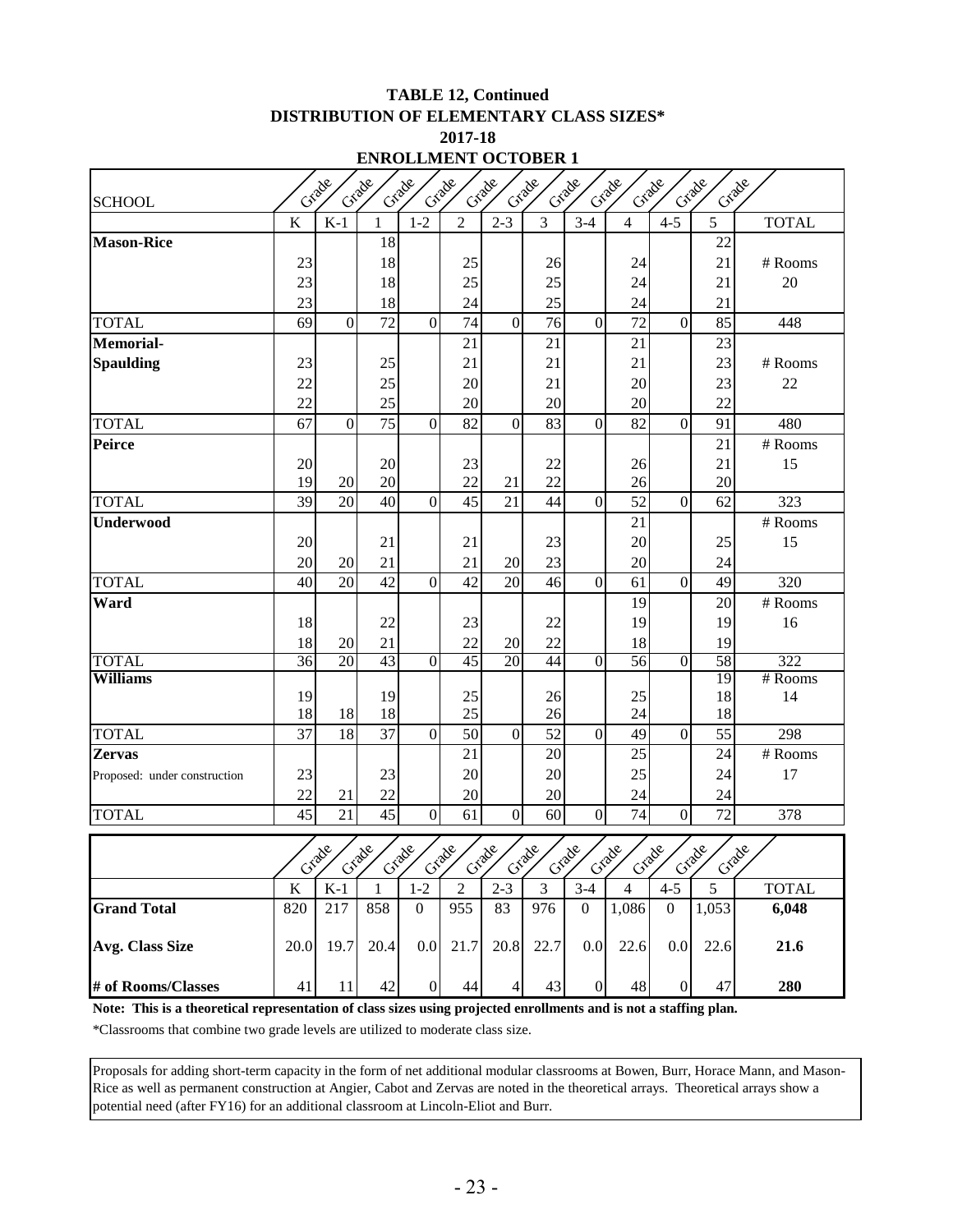#### **TABLE 12, Continued DISTRIBUTION OF ELEMENTARY CLASS SIZES\* 2017-18 ENROLLMENT OCTOBER 1**

|                                                                                                                   |         |                   |                                |                  |                |                |                  | ENNULLMENT OUTODEN I |                           |                  |           |              |  |  |  |  |  |  |  |  |  |
|-------------------------------------------------------------------------------------------------------------------|---------|-------------------|--------------------------------|------------------|----------------|----------------|------------------|----------------------|---------------------------|------------------|-----------|--------------|--|--|--|--|--|--|--|--|--|
| Grade<br>Grade<br>Criade<br>Grade<br>Grade<br>Grade<br>Grade<br>Grade<br>Grade<br>Crade<br>Grade<br><b>SCHOOL</b> |         |                   |                                |                  |                |                |                  |                      |                           |                  |           |              |  |  |  |  |  |  |  |  |  |
|                                                                                                                   | $\bf K$ | $K-1$             | $\mathbf{1}$                   | $1 - 2$          | $\overline{2}$ | $2 - 3$        | $\overline{3}$   | $3-4$                | $\overline{4}$            | $4 - 5$          | 5         | <b>TOTAL</b> |  |  |  |  |  |  |  |  |  |
| <b>Mason-Rice</b>                                                                                                 |         |                   | 18                             |                  |                |                |                  |                      |                           |                  | 22        |              |  |  |  |  |  |  |  |  |  |
|                                                                                                                   | 23      |                   | 18                             |                  | 25             |                | 26               |                      | 24                        |                  | 21        | # Rooms      |  |  |  |  |  |  |  |  |  |
|                                                                                                                   | 23      |                   | 18                             |                  | 25             |                | 25               |                      | 24                        |                  | 21        | 20           |  |  |  |  |  |  |  |  |  |
|                                                                                                                   | 23      |                   | 18                             |                  | 24             |                | 25               |                      | 24                        |                  | 21        |              |  |  |  |  |  |  |  |  |  |
| <b>TOTAL</b>                                                                                                      | 69      | $\overline{0}$    | 72                             | $\overline{0}$   | 74             | $\overline{0}$ | 76               | $\overline{0}$       | 72                        | $\overline{0}$   | 85        | 448          |  |  |  |  |  |  |  |  |  |
| Memorial-                                                                                                         |         |                   |                                |                  | 21             |                | 21               |                      | 21                        |                  | 23        |              |  |  |  |  |  |  |  |  |  |
| <b>Spaulding</b>                                                                                                  | 23      |                   | 25                             |                  | 21             |                | 21               |                      | 21                        |                  | 23        | # Rooms      |  |  |  |  |  |  |  |  |  |
|                                                                                                                   | 22      |                   | 25                             |                  | 20             |                | 21               |                      | 20                        |                  | 23        | 22           |  |  |  |  |  |  |  |  |  |
|                                                                                                                   | 22      |                   | 25                             |                  | 20             |                | 20               |                      | 20                        |                  | 22        |              |  |  |  |  |  |  |  |  |  |
| <b>TOTAL</b>                                                                                                      | 67      | $\overline{0}$    | 75                             | $\overline{0}$   | 82             | $\overline{0}$ | 83               | $\overline{0}$       | 82                        | $\overline{0}$   | 91        | 480          |  |  |  |  |  |  |  |  |  |
| Peirce                                                                                                            |         |                   |                                |                  |                |                |                  |                      |                           |                  | 21        | # Rooms      |  |  |  |  |  |  |  |  |  |
|                                                                                                                   | 20      |                   | 20                             |                  | 23             |                | 22               |                      | 26                        |                  | 21        | 15           |  |  |  |  |  |  |  |  |  |
|                                                                                                                   | 19      | 20                | 20                             |                  | 22             | 21             | 22               |                      | 26                        |                  | 20        |              |  |  |  |  |  |  |  |  |  |
| <b>TOTAL</b>                                                                                                      | 39      | 20                | 40                             | $\overline{0}$   | 45             | 21             | 44               | $\boldsymbol{0}$     | 52                        | $\overline{0}$   | 62        | 323          |  |  |  |  |  |  |  |  |  |
| <b>Underwood</b>                                                                                                  |         |                   |                                |                  |                |                |                  |                      | 21                        |                  |           | $#$ Rooms    |  |  |  |  |  |  |  |  |  |
|                                                                                                                   | 20      |                   | 21                             |                  | 21             |                | 23               |                      | 20                        |                  | 25        | 15           |  |  |  |  |  |  |  |  |  |
|                                                                                                                   | 20      | 20                | 21                             |                  | 21             | 20             | 23               |                      | 20                        |                  | 24        |              |  |  |  |  |  |  |  |  |  |
| <b>TOTAL</b>                                                                                                      | 40      | 20                | 42                             | $\overline{0}$   | 42             | 20             | 46               | $\overline{0}$       | 61                        | $\overline{0}$   | 49        | 320          |  |  |  |  |  |  |  |  |  |
| Ward                                                                                                              |         |                   |                                |                  |                |                |                  |                      | 19                        |                  | 20        | # Rooms      |  |  |  |  |  |  |  |  |  |
|                                                                                                                   | 18      |                   | 22                             |                  | 23             |                | 22               |                      | 19                        |                  | 19        | 16           |  |  |  |  |  |  |  |  |  |
|                                                                                                                   | 18      | 20                | 21                             |                  | 22             | 20             | 22               |                      | 18                        |                  | 19        |              |  |  |  |  |  |  |  |  |  |
| <b>TOTAL</b>                                                                                                      | 36      | 20                | 43                             | $\overline{0}$   | 45             | 20             | 44               | $\overline{0}$       | 56                        | $\overline{0}$   | 58        | 322          |  |  |  |  |  |  |  |  |  |
| <b>Williams</b>                                                                                                   |         |                   |                                |                  |                |                |                  |                      |                           |                  | 19        | # Rooms      |  |  |  |  |  |  |  |  |  |
|                                                                                                                   | 19      |                   | 19                             |                  | 25             |                | 26               |                      | 25                        |                  | 18        | 14           |  |  |  |  |  |  |  |  |  |
|                                                                                                                   | 18      | 18                | 18                             |                  | 25             |                | 26               |                      | 24                        |                  | 18        |              |  |  |  |  |  |  |  |  |  |
| <b>TOTAL</b>                                                                                                      | 37      | 18                | 37                             | $\overline{0}$   | 50             | $\overline{0}$ | 52               | $\overline{0}$       | 49                        | $\overline{0}$   | 55        | 298          |  |  |  |  |  |  |  |  |  |
| <b>Zervas</b>                                                                                                     |         |                   |                                |                  | 21             |                | 20               |                      | 25                        |                  | 24        | # Rooms      |  |  |  |  |  |  |  |  |  |
| Proposed: under construction                                                                                      | 23      |                   | 23                             |                  | 20             |                | 20               |                      | 25                        |                  | 24        | 17           |  |  |  |  |  |  |  |  |  |
|                                                                                                                   | 22      | 21                | 22                             |                  | 20             |                | 20               |                      | 24                        |                  | 24        |              |  |  |  |  |  |  |  |  |  |
| <b>TOTAL</b>                                                                                                      | 45      | 21                | 45                             | $\overline{0}$   | 61             | $\overline{0}$ | 60               | $\overline{0}$       | 74                        | $\boldsymbol{0}$ | 72        | 378          |  |  |  |  |  |  |  |  |  |
|                                                                                                                   |         |                   |                                | $\delta^{\circ}$ | $\infty$       |                |                  |                      |                           |                  |           |              |  |  |  |  |  |  |  |  |  |
|                                                                                                                   | csoc    | ر مئ<br>م<br>Crac | ر گئ<br>$\mathcal{C}^{\infty}$ | $C_{\infty}$     |                | Create<br>Crac | $\infty$<br>Crac | $\infty$<br>Crac     | $\infty$<br>$C5^{\infty}$ | $\infty$<br>Crao | ر مئ<br>م | Grade        |  |  |  |  |  |  |  |  |  |
|                                                                                                                   | $\bf K$ | $K-1$             | 1                              | $1 - 2$          | $\mathfrak{2}$ | $2 - 3$        | 3                | $3 - 4$              | 4                         | $4 - 5$          | 5         | <b>TOTAL</b> |  |  |  |  |  |  |  |  |  |
| <b>Grand Total</b>                                                                                                | 820     | 217               | 858                            | $\mathbf{0}$     | 955            | 83             | 976              | $\boldsymbol{0}$     | 1,086                     | $\overline{0}$   | 1,053     | 6,048        |  |  |  |  |  |  |  |  |  |
| Avg. Class Size                                                                                                   | 20.0    | 19.7              | 20.4                           | 0.0              | 21.7           | 20.8           | 22.7             | 0.0                  | 22.6                      | 0.0              | 22.6      | 21.6         |  |  |  |  |  |  |  |  |  |
| # of Rooms/Classes                                                                                                | 41      | 11                | 42                             | $\boldsymbol{0}$ | 44             | 4              | 43               | $\boldsymbol{0}$     | 48                        | $\overline{0}$   | 47        | 280          |  |  |  |  |  |  |  |  |  |

**Note: This is a theoretical representation of class sizes using projected enrollments and is not a staffing plan.**

\*Classrooms that combine two grade levels are utilized to moderate class size.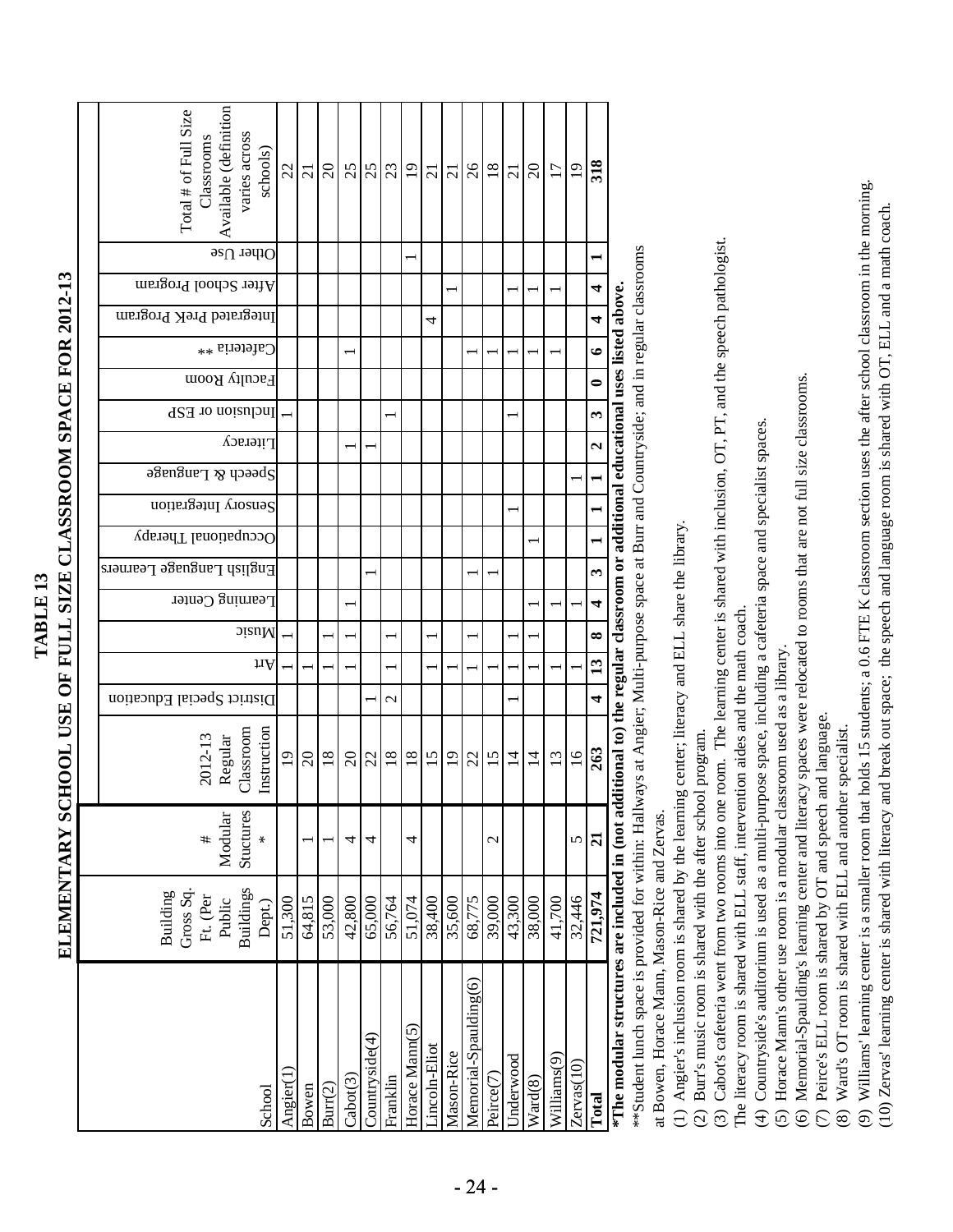|                                                                | Available (definition<br>varies across<br>Total # of Full Size<br>Classrooms<br>schools) | 22              | $\overline{c}$ | $20\,$  | 25                | 25              | $\frac{23}{19}$ |                | $\overline{c}$ |                 | $\frac{21}{26}$          | $18\,$                |                  | $\frac{21}{20}$ | $\overline{17}$         | 19              | 318                  |                                                                                      |
|----------------------------------------------------------------|------------------------------------------------------------------------------------------|-----------------|----------------|---------|-------------------|-----------------|-----------------|----------------|----------------|-----------------|--------------------------|-----------------------|------------------|-----------------|-------------------------|-----------------|----------------------|--------------------------------------------------------------------------------------|
|                                                                | Other $Us$ e                                                                             |                 |                |         |                   |                 |                 |                |                |                 |                          |                       |                  |                 |                         |                 |                      |                                                                                      |
|                                                                | After School Program                                                                     |                 |                |         |                   |                 |                 |                |                |                 |                          |                       |                  |                 |                         |                 | 4                    |                                                                                      |
|                                                                | Integrated PreK Program                                                                  |                 |                |         |                   |                 |                 |                | 4              |                 |                          |                       |                  |                 |                         |                 | 4                    |                                                                                      |
|                                                                | Cafeteria <sup>**</sup>                                                                  |                 |                |         |                   |                 |                 |                |                |                 |                          |                       |                  |                 |                         |                 | $\bullet$            |                                                                                      |
|                                                                | Faculty Room                                                                             |                 |                |         |                   |                 |                 |                |                |                 |                          |                       |                  |                 |                         |                 | 0                    |                                                                                      |
|                                                                | Inclusion or ESP                                                                         |                 |                |         |                   |                 |                 |                |                |                 |                          |                       |                  |                 |                         |                 | $\mathbf{\tilde{5}}$ |                                                                                      |
|                                                                | Literacy                                                                                 |                 |                |         |                   |                 |                 |                |                |                 |                          |                       |                  |                 |                         |                 | $\mathbf{c}$         |                                                                                      |
|                                                                | ວ $\mathcal S$ ຍກ $\mathcal S$ ແນ $\mathcal S$ ບຸວວວ $\mathcal S$                        |                 |                |         |                   |                 |                 |                |                |                 |                          |                       |                  |                 |                         |                 |                      |                                                                                      |
|                                                                | Sensory Integration                                                                      |                 |                |         |                   |                 |                 |                |                |                 |                          |                       |                  |                 |                         |                 |                      |                                                                                      |
|                                                                | Occupational Therapy                                                                     |                 |                |         |                   |                 |                 |                |                |                 |                          |                       |                  |                 |                         |                 |                      |                                                                                      |
|                                                                | English Language Learners                                                                |                 |                |         |                   |                 |                 |                |                |                 |                          |                       |                  |                 |                         |                 | 3                    |                                                                                      |
|                                                                | Learning Center                                                                          |                 |                |         |                   |                 |                 |                |                |                 |                          |                       |                  |                 |                         |                 | 4                    |                                                                                      |
|                                                                | oiauM                                                                                    |                 |                |         |                   |                 |                 |                |                |                 |                          |                       |                  |                 |                         |                 | ∞                    |                                                                                      |
|                                                                | щV                                                                                       |                 |                |         |                   |                 |                 |                |                |                 |                          |                       |                  |                 |                         |                 | 13                   |                                                                                      |
|                                                                | District Special Education                                                               |                 |                |         |                   |                 | $\mathcal{C}$   |                |                |                 |                          |                       |                  |                 |                         |                 | 4                    |                                                                                      |
| ELEMENTARY SCHOOL USE OF FULL SIZE CLASSROOM SPACE FOR 2012-13 | Instruction<br>2012-13<br>Regular<br>Classroom                                           | $\overline{19}$ | $\Omega$       | $18\,$  | $\Omega$          | 22              | $18\,$          | $\frac{8}{18}$ | $15$           | $\overline{19}$ | 22                       | $\overline{15}$       | $\overline{1}$   | $\overline{1}$  | 13                      | $\overline{16}$ | 263                  | $\dim$ $\alpha$ to the regular classroom or additional educational uses listed above |
|                                                                | Stuctures<br>Modular<br>#<br>∗                                                           |                 |                |         | 4                 | 4               |                 | 4              |                |                 |                          | $\mathcal{C}$         |                  |                 |                         | 5               | $\overline{z}$       |                                                                                      |
|                                                                | <b>Buildings</b><br>Building<br>Gross Sq<br>Ft. (Per<br>Public<br>Dept.)                 | 51,300          | 64,815         | 53,000  | 42,800            | 65,000          | 56,764          | 51,074         | 38,400         | 35,600          | 68,775                   | 39,000                | 43,300           | 38,000          | 41,700                  | 32,446          | 721,974              |                                                                                      |
|                                                                | School                                                                                   | Angier(1        | Bowen          | Burr(2) | $\text{Cabor}(3)$ | Counteryside(4) | Franklin        | Horace Mann(5) | incoln-Eliot   | Mason-Rice      | Memorial-Spaulding $(6)$ | Peirce <sup>(7)</sup> | <b>Jnderwood</b> | Ward(8)         | Williams <sup>(9)</sup> | Zervas(10)      | <b>Total</b>         | $*$ The modular structures are included in (not ad                                   |

**TABLE 13**

TABLE<sub>13</sub>

**\*The modular structures are included in (not additional to) the regular classroom or additional educational uses listed above.**

\*\*Student lunch space is provided for within: Hallways at Angier; Multi-purpose space at Burr and Countryside; and in regular classrooms \*\*Student lunch space is provided for within: Hallways at Angier; Multi-purpose space at Burr and Countryside; and in regular classrooms at Bowen, Horace Mann, Mason-Rice and Zervas. at Bowen, Horace Mann, Mason-Rice and Zervas.

(1) Angier's inclusion room is shared by the learning center; literacy and ELL share the library. (1) Angier's inclusion room is shared by the learning center; literacy and ELL share the library.

(2) Burr's music room is shared with the after school program. (2) Burr's music room is shared with the after school program.

(3) Cabot's cafeteria went from two rooms into one room. The learning center is shared with inclusion, OT, PT, and the speech pathologist. (3) Cabot's cafeteria went from two rooms into one room. The learning center is shared with inclusion, OT, PT, and the speech pathologist.

The literacy room is shared with ELL staff, intervention aides and the math coach. The literacy room is shared with ELL staff, intervention aides and the math coach.

(4) Countryside's auditorium is used as a multi-purpose space, including a cafeteria space and specialist spaces. (4) Countryside's auditorium is used as a multi-purpose space, including a cafeteria space and specialist spaces.

(5) Horace Mann's other use room is a modular classroom used as a library. (5) Horace Mann's other use room is a modular classroom used as a library.

(6) Memorial-Spaulding's learning center and literacy spaces were relocated to rooms that are not full size classrooms. (6) Memorial-Spaulding's learning center and literacy spaces were relocated to rooms that are not full size classrooms.

(7) Peirce's ELL room is shared by OT and speech and language. (7) Peirce's ELL room is shared by OT and speech and language.

(8) Ward's OT room is shared with ELL and another specialist. (8) Ward's OT room is shared with ELL and another specialist.

(9) Williams' learning center is a smaller room that holds 15 students; a 0.6 FTE K classroom section uses the after school classroom in the morning. (9) Williams' learning center is a smaller room that holds 15 students; a 0.6 FTE K classroom section uses the after school classroom in the morning.

(10) Zervas' learning center is shared with literacy and break out space; the speech and language room is shared with OT, ELL and a math coach. (10) Zervas' learning center is shared with literacy and break out space; the speech and language room is shared with OT, ELL and a math coach.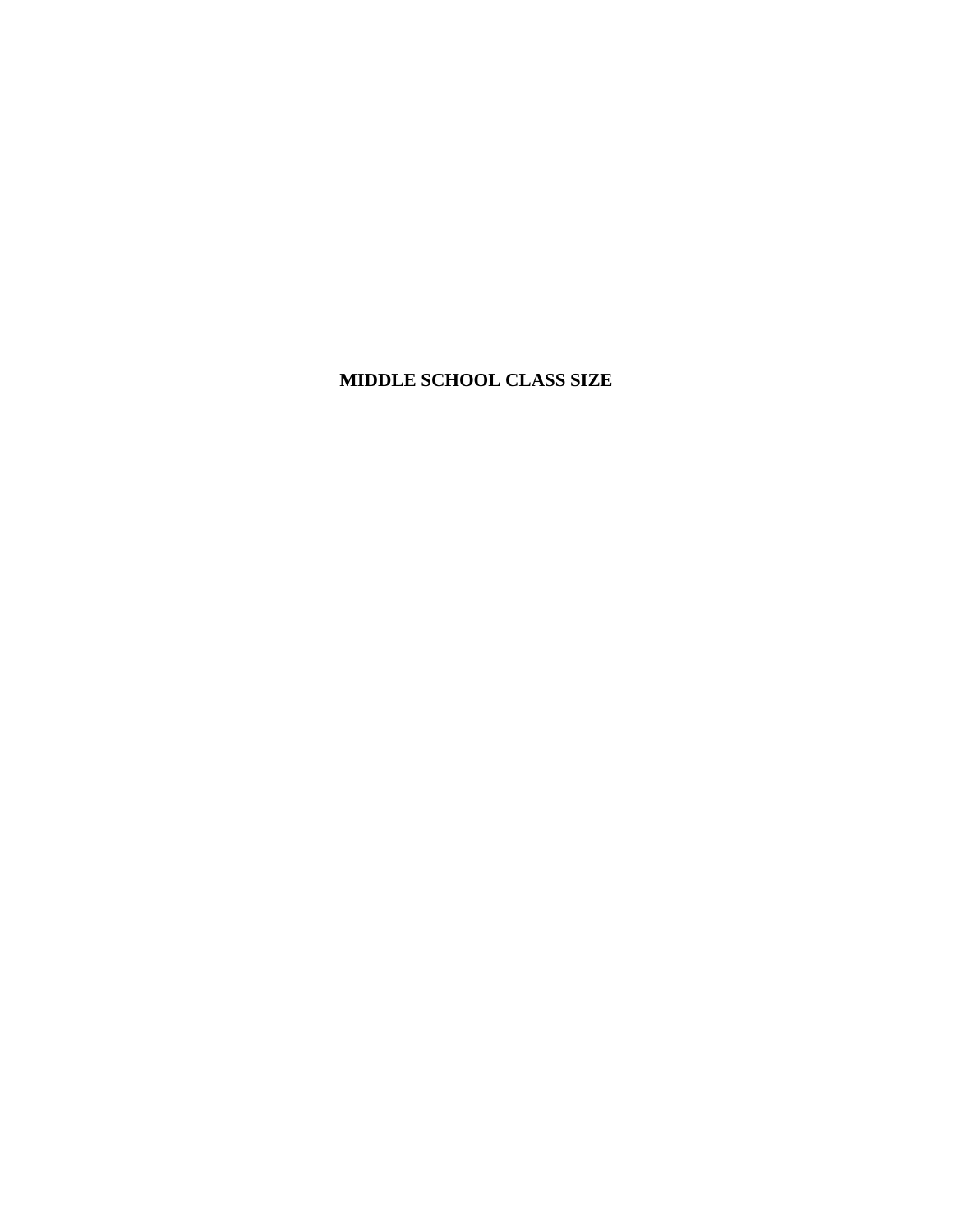# **MIDDLE SCHOOL CLASS SIZE**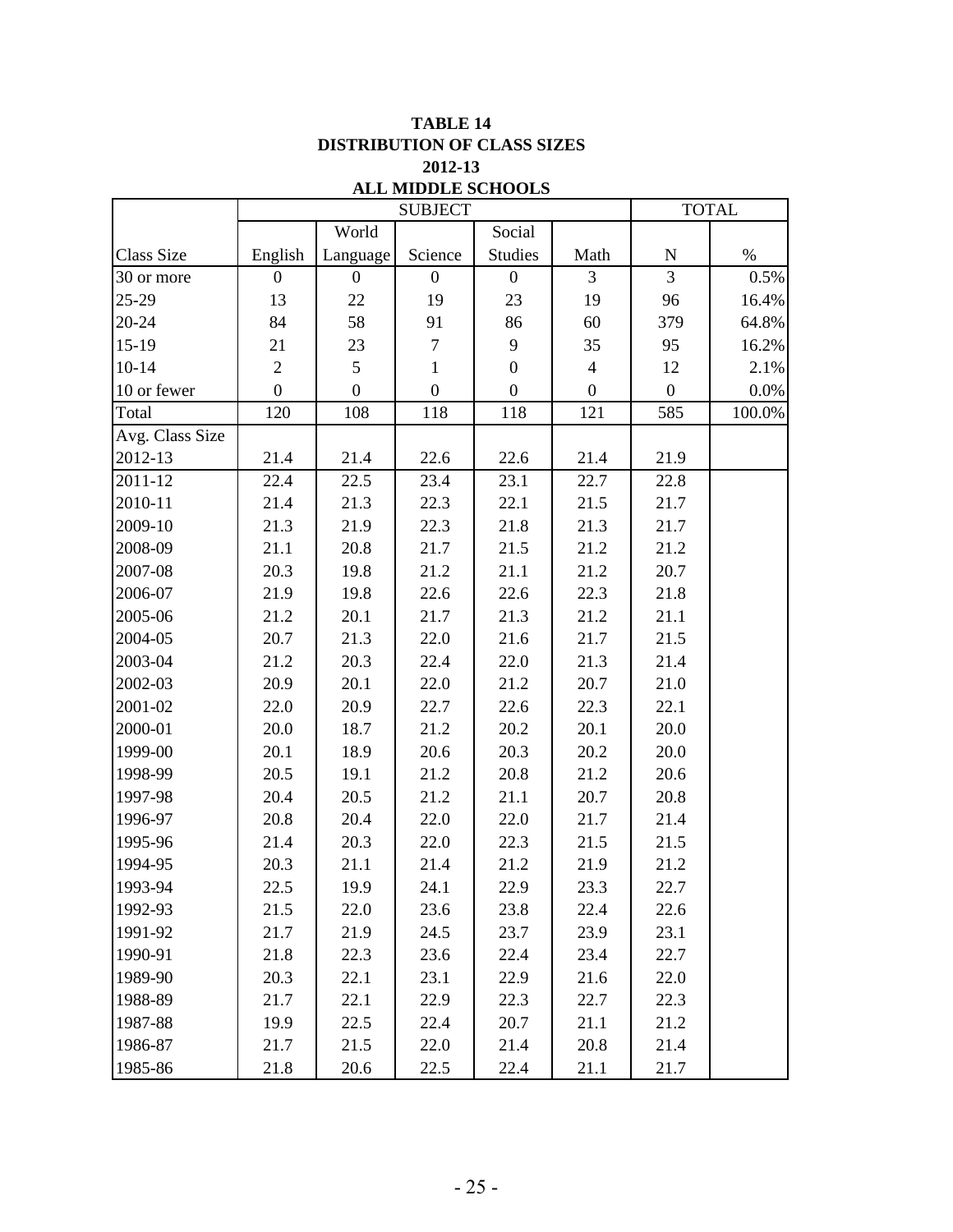|                   |                  |                  | ALL MIDDLE SURVOLS<br><b>SUBJECT</b> |                  |                  |                  | <b>TOTAL</b> |
|-------------------|------------------|------------------|--------------------------------------|------------------|------------------|------------------|--------------|
|                   |                  | World            |                                      | Social           |                  |                  |              |
| <b>Class Size</b> | English          | Language         | Science                              | <b>Studies</b>   | Math             | ${\bf N}$        | $\%$         |
| 30 or more        | $\boldsymbol{0}$ | $\boldsymbol{0}$ | $\boldsymbol{0}$                     | $\overline{0}$   | 3                | $\overline{3}$   | 0.5%         |
| 25-29             | 13               | 22               | 19                                   | 23               | 19               | 96               | 16.4%        |
| 20-24             | 84               | 58               | 91                                   | 86               | 60               | 379              | 64.8%        |
| $15-19$           | 21               | 23               | $\boldsymbol{7}$                     | 9                | 35               | 95               | 16.2%        |
| $10 - 14$         | $\overline{2}$   | 5                | $\mathbf{1}$                         | $\boldsymbol{0}$ | $\overline{4}$   | 12               | 2.1%         |
| 10 or fewer       | $\boldsymbol{0}$ | $\overline{0}$   | $\boldsymbol{0}$                     | $\boldsymbol{0}$ | $\boldsymbol{0}$ | $\boldsymbol{0}$ | $0.0\%$      |
| Total             | 120              | 108              | 118                                  | 118              | 121              | 585              | 100.0%       |
| Avg. Class Size   |                  |                  |                                      |                  |                  |                  |              |
| 2012-13           | 21.4             | 21.4             | 22.6                                 | 22.6             | 21.4             | 21.9             |              |
| 2011-12           | 22.4             | 22.5             | 23.4                                 | 23.1             | 22.7             | 22.8             |              |
| 2010-11           | 21.4             | 21.3             | 22.3                                 | 22.1             | 21.5             | 21.7             |              |
| 2009-10           | 21.3             | 21.9             | 22.3                                 | 21.8             | 21.3             | 21.7             |              |
| 2008-09           | 21.1             | 20.8             | 21.7                                 | 21.5             | 21.2             | 21.2             |              |
| 2007-08           | 20.3             | 19.8             | 21.2                                 | 21.1             | 21.2             | 20.7             |              |
| 2006-07           | 21.9             | 19.8             | 22.6                                 | 22.6             | 22.3             | 21.8             |              |
| 2005-06           | 21.2             | 20.1             | 21.7                                 | 21.3             | 21.2             | 21.1             |              |
| 2004-05           | 20.7             | 21.3             | 22.0                                 | 21.6             | 21.7             | 21.5             |              |
| 2003-04           | 21.2             | 20.3             | 22.4                                 | 22.0             | 21.3             | 21.4             |              |
| 2002-03           | 20.9             | 20.1             | 22.0                                 | 21.2             | 20.7             | 21.0             |              |
| 2001-02           | 22.0             | 20.9             | 22.7                                 | 22.6             | 22.3             | 22.1             |              |
| 2000-01           | 20.0             | 18.7             | 21.2                                 | 20.2             | 20.1             | 20.0             |              |
| 1999-00           | 20.1             | 18.9             | 20.6                                 | 20.3             | 20.2             | 20.0             |              |
| 1998-99           | 20.5             | 19.1             | 21.2                                 | 20.8             | 21.2             | 20.6             |              |
| 1997-98           | 20.4             | 20.5             | 21.2                                 | 21.1             | 20.7             | 20.8             |              |
| 1996-97           | 20.8             | 20.4             | 22.0                                 | 22.0             | 21.7             | 21.4             |              |
| 1995-96           | 21.4             | 20.3             | 22.0                                 | 22.3             | 21.5             | 21.5             |              |
| 1994-95           | 20.3             | 21.1             | 21.4                                 | 21.2             | 21.9             | 21.2             |              |
| 1993-94           | 22.5             | 19.9             | 24.1                                 | 22.9             | 23.3             | 22.7             |              |
| 1992-93           | 21.5             | 22.0             | 23.6                                 | 23.8             | 22.4             | 22.6             |              |
| 1991-92           | 21.7             | 21.9             | 24.5                                 | 23.7             | 23.9             | 23.1             |              |
| 1990-91           | 21.8             | 22.3             | 23.6                                 | 22.4             | 23.4             | 22.7             |              |
| 1989-90           | 20.3             | 22.1             | 23.1                                 | 22.9             | 21.6             | 22.0             |              |
| 1988-89           | 21.7             | 22.1             | 22.9                                 | 22.3             | 22.7             | 22.3             |              |
| 1987-88           | 19.9             | 22.5             | 22.4                                 | 20.7             | 21.1             | 21.2             |              |
| 1986-87           | 21.7             | 21.5             | 22.0                                 | 21.4             | 20.8             | 21.4             |              |
| 1985-86           | 21.8             | 20.6             | 22.5                                 | 22.4             | 21.1             | 21.7             |              |

### **TABLE 14 2012-13 DISTRIBUTION OF CLASS SIZES ALL MIDDLE SCHOOLS**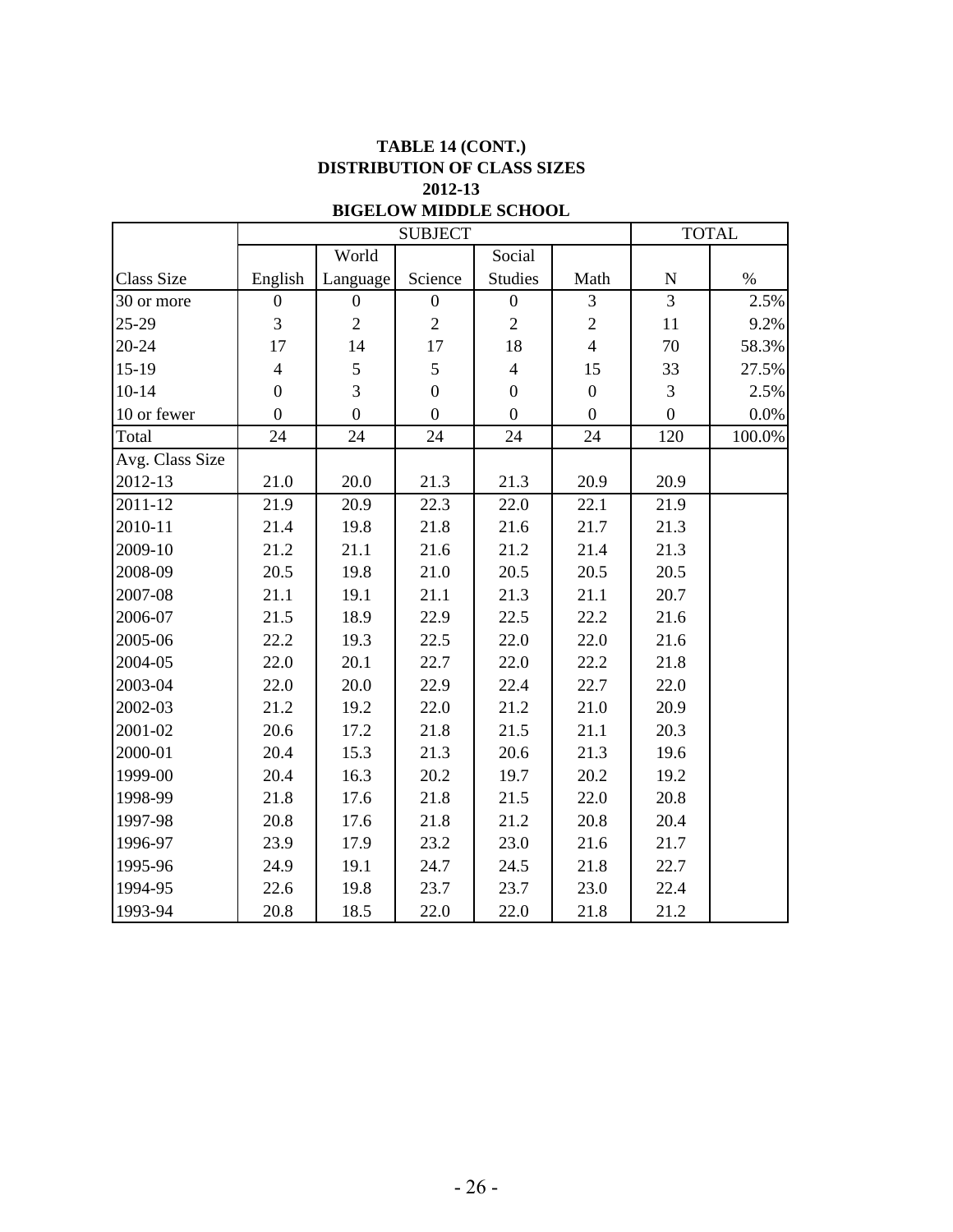## **TABLE 14 (CONT.) DISTRIBUTION OF CLASS SIZES 2012-13**

### **BIGELOW MIDDLE SCHOOL**

|                   |                  |                  | <b>SUBJECT</b>   |                  |                  |                  | <b>TOTAL</b> |
|-------------------|------------------|------------------|------------------|------------------|------------------|------------------|--------------|
|                   |                  | World            |                  | Social           |                  |                  |              |
| <b>Class Size</b> | English          | Language         | Science          | <b>Studies</b>   | Math             | ${\bf N}$        | $\%$         |
| 30 or more        | $\overline{0}$   | $\boldsymbol{0}$ | $\boldsymbol{0}$ | $\boldsymbol{0}$ | 3                | $\overline{3}$   | 2.5%         |
| 25-29             | 3                | $\overline{2}$   | $\overline{2}$   | $\overline{2}$   | $\overline{c}$   | 11               | 9.2%         |
| 20-24             | 17               | 14               | 17               | 18               | $\overline{4}$   | 70               | 58.3%        |
| $15-19$           | $\overline{4}$   | 5                | 5                | $\overline{4}$   | 15               | 33               | 27.5%        |
| $10 - 14$         | $\boldsymbol{0}$ | $\overline{3}$   | $\overline{0}$   | $\boldsymbol{0}$ | $\boldsymbol{0}$ | $\mathfrak{Z}$   | 2.5%         |
| 10 or fewer       | $\overline{0}$   | $\overline{0}$   | $\boldsymbol{0}$ | $\boldsymbol{0}$ | $\boldsymbol{0}$ | $\boldsymbol{0}$ | $0.0\%$      |
| Total             | 24               | 24               | 24               | 24               | 24               | 120              | 100.0%       |
| Avg. Class Size   |                  |                  |                  |                  |                  |                  |              |
| 2012-13           | 21.0             | 20.0             | 21.3             | 21.3             | 20.9             | 20.9             |              |
| 2011-12           | 21.9             | 20.9             | 22.3             | 22.0             | 22.1             | 21.9             |              |
| 2010-11           | 21.4             | 19.8             | 21.8             | 21.6             | 21.7             | 21.3             |              |
| 2009-10           | 21.2             | 21.1             | 21.6             | 21.2             | 21.4             | 21.3             |              |
| 2008-09           | 20.5             | 19.8             | 21.0             | 20.5             | 20.5             | 20.5             |              |
| 2007-08           | 21.1             | 19.1             | 21.1             | 21.3             | 21.1             | 20.7             |              |
| 2006-07           | 21.5             | 18.9             | 22.9             | 22.5             | 22.2             | 21.6             |              |
| 2005-06           | 22.2             | 19.3             | 22.5             | 22.0             | 22.0             | 21.6             |              |
| 2004-05           | 22.0             | 20.1             | 22.7             | 22.0             | 22.2             | 21.8             |              |
| 2003-04           | 22.0             | 20.0             | 22.9             | 22.4             | 22.7             | 22.0             |              |
| 2002-03           | 21.2             | 19.2             | 22.0             | 21.2             | 21.0             | 20.9             |              |
| 2001-02           | 20.6             | 17.2             | 21.8             | 21.5             | 21.1             | 20.3             |              |
| 2000-01           | 20.4             | 15.3             | 21.3             | 20.6             | 21.3             | 19.6             |              |
| 1999-00           | 20.4             | 16.3             | 20.2             | 19.7             | 20.2             | 19.2             |              |
| 1998-99           | 21.8             | 17.6             | 21.8             | 21.5             | 22.0             | 20.8             |              |
| 1997-98           | 20.8             | 17.6             | 21.8             | 21.2             | 20.8             | 20.4             |              |
| 1996-97           | 23.9             | 17.9             | 23.2             | 23.0             | 21.6             | 21.7             |              |
| 1995-96           | 24.9             | 19.1             | 24.7             | 24.5             | 21.8             | 22.7             |              |
| 1994-95           | 22.6             | 19.8             | 23.7             | 23.7             | 23.0             | 22.4             |              |
| 1993-94           | 20.8             | 18.5             | 22.0             | 22.0             | 21.8             | 21.2             |              |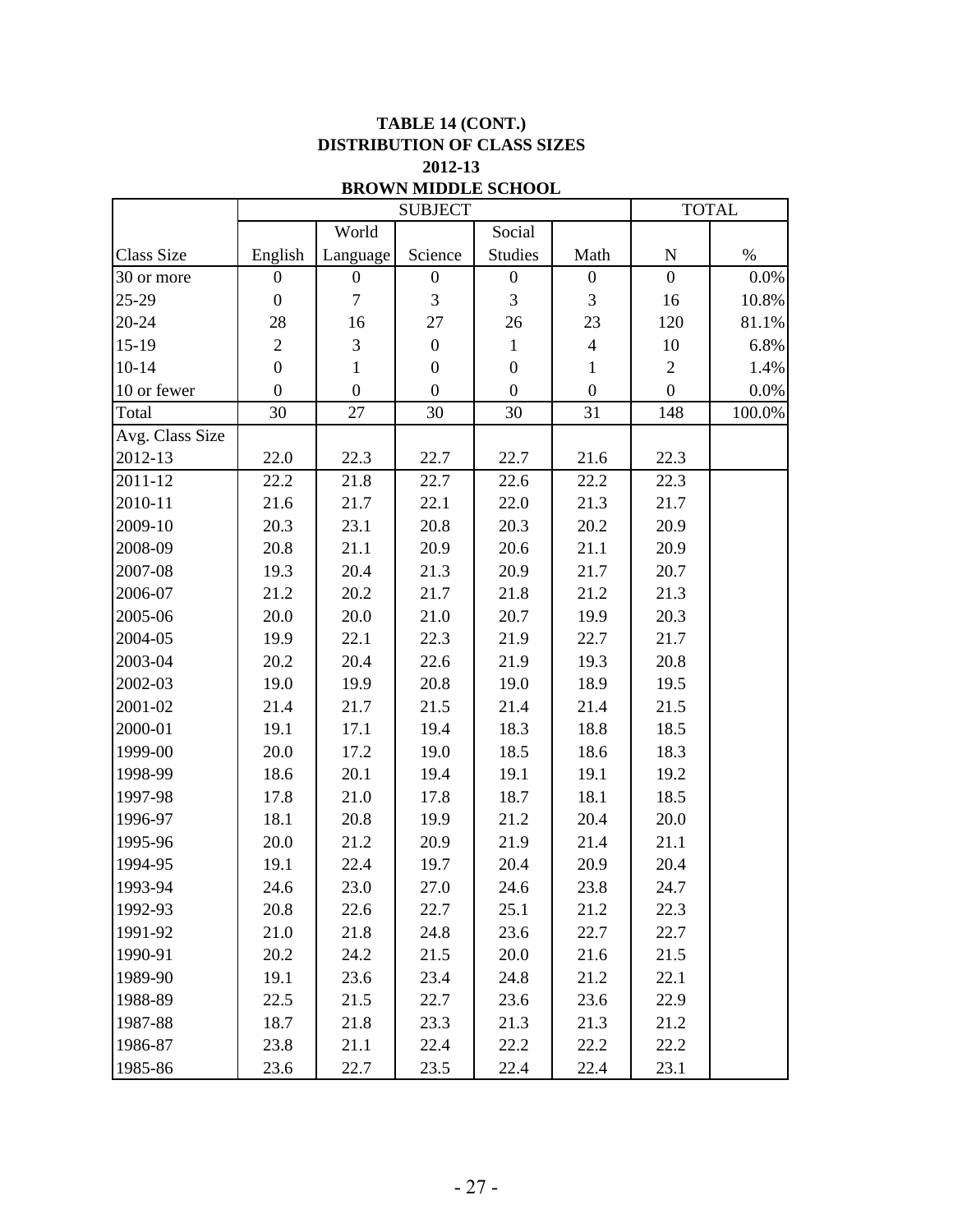|                   |                  |                  | <b>SUBJECT</b>   | BRUWN MIDDLE SCHUUL |                  |                | <b>TOTAL</b> |
|-------------------|------------------|------------------|------------------|---------------------|------------------|----------------|--------------|
|                   |                  | World            |                  | Social              |                  |                |              |
| <b>Class Size</b> | English          | Language         | Science          | <b>Studies</b>      | Math             | ${\bf N}$      | $\%$         |
| 30 or more        | $\boldsymbol{0}$ | $\boldsymbol{0}$ | $\boldsymbol{0}$ | $\boldsymbol{0}$    | $\boldsymbol{0}$ | $\mathbf{0}$   | 0.0%         |
| 25-29             | $\boldsymbol{0}$ | $\overline{7}$   | 3                | 3                   | 3                | 16             | 10.8%        |
| 20-24             | 28               | 16               | 27               | 26                  | 23               | 120            | 81.1%        |
| $15-19$           | $\overline{2}$   | 3                | $\boldsymbol{0}$ | $\mathbf{1}$        | $\overline{4}$   | 10             | 6.8%         |
| $10 - 14$         | $\boldsymbol{0}$ | 1                | $\boldsymbol{0}$ | $\boldsymbol{0}$    | 1                | $\overline{2}$ | 1.4%         |
| 10 or fewer       | $\boldsymbol{0}$ | $\overline{0}$   | $\boldsymbol{0}$ | $\boldsymbol{0}$    | $\boldsymbol{0}$ | $\overline{0}$ | 0.0%         |
| Total             | 30               | 27               | 30               | 30                  | 31               | 148            | 100.0%       |
| Avg. Class Size   |                  |                  |                  |                     |                  |                |              |
| 2012-13           | 22.0             | 22.3             | 22.7             | 22.7                | 21.6             | 22.3           |              |
| 2011-12           | 22.2             | 21.8             | 22.7             | 22.6                | 22.2             | 22.3           |              |
| 2010-11           | 21.6             | 21.7             | 22.1             | 22.0                | 21.3             | 21.7           |              |
| 2009-10           | 20.3             | 23.1             | 20.8             | 20.3                | 20.2             | 20.9           |              |
| 2008-09           | 20.8             | 21.1             | 20.9             | 20.6                | 21.1             | 20.9           |              |
| 2007-08           | 19.3             | 20.4             | 21.3             | 20.9                | 21.7             | 20.7           |              |
| 2006-07           | 21.2             | 20.2             | 21.7             | 21.8                | 21.2             | 21.3           |              |
| 2005-06           | 20.0             | 20.0             | 21.0             | 20.7                | 19.9             | 20.3           |              |
| 2004-05           | 19.9             | 22.1             | 22.3             | 21.9                | 22.7             | 21.7           |              |
| 2003-04           | 20.2             | 20.4             | 22.6             | 21.9                | 19.3             | 20.8           |              |
| 2002-03           | 19.0             | 19.9             | 20.8             | 19.0                | 18.9             | 19.5           |              |
| 2001-02           | 21.4             | 21.7             | 21.5             | 21.4                | 21.4             | 21.5           |              |
| 2000-01           | 19.1             | 17.1             | 19.4             | 18.3                | 18.8             | 18.5           |              |
| 1999-00           | 20.0             | 17.2             | 19.0             | 18.5                | 18.6             | 18.3           |              |
| 1998-99           | 18.6             | 20.1             | 19.4             | 19.1                | 19.1             | 19.2           |              |
| 1997-98           | 17.8             | 21.0             | 17.8             | 18.7                | 18.1             | 18.5           |              |
| 1996-97           | 18.1             | 20.8             | 19.9             | 21.2                | 20.4             | 20.0           |              |
| 1995-96           | 20.0             | 21.2             | 20.9             | 21.9                | 21.4             | 21.1           |              |
| 1994-95           | 19.1             | 22.4             | 19.7             | 20.4                | 20.9             | 20.4           |              |
| 1993-94           | 24.6             | 23.0             | 27.0             | 24.6                | 23.8             | 24.7           |              |
| 1992-93           | 20.8             | 22.6             | 22.7             | 25.1                | 21.2             | 22.3           |              |
| 1991-92           | 21.0             | 21.8             | 24.8             | 23.6                | 22.7             | 22.7           |              |
| 1990-91           | 20.2             | 24.2             | 21.5             | 20.0                | 21.6             | 21.5           |              |
| 1989-90           | 19.1             | 23.6             | 23.4             | 24.8                | 21.2             | 22.1           |              |
| 1988-89           | 22.5             | 21.5             | 22.7             | 23.6                | 23.6             | 22.9           |              |
| 1987-88           | 18.7             | 21.8             | 23.3             | 21.3                | 21.3             | 21.2           |              |
| 1986-87           | 23.8             | 21.1             | 22.4             | 22.2                | 22.2             | 22.2           |              |
| 1985-86           | 23.6             | 22.7             | 23.5             | 22.4                | 22.4             | 23.1           |              |

### **BROWN MIDDLE SCHOOL TABLE 14 (CONT.) 2012-13 DISTRIBUTION OF CLASS SIZES**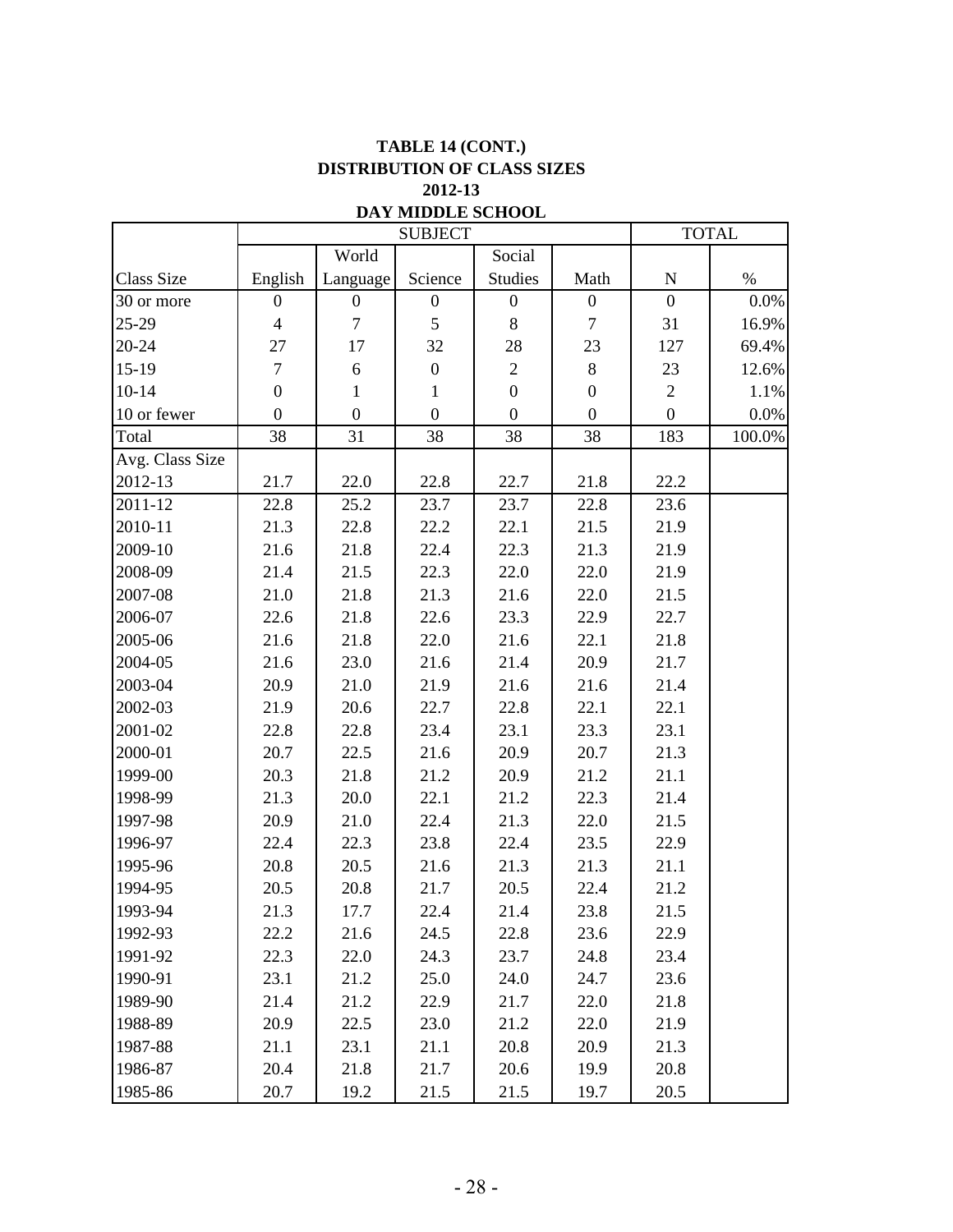### **TABLE 14 (CONT.) DISTRIBUTION OF CLASS SIZES 2012-13**

|                 |                  |                  | <b>DATE MIDDLE SCHOP</b><br><b>SUBJECT</b> |                  |                  |                  | <b>TOTAL</b> |
|-----------------|------------------|------------------|--------------------------------------------|------------------|------------------|------------------|--------------|
|                 |                  | World            |                                            | Social           |                  |                  |              |
| Class Size      | English          | Language         | Science                                    | <b>Studies</b>   | Math             | ${\bf N}$        | $\%$         |
| 30 or more      | $\boldsymbol{0}$ | $\boldsymbol{0}$ | $\boldsymbol{0}$                           | $\boldsymbol{0}$ | $\boldsymbol{0}$ | $\boldsymbol{0}$ | 0.0%         |
| 25-29           | $\overline{4}$   | $\boldsymbol{7}$ | 5                                          | 8                | $\tau$           | 31               | 16.9%        |
| 20-24           | 27               | 17               | 32                                         | 28               | 23               | 127              | 69.4%        |
| $15-19$         | $\overline{7}$   | 6                | $\boldsymbol{0}$                           | $\mathbf{2}$     | $8\,$            | 23               | 12.6%        |
| $10 - 14$       | $\boldsymbol{0}$ | $\mathbf{1}$     | $\mathbf{1}$                               | $\boldsymbol{0}$ | $\boldsymbol{0}$ | $\mathbf{2}$     | 1.1%         |
| 10 or fewer     | $\boldsymbol{0}$ | $\boldsymbol{0}$ | $\boldsymbol{0}$                           | $\boldsymbol{0}$ | $\overline{0}$   | $\boldsymbol{0}$ | $0.0\%$      |
| Total           | 38               | 31               | 38                                         | 38               | 38               | 183              | 100.0%       |
| Avg. Class Size |                  |                  |                                            |                  |                  |                  |              |
| 2012-13         | 21.7             | 22.0             | 22.8                                       | 22.7             | 21.8             | 22.2             |              |
| 2011-12         | 22.8             | 25.2             | 23.7                                       | 23.7             | 22.8             | 23.6             |              |
| 2010-11         | 21.3             | 22.8             | 22.2                                       | 22.1             | 21.5             | 21.9             |              |
| 2009-10         | 21.6             | 21.8             | 22.4                                       | 22.3             | 21.3             | 21.9             |              |
| 2008-09         | 21.4             | 21.5             | 22.3                                       | 22.0             | 22.0             | 21.9             |              |
| 2007-08         | 21.0             | 21.8             | 21.3                                       | 21.6             | 22.0             | 21.5             |              |
| 2006-07         | 22.6             | 21.8             | 22.6                                       | 23.3             | 22.9             | 22.7             |              |
| 2005-06         | 21.6             | 21.8             | 22.0                                       | 21.6             | 22.1             | 21.8             |              |
| 2004-05         | 21.6             | 23.0             | 21.6                                       | 21.4             | 20.9             | 21.7             |              |
| 2003-04         | 20.9             | 21.0             | 21.9                                       | 21.6             | 21.6             | 21.4             |              |
| 2002-03         | 21.9             | 20.6             | 22.7                                       | 22.8             | 22.1             | 22.1             |              |
| 2001-02         | 22.8             | 22.8             | 23.4                                       | 23.1             | 23.3             | 23.1             |              |
| 2000-01         | 20.7             | 22.5             | 21.6                                       | 20.9             | 20.7             | 21.3             |              |
| 1999-00         | 20.3             | 21.8             | 21.2                                       | 20.9             | 21.2             | 21.1             |              |
| 1998-99         | 21.3             | 20.0             | 22.1                                       | 21.2             | 22.3             | 21.4             |              |
| 1997-98         | 20.9             | 21.0             | 22.4                                       | 21.3             | 22.0             | 21.5             |              |
| 1996-97         | 22.4             | 22.3             | 23.8                                       | 22.4             | 23.5             | 22.9             |              |
| 1995-96         | 20.8             | 20.5             | 21.6                                       | 21.3             | 21.3             | 21.1             |              |
| 1994-95         | 20.5             | 20.8             | 21.7                                       | 20.5             | 22.4             | 21.2             |              |
| 1993-94         | 21.3             | 17.7             | 22.4                                       | 21.4             | 23.8             | 21.5             |              |
| 1992-93         | 22.2             | 21.6             | 24.5                                       | 22.8             | 23.6             | 22.9             |              |
| 1991-92         | 22.3             | 22.0             | 24.3                                       | 23.7             | 24.8             | 23.4             |              |
| 1990-91         | 23.1             | 21.2             | 25.0                                       | 24.0             | 24.7             | 23.6             |              |
| 1989-90         | 21.4             | 21.2             | 22.9                                       | 21.7             | 22.0             | 21.8             |              |
| 1988-89         | 20.9             | 22.5             | 23.0                                       | 21.2             | 22.0             | 21.9             |              |
| 1987-88         | 21.1             | 23.1             | 21.1                                       | 20.8             | 20.9             | 21.3             |              |
| 1986-87         | 20.4             | 21.8             | 21.7                                       | 20.6             | 19.9             | 20.8             |              |
| 1985-86         | 20.7             | 19.2             | 21.5                                       | 21.5             | 19.7             | 20.5             |              |

#### **DAY MIDDLE SCHOOL**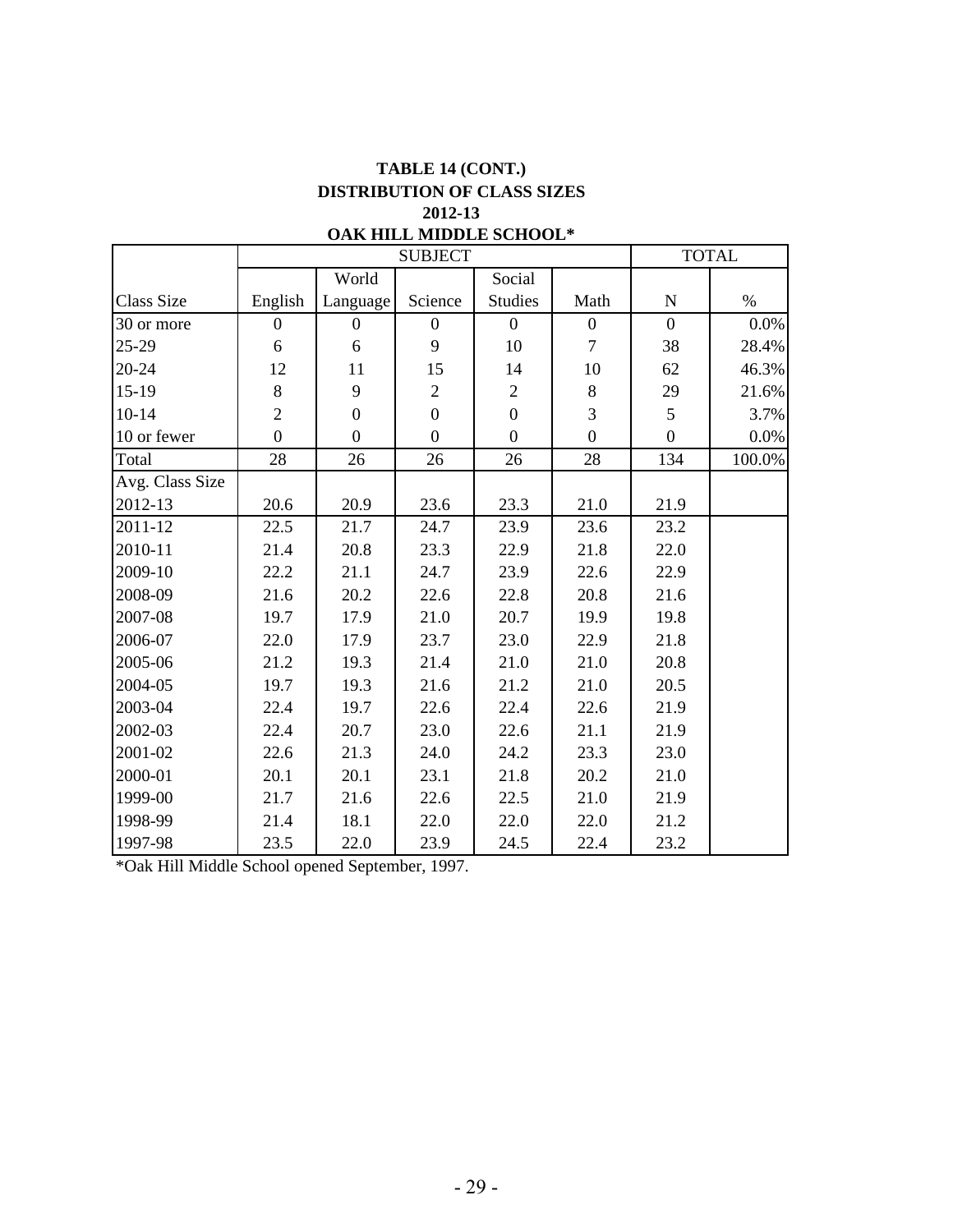## **TABLE 14 (CONT.) 2012-13 DISTRIBUTION OF CLASS SIZES**

|                   |                  |                  | <b>SUBJECT</b>   |                  |                  |                  | <b>TOTAL</b> |
|-------------------|------------------|------------------|------------------|------------------|------------------|------------------|--------------|
|                   |                  | World            |                  | Social           |                  |                  |              |
| <b>Class Size</b> | English          | Language         | Science          | <b>Studies</b>   | Math             | N                | $\%$         |
| 30 or more        | $\boldsymbol{0}$ | $\boldsymbol{0}$ | $\boldsymbol{0}$ | $\boldsymbol{0}$ | $\boldsymbol{0}$ | $\overline{0}$   | 0.0%         |
| 25-29             | 6                | $\sqrt{6}$       | 9                | 10               | $\tau$           | 38               | 28.4%        |
| 20-24             | 12               | 11               | 15               | 14               | 10               | 62               | 46.3%        |
| $15-19$           | 8                | 9                | $\overline{2}$   | $\mathfrak{2}$   | $\, 8$           | 29               | 21.6%        |
| $10 - 14$         | $\overline{2}$   | $\overline{0}$   | $\overline{0}$   | $\overline{0}$   | $\overline{3}$   | 5                | 3.7%         |
| 10 or fewer       | $\overline{0}$   | $\boldsymbol{0}$ | $\overline{0}$   | $\boldsymbol{0}$ | $\overline{0}$   | $\boldsymbol{0}$ | $0.0\%$      |
| Total             | 28               | 26               | 26               | 26               | 28               | 134              | 100.0%       |
| Avg. Class Size   |                  |                  |                  |                  |                  |                  |              |
| 2012-13           | 20.6             | 20.9             | 23.6             | 23.3             | 21.0             | 21.9             |              |
| 2011-12           | 22.5             | 21.7             | 24.7             | 23.9             | 23.6             | 23.2             |              |
| 2010-11           | 21.4             | 20.8             | 23.3             | 22.9             | 21.8             | 22.0             |              |
| 2009-10           | 22.2             | 21.1             | 24.7             | 23.9             | 22.6             | 22.9             |              |
| 2008-09           | 21.6             | 20.2             | 22.6             | 22.8             | 20.8             | 21.6             |              |
| 2007-08           | 19.7             | 17.9             | 21.0             | 20.7             | 19.9             | 19.8             |              |
| 2006-07           | 22.0             | 17.9             | 23.7             | 23.0             | 22.9             | 21.8             |              |
| 2005-06           | 21.2             | 19.3             | 21.4             | 21.0             | 21.0             | 20.8             |              |
| 2004-05           | 19.7             | 19.3             | 21.6             | 21.2             | 21.0             | 20.5             |              |
| 2003-04           | 22.4             | 19.7             | 22.6             | 22.4             | 22.6             | 21.9             |              |
| 2002-03           | 22.4             | 20.7             | 23.0             | 22.6             | 21.1             | 21.9             |              |
| 2001-02           | 22.6             | 21.3             | 24.0             | 24.2             | 23.3             | 23.0             |              |
| 2000-01           | 20.1             | 20.1             | 23.1             | 21.8             | 20.2             | 21.0             |              |
| 1999-00           | 21.7             | 21.6             | 22.6             | 22.5             | 21.0             | 21.9             |              |
| 1998-99           | 21.4             | 18.1             | 22.0             | 22.0             | 22.0             | 21.2             |              |
| 1997-98           | 23.5             | 22.0             | 23.9             | 24.5             | 22.4             | 23.2             |              |

### **OAK HILL MIDDLE SCHOOL\***

\*Oak Hill Middle School opened September, 1997.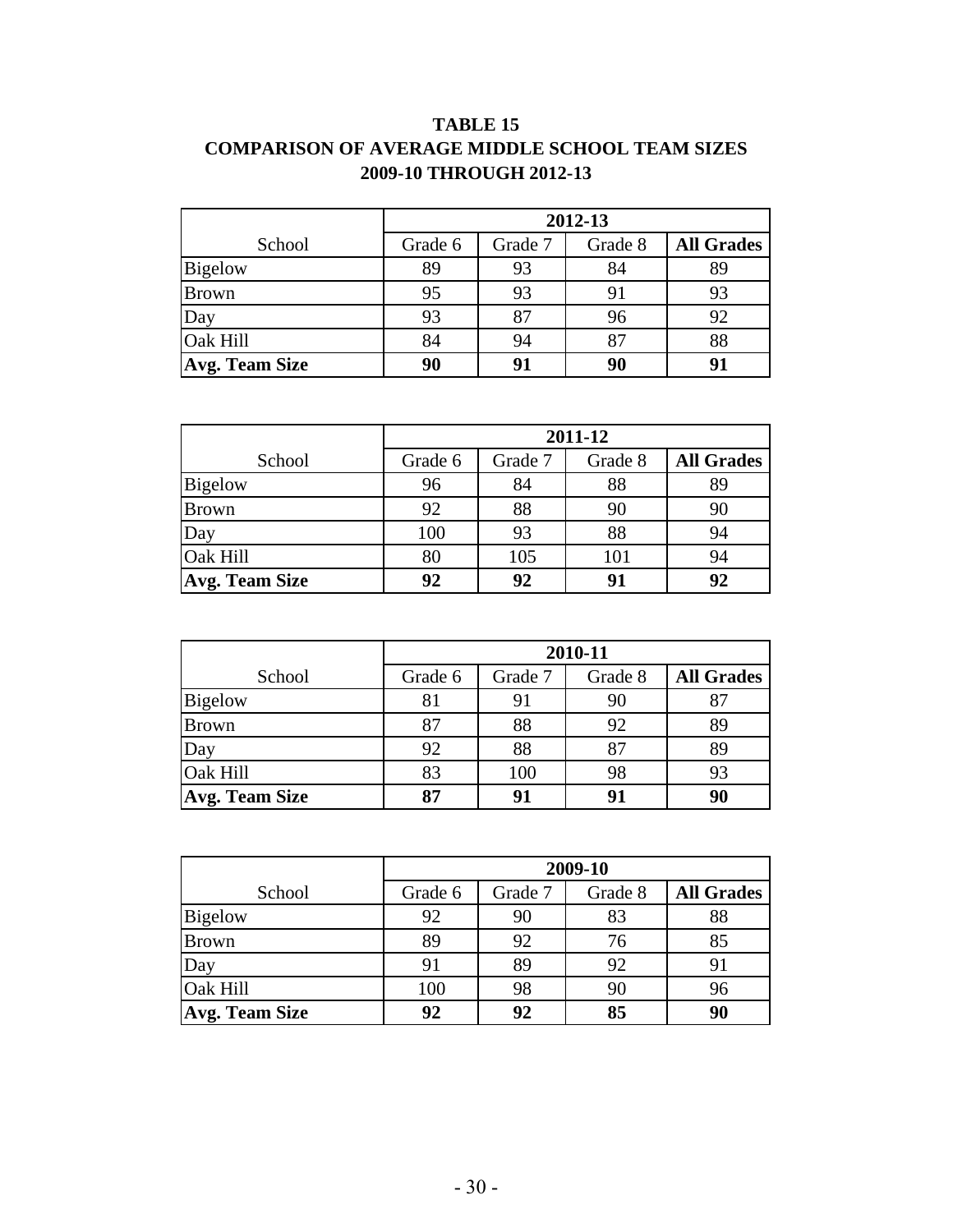## **TABLE 15 COMPARISON OF AVERAGE MIDDLE SCHOOL TEAM SIZES 2009-10 THROUGH 2012-13**

|                       |         |         | 2012-13 |                   |
|-----------------------|---------|---------|---------|-------------------|
| School                | Grade 6 | Grade 7 | Grade 8 | <b>All Grades</b> |
| <b>Bigelow</b>        | 89      | 93      | 84      | 89                |
| <b>Brown</b>          | 95      | 93      | 91      | 93                |
| Day                   | 93      | 87      | 96      | 92                |
| Oak Hill              | 84      | 94      | 87      | 88                |
| <b>Avg. Team Size</b> | 90      | 91      |         | 91                |

|                       |         |         | 2011-12 |                   |
|-----------------------|---------|---------|---------|-------------------|
| School                | Grade 6 | Grade 7 | Grade 8 | <b>All Grades</b> |
| <b>Bigelow</b>        | 96      | 84      | 88      | 89                |
| <b>Brown</b>          | 92      | 88      | 90      | 90                |
| Day                   | 100     | 93      | 88      | 94                |
| <b>Oak Hill</b>       | 80      | 105     | 101     | 94                |
| <b>Avg. Team Size</b> | 92      | 92      | 91      | 92                |

|                       |         |         | 2010-11 |                   |
|-----------------------|---------|---------|---------|-------------------|
| School                | Grade 6 | Grade 7 | Grade 8 | <b>All Grades</b> |
| <b>Bigelow</b>        | 81      | 91      | 90      | 87                |
| <b>Brown</b>          | 87      | 88      | 92      | 89                |
| Day                   | 92      | 88      | 87      | 89                |
| <b>Oak Hill</b>       | 83      | 100     | 98      | 93                |
| <b>Avg. Team Size</b> | 87      | 91      |         | 90                |

|                       |         |         | 2009-10 |                   |
|-----------------------|---------|---------|---------|-------------------|
| School                | Grade 6 | Grade 7 | Grade 8 | <b>All Grades</b> |
| <b>Bigelow</b>        | 92      | 90      | 83      | 88                |
| <b>Brown</b>          | 89      | 92      | 76      | 85                |
| Day                   | 91      | 89      | 92      | 91                |
| Oak Hill              | 100     | 98      | 90      | 96                |
| <b>Avg. Team Size</b> | 92      | 92      | 85      | 90                |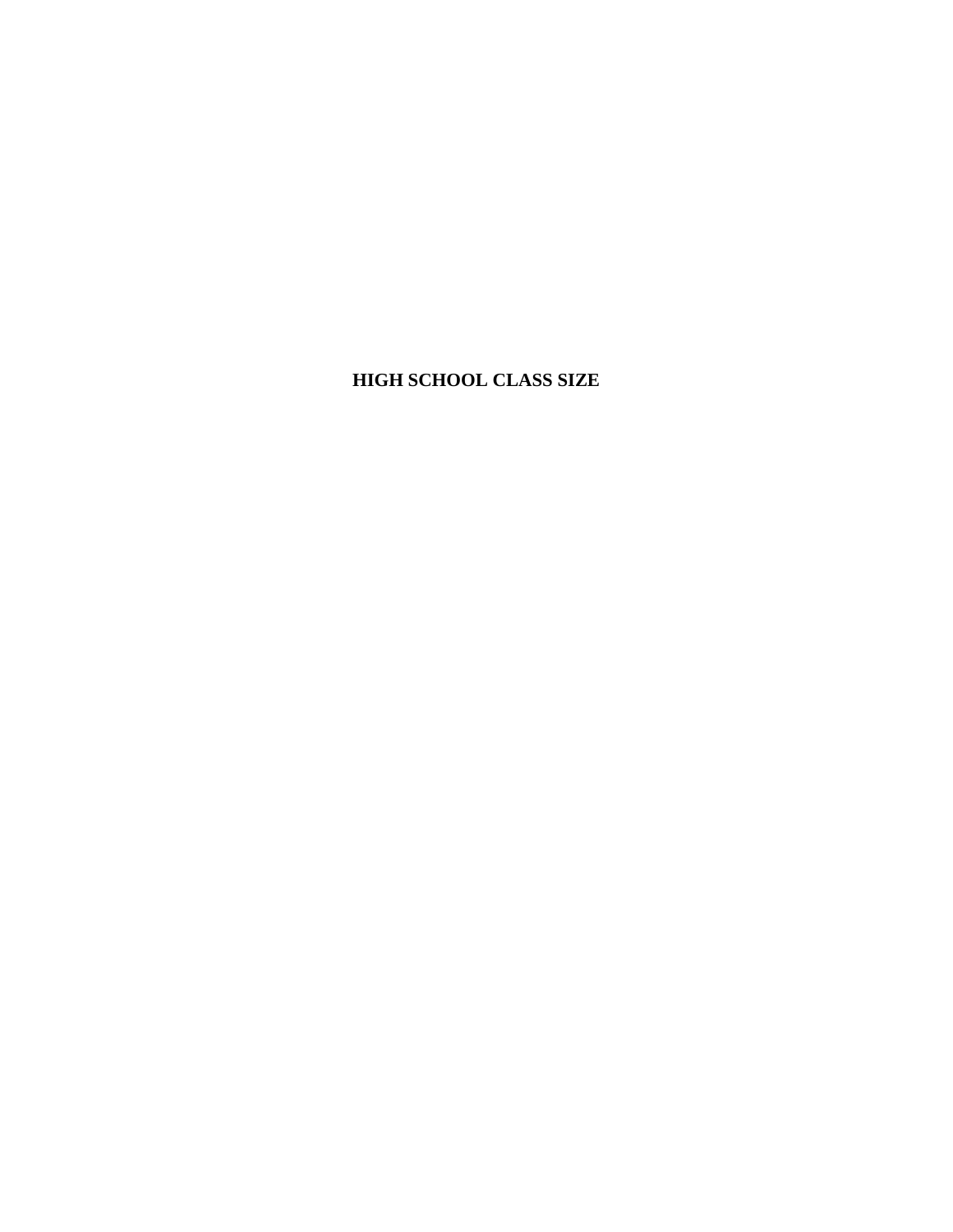## **HIGH SCHOOL CLASS SIZE**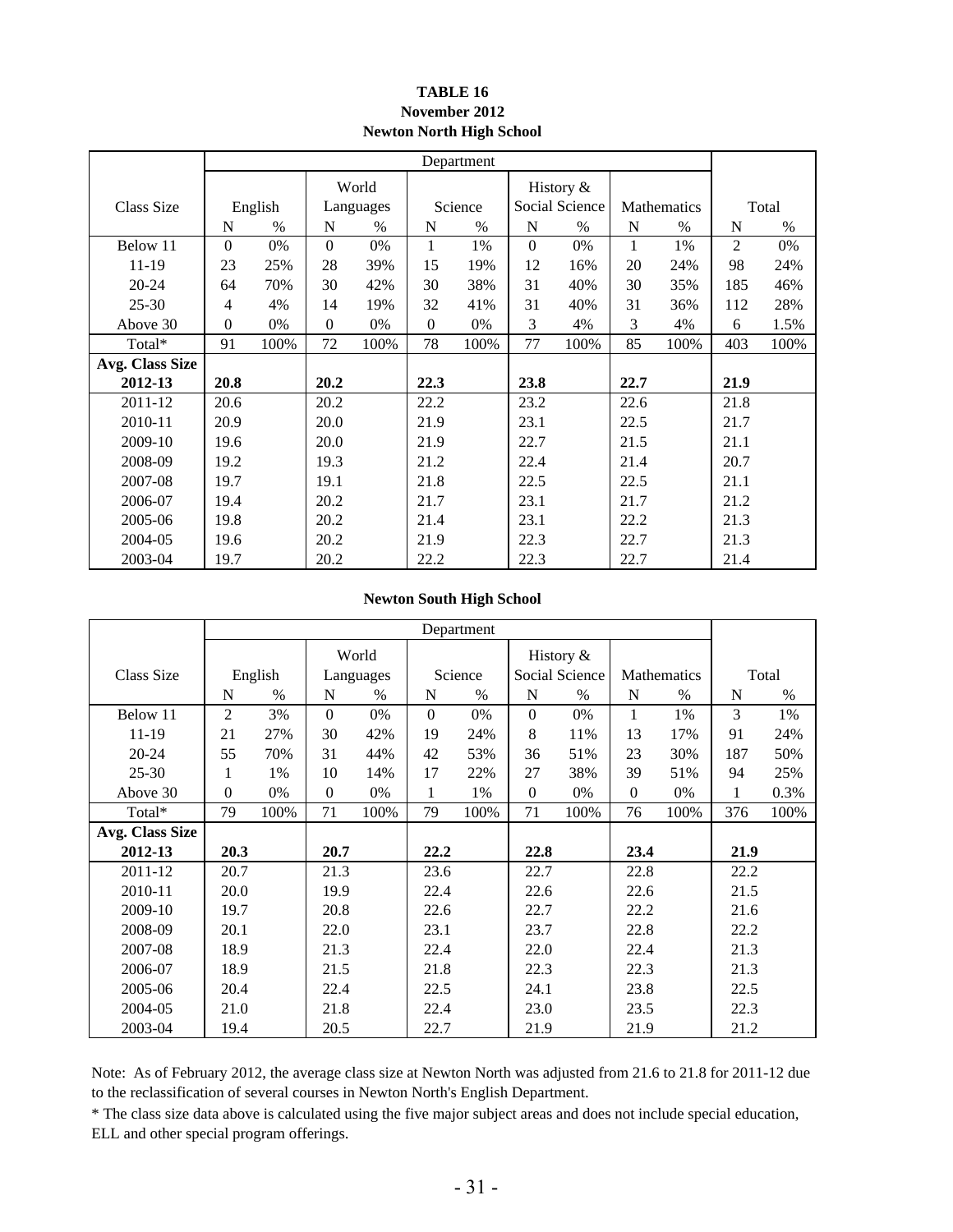#### **Newton North High School TABLE 16 November 2012**

|                 |              |         |          |           |              | Department    |                |                |      |             |      |       |
|-----------------|--------------|---------|----------|-----------|--------------|---------------|----------------|----------------|------|-------------|------|-------|
|                 |              |         |          | World     |              |               |                | History $&$    |      |             |      |       |
| Class Size      |              | English |          | Languages |              | Science       |                | Social Science |      | Mathematics |      | Total |
|                 | N            | $\%$    | N        | $\%$      | N            | $\frac{0}{0}$ | N              | $\%$           | N    | $\%$        | N    | $\%$  |
| Below 11        | $\Omega$     | 0%      | $\Omega$ | 0%        | $\mathbf{1}$ | 1%            | $\overline{0}$ | 0%             | 1    | 1%          | 2    | 0%    |
| 11-19           | 23           | 25%     | 28       | 39%       | 15           | 19%           | 12             | 16%            | 20   | 24%         | 98   | 24%   |
| $20 - 24$       | 64           | 70%     | 30       | 42%       | 30           | 38%           | 31             | 40%            | 30   | 35%         | 185  | 46%   |
| $25 - 30$       | 4            | 4%      | 14       | 19%       | 32           | 41%           | 31             | 40%            | 31   | 36%         | 112  | 28%   |
| Above 30        | $\mathbf{0}$ | 0%      | $\Omega$ | 0%        | $\mathbf{0}$ | 0%            | 3              | 4%             | 3    | 4%          | 6    | 1.5%  |
| Total*          | 91           | 100%    | 72       | 100%      | 78           | 100%          | 77             | 100%           | 85   | 100%        | 403  | 100%  |
| Avg. Class Size |              |         |          |           |              |               |                |                |      |             |      |       |
| 2012-13         | 20.8         |         | 20.2     |           | 22.3         |               | 23.8           |                | 22.7 |             | 21.9 |       |
| 2011-12         | 20.6         |         | 20.2     |           | 22.2         |               | 23.2           |                | 22.6 |             | 21.8 |       |
| 2010-11         | 20.9         |         | 20.0     |           | 21.9         |               | 23.1           |                | 22.5 |             | 21.7 |       |
| 2009-10         | 19.6         |         | 20.0     |           | 21.9         |               | 22.7           |                | 21.5 |             | 21.1 |       |
| 2008-09         | 19.2         |         | 19.3     |           | 21.2         |               | 22.4           |                | 21.4 |             | 20.7 |       |
| 2007-08         | 19.7         |         | 19.1     |           | 21.8         |               | 22.5           |                | 22.5 |             | 21.1 |       |
| 2006-07         | 19.4         |         | 20.2     |           | 21.7         |               | 23.1           |                | 21.7 |             | 21.2 |       |
| 2005-06         | 19.8         |         | 20.2     |           | 21.4         |               | 23.1           |                | 22.2 |             | 21.3 |       |
| 2004-05         | 19.6         |         | 20.2     |           | 21.9         |               | 22.3           |                | 22.7 |             | 21.3 |       |
| 2003-04         | 19.7         |         | 20.2     |           | 22.2         |               | 22.3           |                | 22.7 |             | 21.4 |       |

#### **Newton South High School**

|                 |                |               |          |           |          | Department |          |                |          |               |      |       |
|-----------------|----------------|---------------|----------|-----------|----------|------------|----------|----------------|----------|---------------|------|-------|
|                 |                |               |          | World     |          |            |          | History &      |          |               |      |       |
| Class Size      |                | English       |          | Languages |          | Science    |          | Social Science |          | Mathematics   |      | Total |
|                 | N              | $\frac{0}{0}$ | N        | $\%$      | N        | $\%$       | N        | $\frac{0}{0}$  | N        | $\frac{0}{0}$ | N    | $\%$  |
| Below 11        | $\overline{2}$ | 3%            | $\Omega$ | 0%        | $\Omega$ | $0\%$      | $\Omega$ | 0%             |          | 1%            | 3    | 1%    |
| 11-19           | 21             | 27%           | 30       | 42%       | 19       | 24%        | 8        | 11%            | 13       | 17%           | 91   | 24%   |
| $20 - 24$       | 55             | 70%           | 31       | 44%       | 42       | 53%        | 36       | 51%            | 23       | 30%           | 187  | 50%   |
| $25 - 30$       | 1              | 1%            | 10       | 14%       | 17       | 22%        | 27       | 38%            | 39       | 51%           | 94   | 25%   |
| Above 30        | $\Omega$       | 0%            | $\theta$ | 0%        | 1        | 1%         | $\Omega$ | 0%             | $\Omega$ | 0%            | 1    | 0.3%  |
| Total*          | 79             | 100%          | 71       | 100%      | 79       | 100%       | 71       | 100%           | 76       | 100%          | 376  | 100%  |
| Avg. Class Size |                |               |          |           |          |            |          |                |          |               |      |       |
| 2012-13         | 20.3           |               | 20.7     |           | 22.2     |            | 22.8     |                | 23.4     |               | 21.9 |       |
| 2011-12         | 20.7           |               | 21.3     |           | 23.6     |            | 22.7     |                | 22.8     |               | 22.2 |       |
| 2010-11         | 20.0           |               | 19.9     |           | 22.4     |            | 22.6     |                | 22.6     |               | 21.5 |       |
| 2009-10         | 19.7           |               | 20.8     |           | 22.6     |            | 22.7     |                | 22.2     |               | 21.6 |       |
| 2008-09         | 20.1           |               | 22.0     |           | 23.1     |            | 23.7     |                | 22.8     |               | 22.2 |       |
| 2007-08         | 18.9           |               | 21.3     |           | 22.4     |            | 22.0     |                | 22.4     |               | 21.3 |       |
| 2006-07         | 18.9           |               | 21.5     |           | 21.8     |            | 22.3     |                | 22.3     |               | 21.3 |       |
| 2005-06         | 20.4           |               | 22.4     |           | 22.5     |            | 24.1     |                | 23.8     |               | 22.5 |       |
| 2004-05         | 21.0           |               | 21.8     |           | 22.4     |            | 23.0     |                | 23.5     |               | 22.3 |       |
| 2003-04         | 19.4           |               | 20.5     |           | 22.7     |            | 21.9     |                | 21.9     |               | 21.2 |       |

Note: As of February 2012, the average class size at Newton North was adjusted from 21.6 to 21.8 for 2011-12 due to the reclassification of several courses in Newton North's English Department.

\* The class size data above is calculated using the five major subject areas and does not include special education, ELL and other special program offerings.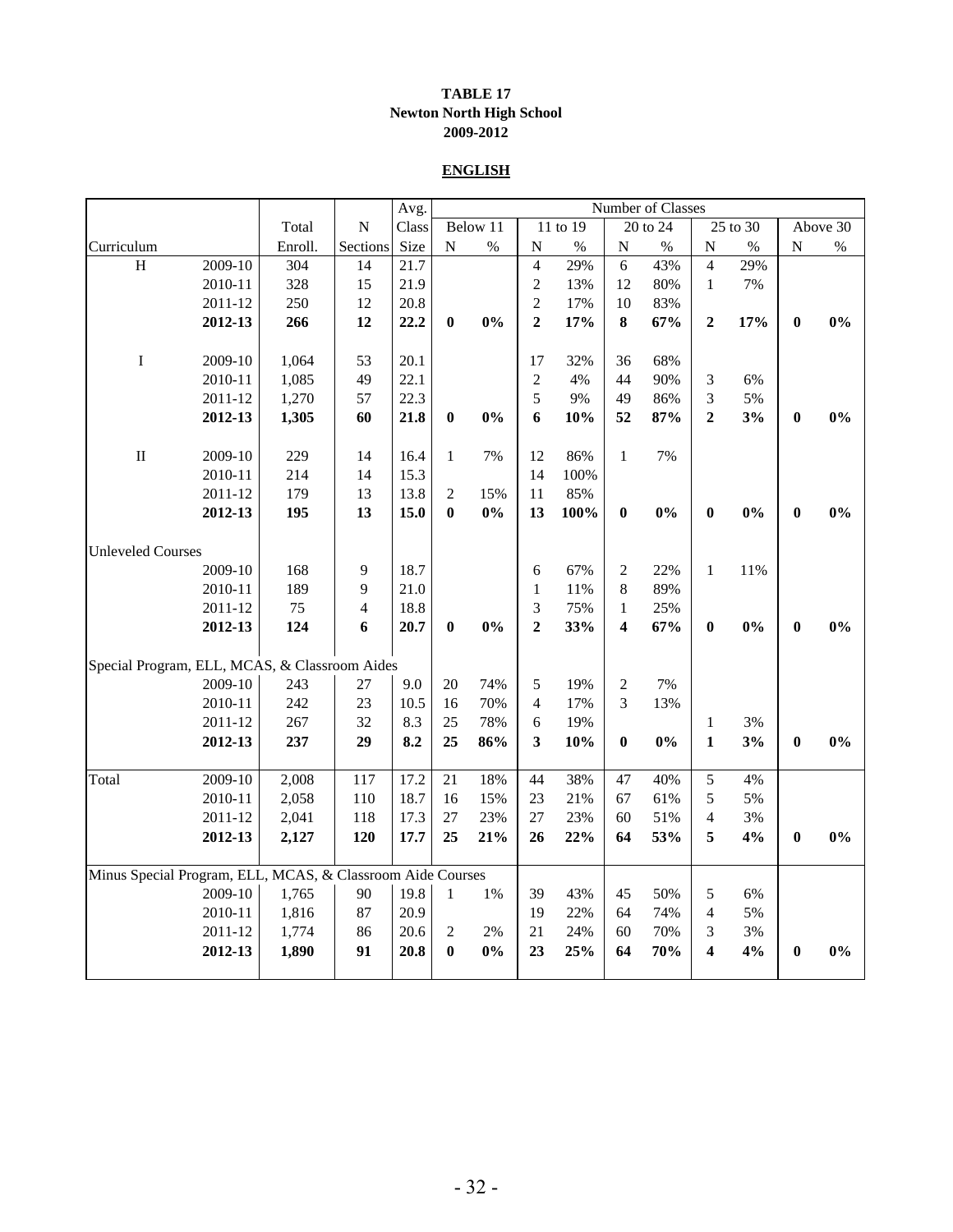#### **TABLE 17 Newton North High School 2009-2012**

#### **ENGLISH**

|                                                            |         |         |           | Avg.  |              |          |                |          |                | Number of Classes |                  |          |                |          |
|------------------------------------------------------------|---------|---------|-----------|-------|--------------|----------|----------------|----------|----------------|-------------------|------------------|----------|----------------|----------|
|                                                            |         | Total   | ${\bf N}$ | Class |              | Below 11 |                | 11 to 19 |                | 20 to 24          |                  | 25 to 30 |                | Above 30 |
| Curriculum                                                 |         | Enroll. | Sections  | Size  | ${\bf N}$    | $\%$     | $\mathbf N$    | $\%$     | ${\bf N}$      | $\%$              | $\mathbf N$      | $\%$     | $\overline{N}$ | $\%$     |
| $\, {\rm H}$                                               | 2009-10 | 304     | 14        | 21.7  |              |          | $\overline{4}$ | 29%      | 6              | 43%               | $\overline{4}$   | 29%      |                |          |
|                                                            | 2010-11 | 328     | 15        | 21.9  |              |          | $\overline{c}$ | 13%      | 12             | 80%               | $\mathbf{1}$     | 7%       |                |          |
|                                                            | 2011-12 | 250     | 12        | 20.8  |              |          | $\sqrt{2}$     | 17%      | 10             | 83%               |                  |          |                |          |
|                                                            | 2012-13 | 266     | 12        | 22.2  | $\bf{0}$     | $0\%$    | $\overline{2}$ | 17%      | 8              | 67%               | $\overline{2}$   | 17%      | $\bf{0}$       | 0%       |
| $\bf I$                                                    | 2009-10 | 1,064   | 53        | 20.1  |              |          | 17             | 32%      | 36             | 68%               |                  |          |                |          |
|                                                            | 2010-11 | 1,085   | 49        | 22.1  |              |          | $\sqrt{2}$     | 4%       | 44             | 90%               | 3                | 6%       |                |          |
|                                                            | 2011-12 | 1,270   | 57        | 22.3  |              |          | 5              | 9%       | 49             | 86%               | 3                | 5%       |                |          |
|                                                            | 2012-13 | 1,305   | 60        | 21.8  | $\bf{0}$     | 0%       | 6              | 10%      | 52             | 87%               | $\mathbf{2}$     | 3%       | $\bf{0}$       | 0%       |
| $\rm II$                                                   | 2009-10 | 229     | 14        | 16.4  | $\mathbf 1$  | 7%       | 12             | 86%      | $\mathbf{1}$   | 7%                |                  |          |                |          |
|                                                            | 2010-11 | 214     | 14        | 15.3  |              |          | 14             | 100%     |                |                   |                  |          |                |          |
|                                                            | 2011-12 | 179     | 13        | 13.8  | $\sqrt{2}$   | 15%      | 11             | 85%      |                |                   |                  |          |                |          |
|                                                            | 2012-13 | 195     | 13        | 15.0  | $\bf{0}$     | 0%       | 13             | 100%     | $\bf{0}$       | 0%                | $\boldsymbol{0}$ | 0%       | $\bf{0}$       | 0%       |
| <b>Unleveled Courses</b>                                   |         |         |           |       |              |          |                |          |                |                   |                  |          |                |          |
|                                                            | 2009-10 | 168     | 9         | 18.7  |              |          | 6              | 67%      | 2              | 22%               | $\mathbf{1}$     | 11%      |                |          |
|                                                            | 2010-11 | 189     | 9         | 21.0  |              |          | $\mathbf{1}$   | 11%      | 8              | 89%               |                  |          |                |          |
|                                                            | 2011-12 | 75      | 4         | 18.8  |              |          | 3              | 75%      | $\mathbf{1}$   | 25%               |                  |          |                |          |
|                                                            | 2012-13 | 124     | 6         | 20.7  | $\bf{0}$     | $0\%$    | $\mathbf{2}$   | 33%      | 4              | 67%               | $\bf{0}$         | $0\%$    | $\bf{0}$       | 0%       |
| Special Program, ELL, MCAS, & Classroom Aides              |         |         |           |       |              |          |                |          |                |                   |                  |          |                |          |
|                                                            | 2009-10 | 243     | 27        | 9.0   | 20           | 74%      | 5              | 19%      | $\overline{c}$ | 7%                |                  |          |                |          |
|                                                            | 2010-11 | 242     | 23        | 10.5  | 16           | 70%      | $\overline{4}$ | 17%      | 3              | 13%               |                  |          |                |          |
|                                                            | 2011-12 | 267     | 32        | 8.3   | 25           | 78%      | 6              | 19%      |                |                   | $\mathbf{1}$     | 3%       |                |          |
|                                                            | 2012-13 | 237     | 29        | 8.2   | 25           | 86%      | 3              | 10%      | $\bf{0}$       | 0%                | $\mathbf{1}$     | 3%       | $\bf{0}$       | $0\%$    |
| Total                                                      | 2009-10 | 2,008   | 117       | 17.2  | 21           | 18%      | 44             | 38%      | 47             | 40%               | 5                | 4%       |                |          |
|                                                            | 2010-11 | 2,058   | 110       | 18.7  | 16           | 15%      | 23             | 21%      | 67             | 61%               | 5                | 5%       |                |          |
|                                                            | 2011-12 | 2,041   | 118       | 17.3  | 27           | 23%      | $27\,$         | 23%      | 60             | 51%               | $\overline{4}$   | 3%       |                |          |
|                                                            | 2012-13 | 2,127   | 120       | 17.7  | 25           | 21%      | 26             | 22%      | 64             | 53%               | 5                | 4%       | $\bf{0}$       | 0%       |
| Minus Special Program, ELL, MCAS, & Classroom Aide Courses |         |         |           |       |              |          |                |          |                |                   |                  |          |                |          |
|                                                            | 2009-10 | 1,765   | 90        | 19.8  | $\mathbf{1}$ | 1%       | 39             | 43%      | 45             | 50%               | 5                | 6%       |                |          |
|                                                            | 2010-11 | 1,816   | 87        | 20.9  |              |          | 19             | 22%      | 64             | 74%               | $\overline{4}$   | 5%       |                |          |
|                                                            | 2011-12 | 1,774   | 86        | 20.6  | $\sqrt{2}$   | 2%       | 21             | 24%      | 60             | 70%               | 3                | 3%       |                |          |
|                                                            | 2012-13 | 1,890   | 91        | 20.8  | $\bf{0}$     | 0%       | 23             | 25%      | 64             | 70%               | 4                | 4%       | $\bf{0}$       | 0%       |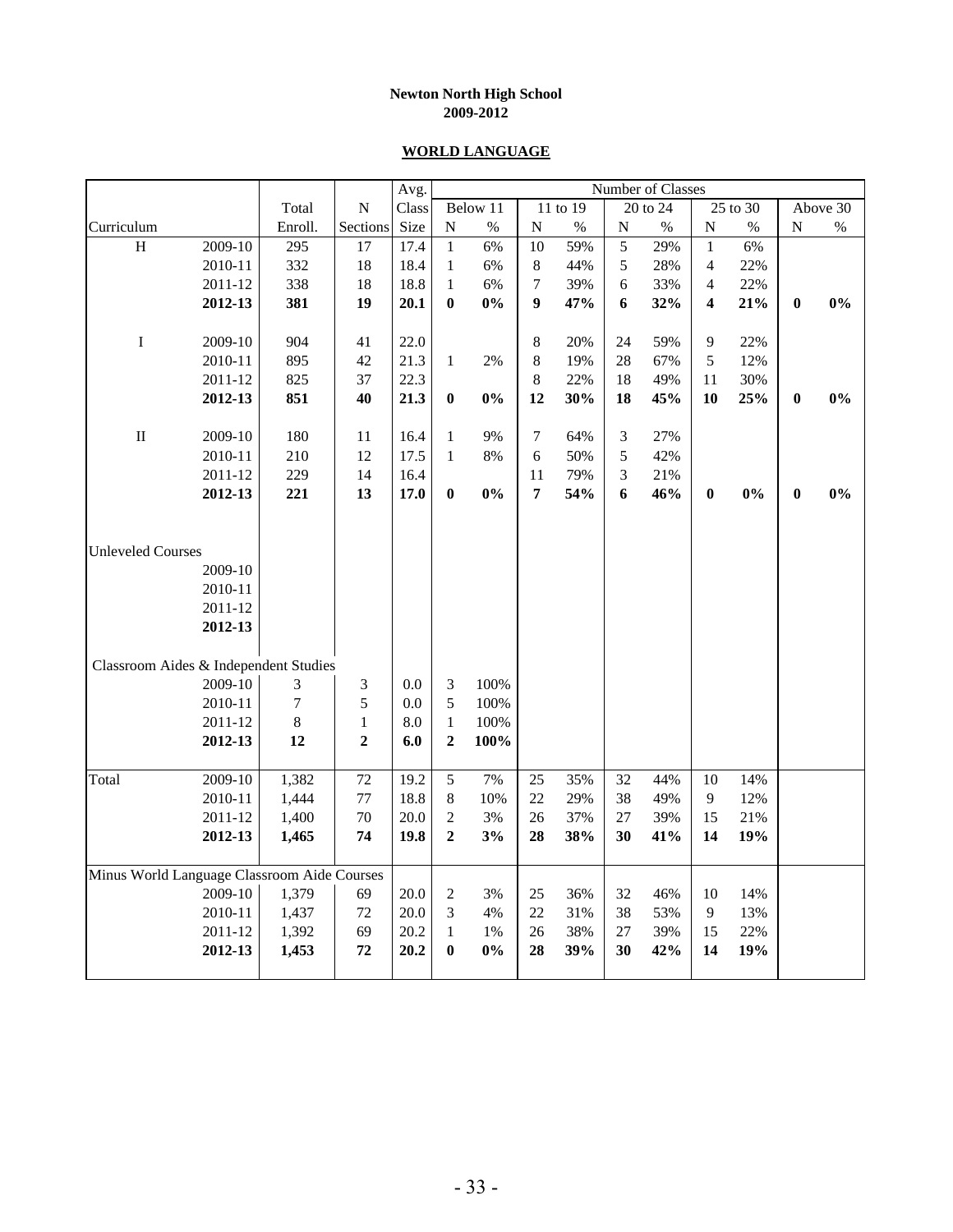### **WORLD LANGUAGE**

|                                             |         |         |                | Avg.  |                  |          |                  |          |           | Number of Classes |                          |          |                  |          |
|---------------------------------------------|---------|---------|----------------|-------|------------------|----------|------------------|----------|-----------|-------------------|--------------------------|----------|------------------|----------|
|                                             |         | Total   | N              | Class |                  | Below 11 |                  | 11 to 19 |           | 20 to 24          |                          | 25 to 30 |                  | Above 30 |
| Curriculum                                  |         | Enroll. | Sections       | Size  | ${\bf N}$        | $\%$     | ${\bf N}$        | $\%$     | ${\bf N}$ | $\%$              | $\overline{N}$           | $\%$     | ${\bf N}$        | $\%$     |
| $\, {\rm H}$                                | 2009-10 | 295     | 17             | 17.4  | $\mathbf{1}$     | 6%       | 10               | 59%      | 5         | 29%               | $\mathbf{1}$             | 6%       |                  |          |
|                                             | 2010-11 | 332     | 18             | 18.4  | 1                | 6%       | $8\,$            | 44%      | 5         | 28%               | $\overline{\mathcal{A}}$ | 22%      |                  |          |
|                                             | 2011-12 | 338     | 18             | 18.8  | $\mathbf{1}$     | 6%       | $\boldsymbol{7}$ | 39%      | 6         | 33%               | $\overline{\mathbf{4}}$  | 22%      |                  |          |
|                                             | 2012-13 | 381     | 19             | 20.1  | $\bf{0}$         | 0%       | $\boldsymbol{9}$ | 47%      | 6         | 32%               | 4                        | 21%      | $\boldsymbol{0}$ | 0%       |
|                                             |         |         |                |       |                  |          |                  |          |           |                   |                          |          |                  |          |
| $\bf I$                                     | 2009-10 | 904     | 41             | 22.0  |                  |          | $\,8\,$          | 20%      | 24        | 59%               | 9                        | 22%      |                  |          |
|                                             | 2010-11 | 895     | 42             | 21.3  | $\mathbf{1}$     | 2%       | $\,8\,$          | 19%      | 28        | 67%               | 5                        | 12%      |                  |          |
|                                             | 2011-12 | 825     | 37             | 22.3  |                  |          | $\,8\,$          | 22%      | 18        | 49%               | 11                       | 30%      |                  |          |
|                                             | 2012-13 | 851     | 40             | 21.3  | $\boldsymbol{0}$ | $0\%$    | 12               | 30%      | 18        | 45%               | 10                       | 25%      | $\pmb{0}$        | $0\%$    |
| $\rm II$                                    | 2009-10 | 180     | 11             | 16.4  | $\mathbf{1}$     | 9%       | $\overline{7}$   | 64%      | 3         | 27%               |                          |          |                  |          |
|                                             | 2010-11 | 210     | 12             | 17.5  | $\mathbf{1}$     | 8%       | 6                | 50%      | 5         | 42%               |                          |          |                  |          |
|                                             | 2011-12 | 229     | 14             | 16.4  |                  |          | 11               | 79%      | 3         | 21%               |                          |          |                  |          |
|                                             | 2012-13 | 221     | 13             | 17.0  | $\bf{0}$         | 0%       | $\overline{7}$   | 54%      | 6         | 46%               | $\boldsymbol{0}$         | 0%       | $\bf{0}$         | 0%       |
|                                             |         |         |                |       |                  |          |                  |          |           |                   |                          |          |                  |          |
|                                             |         |         |                |       |                  |          |                  |          |           |                   |                          |          |                  |          |
| <b>Unleveled Courses</b>                    |         |         |                |       |                  |          |                  |          |           |                   |                          |          |                  |          |
|                                             | 2009-10 |         |                |       |                  |          |                  |          |           |                   |                          |          |                  |          |
|                                             | 2010-11 |         |                |       |                  |          |                  |          |           |                   |                          |          |                  |          |
|                                             | 2011-12 |         |                |       |                  |          |                  |          |           |                   |                          |          |                  |          |
|                                             | 2012-13 |         |                |       |                  |          |                  |          |           |                   |                          |          |                  |          |
| Classroom Aides & Independent Studies       |         |         |                |       |                  |          |                  |          |           |                   |                          |          |                  |          |
|                                             | 2009-10 | 3       | 3              | 0.0   | 3                | 100%     |                  |          |           |                   |                          |          |                  |          |
|                                             | 2010-11 | $\tau$  | 5              | 0.0   | 5                | 100%     |                  |          |           |                   |                          |          |                  |          |
|                                             | 2011-12 | 8       | $\,1\,$        | 8.0   | $\mathbf{1}$     | 100%     |                  |          |           |                   |                          |          |                  |          |
|                                             | 2012-13 | 12      | $\overline{2}$ | 6.0   | $\mathbf{2}$     | 100%     |                  |          |           |                   |                          |          |                  |          |
|                                             |         |         |                |       |                  |          |                  |          |           |                   |                          |          |                  |          |
| Total                                       | 2009-10 | 1,382   | $72\,$         | 19.2  | 5                | 7%       | 25               | 35%      | 32        | 44%               | 10                       | 14%      |                  |          |
|                                             | 2010-11 | 1,444   | $77\,$         | 18.8  | $8\,$            | 10%      | 22               | 29%      | 38        | 49%               | $\mathbf{9}$             | 12%      |                  |          |
|                                             | 2011-12 | 1,400   | 70             | 20.0  | $\overline{c}$   | 3%       | 26               | 37%      | 27        | 39%               | 15                       | 21%      |                  |          |
|                                             | 2012-13 | 1,465   | 74             | 19.8  | $\overline{2}$   | 3%       | 28               | 38%      | 30        | 41%               | 14                       | 19%      |                  |          |
| Minus World Language Classroom Aide Courses |         |         |                |       |                  |          |                  |          |           |                   |                          |          |                  |          |
|                                             | 2009-10 | 1,379   | 69             | 20.0  | $\boldsymbol{2}$ | 3%       | 25               | 36%      | 32        | 46%               | $10\,$                   | 14%      |                  |          |
|                                             | 2010-11 | 1,437   | $72\,$         | 20.0  | 3                | 4%       | 22               | 31%      | 38        | 53%               | $\overline{9}$           | 13%      |                  |          |
|                                             | 2011-12 | 1,392   | 69             | 20.2  | $\mathbf{1}$     | 1%       | 26               | 38%      | 27        | 39%               | 15                       | 22%      |                  |          |
|                                             | 2012-13 | 1,453   | 72             | 20.2  | $\bf{0}$         | $0\%$    | 28               | 39%      | 30        | 42%               | 14                       | 19%      |                  |          |
|                                             |         |         |                |       |                  |          |                  |          |           |                   |                          |          |                  |          |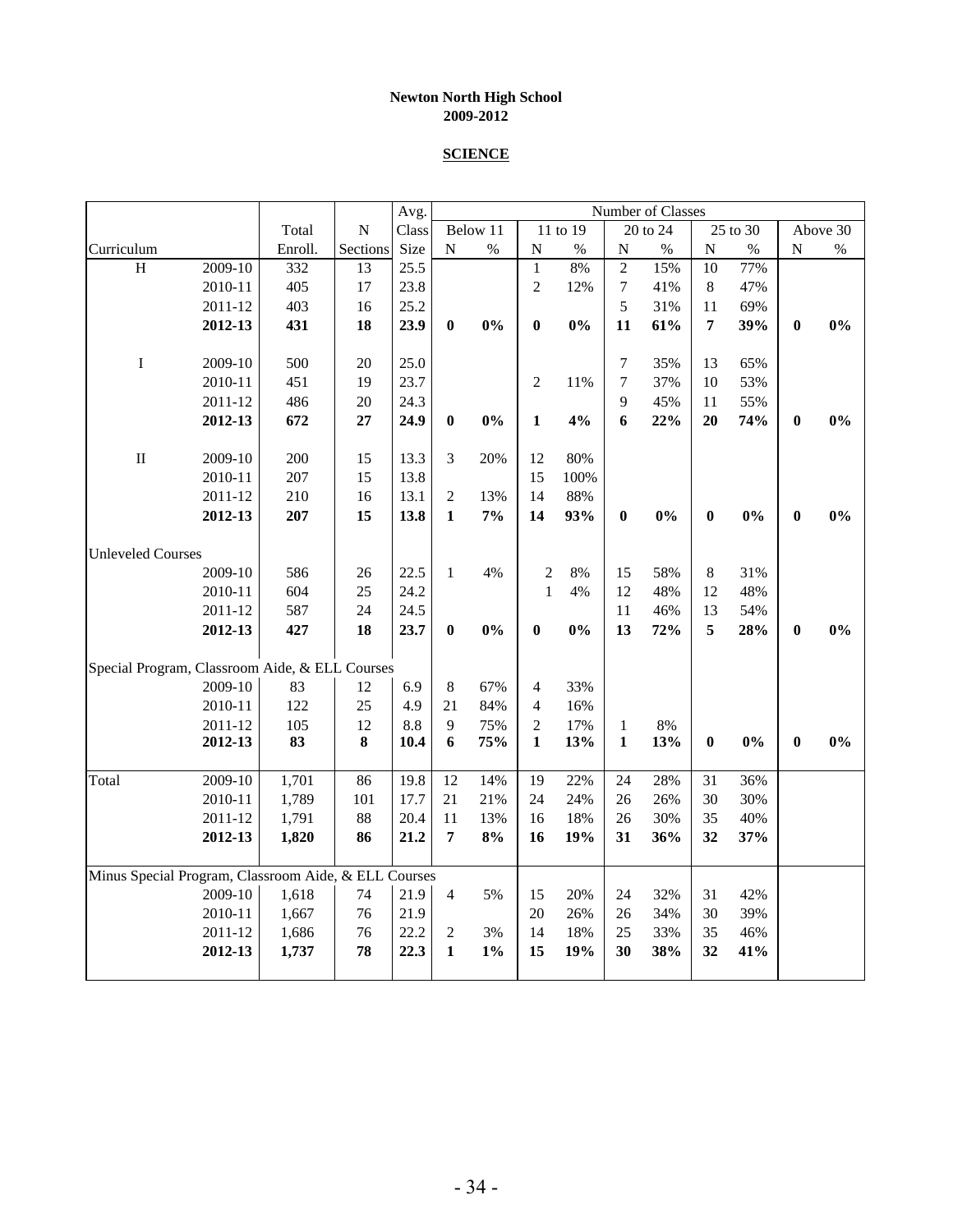#### **SCIENCE**

|                                                      |         |         |                | Avg.  |                  |          |                          |          |                  | Number of Classes |                |          |                  |          |
|------------------------------------------------------|---------|---------|----------------|-------|------------------|----------|--------------------------|----------|------------------|-------------------|----------------|----------|------------------|----------|
|                                                      |         | Total   | $\overline{N}$ | Class |                  | Below 11 |                          | 11 to 19 |                  | 20 to 24          |                | 25 to 30 |                  | Above 30 |
| Curriculum                                           |         | Enroll. | Sections       | Size  | ${\bf N}$        | $\%$     | $\mathbf N$              | $\%$     | $\overline{N}$   | $\%$              | ${\bf N}$      | $\%$     | ${\bf N}$        | $\%$     |
| $\boldsymbol{\mathrm{H}}$                            | 2009-10 | 332     | 13             | 25.5  |                  |          | $\mathbf{1}$             | 8%       | $\overline{c}$   | 15%               | 10             | 77%      |                  |          |
|                                                      | 2010-11 | 405     | 17             | 23.8  |                  |          | $\overline{2}$           | 12%      | $\boldsymbol{7}$ | 41%               | $8\,$          | 47%      |                  |          |
|                                                      | 2011-12 | 403     | 16             | 25.2  |                  |          |                          |          | 5                | 31%               | 11             | 69%      |                  |          |
|                                                      | 2012-13 | 431     | 18             | 23.9  | $\bf{0}$         | 0%       | $\bf{0}$                 | $0\%$    | 11               | 61%               | $\overline{7}$ | 39%      | $\boldsymbol{0}$ | 0%       |
|                                                      |         |         |                |       |                  |          |                          |          |                  |                   |                |          |                  |          |
| $\bf I$                                              | 2009-10 | 500     | 20             | 25.0  |                  |          |                          |          | 7                | 35%               | 13             | 65%      |                  |          |
|                                                      | 2010-11 | 451     | 19             | 23.7  |                  |          | $\overline{2}$           | 11%      | $\boldsymbol{7}$ | 37%               | 10             | 53%      |                  |          |
|                                                      | 2011-12 | 486     | 20             | 24.3  |                  |          |                          |          | 9                | 45%               | 11             | 55%      |                  |          |
|                                                      | 2012-13 | 672     | 27             | 24.9  | $\boldsymbol{0}$ | $0\%$    | $\mathbf{1}$             | 4%       | 6                | 22%               | 20             | 74%      | $\boldsymbol{0}$ | 0%       |
|                                                      |         |         |                |       |                  |          |                          |          |                  |                   |                |          |                  |          |
| $\rm II$                                             | 2009-10 | 200     | 15             | 13.3  | 3                | 20%      | 12                       | 80%      |                  |                   |                |          |                  |          |
|                                                      | 2010-11 | 207     | 15             | 13.8  |                  |          | 15                       | 100%     |                  |                   |                |          |                  |          |
|                                                      | 2011-12 | 210     | 16             | 13.1  | $\overline{2}$   | 13%      | 14                       | 88%      |                  |                   |                |          |                  |          |
|                                                      | 2012-13 | 207     | 15             | 13.8  | $\mathbf{1}$     | 7%       | 14                       | 93%      | $\bf{0}$         | 0%                | $\bf{0}$       | 0%       | $\bf{0}$         | 0%       |
| <b>Unleveled Courses</b>                             |         |         |                |       |                  |          |                          |          |                  |                   |                |          |                  |          |
|                                                      | 2009-10 | 586     | 26             | 22.5  | $\mathbf{1}$     | 4%       | $\overline{c}$           | 8%       | 15               | 58%               | 8              | 31%      |                  |          |
|                                                      | 2010-11 | 604     | 25             | 24.2  |                  |          | $\mathbf{1}$             | 4%       | 12               | 48%               | 12             | 48%      |                  |          |
|                                                      | 2011-12 | 587     | 24             | 24.5  |                  |          |                          |          | 11               | 46%               | 13             | 54%      |                  |          |
|                                                      | 2012-13 | 427     | 18             | 23.7  | $\boldsymbol{0}$ | 0%       | $\bf{0}$                 | 0%       | 13               | 72%               | 5              | 28%      | $\bf{0}$         | 0%       |
| Special Program, Classroom Aide, & ELL Courses       |         |         |                |       |                  |          |                          |          |                  |                   |                |          |                  |          |
|                                                      | 2009-10 | 83      | 12             | 6.9   | 8                | 67%      | $\overline{\mathcal{A}}$ | 33%      |                  |                   |                |          |                  |          |
|                                                      | 2010-11 | 122     | 25             | 4.9   | 21               | 84%      | $\overline{4}$           | 16%      |                  |                   |                |          |                  |          |
|                                                      | 2011-12 | 105     | 12             | 8.8   | 9                | 75%      | $\overline{2}$           | 17%      | $\mathbf{1}$     | 8%                |                |          |                  |          |
|                                                      | 2012-13 | 83      | 8              | 10.4  | 6                | 75%      | $\mathbf{1}$             | 13%      | $\mathbf{1}$     | 13%               | $\bf{0}$       | $0\%$    | $\boldsymbol{0}$ | 0%       |
| Total                                                | 2009-10 | 1,701   | 86             | 19.8  | 12               | 14%      | 19                       | 22%      | 24               | 28%               | 31             | 36%      |                  |          |
|                                                      | 2010-11 | 1,789   | 101            | 17.7  | 21               | 21%      | 24                       | 24%      | 26               | 26%               | 30             | 30%      |                  |          |
|                                                      | 2011-12 | 1,791   | 88             | 20.4  | 11               | 13%      | 16                       | 18%      | 26               | 30%               | 35             | 40%      |                  |          |
|                                                      | 2012-13 | 1,820   | 86             | 21.2  | 7                | 8%       | 16                       | 19%      | 31               | 36%               | 32             | 37%      |                  |          |
|                                                      |         |         |                |       |                  |          |                          |          |                  |                   |                |          |                  |          |
| Minus Special Program, Classroom Aide, & ELL Courses |         |         |                |       |                  |          |                          |          |                  |                   |                |          |                  |          |
|                                                      | 2009-10 | 1,618   | 74             | 21.9  | $\overline{4}$   | 5%       | 15                       | 20%      | 24               | 32%               | 31             | 42%      |                  |          |
|                                                      | 2010-11 | 1,667   | 76             | 21.9  |                  |          | 20                       | 26%      | 26               | 34%               | 30             | 39%      |                  |          |
|                                                      | 2011-12 | 1,686   | 76             | 22.2  | $\overline{2}$   | 3%       | 14                       | 18%      | 25               | 33%               | 35             | 46%      |                  |          |
|                                                      | 2012-13 | 1,737   | 78             | 22.3  | $\mathbf{1}$     | $1\%$    | 15                       | 19%      | 30               | 38%               | 32             | 41%      |                  |          |
|                                                      |         |         |                |       |                  |          |                          |          |                  |                   |                |          |                  |          |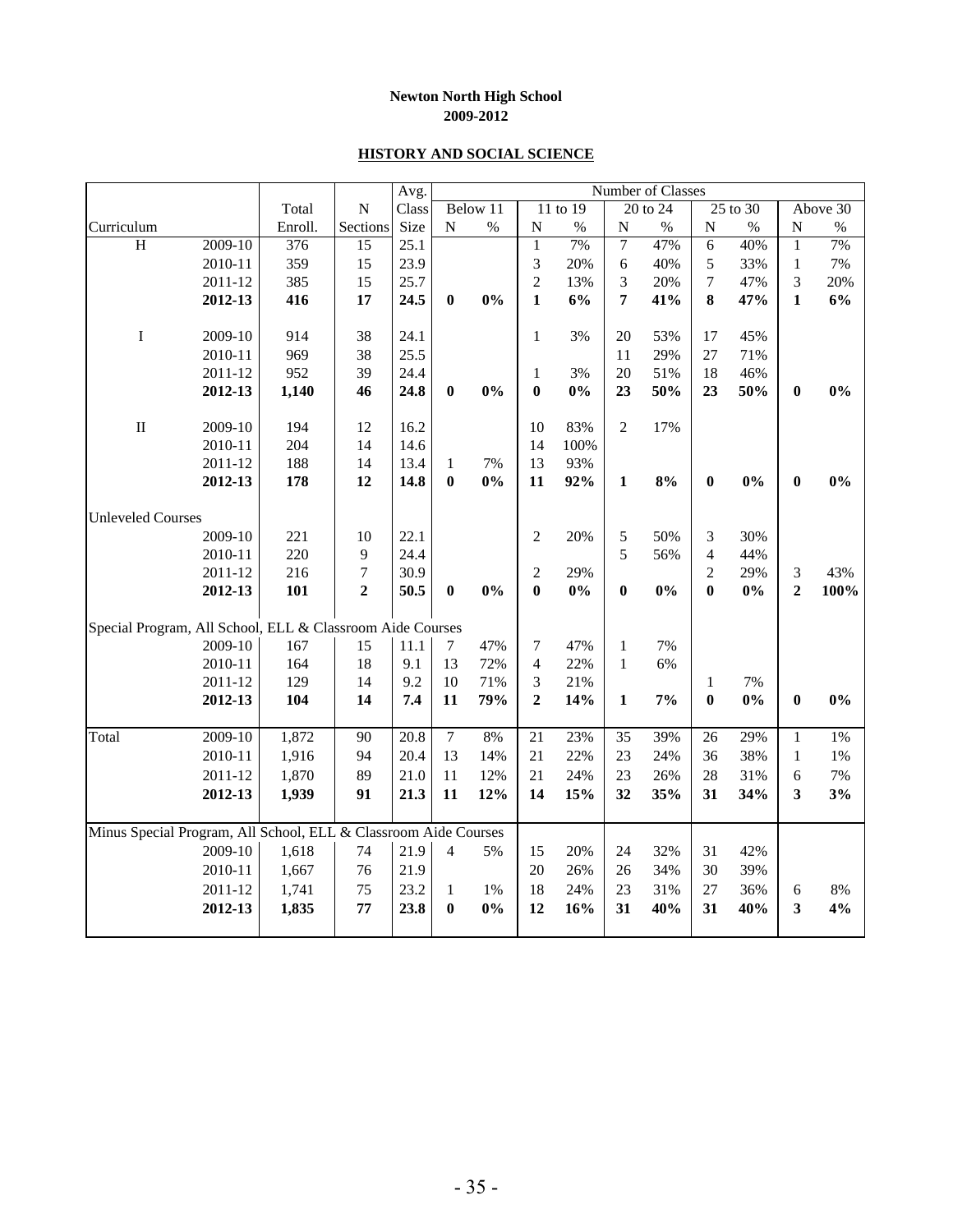#### **HISTORY AND SOCIAL SCIENCE**

|                                                                 |           |         |                  | Avg.  |                |          |                |          |                | Number of Classes |                         |          |                         |          |
|-----------------------------------------------------------------|-----------|---------|------------------|-------|----------------|----------|----------------|----------|----------------|-------------------|-------------------------|----------|-------------------------|----------|
|                                                                 |           | Total   | ${\bf N}$        | Class |                | Below 11 |                | 11 to 19 |                | 20 to 24          |                         | 25 to 30 |                         | Above 30 |
| Curriculum                                                      |           | Enroll. | Sections         | Size  | ${\bf N}$      | $\%$     | $\mathbf N$    | $\%$     | ${\bf N}$      | $\%$              | $\overline{N}$          | $\%$     | $\mathbf N$             | $\%$     |
| H                                                               | $2009-10$ | 376     | 15               | 25.1  |                |          | $\mathbf{1}$   | 7%       | $\overline{7}$ | 47%               | $\overline{6}$          | 40%      | $\mathbf{1}$            | 7%       |
|                                                                 | 2010-11   | 359     | 15               | 23.9  |                |          | 3              | 20%      | 6              | 40%               | 5                       | 33%      | $\mathbf 1$             | 7%       |
|                                                                 | 2011-12   | 385     | 15               | 25.7  |                |          | $\overline{2}$ | 13%      | 3              | 20%               | 7                       | 47%      | 3                       | 20%      |
|                                                                 | 2012-13   | 416     | 17               | 24.5  | $\bf{0}$       | 0%       | $\mathbf{1}$   | 6%       | $\overline{7}$ | 41%               | 8                       | 47%      | $\mathbf{1}$            | 6%       |
| $\bf I$                                                         | 2009-10   | 914     | 38               | 24.1  |                |          | $\mathbf{1}$   | 3%       | 20             | 53%               | 17                      | 45%      |                         |          |
|                                                                 | 2010-11   | 969     | 38               | 25.5  |                |          |                |          | 11             | 29%               | 27                      | 71%      |                         |          |
|                                                                 | 2011-12   | 952     | 39               | 24.4  |                |          | $\mathbf{1}$   | 3%       | 20             | 51%               | 18                      | 46%      |                         |          |
|                                                                 | 2012-13   | 1,140   | 46               | 24.8  | $\bf{0}$       | 0%       | $\bf{0}$       | 0%       | 23             | 50%               | 23                      | 50%      | $\bf{0}$                | 0%       |
|                                                                 |           |         |                  |       |                |          |                |          |                |                   |                         |          |                         |          |
| $\rm II$                                                        | 2009-10   | 194     | 12               | 16.2  |                |          | 10             | 83%      | $\overline{2}$ | 17%               |                         |          |                         |          |
|                                                                 | 2010-11   | 204     | 14               | 14.6  |                |          | 14             | 100%     |                |                   |                         |          |                         |          |
|                                                                 | 2011-12   | 188     | 14               | 13.4  | 1              | 7%       | 13             | 93%      |                |                   |                         |          |                         |          |
|                                                                 | 2012-13   | 178     | 12               | 14.8  | $\bf{0}$       | 0%       | 11             | 92%      | $\mathbf 1$    | 8%                | $\boldsymbol{0}$        | 0%       | $\boldsymbol{0}$        | 0%       |
| <b>Unleveled Courses</b>                                        |           |         |                  |       |                |          |                |          |                |                   |                         |          |                         |          |
|                                                                 | 2009-10   | 221     | 10               | 22.1  |                |          | $\overline{2}$ | 20%      | 5              | 50%               | 3                       | 30%      |                         |          |
|                                                                 | 2010-11   | 220     | 9                | 24.4  |                |          |                |          | 5              | 56%               | $\overline{\mathbf{4}}$ | 44%      |                         |          |
|                                                                 | 2011-12   | 216     | $\boldsymbol{7}$ | 30.9  |                |          | $\sqrt{2}$     | 29%      |                |                   | $\overline{c}$          | 29%      | $\mathfrak{Z}$          | 43%      |
|                                                                 | 2012-13   | 101     | $\overline{2}$   | 50.5  | $\bf{0}$       | 0%       | $\bf{0}$       | $0\%$    | $\bf{0}$       | 0%                | $\bf{0}$                | 0%       | $\overline{2}$          | 100%     |
| Special Program, All School, ELL & Classroom Aide Courses       |           |         |                  |       |                |          |                |          |                |                   |                         |          |                         |          |
|                                                                 | 2009-10   | 167     | 15               | 11.1  | 7              | 47%      | 7              | 47%      | $\,1\,$        | 7%                |                         |          |                         |          |
|                                                                 | 2010-11   | 164     | 18               | 9.1   | 13             | 72%      | $\overline{4}$ | 22%      | $\mathbf{1}$   | 6%                |                         |          |                         |          |
|                                                                 | 2011-12   | 129     | 14               | 9.2   | 10             | 71%      | 3              | 21%      |                |                   | $\mathbf{1}$            | 7%       |                         |          |
|                                                                 | 2012-13   | 104     | 14               | 7.4   | 11             | 79%      | $\overline{2}$ | 14%      | $\mathbf{1}$   | 7%                | $\bf{0}$                | 0%       | $\bf{0}$                | 0%       |
|                                                                 |           |         |                  |       |                |          |                |          |                |                   |                         |          |                         |          |
| Total                                                           | 2009-10   | 1,872   | 90               | 20.8  | $\overline{7}$ | 8%       | 21             | 23%      | 35             | 39%               | 26                      | 29%      | $\mathbf{1}$            | 1%       |
|                                                                 | 2010-11   | 1,916   | 94               | 20.4  | 13             | 14%      | 21             | 22%      | 23             | 24%               | 36                      | 38%      | $\mathbf{1}$            | 1%       |
|                                                                 | 2011-12   | 1,870   | 89               | 21.0  | 11             | 12%      | 21             | 24%      | 23             | 26%               | 28                      | 31%      | 6                       | 7%       |
|                                                                 | 2012-13   | 1,939   | 91               | 21.3  | 11             | 12%      | 14             | 15%      | 32             | 35%               | 31                      | 34%      | $\overline{\mathbf{3}}$ | 3%       |
| Minus Special Program, All School, ELL & Classroom Aide Courses |           |         |                  |       |                |          |                |          |                |                   |                         |          |                         |          |
|                                                                 | 2009-10   | 1,618   | 74               | 21.9  | 4              | 5%       | 15             | 20%      | 24             | 32%               | 31                      | 42%      |                         |          |
|                                                                 | 2010-11   | 1,667   | 76               | 21.9  |                |          | 20             | 26%      | 26             | 34%               | 30                      | 39%      |                         |          |
|                                                                 | 2011-12   | 1,741   | 75               | 23.2  | $\mathbf{1}$   | 1%       | 18             | 24%      | 23             | 31%               | 27                      | 36%      | 6                       | 8%       |
|                                                                 | 2012-13   | 1,835   | 77               | 23.8  | $\bf{0}$       | 0%       | 12             | 16%      | 31             | 40%               | 31                      | 40%      | 3                       | 4%       |
|                                                                 |           |         |                  |       |                |          |                |          |                |                   |                         |          |                         |          |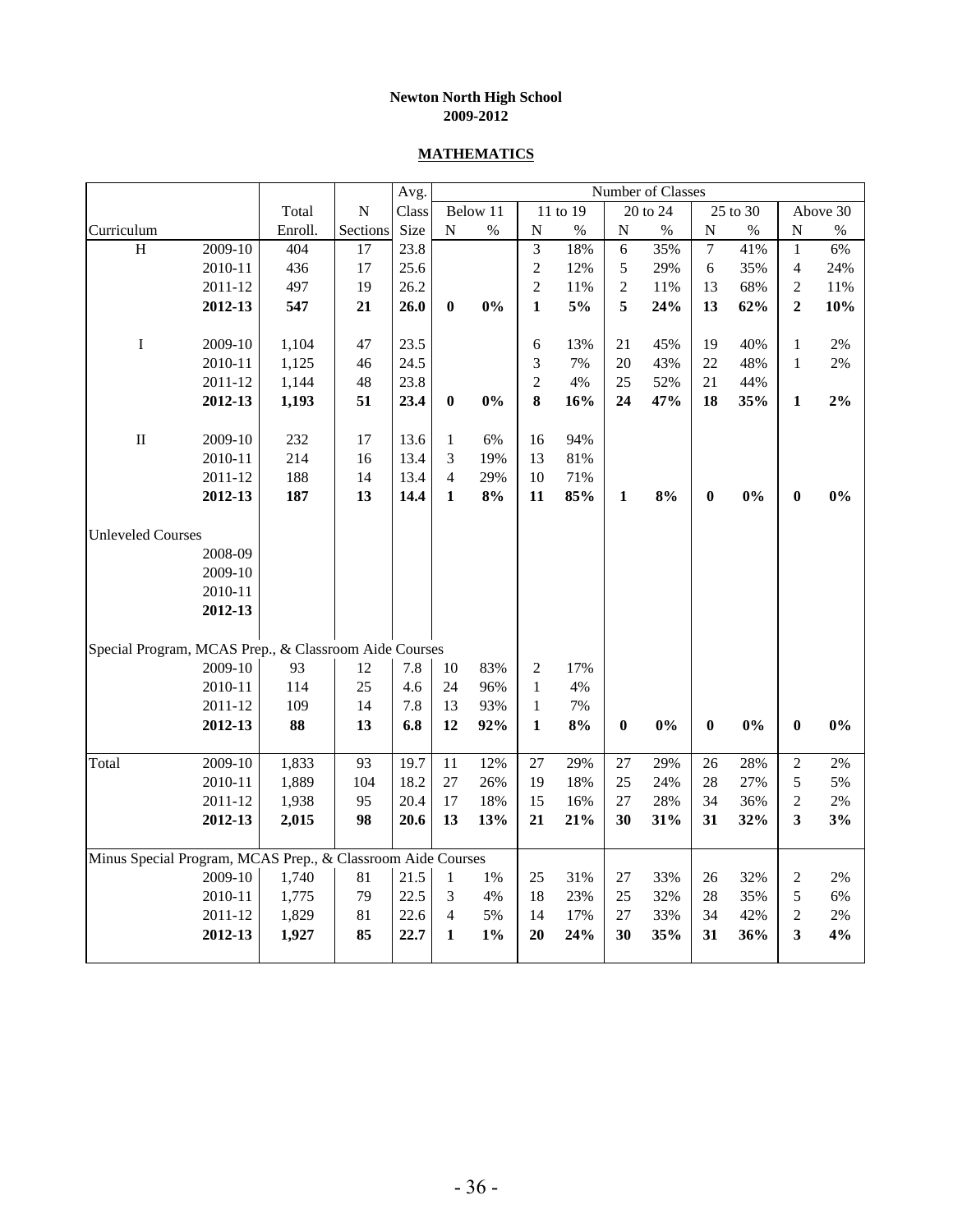#### **MATHEMATICS**

|                                                             |         |         |           | Avg.  |                |          |                |          |                | Number of Classes |                  |          |                |          |
|-------------------------------------------------------------|---------|---------|-----------|-------|----------------|----------|----------------|----------|----------------|-------------------|------------------|----------|----------------|----------|
|                                                             |         | Total   | ${\bf N}$ | Class |                | Below 11 |                | 11 to 19 |                | 20 to 24          |                  | 25 to 30 |                | Above 30 |
| Curriculum                                                  |         | Enroll. | Sections  | Size  | ${\bf N}$      | $\%$     | $\mathbf N$    | $\%$     | ${\bf N}$      | $\%$              | $\mathbf N$      | $\%$     | $\mathbf N$    | $\%$     |
| H                                                           | 2009-10 | 404     | 17        | 23.8  |                |          | $\overline{3}$ | 18%      | 6              | 35%               | 7                | 41%      | $\mathbf{1}$   | 6%       |
|                                                             | 2010-11 | 436     | 17        | 25.6  |                |          | $\sqrt{2}$     | 12%      | 5              | 29%               | 6                | 35%      | 4              | 24%      |
|                                                             | 2011-12 | 497     | 19        | 26.2  |                |          | $\overline{c}$ | 11%      | $\overline{c}$ | 11%               | 13               | 68%      | $\overline{c}$ | 11%      |
|                                                             | 2012-13 | 547     | 21        | 26.0  | $\bf{0}$       | $0\%$    | $\mathbf{1}$   | 5%       | 5              | 24%               | 13               | 62%      | $\mathbf{2}$   | 10%      |
|                                                             |         |         |           |       |                |          |                |          |                |                   |                  |          |                |          |
| $\mathbf I$                                                 | 2009-10 | 1,104   | 47        | 23.5  |                |          | 6              | 13%      | 21             | 45%               | 19               | 40%      | $\mathbf{1}$   | $2\%$    |
|                                                             | 2010-11 | 1,125   | 46        | 24.5  |                |          | 3              | 7%       | 20             | 43%               | 22               | 48%      | $\,1$          | 2%       |
|                                                             | 2011-12 | 1,144   | 48        | 23.8  |                |          | $\overline{c}$ | 4%       | 25             | 52%               | 21               | 44%      |                |          |
|                                                             | 2012-13 | 1,193   | 51        | 23.4  | $\bf{0}$       | 0%       | 8              | 16%      | 24             | 47%               | 18               | 35%      | $\mathbf{1}$   | $2\%$    |
|                                                             |         |         |           |       |                |          |                |          |                |                   |                  |          |                |          |
| $\rm II$                                                    | 2009-10 | 232     | 17        | 13.6  | $\mathbf{1}$   | 6%       | 16             | 94%      |                |                   |                  |          |                |          |
|                                                             | 2010-11 | 214     | 16        | 13.4  | 3              | 19%      | 13             | 81%      |                |                   |                  |          |                |          |
|                                                             | 2011-12 | 188     | 14        | 13.4  | $\overline{4}$ | 29%      | 10             | 71%      |                |                   |                  |          |                |          |
|                                                             | 2012-13 | 187     | 13        | 14.4  | 1              | 8%       | 11             | 85%      | $\mathbf{1}$   | 8%                | 0                | 0%       | $\bf{0}$       | 0%       |
|                                                             |         |         |           |       |                |          |                |          |                |                   |                  |          |                |          |
| <b>Unleveled Courses</b>                                    | 2008-09 |         |           |       |                |          |                |          |                |                   |                  |          |                |          |
|                                                             | 2009-10 |         |           |       |                |          |                |          |                |                   |                  |          |                |          |
|                                                             | 2010-11 |         |           |       |                |          |                |          |                |                   |                  |          |                |          |
|                                                             | 2012-13 |         |           |       |                |          |                |          |                |                   |                  |          |                |          |
|                                                             |         |         |           |       |                |          |                |          |                |                   |                  |          |                |          |
| Special Program, MCAS Prep., & Classroom Aide Courses       |         |         |           |       |                |          |                |          |                |                   |                  |          |                |          |
|                                                             | 2009-10 | 93      | 12        | 7.8   | 10             | 83%      | $\overline{c}$ | 17%      |                |                   |                  |          |                |          |
|                                                             | 2010-11 | 114     | 25        | 4.6   | 24             | 96%      | $\mathbf{1}$   | 4%       |                |                   |                  |          |                |          |
|                                                             | 2011-12 | 109     | 14        | 7.8   | 13             | 93%      | $\mathbf{1}$   | 7%       |                |                   |                  |          |                |          |
|                                                             | 2012-13 | 88      | 13        | 6.8   | 12             | 92%      | $\mathbf{1}$   | 8%       | $\bf{0}$       | $0\%$             | $\boldsymbol{0}$ | $0\%$    | $\bf{0}$       | 0%       |
|                                                             |         |         |           |       |                |          |                |          |                |                   |                  |          |                |          |
| Total                                                       | 2009-10 | 1,833   | 93        | 19.7  | 11             | 12%      | 27             | 29%      | 27             | 29%               | 26               | 28%      | $\overline{c}$ | 2%       |
|                                                             | 2010-11 | 1,889   | 104       | 18.2  | 27             | 26%      | 19             | 18%      | 25             | 24%               | 28               | 27%      | 5              | 5%       |
|                                                             | 2011-12 | 1,938   | 95        | 20.4  | 17             | 18%      | 15             | 16%      | 27             | 28%               | 34               | 36%      | $\overline{c}$ | 2%       |
|                                                             | 2012-13 | 2,015   | 98        | 20.6  | 13             | 13%      | 21             | 21%      | 30             | 31%               | 31               | 32%      | 3              | 3%       |
|                                                             |         |         |           |       |                |          |                |          |                |                   |                  |          |                |          |
| Minus Special Program, MCAS Prep., & Classroom Aide Courses |         |         |           |       |                |          |                |          |                |                   |                  |          |                |          |
|                                                             | 2009-10 | 1,740   | 81        | 21.5  | $\mathbf{1}$   | 1%       | 25             | 31%      | $27\,$         | 33%               | 26               | 32%      | $\overline{c}$ | 2%       |
|                                                             | 2010-11 | 1,775   | 79        | 22.5  | 3              | 4%       | 18             | 23%      | 25             | 32%               | 28               | 35%      | 5              | 6%       |
|                                                             | 2011-12 | 1,829   | 81        | 22.6  | $\overline{4}$ | 5%       | 14             | 17%      | 27             | 33%               | 34               | 42%      | $\overline{c}$ | 2%       |
|                                                             | 2012-13 | 1,927   | 85        | 22.7  | 1              | $1\%$    | 20             | 24%      | 30             | 35%               | 31               | 36%      | 3              | 4%       |
|                                                             |         |         |           |       |                |          |                |          |                |                   |                  |          |                |          |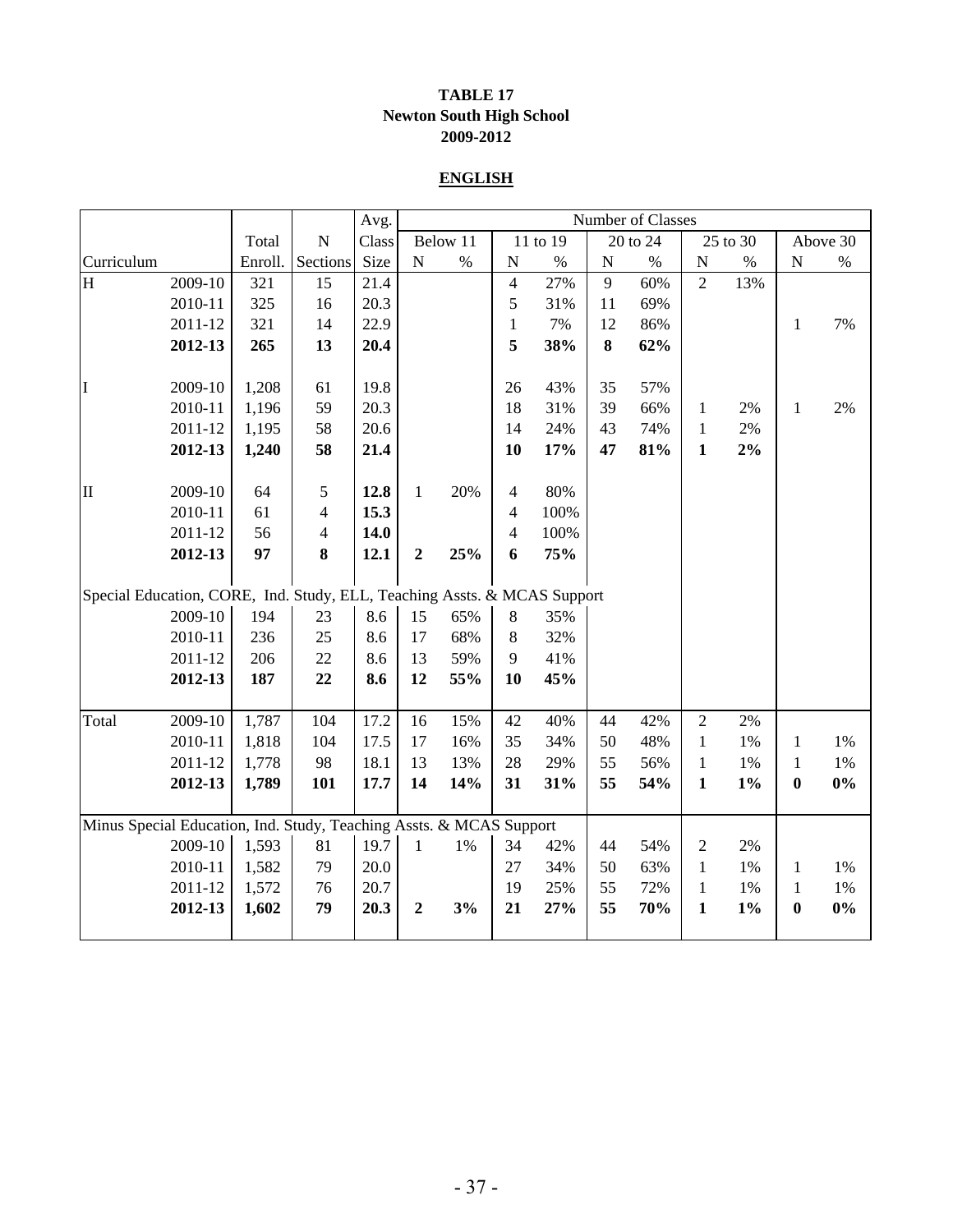#### **TABLE 17 Newton South High School 2009-2012**

#### **ENGLISH**

|                                                                          |         |         |                | Avg.  |                  |          |                |          |           | Number of Classes |                |          |                  |          |
|--------------------------------------------------------------------------|---------|---------|----------------|-------|------------------|----------|----------------|----------|-----------|-------------------|----------------|----------|------------------|----------|
|                                                                          |         | Total   | ${\bf N}$      | Class |                  | Below 11 |                | 11 to 19 |           | 20 to 24          |                | 25 to 30 |                  | Above 30 |
| Curriculum                                                               |         | Enroll. | Sections       | Size  | ${\bf N}$        | $\%$     | ${\bf N}$      | $\%$     | ${\bf N}$ | $\%$              | ${\bf N}$      | $\%$     | ${\bf N}$        | $\%$     |
| H                                                                        | 2009-10 | 321     | 15             | 21.4  |                  |          | $\overline{4}$ | 27%      | 9         | 60%               | $\overline{2}$ | 13%      |                  |          |
|                                                                          | 2010-11 | 325     | 16             | 20.3  |                  |          | 5              | 31%      | 11        | 69%               |                |          |                  |          |
|                                                                          | 2011-12 | 321     | 14             | 22.9  |                  |          | $\mathbf{1}$   | 7%       | 12        | 86%               |                |          | $\mathbf{1}$     | 7%       |
|                                                                          | 2012-13 | 265     | 13             | 20.4  |                  |          | 5              | 38%      | 8         | 62%               |                |          |                  |          |
|                                                                          |         |         |                |       |                  |          |                |          |           |                   |                |          |                  |          |
| I                                                                        | 2009-10 | 1,208   | 61             | 19.8  |                  |          | 26             | 43%      | 35        | 57%               |                |          |                  |          |
|                                                                          | 2010-11 | 1,196   | 59             | 20.3  |                  |          | 18             | 31%      | 39        | 66%               | $\mathbf{1}$   | 2%       | $\mathbf{1}$     | 2%       |
|                                                                          | 2011-12 | 1,195   | 58             | 20.6  |                  |          | 14             | 24%      | 43        | 74%               | $\mathbf{1}$   | 2%       |                  |          |
|                                                                          | 2012-13 | 1,240   | 58             | 21.4  |                  |          | 10             | 17%      | 47        | 81%               | $\mathbf{1}$   | $2\%$    |                  |          |
|                                                                          |         |         |                |       |                  |          |                |          |           |                   |                |          |                  |          |
| $\mathbf{I}$                                                             | 2009-10 | 64      | $\mathfrak s$  | 12.8  | $\mathbf{1}$     | 20%      | $\overline{4}$ | 80%      |           |                   |                |          |                  |          |
|                                                                          | 2010-11 | 61      | $\overline{4}$ | 15.3  |                  |          | $\overline{4}$ | 100%     |           |                   |                |          |                  |          |
|                                                                          | 2011-12 | 56      | $\overline{4}$ | 14.0  |                  |          | $\overline{4}$ | 100%     |           |                   |                |          |                  |          |
|                                                                          | 2012-13 | 97      | 8              | 12.1  | $\boldsymbol{2}$ | 25%      | 6              | 75%      |           |                   |                |          |                  |          |
|                                                                          |         |         |                |       |                  |          |                |          |           |                   |                |          |                  |          |
| Special Education, CORE, Ind. Study, ELL, Teaching Assts. & MCAS Support |         |         |                |       |                  |          |                |          |           |                   |                |          |                  |          |
|                                                                          | 2009-10 | 194     | 23             | 8.6   | 15               | 65%      | $\,8\,$        | 35%      |           |                   |                |          |                  |          |
|                                                                          | 2010-11 | 236     | 25             | 8.6   | 17               | 68%      | 8              | 32%      |           |                   |                |          |                  |          |
|                                                                          | 2011-12 | 206     | 22             | 8.6   | 13               | 59%      | 9              | 41%      |           |                   |                |          |                  |          |
|                                                                          | 2012-13 | 187     | 22             | 8.6   | 12               | 55%      | 10             | 45%      |           |                   |                |          |                  |          |
|                                                                          |         |         |                |       |                  |          |                |          |           |                   |                |          |                  |          |
| Total                                                                    | 2009-10 | 1,787   | 104            | 17.2  | 16               | 15%      | 42             | 40%      | 44        | 42%               | $\overline{2}$ | 2%       |                  |          |
|                                                                          | 2010-11 | 1,818   | 104            | 17.5  | 17               | 16%      | 35             | 34%      | 50        | 48%               | $\mathbf{1}$   | 1%       | 1                | $1\%$    |
|                                                                          | 2011-12 | 1,778   | 98             | 18.1  | 13               | 13%      | 28             | 29%      | 55        | 56%               | $\mathbf{1}$   | 1%       | 1                | 1%       |
|                                                                          | 2012-13 | 1,789   | 101            | 17.7  | 14               | 14%      | 31             | 31%      | 55        | 54%               | $\mathbf{1}$   | $1\%$    | $\boldsymbol{0}$ | $0\%$    |
|                                                                          |         |         |                |       |                  |          |                |          |           |                   |                |          |                  |          |
| Minus Special Education, Ind. Study, Teaching Assts. & MCAS Support      |         |         |                |       |                  |          |                |          |           |                   |                |          |                  |          |
|                                                                          | 2009-10 | 1,593   | 81             | 19.7  | $\mathbf{1}$     | $1\%$    | 34             | 42%      | 44        | 54%               | $\mathfrak{2}$ | 2%       |                  |          |
|                                                                          | 2010-11 | 1,582   | 79             | 20.0  |                  |          | 27             | 34%      | 50        | 63%               | $\mathbf{1}$   | 1%       | $\mathbf{1}$     | $1\%$    |
|                                                                          | 2011-12 | 1,572   | 76             | 20.7  |                  |          | 19             | 25%      | 55        | 72%               | $\mathbf{1}$   | 1%       | 1                | 1%       |
|                                                                          | 2012-13 | 1,602   | 79             | 20.3  | $\overline{2}$   | 3%       | 21             | 27%      | 55        | 70%               | $\mathbf{1}$   | $1\%$    | $\bf{0}$         | 0%       |
|                                                                          |         |         |                |       |                  |          |                |          |           |                   |                |          |                  |          |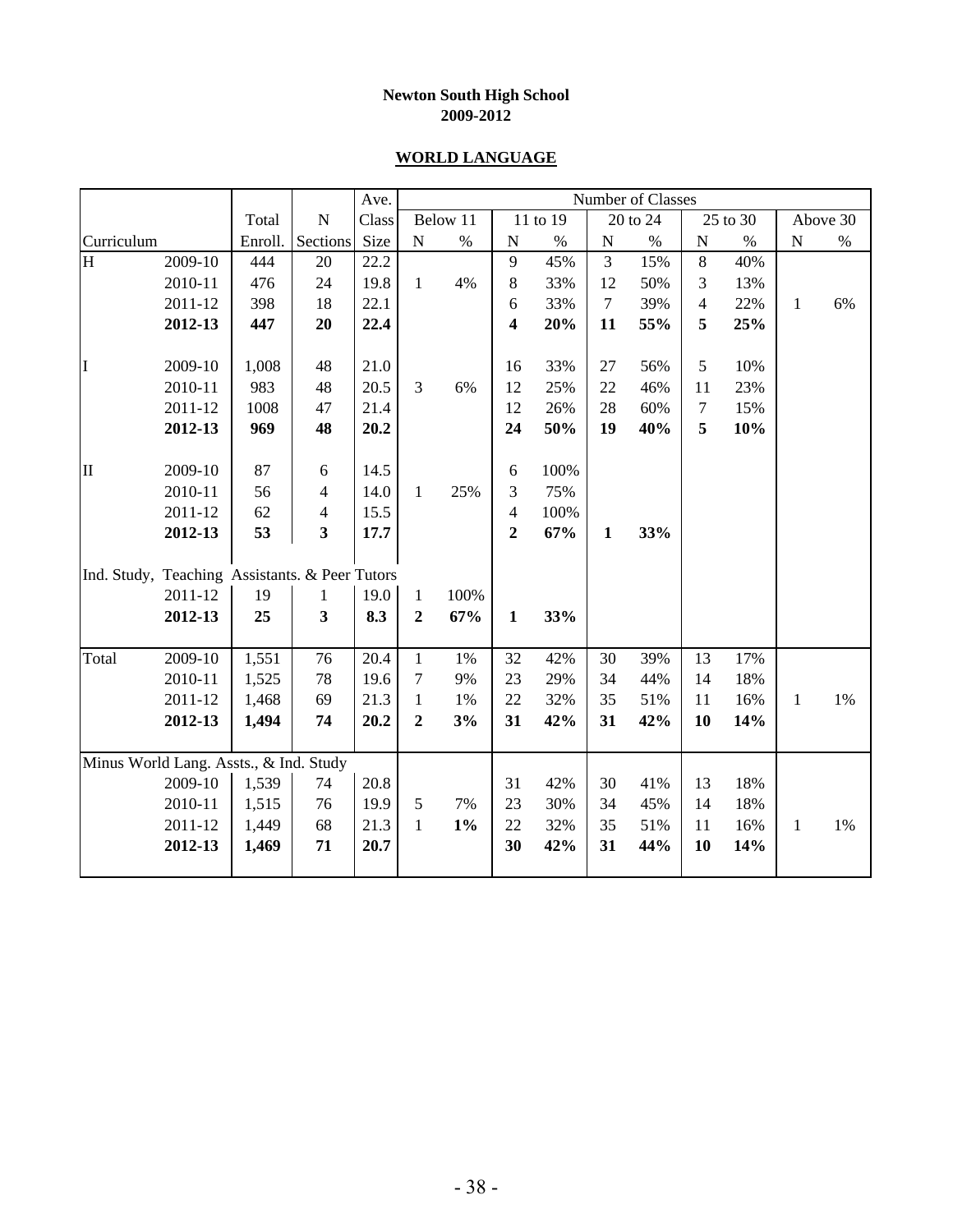#### **WORLD LANGUAGE**

|                                                |         |         |                         | Ave.  |                |          |                |          |                  | Number of Classes |                |          |              |          |
|------------------------------------------------|---------|---------|-------------------------|-------|----------------|----------|----------------|----------|------------------|-------------------|----------------|----------|--------------|----------|
|                                                |         | Total   | ${\bf N}$               | Class |                | Below 11 |                | 11 to 19 |                  | 20 to 24          |                | 25 to 30 |              | Above 30 |
| Curriculum                                     |         | Enroll. | Sections                | Size  | ${\bf N}$      | $\%$     | $\mathbf N$    | $\%$     | $\mathbf N$      | $\%$              | ${\bf N}$      | $\%$     | ${\bf N}$    | $\%$     |
| H                                              | 2009-10 | 444     | 20                      | 22.2  |                |          | 9              | 45%      | 3                | 15%               | $\,8\,$        | 40%      |              |          |
|                                                | 2010-11 | 476     | 24                      | 19.8  | $\mathbf{1}$   | 4%       | 8              | 33%      | 12               | 50%               | 3              | 13%      |              |          |
|                                                | 2011-12 | 398     | 18                      | 22.1  |                |          | 6              | 33%      | $\boldsymbol{7}$ | 39%               | 4              | 22%      | $\mathbf{1}$ | 6%       |
|                                                | 2012-13 | 447     | 20                      | 22.4  |                |          | 4              | 20%      | 11               | 55%               | 5              | 25%      |              |          |
|                                                |         |         |                         |       |                |          |                |          |                  |                   |                |          |              |          |
| I                                              | 2009-10 | 1,008   | 48                      | 21.0  |                |          | 16             | 33%      | 27               | 56%               | 5              | 10%      |              |          |
|                                                | 2010-11 | 983     | 48                      | 20.5  | 3              | 6%       | 12             | 25%      | 22               | 46%               | 11             | 23%      |              |          |
|                                                | 2011-12 | 1008    | 47                      | 21.4  |                |          | 12             | 26%      | 28               | 60%               | $\overline{7}$ | 15%      |              |          |
|                                                | 2012-13 | 969     | 48                      | 20.2  |                |          | 24             | 50%      | 19               | 40%               | 5              | 10%      |              |          |
|                                                |         |         |                         |       |                |          |                |          |                  |                   |                |          |              |          |
| II                                             | 2009-10 | 87      | 6                       | 14.5  |                |          | 6              | 100%     |                  |                   |                |          |              |          |
|                                                | 2010-11 | 56      | $\overline{4}$          | 14.0  | $\mathbf{1}$   | 25%      | 3              | 75%      |                  |                   |                |          |              |          |
|                                                | 2011-12 | 62      | $\overline{4}$          | 15.5  |                |          | $\overline{4}$ | 100%     |                  |                   |                |          |              |          |
|                                                | 2012-13 | 53      | $\overline{\mathbf{3}}$ | 17.7  |                |          | $\overline{2}$ | 67%      | $\mathbf{1}$     | 33%               |                |          |              |          |
|                                                |         |         |                         |       |                |          |                |          |                  |                   |                |          |              |          |
| Ind. Study, Teaching Assistants. & Peer Tutors |         |         |                         |       |                |          |                |          |                  |                   |                |          |              |          |
|                                                | 2011-12 | 19      | 1                       | 19.0  | $\mathbf{1}$   | 100%     |                |          |                  |                   |                |          |              |          |
|                                                | 2012-13 | 25      | 3                       | 8.3   | $\overline{2}$ | 67%      | $\mathbf{1}$   | 33%      |                  |                   |                |          |              |          |
|                                                |         |         |                         |       |                |          |                |          |                  |                   |                |          |              |          |
| Total                                          | 2009-10 | 1,551   | 76                      | 20.4  | $\mathbf{1}$   | 1%       | 32             | 42%      | 30               | 39%               | 13             | 17%      |              |          |
|                                                | 2010-11 | 1,525   | 78                      | 19.6  | $\tau$         | 9%       | 23             | 29%      | 34               | 44%               | 14             | 18%      |              |          |
|                                                | 2011-12 | 1,468   | 69                      | 21.3  | $\mathbf{1}$   | 1%       | 22             | 32%      | 35               | 51%               | 11             | 16%      | $\mathbf{1}$ | 1%       |
|                                                | 2012-13 | 1,494   | 74                      | 20.2  | $\overline{2}$ | 3%       | 31             | 42%      | 31               | 42%               | 10             | 14%      |              |          |
|                                                |         |         |                         |       |                |          |                |          |                  |                   |                |          |              |          |
| Minus World Lang. Assts., & Ind. Study         |         |         |                         |       |                |          |                |          |                  |                   |                |          |              |          |
|                                                | 2009-10 | 1,539   | 74                      | 20.8  |                |          | 31             | 42%      | 30               | 41%               | 13             | 18%      |              |          |
|                                                | 2010-11 | 1,515   | 76                      | 19.9  | $\mathfrak{S}$ | 7%       | 23             | 30%      | 34               | 45%               | 14             | 18%      |              |          |
|                                                | 2011-12 | 1,449   | 68                      | 21.3  | $\mathbf{1}$   | $1\%$    | 22             | 32%      | 35               | 51%               | 11             | 16%      | $\mathbf{1}$ | 1%       |
|                                                | 2012-13 | 1,469   | 71                      | 20.7  |                |          | 30             | 42%      | 31               | 44%               | 10             | 14%      |              |          |
|                                                |         |         |                         |       |                |          |                |          |                  |                   |                |          |              |          |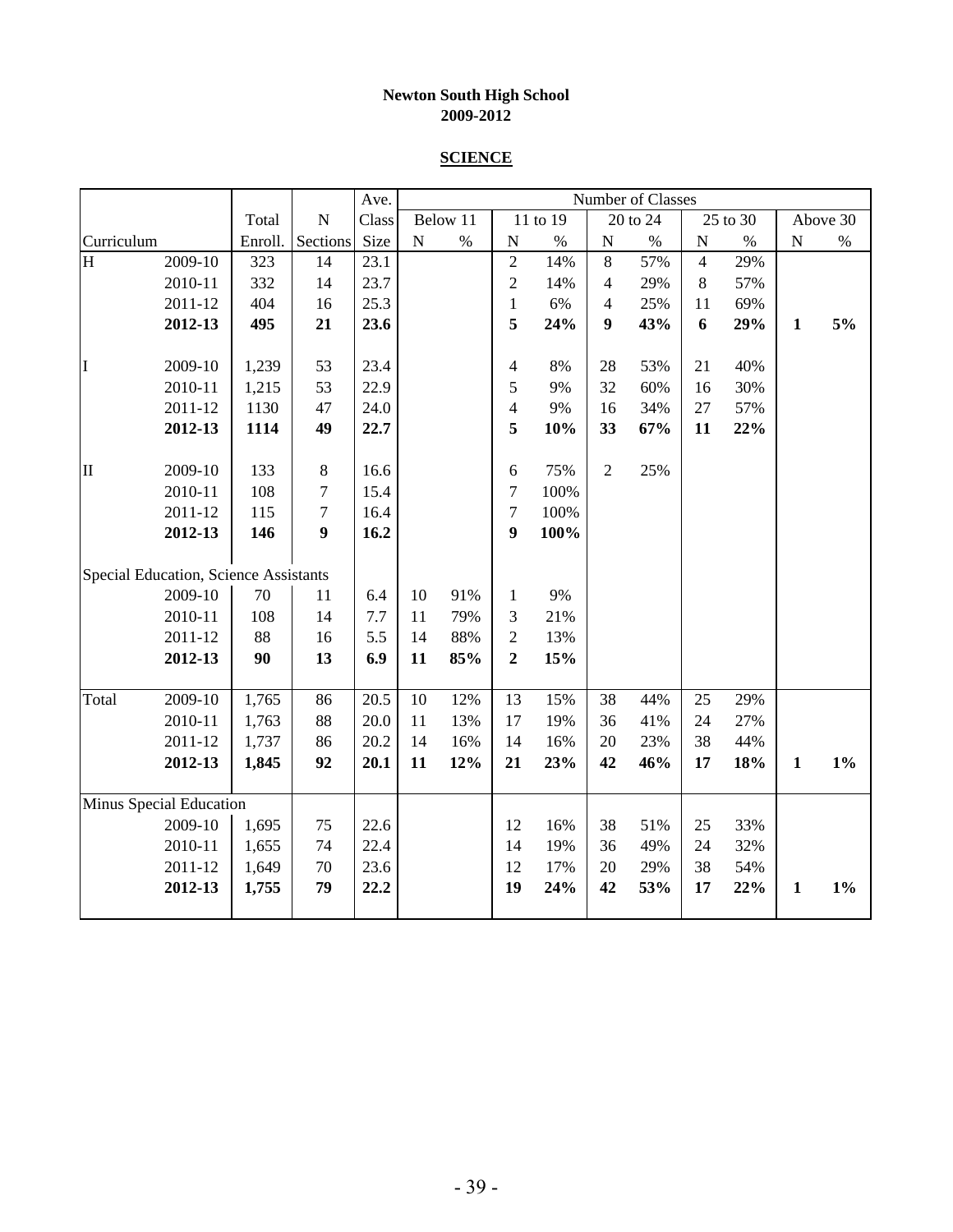#### **SCIENCE**

|              |                                       |         |                  | Ave.  |           |          |                          |          |                | Number of Classes |                |          |              |          |
|--------------|---------------------------------------|---------|------------------|-------|-----------|----------|--------------------------|----------|----------------|-------------------|----------------|----------|--------------|----------|
|              |                                       | Total   | ${\bf N}$        | Class |           | Below 11 |                          | 11 to 19 |                | 20 to 24          |                | 25 to 30 |              | Above 30 |
| Curriculum   |                                       | Enroll. | Sections         | Size  | ${\bf N}$ | $\%$     | ${\bf N}$                | $\%$     | ${\bf N}$      | $\%$              | ${\bf N}$      | $\%$     | ${\bf N}$    | $\%$     |
| H            | 2009-10                               | 323     | 14               | 23.1  |           |          | $\overline{2}$           | 14%      | 8              | 57%               | $\overline{4}$ | 29%      |              |          |
|              | 2010-11                               | 332     | 14               | 23.7  |           |          | $\overline{2}$           | 14%      | 4              | 29%               | 8              | 57%      |              |          |
|              | 2011-12                               | 404     | 16               | 25.3  |           |          | $\mathbf{1}$             | 6%       | 4              | 25%               | 11             | 69%      |              |          |
|              | 2012-13                               | 495     | 21               | 23.6  |           |          | 5                        | 24%      | 9              | 43%               | 6              | 29%      | $\mathbf{1}$ | 5%       |
|              |                                       |         |                  |       |           |          |                          |          |                |                   |                |          |              |          |
| I            | 2009-10                               | 1,239   | 53               | 23.4  |           |          | $\overline{\mathcal{A}}$ | $8\%$    | 28             | 53%               | 21             | 40%      |              |          |
|              | 2010-11                               | 1,215   | 53               | 22.9  |           |          | 5                        | 9%       | 32             | 60%               | 16             | 30%      |              |          |
|              | 2011-12                               | 1130    | 47               | 24.0  |           |          | $\overline{4}$           | 9%       | 16             | 34%               | 27             | 57%      |              |          |
|              | 2012-13                               | 1114    | 49               | 22.7  |           |          | 5                        | 10%      | 33             | 67%               | 11             | 22%      |              |          |
|              |                                       |         |                  |       |           |          |                          |          |                |                   |                |          |              |          |
| $\mathbf{I}$ | 2009-10                               | 133     | $\,8\,$          | 16.6  |           |          | $\epsilon$               | 75%      | $\overline{c}$ | 25%               |                |          |              |          |
|              | 2010-11                               | 108     | 7                | 15.4  |           |          | $\boldsymbol{7}$         | 100%     |                |                   |                |          |              |          |
|              | 2011-12                               | 115     | $\boldsymbol{7}$ | 16.4  |           |          | $\overline{7}$           | 100%     |                |                   |                |          |              |          |
|              | 2012-13                               | 146     | $\boldsymbol{9}$ | 16.2  |           |          | $\boldsymbol{9}$         | 100%     |                |                   |                |          |              |          |
|              |                                       |         |                  |       |           |          |                          |          |                |                   |                |          |              |          |
|              | Special Education, Science Assistants |         |                  |       |           |          |                          |          |                |                   |                |          |              |          |
|              | 2009-10                               | 70      | 11               | 6.4   | 10        | 91%      | $\mathbf{1}$             | 9%       |                |                   |                |          |              |          |
|              | 2010-11                               | 108     | 14               | 7.7   | 11        | 79%      | 3                        | 21%      |                |                   |                |          |              |          |
|              | 2011-12                               | 88      | 16               | 5.5   | 14        | 88%      | $\overline{2}$           | 13%      |                |                   |                |          |              |          |
|              | 2012-13                               | 90      | 13               | 6.9   | 11        | 85%      | $\overline{2}$           | 15%      |                |                   |                |          |              |          |
|              |                                       |         |                  |       |           |          |                          |          |                |                   |                |          |              |          |
| Total        | 2009-10                               | 1,765   | 86               | 20.5  | $10\,$    | 12%      | 13                       | 15%      | 38             | 44%               | 25             | 29%      |              |          |
|              | 2010-11                               | 1,763   | 88               | 20.0  | 11        | 13%      | 17                       | 19%      | 36             | 41%               | 24             | 27%      |              |          |
|              | 2011-12                               | 1,737   | 86               | 20.2  | 14        | 16%      | 14                       | 16%      | 20             | 23%               | 38             | 44%      |              |          |
|              | 2012-13                               | 1,845   | 92               | 20.1  | 11        | 12%      | 21                       | 23%      | 42             | 46%               | 17             | 18%      | $\mathbf{1}$ | $1\%$    |
|              |                                       |         |                  |       |           |          |                          |          |                |                   |                |          |              |          |
|              | Minus Special Education               |         |                  |       |           |          |                          |          |                |                   |                |          |              |          |
|              | 2009-10                               | 1,695   | 75               | 22.6  |           |          | 12                       | 16%      | 38             | 51%               | $25\,$         | 33%      |              |          |
|              | 2010-11                               | 1,655   | 74               | 22.4  |           |          | 14                       | 19%      | 36             | 49%               | 24             | 32%      |              |          |
|              | 2011-12                               | 1,649   | 70               | 23.6  |           |          | 12                       | 17%      | 20             | 29%               | 38             | 54%      |              |          |
|              | 2012-13                               | 1,755   | 79               | 22.2  |           |          | 19                       | 24%      | 42             | 53%               | 17             | 22%      | $\mathbf{1}$ | $1\%$    |
|              |                                       |         |                  |       |           |          |                          |          |                |                   |                |          |              |          |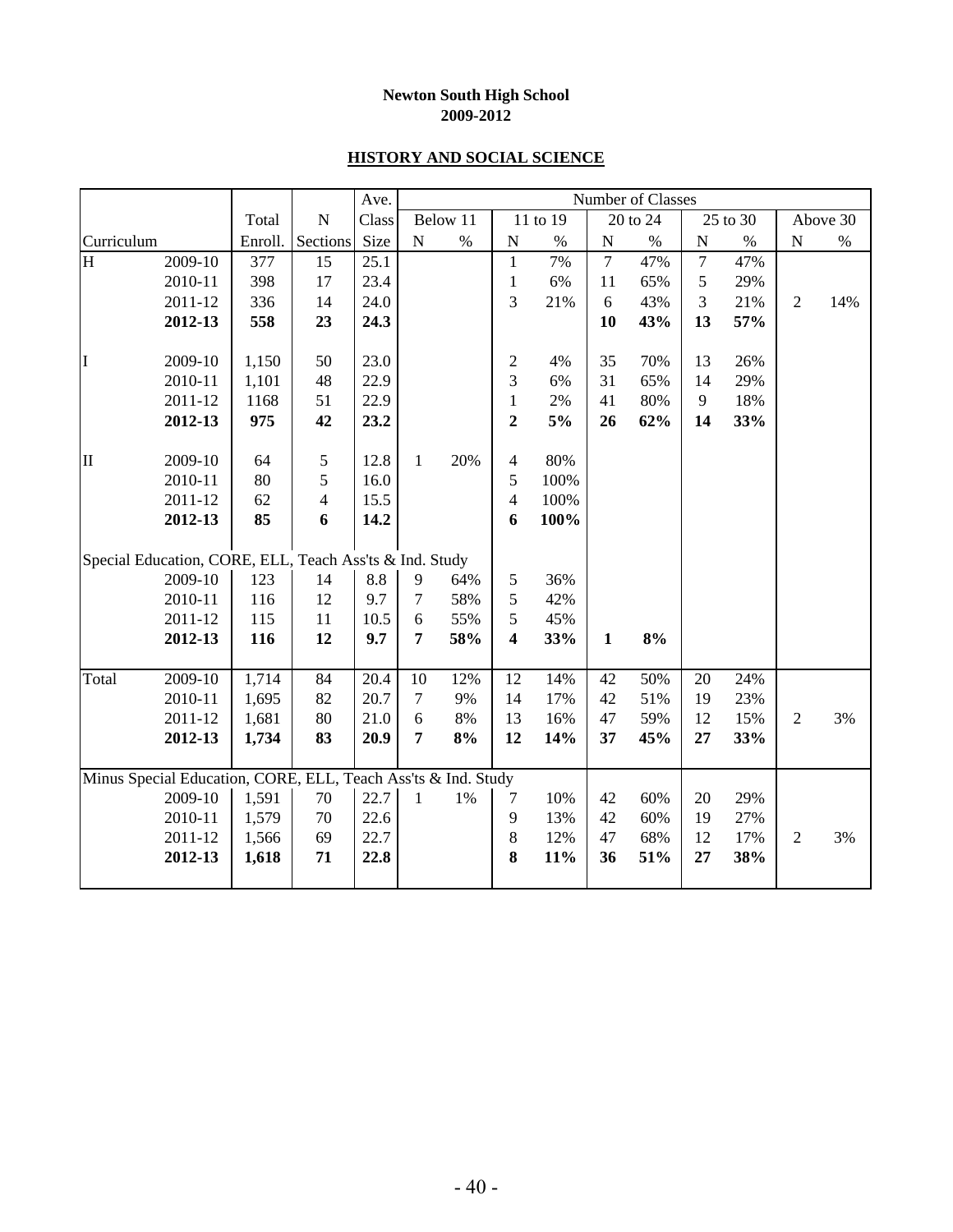#### **HISTORY AND SOCIAL SCIENCE**

|                |                                                               |         |                | Ave.         |                 |          |                         |            |                | Number of Classes |                |          |                |          |
|----------------|---------------------------------------------------------------|---------|----------------|--------------|-----------------|----------|-------------------------|------------|----------------|-------------------|----------------|----------|----------------|----------|
|                |                                                               | Total   | ${\bf N}$      | Class        |                 | Below 11 |                         | 11 to 19   |                | 20 to 24          |                | 25 to 30 |                | Above 30 |
| Curriculum     |                                                               | Enroll. | Sections       | Size         | ${\bf N}$       | $\%$     | N                       | $\%$       | ${\bf N}$      | $\%$              | $\mathbf N$    | $\%$     | ${\bf N}$      | $\%$     |
| $\overline{H}$ | 2009-10                                                       | 377     | 15             | 25.1         |                 |          | $\mathbf{1}$            | 7%         | $\overline{7}$ | 47%               | $\overline{7}$ | 47%      |                |          |
|                | 2010-11                                                       | 398     | 17             | 23.4         |                 |          | $\mathbf{1}$            | 6%         | 11             | 65%               | 5              | 29%      |                |          |
|                | 2011-12                                                       | 336     | 14             | 24.0         |                 |          | 3                       | 21%        | $\sqrt{6}$     | 43%               | 3              | 21%      | $\mathfrak{2}$ | 14%      |
|                | 2012-13                                                       | 558     | 23             | 24.3         |                 |          |                         |            | 10             | 43%               | 13             | 57%      |                |          |
| I              | 2009-10                                                       | 1,150   | 50             | 23.0         |                 |          | 2                       | 4%         | 35             | 70%               | 13             | 26%      |                |          |
|                | 2010-11                                                       | 1,101   | 48             | 22.9         |                 |          | $\overline{3}$          | 6%         | 31             | 65%               | 14             | 29%      |                |          |
|                | 2011-12                                                       | 1168    | 51             | 22.9         |                 |          | $\mathbf{1}$            | $2\%$      | 41             | 80%               | 9              | 18%      |                |          |
|                | 2012-13                                                       | 975     | 42             | 23.2         |                 |          | $\overline{2}$          | 5%         | 26             | 62%               | 14             | 33%      |                |          |
| $\mathbf H$    | 2009-10                                                       | 64      | 5              | 12.8         | $\mathbf{1}$    | 20%      | $\overline{4}$          | 80%        |                |                   |                |          |                |          |
|                | 2010-11                                                       | 80      | 5              | 16.0         |                 |          | 5                       | 100%       |                |                   |                |          |                |          |
|                | 2011-12                                                       | 62      | $\overline{4}$ | 15.5         |                 |          | $\overline{4}$          | 100%       |                |                   |                |          |                |          |
|                | 2012-13                                                       | 85      | 6              | 14.2         |                 |          | 6                       | 100%       |                |                   |                |          |                |          |
|                | Special Education, CORE, ELL, Teach Ass'ts & Ind. Study       |         |                |              |                 |          |                         |            |                |                   |                |          |                |          |
|                | 2009-10                                                       | 123     | 14             | 8.8          | 9               | 64%      | 5                       | 36%        |                |                   |                |          |                |          |
|                | 2010-11                                                       | 116     | 12             | 9.7          | $\overline{7}$  | 58%      | 5                       | 42%        |                |                   |                |          |                |          |
|                | 2011-12                                                       | 115     | 11             | 10.5         | $\sqrt{6}$      | 55%      | 5                       | 45%        |                |                   |                |          |                |          |
|                | 2012-13                                                       | 116     | 12             | 9.7          | 7               | 58%      | $\overline{\mathbf{4}}$ | 33%        | $\mathbf{1}$   | $8\%$             |                |          |                |          |
|                |                                                               |         |                |              |                 |          |                         |            |                |                   |                |          |                |          |
| Total          | $2009 - 10$                                                   | 1,714   | 84             | 20.4         | 10              | 12%      | 12                      | 14%        | 42             | 50%               | 20             | 24%      |                |          |
|                | 2010-11                                                       | 1,695   | 82             | 20.7         | $\tau$          | 9%       | 14                      | 17%        | 42             | 51%               | 19<br>12       | 23%      |                |          |
|                | 2011-12                                                       | 1,681   | 80<br>83       | 21.0<br>20.9 | $\sqrt{6}$<br>7 | 8%       | 13<br>12                | 16%<br>14% | 47<br>37       | 59%               | 27             | 15%      | $\overline{2}$ | 3%       |
|                | 2012-13                                                       | 1,734   |                |              |                 | 8%       |                         |            |                | 45%               |                | 33%      |                |          |
|                | Minus Special Education, CORE, ELL, Teach Ass'ts & Ind. Study |         |                |              |                 |          |                         |            |                |                   |                |          |                |          |
|                | 2009-10                                                       | 1,591   | 70             | 22.7         | $\mathbf{1}$    | $1\%$    | 7                       | 10%        | 42             | 60%               | 20             | 29%      |                |          |
|                | 2010-11                                                       | 1,579   | 70             | 22.6         |                 |          | $\mathbf{9}$            | 13%        | 42             | 60%               | 19             | 27%      |                |          |
|                | 2011-12                                                       | 1,566   | 69             | 22.7         |                 |          | $\,8\,$                 | 12%        | 47             | 68%               | 12             | 17%      | $\sqrt{2}$     | 3%       |
|                | 2012-13                                                       | 1,618   | 71             | 22.8         |                 |          | 8                       | 11%        | 36             | 51%               | 27             | 38%      |                |          |
|                |                                                               |         |                |              |                 |          |                         |            |                |                   |                |          |                |          |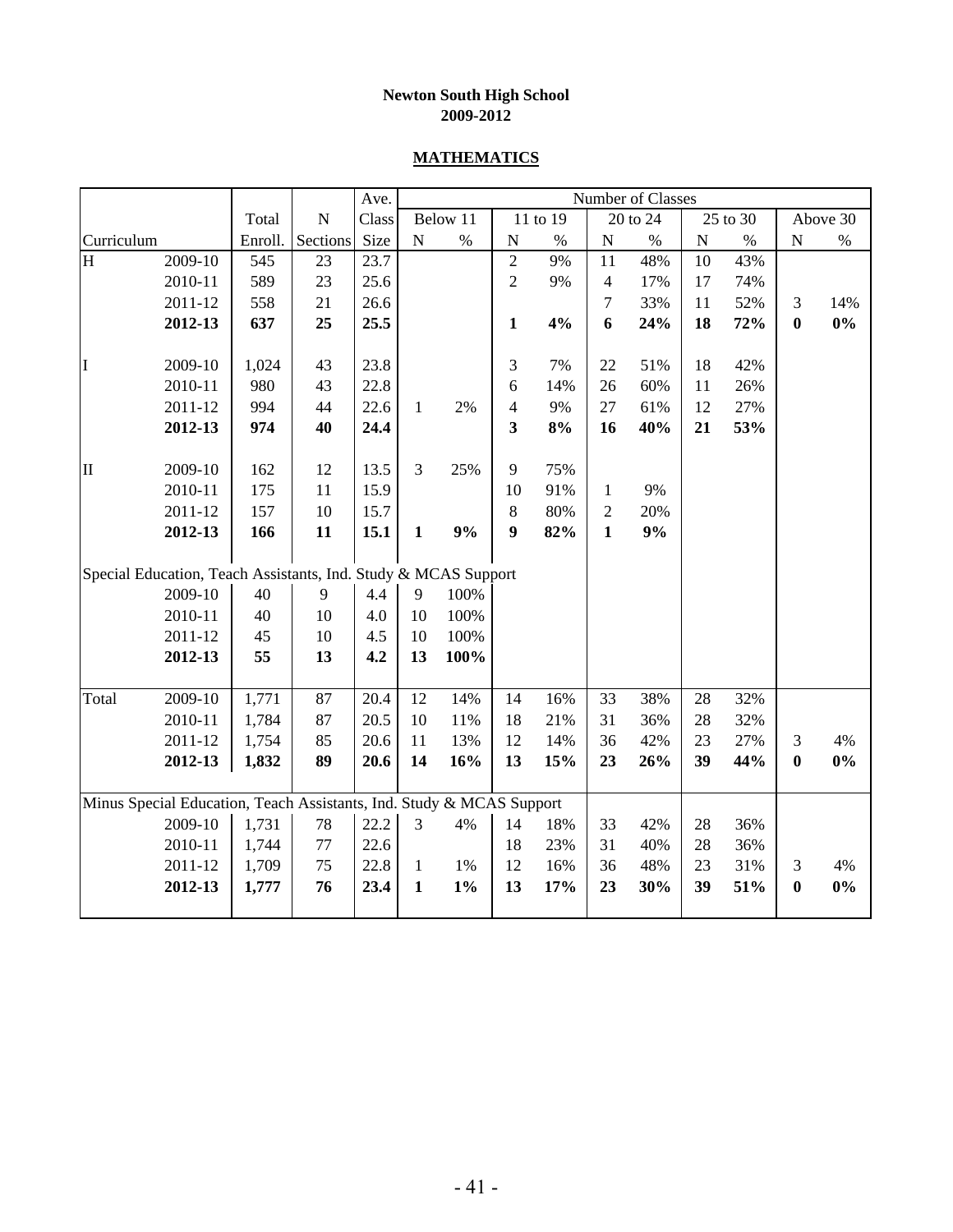#### **MATHEMATICS**

|               |                                                                      |         |           | Ave.  |              |          |                |          |                | Number of Classes |           |          |           |          |
|---------------|----------------------------------------------------------------------|---------|-----------|-------|--------------|----------|----------------|----------|----------------|-------------------|-----------|----------|-----------|----------|
|               |                                                                      | Total   | ${\bf N}$ | Class |              | Below 11 |                | 11 to 19 |                | 20 to 24          |           | 25 to 30 |           | Above 30 |
| Curriculum    |                                                                      | Enroll. | Sections  | Size  | ${\bf N}$    | $\%$     | ${\bf N}$      | $\%$     | ${\bf N}$      | $\%$              | ${\bf N}$ | $\%$     | ${\bf N}$ | $\%$     |
| H             | 2009-10                                                              | 545     | 23        | 23.7  |              |          | $\overline{c}$ | 9%       | $11\,$         | 48%               | 10        | 43%      |           |          |
|               | 2010-11                                                              | 589     | 23        | 25.6  |              |          | $\overline{c}$ | 9%       | $\overline{4}$ | 17%               | 17        | 74%      |           |          |
|               | 2011-12                                                              | 558     | 21        | 26.6  |              |          |                |          | 7              | 33%               | 11        | 52%      | 3         | 14%      |
|               | 2012-13                                                              | 637     | 25        | 25.5  |              |          | $\mathbf{1}$   | 4%       | 6              | 24%               | 18        | 72%      | $\bf{0}$  | $0\%$    |
|               |                                                                      |         |           |       |              |          |                |          |                |                   |           |          |           |          |
| I             | 2009-10                                                              | 1,024   | 43        | 23.8  |              |          | $\mathfrak{Z}$ | 7%       | 22             | 51%               | 18        | 42%      |           |          |
|               | 2010-11                                                              | 980     | 43        | 22.8  |              |          | 6              | 14%      | 26             | 60%               | 11        | 26%      |           |          |
|               | 2011-12                                                              | 994     | 44        | 22.6  | $\mathbf{1}$ | 2%       | $\overline{4}$ | 9%       | 27             | 61%               | 12        | 27%      |           |          |
|               | 2012-13                                                              | 974     | 40        | 24.4  |              |          | 3              | 8%       | 16             | 40%               | 21        | 53%      |           |          |
|               |                                                                      |         |           |       |              |          |                |          |                |                   |           |          |           |          |
| $\mathbf{II}$ | 2009-10                                                              | 162     | 12        | 13.5  | 3            | 25%      | 9              | 75%      |                |                   |           |          |           |          |
|               | 2010-11                                                              | 175     | 11        | 15.9  |              |          | 10             | 91%      | $\mathbf{1}$   | 9%                |           |          |           |          |
|               | 2011-12                                                              | 157     | 10        | 15.7  |              |          | $8\,$          | 80%      | $\overline{c}$ | 20%               |           |          |           |          |
|               | 2012-13                                                              | 166     | 11        | 15.1  | $\mathbf{1}$ | $9\%$    | 9              | 82%      | $\mathbf{1}$   | 9%                |           |          |           |          |
|               |                                                                      |         |           |       |              |          |                |          |                |                   |           |          |           |          |
|               | Special Education, Teach Assistants, Ind. Study & MCAS Support       |         |           |       |              |          |                |          |                |                   |           |          |           |          |
|               | 2009-10                                                              | 40      | 9         | 4.4   | 9            | 100%     |                |          |                |                   |           |          |           |          |
|               | 2010-11                                                              | 40      | 10        | 4.0   | 10           | 100%     |                |          |                |                   |           |          |           |          |
|               | 2011-12                                                              | 45      | 10        | 4.5   | 10           | 100%     |                |          |                |                   |           |          |           |          |
|               | 2012-13                                                              | 55      | 13        | 4.2   | 13           | 100%     |                |          |                |                   |           |          |           |          |
|               |                                                                      |         |           |       |              |          |                |          |                |                   |           |          |           |          |
| Total         | 2009-10                                                              | 1,771   | 87        | 20.4  | 12           | 14%      | 14             | 16%      | 33             | 38%               | 28        | 32%      |           |          |
|               | 2010-11                                                              | 1,784   | 87        | 20.5  | 10           | 11%      | 18             | 21%      | 31             | 36%               | 28        | 32%      |           |          |
|               | 2011-12                                                              | 1,754   | 85        | 20.6  | 11           | 13%      | 12             | 14%      | 36             | 42%               | 23        | 27%      | 3         | 4%       |
|               | 2012-13                                                              | 1,832   | 89        | 20.6  | 14           | 16%      | 13             | 15%      | 23             | 26%               | 39        | 44%      | $\bf{0}$  | $0\%$    |
|               |                                                                      |         |           |       |              |          |                |          |                |                   |           |          |           |          |
|               | Minus Special Education, Teach Assistants, Ind. Study & MCAS Support |         |           |       |              |          |                |          |                |                   |           |          |           |          |
|               | 2009-10                                                              | 1,731   | $78\,$    | 22.2  | 3            | 4%       | 14             | 18%      | 33             | 42%               | 28        | 36%      |           |          |
|               | 2010-11                                                              | 1,744   | $77 \,$   | 22.6  |              |          | 18             | 23%      | 31             | 40%               | 28        | 36%      |           |          |
|               | 2011-12                                                              | 1,709   | 75        | 22.8  | $\mathbf{1}$ | 1%       | 12             | 16%      | 36             | 48%               | 23        | 31%      | 3         | 4%       |
|               | 2012-13                                                              | 1,777   | 76        | 23.4  | $\mathbf 1$  | $1\%$    | 13             | 17%      | 23             | 30%               | 39        | 51%      | $\bf{0}$  | $0\%$    |
|               |                                                                      |         |           |       |              |          |                |          |                |                   |           |          |           |          |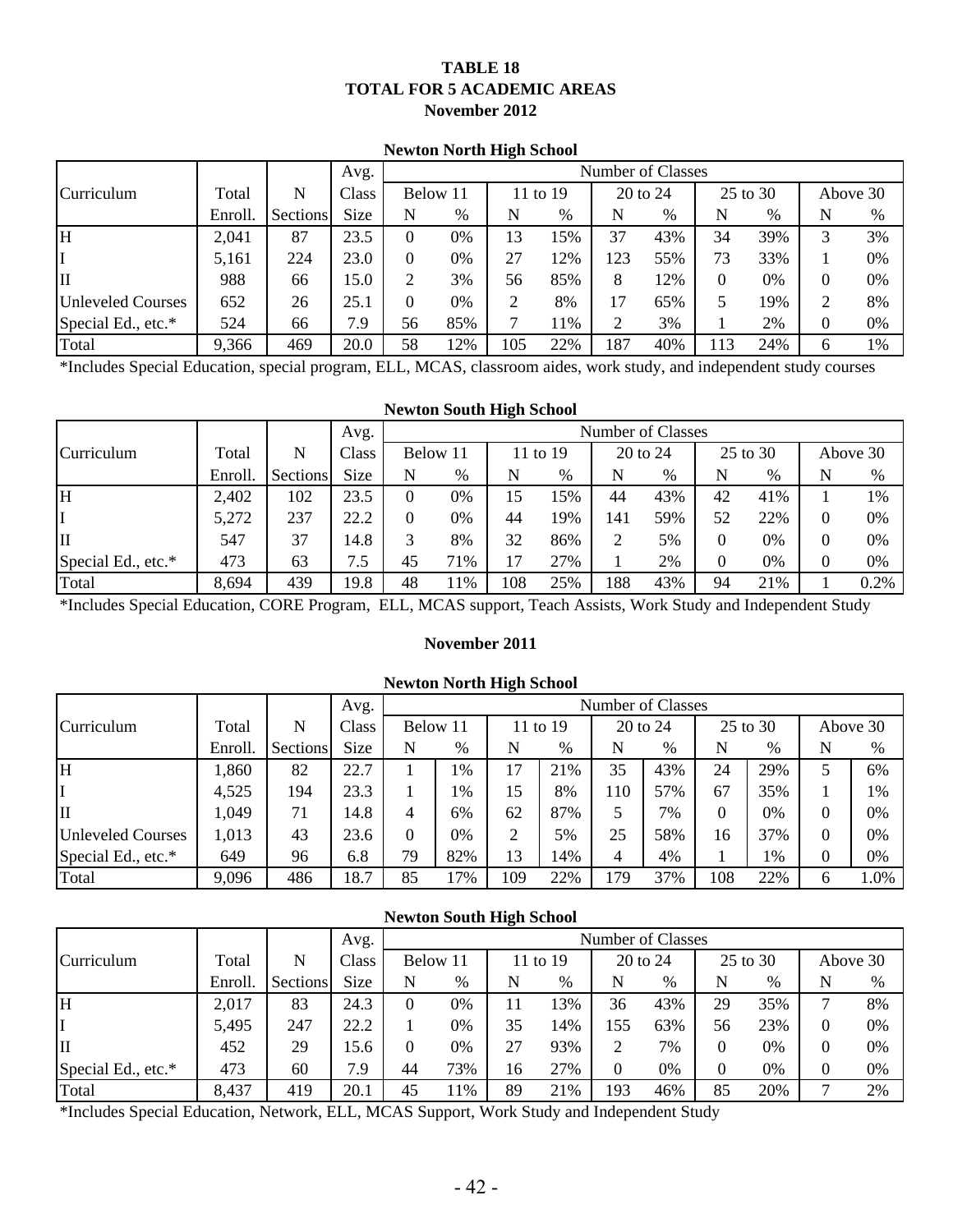#### **TABLE 18 TOTAL FOR 5 ACADEMIC AREAS November 2012**

#### **Newton North High School**

|                    |         |          | Avg.        |    |          |     |          |     | Number of Classes |          |          |   |          |
|--------------------|---------|----------|-------------|----|----------|-----|----------|-----|-------------------|----------|----------|---|----------|
| Curriculum         | Total   | N        | Class       |    | Below 11 |     | 11 to 19 |     | 20 to 24          |          | 25 to 30 |   | Above 30 |
|                    | Enroll. | Sections | <b>Size</b> | N  | %        | N   | %        | N   | %                 | N        | $\%$     | N | %        |
| H                  | 2,041   | 87       | 23.5        |    | 0%       | 13  | 15%      | 37  | 43%               | 34       | 39%      | 3 | 3%       |
|                    | 5,161   | 224      | 23.0        |    | 0%       | 27  | 12%      | 123 | 55%               | 73       | 33%      |   | 0%       |
| IП                 | 988     | 66       | 15.0        |    | 3%       | 56  | 85%      | 8   | 12%               | $\Omega$ | 0%       | 0 | 0%       |
| Unleveled Courses  | 652     | 26       | 25.1        |    | 0%       |     | 8%       | 17  | 65%               |          | 19%      | 2 | 8%       |
| Special Ed., etc.* | 524     | 66       | 7.9         | 56 | 85%      |     | 11%      | ◠   | 3%                |          | 2%       | 0 | 0%       |
| Total              | 9,366   | 469      | 20.0        | 58 | 12%      | 105 | 22%      | 187 | 40%               | 113      | 24%      | 6 | 1%       |

\*Includes Special Education, special program, ELL, MCAS, classroom aides, work study, and independent study courses

#### **Newton South High School**

|                    |         |          | Avg.        |    |          |     |          |     | Number of Classes |    |          |   |          |
|--------------------|---------|----------|-------------|----|----------|-----|----------|-----|-------------------|----|----------|---|----------|
| Curriculum         | Total   | N        | Class       |    | Below 11 |     | 11 to 19 |     | 20 to 24          |    | 25 to 30 |   | Above 30 |
|                    | Enroll. | Sections | <b>Size</b> |    | $\%$     | N   | %        | N   | %                 | N  | %        | N | %        |
| lН                 | 2,402   | 102      | 23.5        |    | 0%       | 15  | 15%      | 44  | 43%               | 42 | 41%      |   | 1%       |
| II                 | 5,272   | 237      | 22.2        |    | 0%       | 44  | 19%      | 141 | 59%               | 52 | 22%      |   | 0%       |
| IП                 | 547     | 37       | 14.8        |    | 8%       | 32  | 86%      |     | 5%                | 0  | 0%       |   | 0%       |
| Special Ed., etc.* | 473     | 63       | 7.5         | 45 | 71%      | 17  | 27%      |     | 2%                | 0  | 0%       |   | 0%       |
| Total              | 8,694   | 439      | 19.8        | 48 | 11%      | 108 | 25%      | 188 | 43%               | 94 | 21%      |   | 0.2%     |

\*Includes Special Education, CORE Program, ELL, MCAS support, Teach Assists, Work Study and Independent Study

#### **November 2011**

#### **Newton North High School**

|                          |         |                 | Avg.        |    |          |     |          |     | Number of Classes |          |          |   |          |
|--------------------------|---------|-----------------|-------------|----|----------|-----|----------|-----|-------------------|----------|----------|---|----------|
| Curriculum               | Total   | N               | Class       |    | Below 11 |     | 11 to 19 |     | 20 to 24          |          | 25 to 30 |   | Above 30 |
|                          | Enroll. | <b>Sections</b> | <b>Size</b> | N  | %        | N   | $\%$     | N   | $\%$              | N        | $\%$     | N | %        |
| lн                       | 1,860   | 82              | 22.7        |    | $1\%$    | 17  | 21%      | 35  | 43%               | 24       | 29%      |   | 6%       |
| I                        | 4,525   | 194             | 23.3        |    | 1%       | 15  | 8%       | 110 | 57%               | 67       | 35%      |   | 1%       |
| Iц                       | 1,049   | 71              | 14.8        |    | 6%       | 62  | 87%      | 5   | 7%                | $\Omega$ | 0%       |   | 0%       |
| <b>Unleveled Courses</b> | 1,013   | 43              | 23.6        | 0  | 0%       | 2   | 5%       | 25  | 58%               | 16       | 37%      | 0 | 0%       |
| Special Ed., etc.*       | 649     | 96              | 6.8         | 79 | 82%      | 13  | 14%      | 4   | 4%                |          | 1%       | 0 | 0%       |
| Total                    | 9,096   | 486             | 18.7        | 85 | 17%      | 109 | 22%      | 179 | 37%               | 108      | 22%      | 6 | 1.0%     |

|                    |         |          |             |    | <b>Newton South High School</b> |    |          |     |                   |          |          |          |          |
|--------------------|---------|----------|-------------|----|---------------------------------|----|----------|-----|-------------------|----------|----------|----------|----------|
|                    |         |          | Avg.        |    |                                 |    |          |     | Number of Classes |          |          |          |          |
| Curriculum         | Total   | N        | Class       |    | Below 11                        |    | 11 to 19 |     | 20 to 24          |          | 25 to 30 |          | Above 30 |
|                    | Enroll. | Sections | <b>Size</b> | N  | %                               | N  | $\%$     | N   | %                 | N        | %        | N        | $\%$     |
| H                  | 2,017   | 83       | 24.3        | 0  | 0%                              | 11 | 13%      | 36  | 43%               | 29       | 35%      |          | 8%       |
|                    | 5,495   | 247      | 22.2        |    | 0%                              | 35 | 14%      | 155 | 63%               | 56       | 23%      | 0        | 0%       |
| II                 | 452     | 29       | 15.6        |    | 0%                              | 27 | 93%      | 2   | 7%                | $\Omega$ | 0%       |          | 0%       |
| Special Ed., etc.* | 473     | 60       | 7.9         | 44 | 73%                             | 16 | 27%      | 0   | 0%                | $\Omega$ | 0%       | $\Omega$ | 0%       |
| Total              | 8,437   | 419      | 20.1        | 45 | 11%                             | 89 | 21%      | 193 | 46%               | 85       | 20%      | −        | 2%       |

\*Includes Special Education, Network, ELL, MCAS Support, Work Study and Independent Study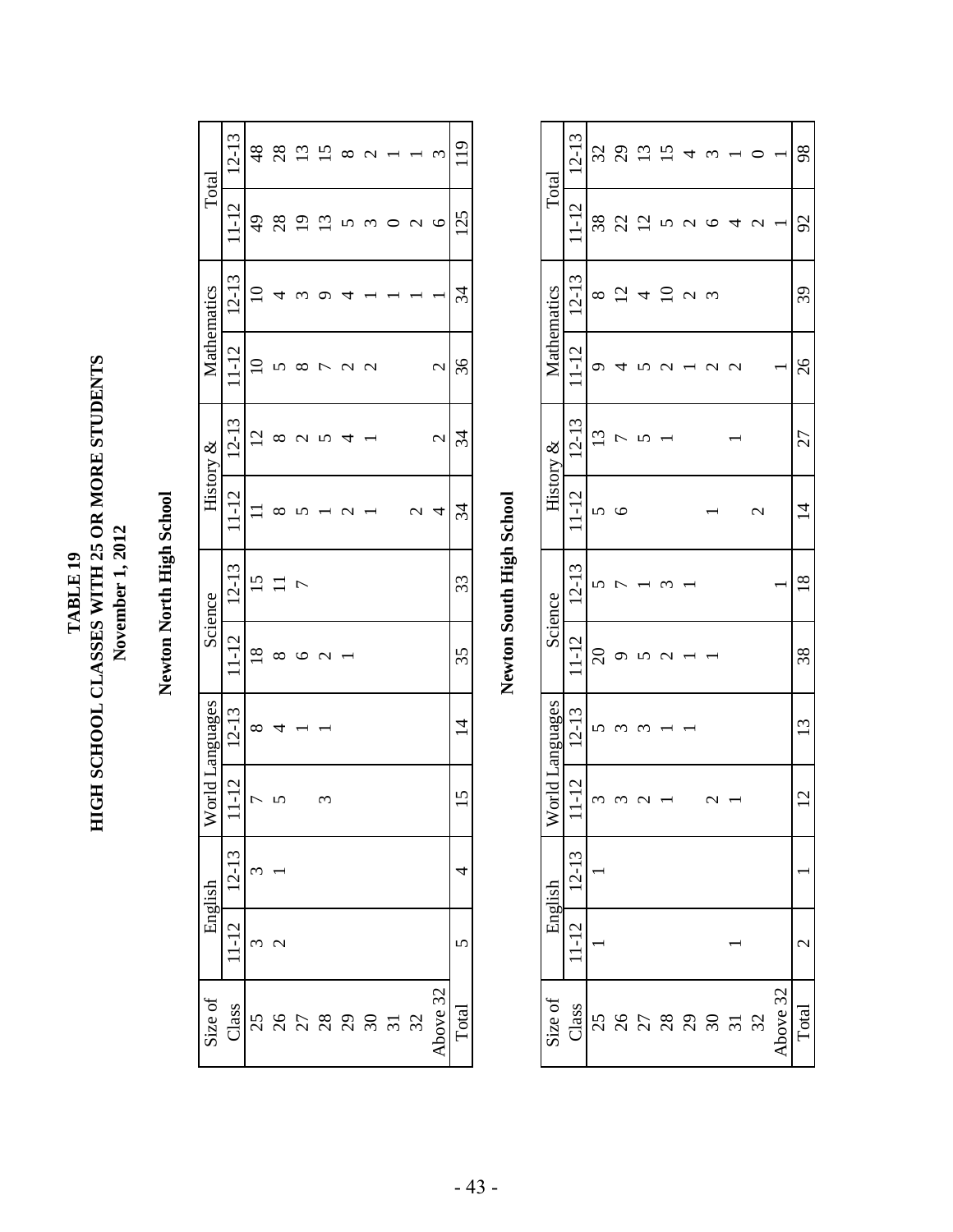TABLE 19<br>HIGH SCHOOL CLASSES WITH 25 OR MORE STUDENTS **HIGH SCHOOL CLASSES WITH 25 OR MORE STUDENTS** November 1, 2012 **November 1, 2012 TABLE 19**

Newton North High School **Newton North High School**

|                | $12 - 13$ | 48                 | 28               | $\overline{13}$ | $\overline{15}$ | ∞      | 1           |                  | ۲             | 119            |
|----------------|-----------|--------------------|------------------|-----------------|-----------------|--------|-------------|------------------|---------------|----------------|
| Total          | $1 - 12$  | $\frac{49}{5}$     | $^{28}$          |                 | $\Xi$           |        | ٢           | ⇃<br>C           | ৩             | 125            |
| Mathematics    | $12 - 13$ | ⊂                  |                  |                 |                 |        |             |                  |               | 34             |
|                | $11 - 12$ |                    |                  |                 | Ľ               | ⇃<br>C | $\mathbf 2$ |                  | $\mathbf{C}$  | $\%$           |
|                | $12 - 13$ | $\overline{2}$     |                  |                 |                 | 4      |             |                  | $\mathcal{L}$ | 34             |
| History &      | $1 - 12$  |                    |                  |                 |                 | ⇃<br>C |             | $\mathrel{\sim}$ | 4             | 34             |
| Science        | $12 - 13$ | ٢                  |                  | r               |                 |        |             |                  |               | 33             |
|                | $11 - 12$ | $\frac{8}{2}$      | ∝                |                 | C<br>⇃          |        |             |                  |               | 35             |
| orld Languages | $12 - 13$ | $\infty$           | ₹                |                 |                 |        |             |                  |               | $\overline{4}$ |
|                | $-12$     | r                  |                  |                 |                 |        |             |                  |               |                |
| English        | 12-13     | $\mathbf{\hat{c}}$ |                  |                 |                 |        |             |                  |               |                |
|                | $1 - 12$  | ᠭ                  | $\mathrel{\sim}$ |                 |                 |        |             |                  |               |                |
| Size of        | Class     |                    |                  |                 |                 |        | 225828522   |                  | Above 32      | Total          |

| ļ            |
|--------------|
|              |
|              |
| $\mathbf{C}$ |
|              |
| 品            |
|              |
| ں<br>آ       |
|              |
| ĩ            |
|              |
| į            |
| ζ            |
|              |
|              |
| :<br>:<br>:  |
|              |
|              |
|              |
|              |
|              |

| Size of   |                          | English   |                                  | Vorld Languages |                | Science   | History &        |           |                   | Mathematics         | Total               |           |
|-----------|--------------------------|-----------|----------------------------------|-----------------|----------------|-----------|------------------|-----------|-------------------|---------------------|---------------------|-----------|
| Class     | 112                      | $12 - 13$ | $\overline{c}$<br>$\overline{1}$ | $12 - 13$       | $1 - 12$       | $12 - 13$ | $1 - 12$         | $12 - 13$ | $\mathsf{C}$<br>I | $12 - 13$           | $\overline{2}$<br>I | $12 - 13$ |
|           |                          |           | ٢                                |                 | $\overline{c}$ |           |                  | 13        |                   | ∞                   | 38                  | 32        |
| 222823232 |                          |           |                                  |                 |                |           |                  |           |                   | $\overline{\omega}$ | 22                  | 29        |
|           |                          |           |                                  |                 |                |           |                  |           |                   | 4                   | $\mathsf{C}$<br>7   |           |
|           |                          |           |                                  |                 |                |           |                  |           |                   | $\subseteq$         |                     |           |
|           |                          |           |                                  |                 |                |           |                  |           |                   | J<br>C              |                     | 4         |
|           |                          |           |                                  |                 |                |           |                  |           | 1                 | 3                   |                     |           |
|           |                          |           |                                  |                 |                |           |                  |           | $\mathcal{C}$     |                     |                     |           |
|           |                          |           |                                  |                 |                |           | $\mathrel{\sim}$ |           |                   |                     | J                   |           |
| bove 32   |                          |           |                                  |                 |                |           |                  |           |                   |                     |                     |           |
| Total     | $\overline{\mathcal{C}}$ |           | $\mathbf{\hat{c}}$               | σ               | $\frac{8}{3}$  | $\propto$ | Ч                | 27        | 26                | 39                  | 2                   | 98        |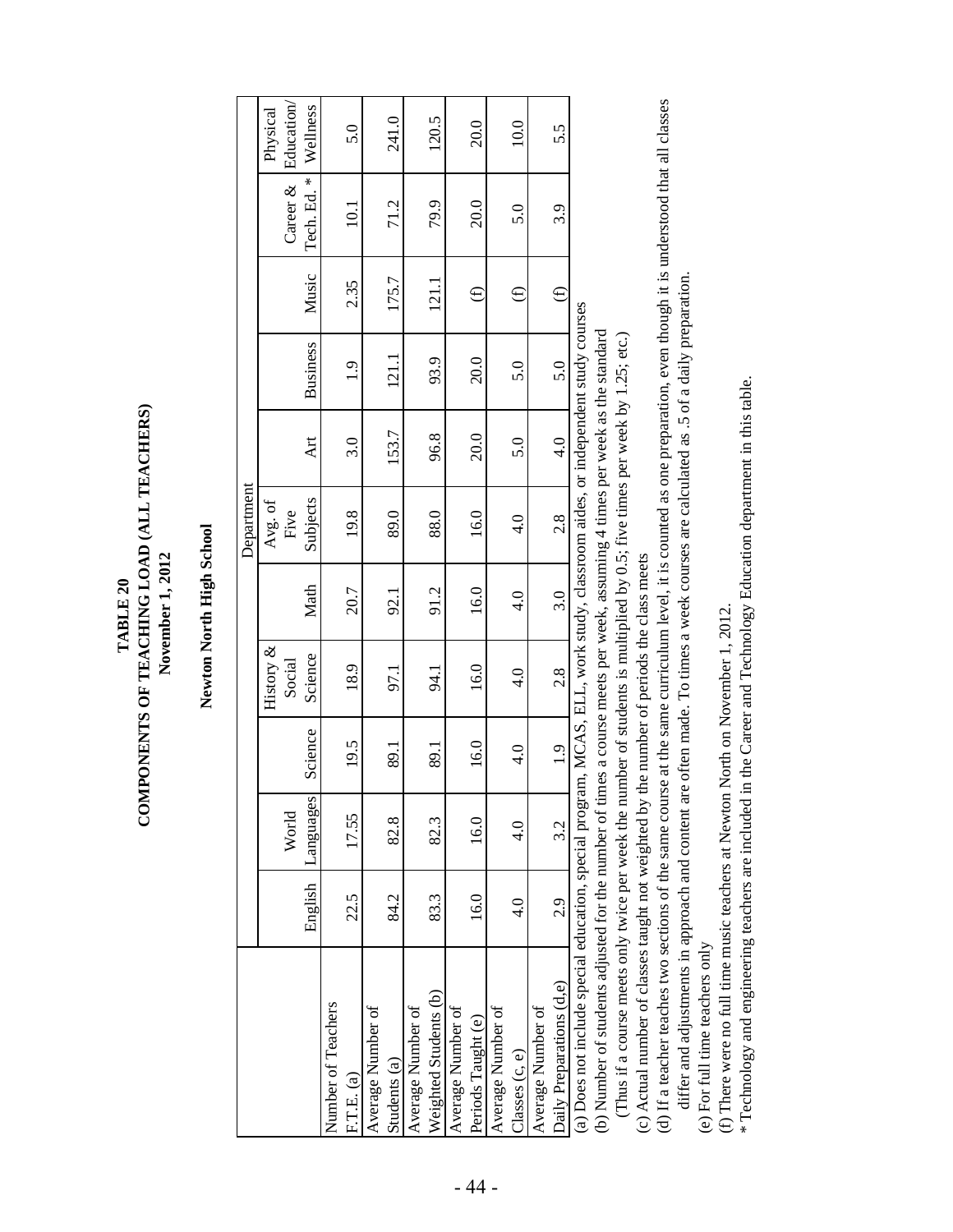Newton North High School **Newton North High School**

**TABLE 20 COMPONENTS OF TEACHING LOAD (ALL TEACHERS) November 1, 2012**

TABLE<sub>20</sub>

COMPONENTS OF TEACHING LOAD (ALL TEACHERS)

November 1, 2012

|                                                                                                                               |               |               |               |               |                | Department    |               |                 |          |                        |          |
|-------------------------------------------------------------------------------------------------------------------------------|---------------|---------------|---------------|---------------|----------------|---------------|---------------|-----------------|----------|------------------------|----------|
|                                                                                                                               |               |               |               | History &     |                | Avg. of       |               |                 |          |                        | Physical |
|                                                                                                                               |               | World         |               | Social        |                | Five          |               |                 |          | Career $\&$ Education/ |          |
|                                                                                                                               | English       | Languages     | Science       | Science       | Math           | Subjects      | Art           | <b>Business</b> | Music    | Tech. Ed. *            | Wellness |
| Number of Teachers                                                                                                            |               |               |               |               |                |               |               |                 |          |                        |          |
| F.T.E. (a)                                                                                                                    | 22.5          | 17.55         | 19.5          | 18.9          | 20.7           | 19.8          | 3.0           | $\frac{1}{2}$   | 2.35     | $\overline{10.1}$      | 5.0      |
| Average Number of                                                                                                             |               |               |               |               |                |               |               |                 |          |                        |          |
| Students (a)                                                                                                                  | 84.2          | 82.8          | 89.1          | 97.1          | 92.1           | 89.0          | 153.7         | 121.1           | 175.7    | 71.2                   | 241.0    |
| Average Number of                                                                                                             |               |               |               |               |                |               |               |                 |          |                        |          |
| Weighted Students (b)                                                                                                         | 83.3          | 82.3          | 89.1          | 94.1          | 91.2           | 88.0          | 96.8          | 93.9            | 121.1    | 79.9                   | 120.5    |
| Average Number of                                                                                                             |               |               |               |               |                |               |               |                 |          |                        |          |
| Periods Taught (e)                                                                                                            | 16.0          | 16.0          | 16.0          | 16.0          | 16.0           | 16.0          | 20.0          | 20.0            | $\oplus$ | 20.0                   | 20.0     |
| Average Number of                                                                                                             |               |               |               |               |                |               |               |                 |          |                        |          |
| Classes (c, e)                                                                                                                | $\frac{4}{0}$ | $\frac{1}{4}$ | $\frac{1}{4}$ | $\frac{1}{4}$ | $\frac{4}{10}$ | $\frac{4}{1}$ | 5.0           | 5.0             | ⊕        | 5.0                    | 10.0     |
| Average Number of                                                                                                             |               |               |               |               |                |               |               |                 |          |                        |          |
| Daily Preparations (d,e)                                                                                                      | 2.9           | 3.2           | 1.9           | 2.8           | 3.0            | 2.8           | $\frac{1}{4}$ | 5.0             | $\oplus$ | 3.9                    | 5.5      |
| (a) Does not include special education, special program, MCAS, ELL, work study, classroom aides, or independent study courses |               |               |               |               |                |               |               |                 |          |                        |          |

(b) Number of students adjusted for the number of times a course meets per week, assuming 4 times per week as the standard (b) Number of students adjusted for the number of times a course meets per week, assuming 4 times per week as the standard

(Thus if a course meets only twice per week the number of students is multiplied by 0.5; five times per week by 1.25; etc.) (Thus if a course meets only twice per week the number of students is multiplied by 0.5; five times per week by 1.25; etc.)

(c) Actual number of classes taught not weighted by the number of periods the class meets (c) Actual number of classes taught not weighted by the number of periods the class meets

(d) If a teacher teaches two sections of the same course at the same curriculum level, it is counted as one preparation, even though it is understood that all classes (d) If a teacher teaches two sections of the same course at the same curriculum level, it is counted as one preparation, even though it is understood that all classes differ and adjustments in approach and content are often made. To times a week courses are calculated as .5 of a daily preparation. differ and adjustments in approach and content are often made. To times a week courses are calculated as .5 of a daily preparation. (e) For full time teachers only (e) For full time teachers only

(f) There were no full time music teachers at Newton North on November 1, 2012. (f) There were no full time music teachers at Newton North on November 1, 2012.

\* Technology and engineering teachers are included in the Career and Technology Education department in this table. \* Technology and engineering teachers are included in the Career and Technology Education department in this table.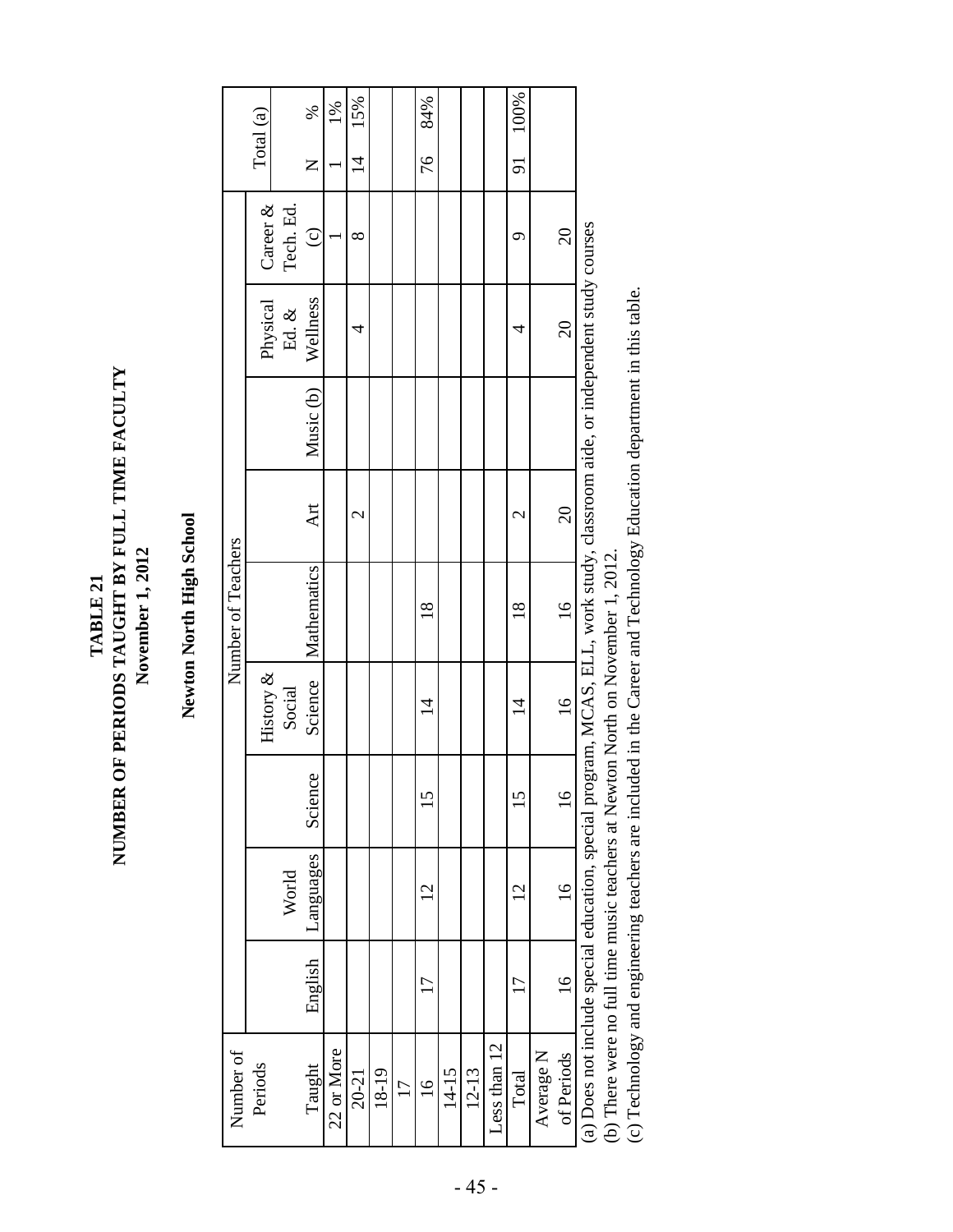NUMBER OF PERIODS TAUGHT BY FULL TIME FACULTY **NUMBER OF PERIODS TAUGHT BY FULL TIME FACULTY** November 1, 2012 **November 1, 2012** TABLE 21 **TABLE 21**

## Newton North High School **Newton North High School**

| Number of                                                                                                                    |                |                 |               |                | Number of Teachers |                          |           |                 |           |                       |
|------------------------------------------------------------------------------------------------------------------------------|----------------|-----------------|---------------|----------------|--------------------|--------------------------|-----------|-----------------|-----------|-----------------------|
| Periods                                                                                                                      |                |                 |               | History &      |                    |                          |           | Physical        | Career &  | Total (a)             |
|                                                                                                                              |                | World           |               | Social         |                    |                          |           | Ed. $\&$        | Tech. Ed. |                       |
| Taught                                                                                                                       | English        | Languages       | Science       | Science        | Mathematics        | Art                      | Music (b) | Wellness        | $\odot$   | %<br>Z                |
| 22 or More                                                                                                                   |                |                 |               |                |                    |                          |           |                 |           | $1\%$                 |
| $20 - 21$                                                                                                                    |                |                 |               |                |                    | $\mathrel{\sim}$         |           | 4               | $\infty$  | 15%<br>$\overline{4}$ |
| 18-19                                                                                                                        |                |                 |               |                |                    |                          |           |                 |           |                       |
| $\overline{\phantom{0}}$                                                                                                     |                |                 |               |                |                    |                          |           |                 |           |                       |
| $\frac{6}{1}$                                                                                                                | $\overline{1}$ | $\overline{C}$  | 15            | $\overline{4}$ | $\frac{8}{18}$     |                          |           |                 |           | 84%<br>76             |
| 14-15                                                                                                                        |                |                 |               |                |                    |                          |           |                 |           |                       |
| $12 - 13$                                                                                                                    |                |                 |               |                |                    |                          |           |                 |           |                       |
| Less than 12                                                                                                                 |                |                 |               |                |                    |                          |           |                 |           |                       |
| Total                                                                                                                        | 17             | $\overline{2}$  | 15            | $\overline{4}$ | $\frac{8}{18}$     | $\overline{\mathcal{C}}$ |           | 4               | σ         | 91 100%               |
| Average N                                                                                                                    |                |                 |               |                |                    |                          |           |                 |           |                       |
| of Periods                                                                                                                   | $\frac{6}{1}$  | $\overline{16}$ | $\frac{6}{1}$ | $16 \text{ }$  | $\frac{1}{6}$      | 20                       |           | $\overline{20}$ | $\Omega$  |                       |
| (a) Does not include special education, special program, MCAS, ELL, work study, classroom aide, or independent study courses |                |                 |               |                |                    |                          |           |                 |           |                       |

(b) There were no full time music teachers at Newton North on November 1, 2012. (b) There were no full time music teachers at Newton North on November 1, 2012.

(c) Technology and engineering teachers are included in the Career and Technology Education department in this table. (c) Technology and engineering teachers are included in the Career and Technology Education department in this table.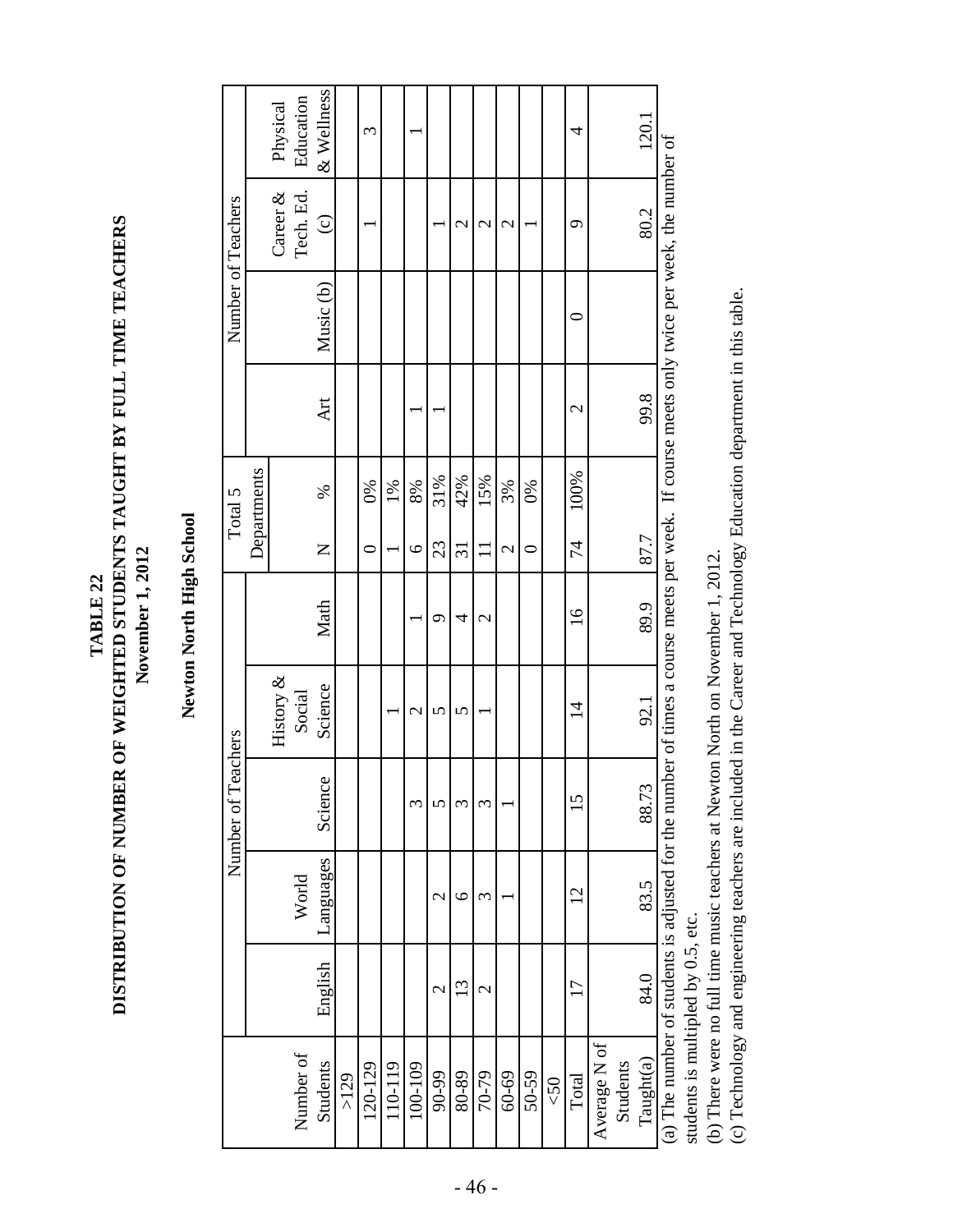DISTRIBUTION OF NUMBER OF WEIGHTED STUDENTS TAUGHT BY FULL TIME TEACHERS **DISTRIBUTION OF NUMBER OF WEIGHTED STUDENTS TAUGHT BY FULL TIME TEACHERS** November 1, 2012 **November 1, 2012** TABLE 22 **TABLE 22**

## Newton North High School **Newton North High School**

| 4<br>3<br>Career &<br>Tech. Ed.<br>80.2<br>$\odot$<br>$\mathcal{C}$<br>$\mathcal{C}$<br>σ<br>$\mathcal{C}$<br>Music (b)<br>Art<br>$\mathcal{C}$<br>Departments<br>100%<br>42%<br>31%<br>15%<br>1%<br>3%<br>6%<br>8%<br>$\delta$<br>L<br>74<br>23<br>$\mathsf{Z}$<br>$\overline{31}$<br>$\overline{\mathbf{c}}$<br>$\overline{\phantom{0}}$<br>$\overline{\mathcal{C}}$<br>⊂<br>Math<br>$\overline{16}$<br>$\mathcal{L}$<br>4<br>ᡋ<br>History $\&$<br>Science<br>Social<br>92.1<br>$\vec{v}$<br>$\overline{\mathcal{C}}$<br>5<br>5<br>Science<br>5<br>n<br>3<br>ς<br>$\widetilde{\phantom{a}}$<br>Languages<br>World<br>$\overline{2}$<br>$\circ$<br>$\mathcal{C}$<br>3<br>English<br>$\mathfrak{1}3$<br>17<br>$\overline{\mathcal{C}}$<br>$\mathbf 2$ | & Wellness<br>Education<br>Physical<br>120.1<br>ber of times a course meets per week. If course meets only twice per week, the number of<br>99.8<br>87.7<br>89.9<br>(a) The number of students is adjusted for the numb<br>88.73<br>83.5<br>84.0<br>Average N of<br>Number of |  | Number of Teachers |  | Total 5 |  | Number of Teachers |  |
|-------------------------------------------------------------------------------------------------------------------------------------------------------------------------------------------------------------------------------------------------------------------------------------------------------------------------------------------------------------------------------------------------------------------------------------------------------------------------------------------------------------------------------------------------------------------------------------------------------------------------------------------------------------------------------------------------------------------------------------------------------|-------------------------------------------------------------------------------------------------------------------------------------------------------------------------------------------------------------------------------------------------------------------------------|--|--------------------|--|---------|--|--------------------|--|
|                                                                                                                                                                                                                                                                                                                                                                                                                                                                                                                                                                                                                                                                                                                                                       |                                                                                                                                                                                                                                                                               |  |                    |  |         |  |                    |  |
|                                                                                                                                                                                                                                                                                                                                                                                                                                                                                                                                                                                                                                                                                                                                                       |                                                                                                                                                                                                                                                                               |  |                    |  |         |  |                    |  |
|                                                                                                                                                                                                                                                                                                                                                                                                                                                                                                                                                                                                                                                                                                                                                       |                                                                                                                                                                                                                                                                               |  |                    |  |         |  |                    |  |
|                                                                                                                                                                                                                                                                                                                                                                                                                                                                                                                                                                                                                                                                                                                                                       |                                                                                                                                                                                                                                                                               |  |                    |  |         |  |                    |  |
|                                                                                                                                                                                                                                                                                                                                                                                                                                                                                                                                                                                                                                                                                                                                                       |                                                                                                                                                                                                                                                                               |  |                    |  |         |  |                    |  |
|                                                                                                                                                                                                                                                                                                                                                                                                                                                                                                                                                                                                                                                                                                                                                       |                                                                                                                                                                                                                                                                               |  |                    |  |         |  |                    |  |
|                                                                                                                                                                                                                                                                                                                                                                                                                                                                                                                                                                                                                                                                                                                                                       |                                                                                                                                                                                                                                                                               |  |                    |  |         |  |                    |  |
|                                                                                                                                                                                                                                                                                                                                                                                                                                                                                                                                                                                                                                                                                                                                                       |                                                                                                                                                                                                                                                                               |  |                    |  |         |  |                    |  |
|                                                                                                                                                                                                                                                                                                                                                                                                                                                                                                                                                                                                                                                                                                                                                       |                                                                                                                                                                                                                                                                               |  |                    |  |         |  |                    |  |
|                                                                                                                                                                                                                                                                                                                                                                                                                                                                                                                                                                                                                                                                                                                                                       |                                                                                                                                                                                                                                                                               |  |                    |  |         |  |                    |  |
|                                                                                                                                                                                                                                                                                                                                                                                                                                                                                                                                                                                                                                                                                                                                                       |                                                                                                                                                                                                                                                                               |  |                    |  |         |  |                    |  |
|                                                                                                                                                                                                                                                                                                                                                                                                                                                                                                                                                                                                                                                                                                                                                       |                                                                                                                                                                                                                                                                               |  |                    |  |         |  |                    |  |
|                                                                                                                                                                                                                                                                                                                                                                                                                                                                                                                                                                                                                                                                                                                                                       |                                                                                                                                                                                                                                                                               |  |                    |  |         |  |                    |  |
|                                                                                                                                                                                                                                                                                                                                                                                                                                                                                                                                                                                                                                                                                                                                                       |                                                                                                                                                                                                                                                                               |  |                    |  |         |  |                    |  |
|                                                                                                                                                                                                                                                                                                                                                                                                                                                                                                                                                                                                                                                                                                                                                       |                                                                                                                                                                                                                                                                               |  |                    |  |         |  |                    |  |
|                                                                                                                                                                                                                                                                                                                                                                                                                                                                                                                                                                                                                                                                                                                                                       |                                                                                                                                                                                                                                                                               |  |                    |  |         |  |                    |  |
|                                                                                                                                                                                                                                                                                                                                                                                                                                                                                                                                                                                                                                                                                                                                                       |                                                                                                                                                                                                                                                                               |  |                    |  |         |  |                    |  |
|                                                                                                                                                                                                                                                                                                                                                                                                                                                                                                                                                                                                                                                                                                                                                       |                                                                                                                                                                                                                                                                               |  |                    |  |         |  |                    |  |

students is multipled by 0.5, etc. students is multipled by 0.5, etc.

(b) There were no full time music teachers at Newton North on November 1, 2012. (b) There were no full time music teachers at Newton North on November 1, 2012.

(c) Technology and engineering teachers are included in the Career and Technology Education department in this table. (c) Technology and engineering teachers are included in the Career and Technology Education department in this table.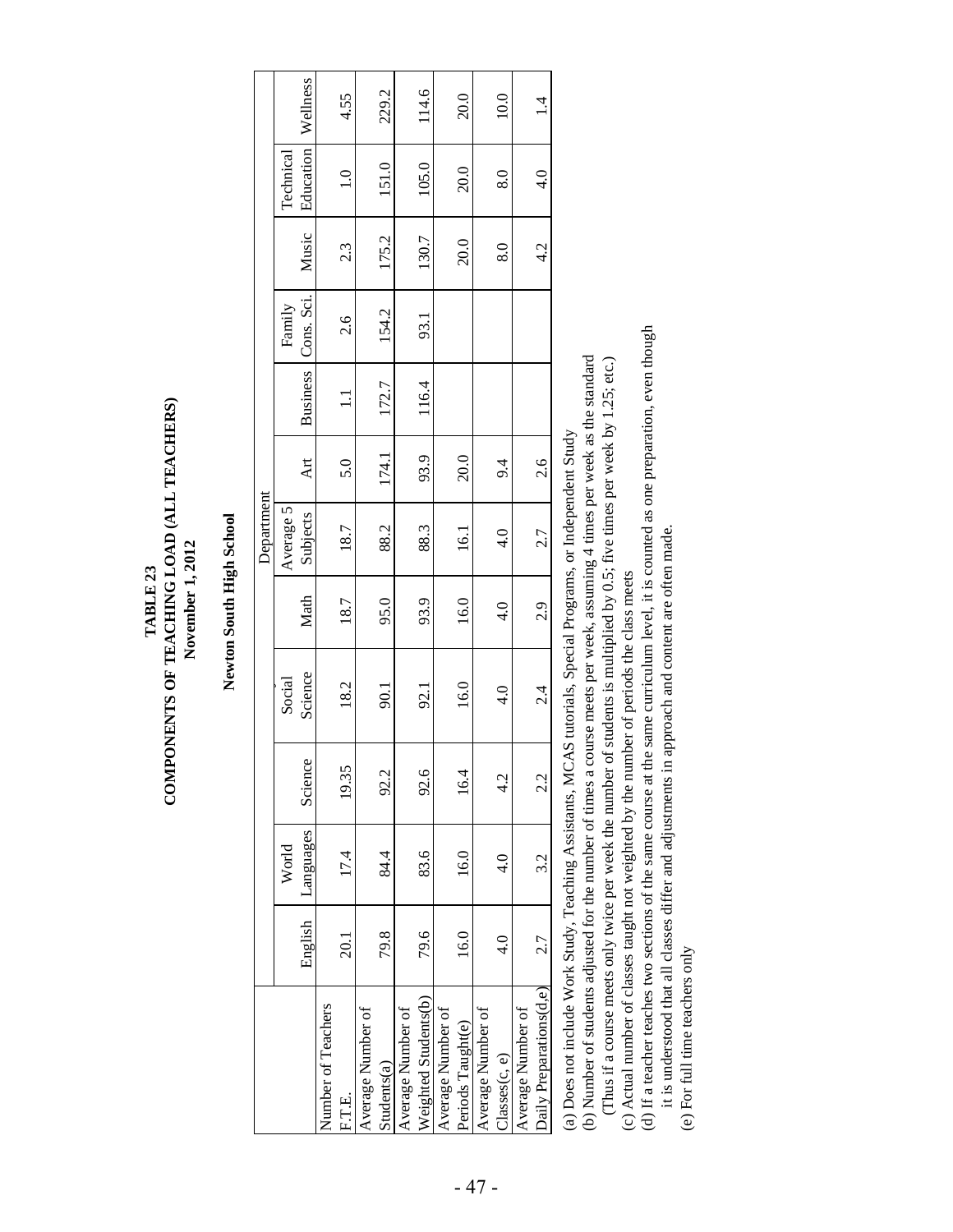COMPONENTS OF TEACHING LOAD (ALL TEACHERS) **COMPONENTS OF TEACHING LOAD (ALL TEACHERS)** November 1, 2012  **November 1, 2012** TABLE 23 **TABLE 23**

## Newton South High School **Newton South High School**

|                                                                                                                                                                                                                               |               |               |         |               |               | Department    |                                                                                                                                                                                                                                                                                                                                                                                      |                 |            |       |                  |            |
|-------------------------------------------------------------------------------------------------------------------------------------------------------------------------------------------------------------------------------|---------------|---------------|---------|---------------|---------------|---------------|--------------------------------------------------------------------------------------------------------------------------------------------------------------------------------------------------------------------------------------------------------------------------------------------------------------------------------------------------------------------------------------|-----------------|------------|-------|------------------|------------|
|                                                                                                                                                                                                                               |               | World         |         | Social        |               | Average 5     |                                                                                                                                                                                                                                                                                                                                                                                      |                 | Family     |       | Technical        |            |
|                                                                                                                                                                                                                               | English       | Languages     | Science | Science       | Math          | Subjects      | <b>Art</b>                                                                                                                                                                                                                                                                                                                                                                           | <b>Business</b> | Cons. Sci. | Music | <b>Education</b> | Wellness   |
| Number of Teachers                                                                                                                                                                                                            |               |               |         |               |               |               |                                                                                                                                                                                                                                                                                                                                                                                      |                 |            |       |                  |            |
| F.T.E.                                                                                                                                                                                                                        | 20.1          | 17.4          | 19.35   | 18.2          | 18.7          | 18.7          | 5.0                                                                                                                                                                                                                                                                                                                                                                                  | Ξ               | 2.6        | 2.3   | $\frac{0}{1}$    | 4.55       |
| Average Number of                                                                                                                                                                                                             |               |               |         |               |               |               |                                                                                                                                                                                                                                                                                                                                                                                      |                 |            |       |                  |            |
| Students(a)                                                                                                                                                                                                                   | 79.8          | 84.4          | 92.2    | 50.1          | 95.0          | 88.2          | 174.1                                                                                                                                                                                                                                                                                                                                                                                | 172.7           | 154.2      | 175.2 | 151.0            | 229.2      |
| Average Number of                                                                                                                                                                                                             |               |               |         |               |               |               |                                                                                                                                                                                                                                                                                                                                                                                      |                 |            |       |                  |            |
| Weighted Students(b)                                                                                                                                                                                                          | 79.6          | 83.6          | 92.6    | 92.1          | 93.9          | 88.3          | 93.9                                                                                                                                                                                                                                                                                                                                                                                 | 116.4           | 93.1       | 130.7 | 105.0            | 114.6      |
| Average Number of                                                                                                                                                                                                             |               |               |         |               |               |               |                                                                                                                                                                                                                                                                                                                                                                                      |                 |            |       |                  |            |
| Periods Taught(e)                                                                                                                                                                                                             | 16.0          | 16.0          | 16.4    | 16.0          | 16.0          | <b>16.1</b>   | 20.0                                                                                                                                                                                                                                                                                                                                                                                 |                 |            | 20.0  | 20.0             | 20.0       |
| Average Number of                                                                                                                                                                                                             |               |               |         |               |               |               |                                                                                                                                                                                                                                                                                                                                                                                      |                 |            |       |                  |            |
| Classes(c, e)                                                                                                                                                                                                                 | $\frac{1}{4}$ | $\frac{1}{4}$ | 4.2     | $\frac{0}{4}$ | $\frac{4}{1}$ | $\frac{4}{1}$ | 9.4                                                                                                                                                                                                                                                                                                                                                                                  |                 |            | 8.0   | 8.0              | 10.0       |
| Average Number of                                                                                                                                                                                                             |               |               |         |               |               |               |                                                                                                                                                                                                                                                                                                                                                                                      |                 |            |       |                  |            |
| Daily Preparations(d,e)                                                                                                                                                                                                       | 2.7           | 3.2           | 22      | $\frac{4}{2}$ | 2.9           | 2.7           | 2.6                                                                                                                                                                                                                                                                                                                                                                                  |                 |            | 4.2   | $\frac{1}{4}$    | $\ddot{ }$ |
| THE PARTIES OF PARTIES WERE CONTROLLED TO THE COMPUTER OF THE COMPUTER OF THE COMPUTER OF THE COMPUTER OF THE COMPUTER OF THE COMPUTER OF THE COMPUTER OF THE COMPUTER OF THE COMPUTER OF THE COMPUTER OF THE COMPUTER OF THE |               |               |         |               |               |               | $\overline{1}$ $\overline{1}$ $\overline{1}$ $\overline{1}$ $\overline{1}$ $\overline{1}$ $\overline{1}$ $\overline{1}$ $\overline{1}$ $\overline{1}$ $\overline{1}$ $\overline{1}$ $\overline{1}$ $\overline{1}$ $\overline{1}$ $\overline{1}$ $\overline{1}$ $\overline{1}$ $\overline{1}$ $\overline{1}$ $\overline{1}$ $\overline{1}$ $\overline{1}$ $\overline{1}$ $\overline{$ |                 |            |       |                  |            |

(a) Does not include Work Study, Teaching Assistants, MCAS tutorials, Special Programs, or Independent Study (a) Does not include Work Study, Teaching Assistants, MCAS tutorials, Special Programs, or Independent Study

(b) Number of students adjusted for the number of times a course meets per week, assuming 4 times per week as the standard (b) Number of students adjusted for the number of times a course meets per week, assuming 4 times per week as the standard (Thus if a course meets only twice per week the number of students is multiplied by 0.5; five times per week by 1.25; etc.) (Thus if a course meets only twice per week the number of students is multiplied by 0.5; five times per week by 1.25; etc.)

(c) Actual number of classes taught not weighted by the number of periods the class meets (c) Actual number of classes taught not weighted by the number of periods the class meets

(d) If a teacher teaches two sections of the same course at the same curriculum level, it is counted as one preparation, even though (d) If a teacher teaches two sections of the same course at the same curriculum level, it is counted as one preparation, even though

it is understood that all classes differ and adjustments in approach and content are often made. it is understood that all classes differ and adjustments in approach and content are often made.

(e) For full time teachers only (e) For full time teachers only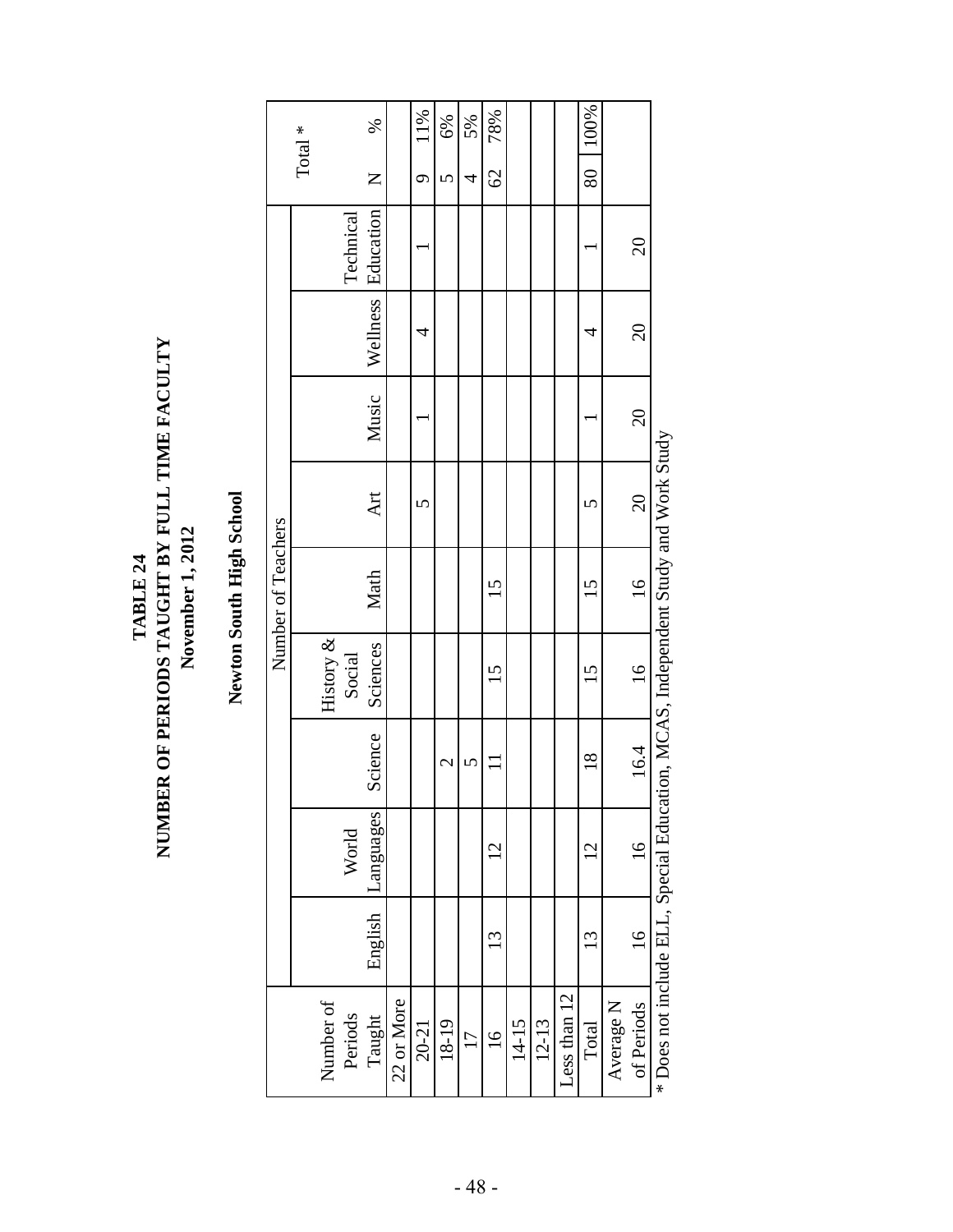## ${\bf TABLE 24} \label{thm:R0} {\bf TABLE 24} \begin{tabular}{l} \bf{TABLE 24} \end{tabular} \begin{tabular}{l} \bf{NUMBER OF PRRODS TAUGHT BY FULL TIME FACTITY} \end{tabular}$ **NUMBER OF PERIODS TAUGHT BY FULL TIME FACULTY** November 1, 2012 **November 1, 2012 TABLE 24**

# Newton South High School **Newton South High School**

|                    | $\mathrm{Total}$ $^*$ |              | Technical | %<br>Z<br>Wellness Education |            | 11%<br>$\sigma$ | 6%<br>$\overline{C}$ | 5%<br>4         | 78%<br>$\mathcal{O}$ |       |         |              | 100%<br>$\overline{80}$ |           | $\overline{6}$  |                                                                                  |
|--------------------|-----------------------|--------------|-----------|------------------------------|------------|-----------------|----------------------|-----------------|----------------------|-------|---------|--------------|-------------------------|-----------|-----------------|----------------------------------------------------------------------------------|
|                    |                       |              |           |                              |            | 4               |                      |                 |                      |       |         |              | 4                       |           | $\Omega$        |                                                                                  |
|                    |                       |              |           | Music                        |            |                 |                      |                 |                      |       |         |              |                         |           | 20              |                                                                                  |
|                    |                       |              |           | Art                          |            | 5               |                      |                 |                      |       |         |              | 5                       |           | $\overline{20}$ |                                                                                  |
| Number of Teachers |                       |              |           | Math                         |            |                 |                      |                 | $15 \,$              |       |         |              | 15                      |           | $\frac{16}{1}$  |                                                                                  |
|                    |                       | History $\&$ | Social    | Sciences                     |            |                 |                      |                 | 15                   |       |         |              | 15                      |           | $\frac{16}{1}$  |                                                                                  |
|                    |                       |              |           | Science                      |            |                 | 2                    | 5               |                      |       |         |              | $\frac{8}{18}$          |           | 16.4            |                                                                                  |
|                    |                       |              | World     | Languages                    |            |                 |                      |                 | $\overline{2}$       |       |         |              | $\overline{c}$          |           | $\frac{16}{1}$  |                                                                                  |
|                    |                       |              |           | English                      |            |                 |                      |                 | 13                   |       |         |              | 13                      |           | $\frac{8}{1}$   | * Does not include ELL Special Education, MCAS, Independent Study and Work Study |
|                    |                       | Number of    | Periods   | Taught                       | 22 or More | $20 - 21$       | 18-19                | $\overline{17}$ | $\frac{6}{1}$        | 14-15 | $12-13$ | Less than 12 | Total                   | Average N | of Periods      |                                                                                  |

**Ann** \* Does not include ELL, Special Education, MCAS, Independent Study and Work Study L<br>T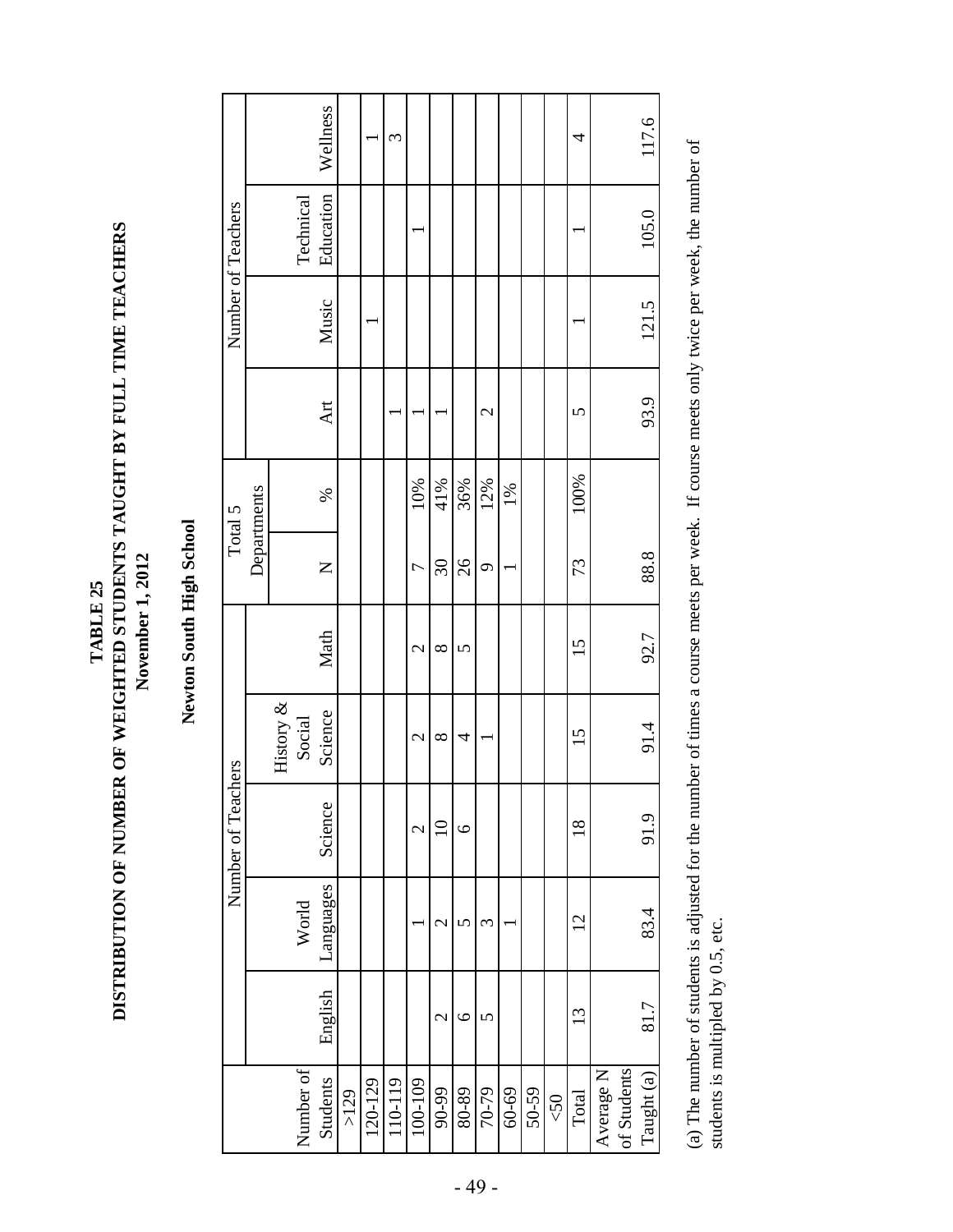DISTRIBUTION OF NUMBER OF WEIGHTED STUDENTS TAUGHT BY FULL TIME TEACHERS **DISTRIBUTION OF NUMBER OF WEIGHTED STUDENTS TAUGHT BY FULL TIME TEACHERS** November 1, 2012 **November 1, 2012** TABLE 25 **TABLE 25**

## Newton South High School **Newton South High School**

| 4<br>3<br>Education<br>Technical<br>105.0<br>121.5<br>Music<br>93.9<br>Art<br>$\overline{\mathcal{C}}$<br>5<br>100%<br>41%<br>10%<br>36%<br>12%<br>$1\%$<br>Departments<br>%<br>88.8<br>26<br>$\overline{\mathcal{S}}$<br>73<br>Z<br>$\circ$<br>$\overline{C}$<br>Math<br>92.7<br>15<br>$\infty$<br>$\overline{5}$<br>$\mathcal{C}$<br>History $\&$<br>Science<br>Social<br>91.4<br>15<br>$\mathcal{L}$<br>$\infty$<br>4 |                                            |  | Number of Teachers |  | Total 5 |  | Number of Teachers |          |
|--------------------------------------------------------------------------------------------------------------------------------------------------------------------------------------------------------------------------------------------------------------------------------------------------------------------------------------------------------------------------------------------------------------------------|--------------------------------------------|--|--------------------|--|---------|--|--------------------|----------|
|                                                                                                                                                                                                                                                                                                                                                                                                                          |                                            |  |                    |  |         |  |                    |          |
|                                                                                                                                                                                                                                                                                                                                                                                                                          |                                            |  |                    |  |         |  |                    |          |
|                                                                                                                                                                                                                                                                                                                                                                                                                          | World                                      |  |                    |  |         |  |                    |          |
|                                                                                                                                                                                                                                                                                                                                                                                                                          | Science<br>Languages<br>English            |  |                    |  |         |  |                    | Wellness |
|                                                                                                                                                                                                                                                                                                                                                                                                                          |                                            |  |                    |  |         |  |                    |          |
|                                                                                                                                                                                                                                                                                                                                                                                                                          |                                            |  |                    |  |         |  |                    |          |
|                                                                                                                                                                                                                                                                                                                                                                                                                          |                                            |  |                    |  |         |  |                    |          |
|                                                                                                                                                                                                                                                                                                                                                                                                                          | $\mathcal{L}$                              |  |                    |  |         |  |                    |          |
|                                                                                                                                                                                                                                                                                                                                                                                                                          | $\Xi$<br>$\mathcal{C}$<br>$\mathrel{\sim}$ |  |                    |  |         |  |                    |          |
|                                                                                                                                                                                                                                                                                                                                                                                                                          | $\circ$<br>5<br>$\circ$                    |  |                    |  |         |  |                    |          |
|                                                                                                                                                                                                                                                                                                                                                                                                                          | 3<br>5                                     |  |                    |  |         |  |                    |          |
|                                                                                                                                                                                                                                                                                                                                                                                                                          |                                            |  |                    |  |         |  |                    |          |
|                                                                                                                                                                                                                                                                                                                                                                                                                          |                                            |  |                    |  |         |  |                    |          |
|                                                                                                                                                                                                                                                                                                                                                                                                                          |                                            |  |                    |  |         |  |                    |          |
|                                                                                                                                                                                                                                                                                                                                                                                                                          | $\frac{8}{18}$<br>$\overline{2}$<br>13     |  |                    |  |         |  |                    |          |
|                                                                                                                                                                                                                                                                                                                                                                                                                          |                                            |  |                    |  |         |  |                    |          |
|                                                                                                                                                                                                                                                                                                                                                                                                                          |                                            |  |                    |  |         |  |                    |          |
|                                                                                                                                                                                                                                                                                                                                                                                                                          | 91.9<br>83.4<br>81.7                       |  |                    |  |         |  |                    | 117.6    |

(a) The number of students is adjusted for the number of times a course meets per week. If course meets only twice per week, the number of (a) The number of students is adjusted for the number of times a course meets per week. If course meets only twice per week, the number of students is multipled by 0.5, etc. students is multipled by 0.5, etc.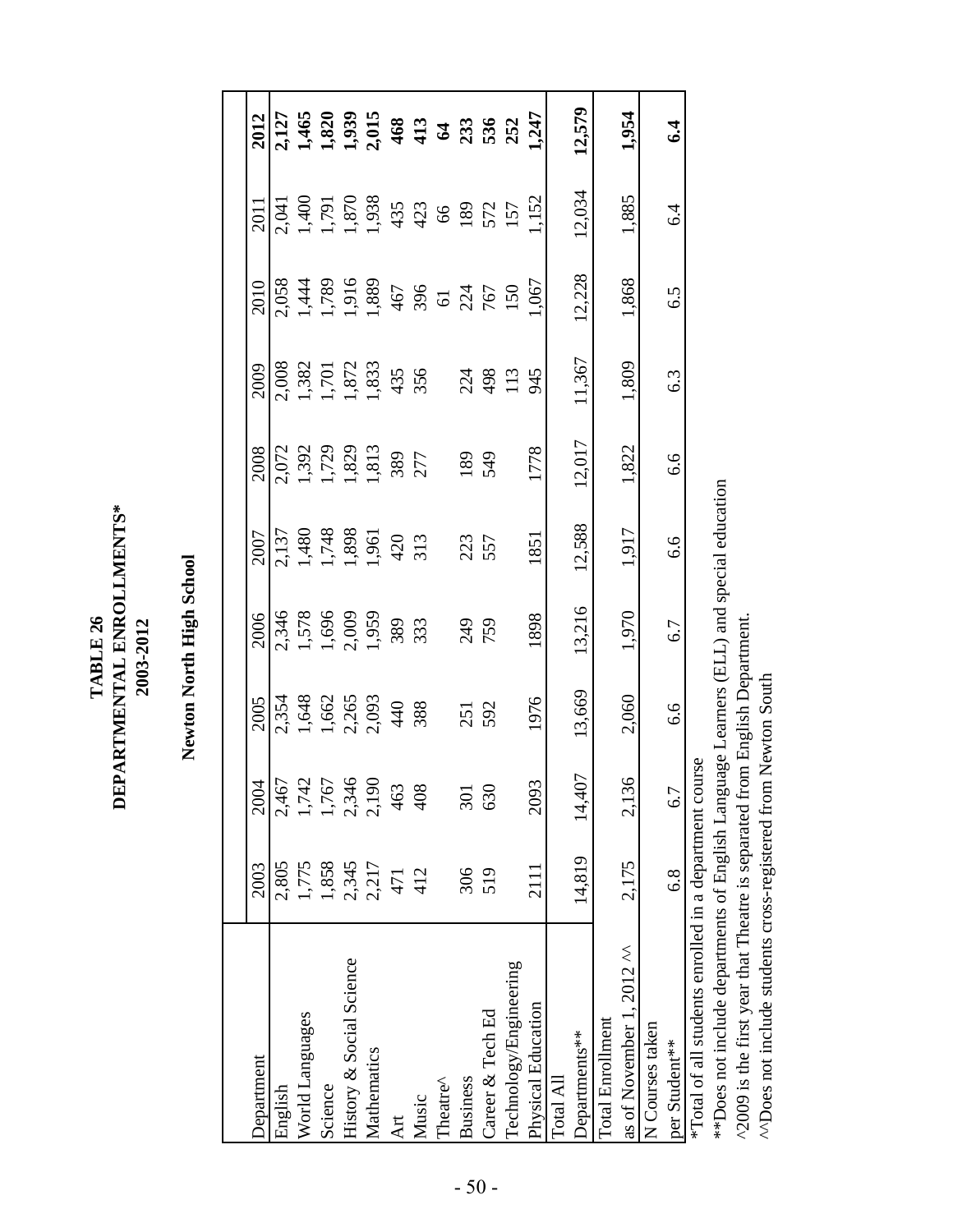TABLE 26<br>DEPARTMENTAL ENROLLMENTS\* **DEPARTMENTAL ENROLLMENTS\*** 2003-2012 **TABLE 26 2003-2012**

Newton North High School **Newton North High School**

| Department                                                                              | 2003   | 2004   | 2005                                           | 2006                                    | 2007                                                    | 2008                                      | 2009                                      | 2010                                                  | 2011                                                          | 2012             |
|-----------------------------------------------------------------------------------------|--------|--------|------------------------------------------------|-----------------------------------------|---------------------------------------------------------|-------------------------------------------|-------------------------------------------|-------------------------------------------------------|---------------------------------------------------------------|------------------|
| English                                                                                 | 2,805  | 2,467  |                                                | 2,346                                   |                                                         |                                           |                                           | 2,058                                                 |                                                               |                  |
| World Languages                                                                         | 1,775  | 1,742  |                                                |                                         |                                                         |                                           |                                           |                                                       |                                                               |                  |
| Science                                                                                 | 1,858  | 1,767  |                                                |                                         |                                                         |                                           |                                           |                                                       |                                                               |                  |
| History & Social Science                                                                | 2,345  | 2,346  |                                                |                                         |                                                         |                                           |                                           |                                                       |                                                               |                  |
| Mathematics                                                                             | 2,217  | 2,190  | 2,354<br>1,648<br>1,662<br>2,265<br>40<br>3,88 | 1,578<br>1,696<br>2,009<br>1,959<br>333 | 2,137<br>1,480<br>1,748<br>1,898<br>1,961<br>420<br>313 | 2,072<br>1,392<br>1,729<br>1,829<br>1,813 | 2,008<br>1,382<br>1,701<br>1,872<br>1,833 | 1,444<br>1,789<br>1,916<br>467<br>50 50 50 750<br>150 | 2,041<br>1,400<br>1,870<br>1,870<br>435<br>423 423 622<br>157 |                  |
| Art                                                                                     | 471    | 463    |                                                |                                         |                                                         | 389<br>277                                | 4356                                      |                                                       |                                                               |                  |
| Music                                                                                   | 412    | 408    |                                                |                                         |                                                         |                                           |                                           |                                                       |                                                               |                  |
| Theatre^                                                                                |        |        |                                                |                                         |                                                         |                                           |                                           |                                                       |                                                               |                  |
| <b>Business</b>                                                                         | 306    | 301    |                                                | 249<br>759                              | 223<br>557                                              | 189                                       |                                           |                                                       |                                                               |                  |
| Career & Tech Ed                                                                        | 519    | 630    | 251<br>592                                     |                                         |                                                         | 549                                       | 224<br>498                                |                                                       |                                                               |                  |
| Technology/Engineering                                                                  |        |        |                                                |                                         |                                                         |                                           | 113                                       |                                                       |                                                               |                  |
| Physical Education                                                                      | 2111   | 2093   | 1976                                           | 1898                                    | 1851                                                    | 1778                                      | 945                                       | 1,067                                                 | 152                                                           | 1,247            |
| Total All                                                                               |        |        |                                                |                                         |                                                         |                                           |                                           |                                                       |                                                               |                  |
| Departments**                                                                           | 14,819 | 14,407 | 13,669                                         | 13,216                                  | 12,588                                                  | 12,017                                    | 11,367                                    | 12,228                                                | 12,034                                                        | 12,579           |
| Total Enrollment                                                                        |        |        |                                                |                                         |                                                         |                                           |                                           |                                                       |                                                               |                  |
| as of November 1, 2012 ^^                                                               | 2,175  | 2,136  | 2,060                                          | 1,970                                   | 1,917                                                   | 1,822                                     | 1,809                                     | 1,868                                                 | 1,885                                                         | 1,954            |
| N Courses taken                                                                         |        |        |                                                |                                         |                                                         |                                           |                                           |                                                       |                                                               |                  |
| per Student**                                                                           | 6.8    | 6.7    | 6.6                                            | 6.7                                     | 6.6                                                     | 6.6                                       | 6.3                                       | 6.5                                                   | $6\dot{4}$                                                    | $\boldsymbol{5}$ |
| *Total of all students enrolled in a department course                                  |        |        |                                                |                                         |                                                         |                                           |                                           |                                                       |                                                               |                  |
| **Does not include departments of English Language Learners (ELL) and special education |        |        |                                                |                                         |                                                         |                                           |                                           |                                                       |                                                               |                  |

^2009 is the first year that Theatre is separated from English Department. ^2009 is the first year that Theatre is separated from English Department.

^^Does not include students cross-registered from Newton South ^^Does not include students cross-registered from Newton South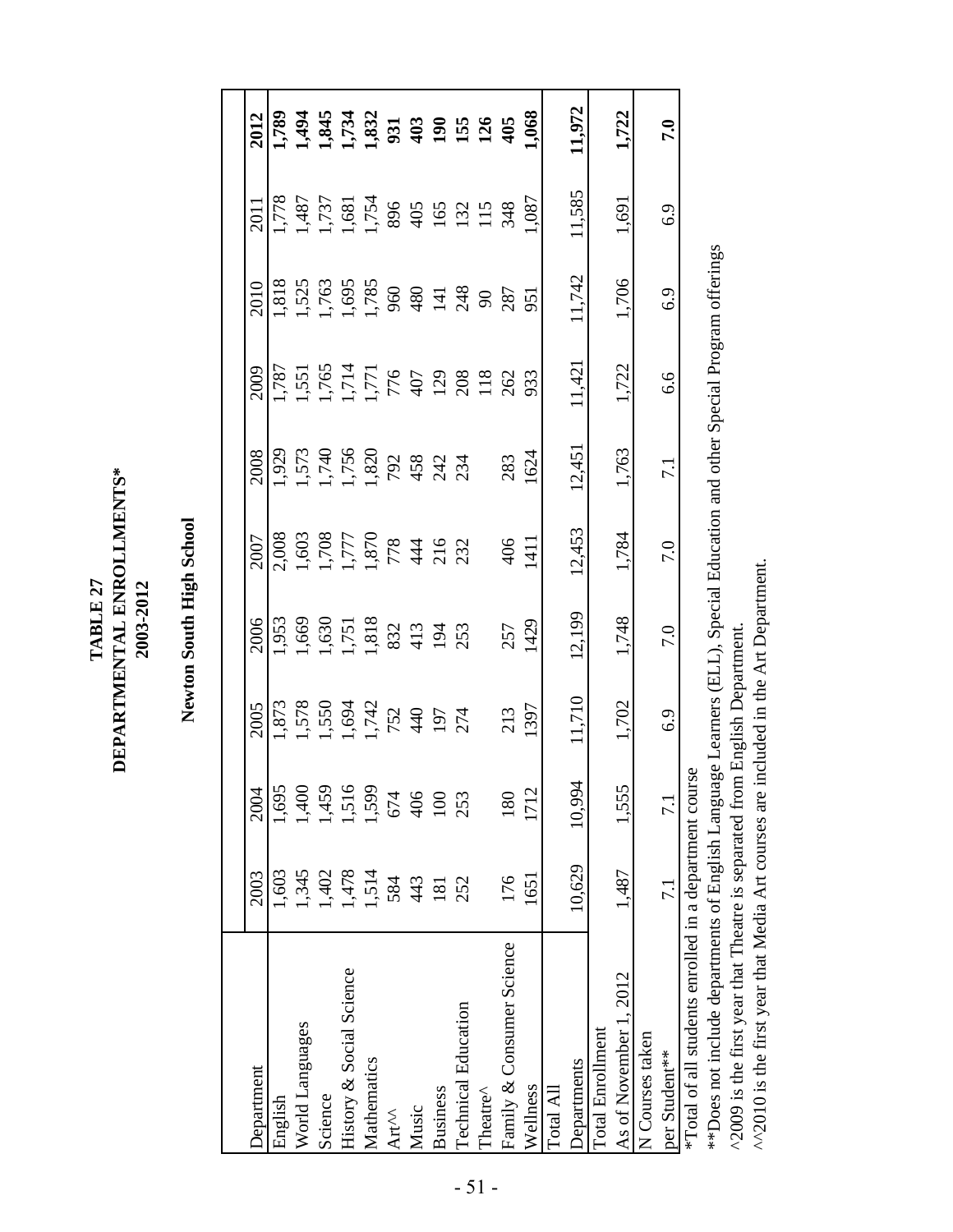${\bf TABLE 27} \\ {\bf DERRTIMENTAL ENROLLMENTS^*}$ **DEPARTMENTAL ENROLLMENTS\*** 2003-2012 **TABLE 27 2003-2012**

Newton South High School **Newton South High School**

| Department                                            | 2003             | 2004   | 2005                                             | 2006                                                                                          | 2007                                           | 2008                                           | 2009                                                                     | 2010                                                   | 2011                                                                 | 2012                         |
|-------------------------------------------------------|------------------|--------|--------------------------------------------------|-----------------------------------------------------------------------------------------------|------------------------------------------------|------------------------------------------------|--------------------------------------------------------------------------|--------------------------------------------------------|----------------------------------------------------------------------|------------------------------|
| English                                               | 1,603            | 1,695  |                                                  | ,953                                                                                          | 2,008                                          |                                                | .787                                                                     | 818                                                    | 844.                                                                 |                              |
| World Languages                                       | 1,345            | ,400   | 1,873<br>1,578<br>1,550<br>1,742<br>1974<br>1974 |                                                                                               | 1,603<br>1,777<br>1,870<br>1,870<br>732<br>232 | 1,929<br>1,573<br>1,740<br>1,820<br>234<br>234 | 1,551<br>1,765<br>1,771<br>1,771<br>1,776<br>1208<br>262                 | 1,525<br>1,763<br>1,785<br>960<br>4 3 3 9 8 7<br>3 8 7 |                                                                      | 1384<br>1385 325 326 326 336 |
| Science                                               | 1,402            | 1,459  |                                                  |                                                                                               |                                                |                                                |                                                                          |                                                        |                                                                      |                              |
| History & Social Science                              | 1,478            | ,516   |                                                  |                                                                                               |                                                |                                                |                                                                          |                                                        |                                                                      |                              |
| Mathematics                                           | 1,514            | 1,599  |                                                  |                                                                                               |                                                |                                                |                                                                          |                                                        |                                                                      |                              |
| Art <sup>M</sup>                                      | 584              | 674    |                                                  |                                                                                               |                                                |                                                |                                                                          |                                                        |                                                                      |                              |
| Music                                                 | 443              | 406    |                                                  | $\begin{array}{c} 1,669 \\ 1,630 \\ 1,751 \\ 1,818 \\ 832 \\ 191 \\ 91 \\ 253 \\ \end{array}$ |                                                |                                                |                                                                          |                                                        | 1,487<br>1,737<br>1,754<br>1,754<br>1,089<br>1,090<br>1,111<br>1,133 |                              |
| <b>Business</b>                                       | 181              | 100    |                                                  |                                                                                               |                                                |                                                |                                                                          |                                                        |                                                                      |                              |
| <b>Technical Education</b>                            | 252              | 253    |                                                  |                                                                                               |                                                |                                                |                                                                          |                                                        |                                                                      |                              |
| Theatre^                                              |                  |        |                                                  |                                                                                               |                                                |                                                |                                                                          |                                                        |                                                                      |                              |
| Family & Consumer Science                             | 176              | 180    | 213                                              | 257                                                                                           | 406                                            | 283                                            |                                                                          |                                                        |                                                                      |                              |
| Wellness                                              | 1651             | 1712   | 1397                                             | 1429                                                                                          | 1411                                           | 1624                                           | 933                                                                      | 951                                                    | 1,087                                                                | 1,068                        |
| Total All                                             |                  |        |                                                  |                                                                                               |                                                |                                                |                                                                          |                                                        |                                                                      |                              |
| <b>Departments</b>                                    | 10,629           | 10.994 | 11,710                                           | 12,199                                                                                        | 12,453                                         | 12,451                                         | 11,421                                                                   | 11,742                                                 | 11,585                                                               | 11,972                       |
| Total Enrollment                                      |                  |        |                                                  |                                                                                               |                                                |                                                |                                                                          |                                                        |                                                                      |                              |
| As of November 1, 2012                                | 1,487            | 1,555  | 1,702                                            | 1,748                                                                                         | 1,784                                          | 1,763                                          | 1,722                                                                    | 1,706                                                  | 1,691                                                                | 1,722                        |
| N Courses taken                                       |                  |        |                                                  |                                                                                               |                                                |                                                |                                                                          |                                                        |                                                                      |                              |
| per Student**                                         | $\overline{7.1}$ | 7.1    | 6.9                                              | 7.0                                                                                           | 7.0                                            | $\overline{7.1}$                               | 6.6                                                                      | 6.9                                                    | 6.9                                                                  | 7.0                          |
| Total of all students enrolled in a department course |                  |        |                                                  |                                                                                               |                                                |                                                |                                                                          |                                                        |                                                                      |                              |
| **Does not include departments of English Langua      |                  |        |                                                  |                                                                                               |                                                |                                                | ge Learners (ELL), Special Education and other Special Program offerings |                                                        |                                                                      |                              |

Ļ The Section of the Separature of the Separated from English Department.<br>
A 2009 is the first year that Theatre is separated from English Department. ^2009 is the first year that Theatre is separated from English Department.

^^2010 is the first year that Media Art courses are included in the Art Department. ^^2010 is the first year that Media Art courses are included in the Art Department.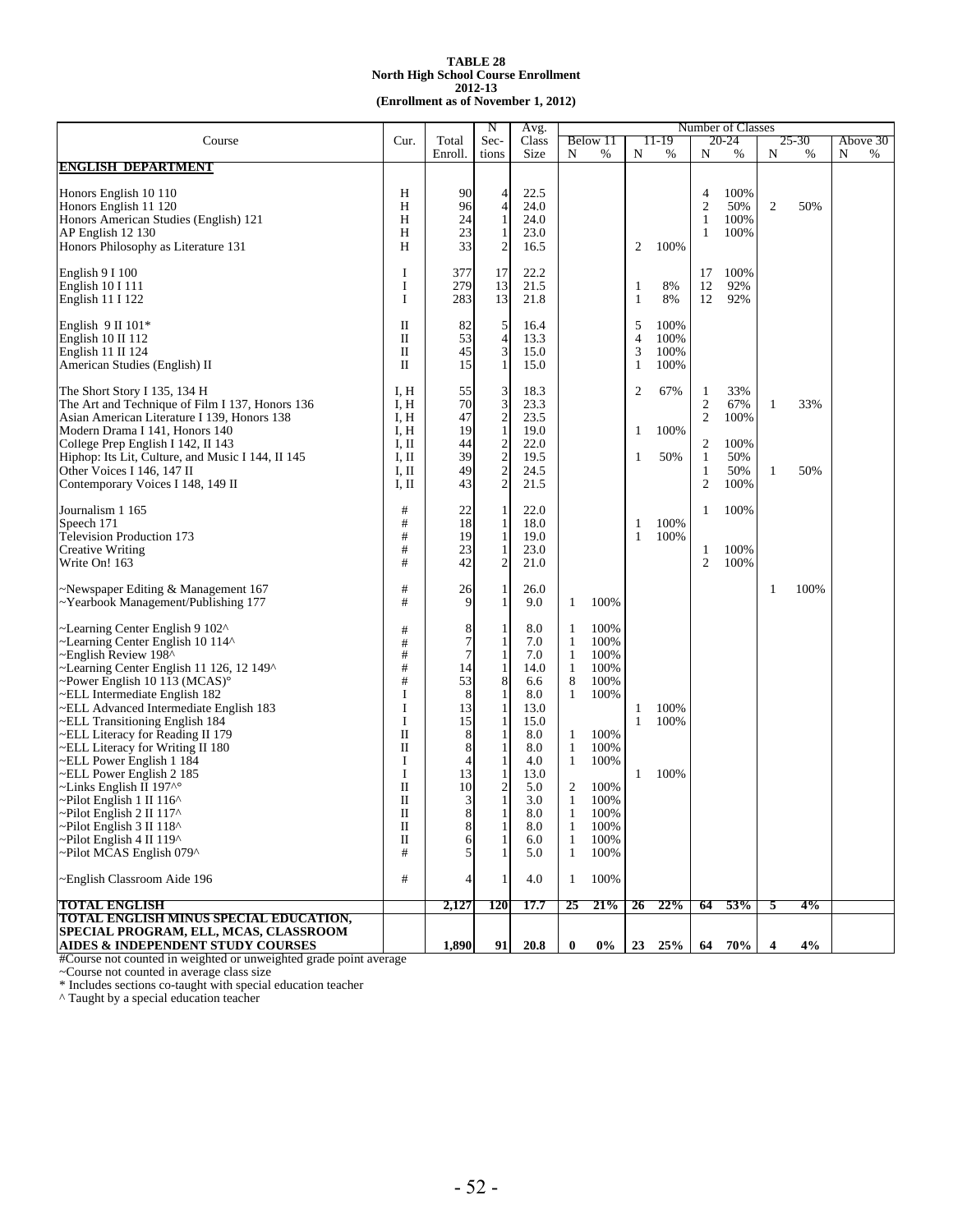#### **TABLE 28 2012-13 (Enrollment as of November 1, 2012) North High School Course Enrollment**

|                                                   |                      |                | N                                          | Avg.  |              |          |                   |       |                | Number of Classes |              |       |          |
|---------------------------------------------------|----------------------|----------------|--------------------------------------------|-------|--------------|----------|-------------------|-------|----------------|-------------------|--------------|-------|----------|
| Course                                            | Cur.                 | Total          | Sec-                                       | Class |              | Below 11 |                   | 11-19 |                | 20-24             |              | 25-30 | Above 30 |
|                                                   |                      | Enroll.        | tions                                      | Size  | N            | %        | N                 | $\%$  | N              | %                 | N            | $\%$  | N<br>%   |
| <b>ENGLISH DEPARTMENT</b>                         |                      |                |                                            |       |              |          |                   |       |                |                   |              |       |          |
|                                                   |                      |                |                                            |       |              |          |                   |       |                |                   |              |       |          |
| Honors English 10 110                             | H                    | 90             | 4                                          | 22.5  |              |          |                   |       | 4              | 100%              |              |       |          |
| Honors English 11 120                             | H                    | 96             | $\overline{\mathbf{4}}$                    | 24.0  |              |          |                   |       | $\overline{2}$ | 50%               | $\mathbf{2}$ | 50%   |          |
| Honors American Studies (English) 121             | H                    | 24             | $\mathbf{1}$                               | 24.0  |              |          |                   |       | $\mathbf{1}$   | 100%              |              |       |          |
| AP English 12 130                                 | H                    | 23             | 1                                          | 23.0  |              |          |                   |       | 1              | 100%              |              |       |          |
|                                                   |                      |                |                                            |       |              |          |                   |       |                |                   |              |       |          |
| Honors Philosophy as Literature 131               | H                    | 33             | $\overline{c}$                             | 16.5  |              |          | 2                 | 100%  |                |                   |              |       |          |
|                                                   |                      |                |                                            |       |              |          |                   |       |                |                   |              |       |          |
| English 9 I 100                                   | I                    | 377            | 17                                         | 22.2  |              |          |                   |       | 17             | 100%              |              |       |          |
| English 10 I 111                                  | I                    | 279            | 13                                         | 21.5  |              |          | 1                 | 8%    | 12             | 92%               |              |       |          |
| English 11 I 122                                  | I                    | 283            | 13                                         | 21.8  |              |          | $\mathbf{1}$      | 8%    | 12             | 92%               |              |       |          |
|                                                   |                      |                |                                            |       |              |          |                   |       |                |                   |              |       |          |
| English $9 \text{ II} 101*$                       | $\mathbf{I}$         | 82             | 5                                          | 16.4  |              |          | 5                 | 100%  |                |                   |              |       |          |
| English 10 II 112                                 | $\mathbf{I}$         | 53             | $\overline{\mathcal{L}}$                   | 13.3  |              |          | $\overline{4}$    | 100%  |                |                   |              |       |          |
| English $11 \text{ II}$ $124$                     | П                    | 45             | 3                                          | 15.0  |              |          | 3                 | 100%  |                |                   |              |       |          |
| American Studies (English) II                     | $\mathbf{I}$         | 15             | $\mathbf{1}$                               | 15.0  |              |          | 1                 | 100%  |                |                   |              |       |          |
|                                                   |                      |                |                                            |       |              |          |                   |       |                |                   |              |       |          |
| The Short Story I 135, 134 H                      | I, H                 | 55             | 3                                          | 18.3  |              |          | 2                 | 67%   | 1              | 33%               |              |       |          |
| The Art and Technique of Film I 137, Honors 136   | I, H                 | 70             | $\overline{3}$                             | 23.3  |              |          |                   |       | $\overline{c}$ | 67%               | 1            | 33%   |          |
| Asian American Literature I 139, Honors 138       | I, H                 | 47             |                                            | 23.5  |              |          |                   |       | $\overline{c}$ | 100%              |              |       |          |
| Modern Drama I 141, Honors 140                    | I, H                 | 19             | $\frac{2}{1}$                              | 19.0  |              |          | 1                 | 100%  |                |                   |              |       |          |
|                                                   | I, II                | 44             |                                            |       |              |          |                   |       |                |                   |              |       |          |
| College Prep English I 142, II 143                |                      |                |                                            | 22.0  |              |          |                   |       | $\overline{c}$ | 100%              |              |       |          |
| Hiphop: Its Lit, Culture, and Music I 144, II 145 | I, II                | 39             |                                            | 19.5  |              |          | 1                 | 50%   | $\mathbf{1}$   | 50%               |              |       |          |
| Other Voices I 146, 147 II                        | I, II                | 49             | $\begin{array}{c} 2 \\ 2 \\ 2 \end{array}$ | 24.5  |              |          |                   |       | 1              | 50%               | 1            | 50%   |          |
| Contemporary Voices I 148, 149 II                 | I, II                | 43             |                                            | 21.5  |              |          |                   |       | $\mathfrak{2}$ | 100%              |              |       |          |
|                                                   |                      |                |                                            |       |              |          |                   |       |                |                   |              |       |          |
| Journalism 1 165                                  | #                    | 22             | 1                                          | 22.0  |              |          |                   |       | 1              | 100%              |              |       |          |
| Speech 171                                        | #                    | 18             | $\mathbf{1}$                               | 18.0  |              |          | 1                 | 100%  |                |                   |              |       |          |
| Television Production 173                         | #                    | 19             | $\mathbf{1}$                               | 19.0  |              |          | $\mathbf{1}$      | 100%  |                |                   |              |       |          |
| Creative Writing                                  | $\#$                 | 23             | $\mathbf{1}$                               | 23.0  |              |          |                   |       | 1              | 100%              |              |       |          |
| Write On! 163                                     | #                    | 42             | $\mathbf{2}$                               | 21.0  |              |          |                   |       | $\mathfrak{2}$ | 100%              |              |       |          |
|                                                   |                      |                |                                            |       |              |          |                   |       |                |                   |              |       |          |
| -Newspaper Editing & Management 167               | #                    | 26             | 1                                          | 26.0  |              |          |                   |       |                |                   | 1            | 100%  |          |
| ~Yearbook Management/Publishing 177               | #                    | 9              | $\mathbf{1}$                               | 9.0   | 1            | 100%     |                   |       |                |                   |              |       |          |
|                                                   |                      |                |                                            |       |              |          |                   |       |                |                   |              |       |          |
| -Learning Center English 9 102^                   | #                    | 8              | 1                                          | 8.0   | -1           | 100%     |                   |       |                |                   |              |       |          |
| ~Learning Center English 10 114^                  |                      | 7              | $\mathbf{1}$                               | 7.0   | $\mathbf{1}$ | 100%     |                   |       |                |                   |              |       |          |
| -English Review 198^                              | #                    | $\overline{7}$ | 1                                          | 7.0   | -1           | 100%     |                   |       |                |                   |              |       |          |
| -Learning Center English 11 126, 12 149^          | $\#$                 | 14             | 1                                          | 14.0  | $\mathbf{1}$ | 100%     |                   |       |                |                   |              |       |          |
| $\sim$ Power English 10 113 (MCAS) $\circ$        | $\#$                 | 53             | 8                                          | 6.6   | $\,8\,$      | 100%     |                   |       |                |                   |              |       |          |
| ~ELL Intermediate English 182                     | 1                    | 8              | 1                                          | 8.0   | 1            | 100%     |                   |       |                |                   |              |       |          |
| ~ELL Advanced Intermediate English 183            | I                    | 13             | $\mathbf{1}$                               | 13.0  |              |          |                   | 100%  |                |                   |              |       |          |
|                                                   | I                    |                |                                            |       |              |          | 1<br>$\mathbf{1}$ |       |                |                   |              |       |          |
| ~ELL Transitioning English 184                    |                      | 15             | 1                                          | 15.0  |              |          |                   | 100%  |                |                   |              |       |          |
| ELL Literacy for Reading II 179                   | $\mathbf{I}$         | 8              | 1                                          | 8.0   | $\mathbf{1}$ | 100%     |                   |       |                |                   |              |       |          |
| ELL Literacy for Writing II 180                   | $\scriptstyle\rm II$ | 8              | 1                                          | 8.0   | $\mathbf{1}$ | 100%     |                   |       |                |                   |              |       |          |
| ~ELL Power English 1 184                          | I                    | Δ              | 1                                          | 4.0   | 1            | 100%     |                   |       |                |                   |              |       |          |
| ELL Power English 2 185                           | I                    | 13             | 1                                          | 13.0  |              |          | 1                 | 100%  |                |                   |              |       |          |
| ~Links English II 197^°                           | $\mathbf{I}$         | 10             | $\boldsymbol{2}$                           | 5.0   | 2            | 100%     |                   |       |                |                   |              |       |          |
| ~Pilot English 1 II 116^                          | $\mathbf{I}$         | 3              | $\mathbf{1}$                               | 3.0   | $\mathbf{1}$ | 100%     |                   |       |                |                   |              |       |          |
| ~Pilot English 2 II 117^                          | $\mathbf I$          | 8              | $\mathbf{1}$                               | 8.0   | 1            | 100%     |                   |       |                |                   |              |       |          |
| ~Pilot English 3 II 118^                          | П                    | 8              | 1                                          | 8.0   | 1            | 100%     |                   |       |                |                   |              |       |          |
| $\sim$ Pilot English 4 II 119 $\sim$              | П                    | 6              | 1                                          | 6.0   | -1           | 100%     |                   |       |                |                   |              |       |          |
| ~Pilot MCAS English 079^                          | #                    | 5              | 1                                          | 5.0   | -1           | 100%     |                   |       |                |                   |              |       |          |
|                                                   |                      |                |                                            |       |              |          |                   |       |                |                   |              |       |          |
| ~English Classroom Aide 196                       | #                    | Δ              | 1                                          | 4.0   | 1            | 100%     |                   |       |                |                   |              |       |          |
|                                                   |                      |                |                                            |       |              |          |                   |       |                |                   |              |       |          |
| <b>TOTAL ENGLISH</b>                              |                      | 2,127          | 120                                        | 17.7  | 25           | 21%      | 26                | 22%   | 64             | 53%               | 5            | 4%    |          |
| TOTAL ENGLISH MINUS SPECIAL EDUCATION,            |                      |                |                                            |       |              |          |                   |       |                |                   |              |       |          |
| SPECIAL PROGRAM, ELL, MCAS, CLASSROOM             |                      |                |                                            |       |              |          |                   |       |                |                   |              |       |          |
| AIDES & INDEPENDENT STUDY COURSES                 |                      | 1,890          | 91                                         | 20.8  | $\bf{0}$     | $0\%$    | 23                | 25%   | 64             | 70%               | 4            | 4%    |          |

#Course not counted in weighted or unweighted grade point average

~Course not counted in average class size

\* Includes sections co-taught with special education teacher

^ Taught by a special education teacher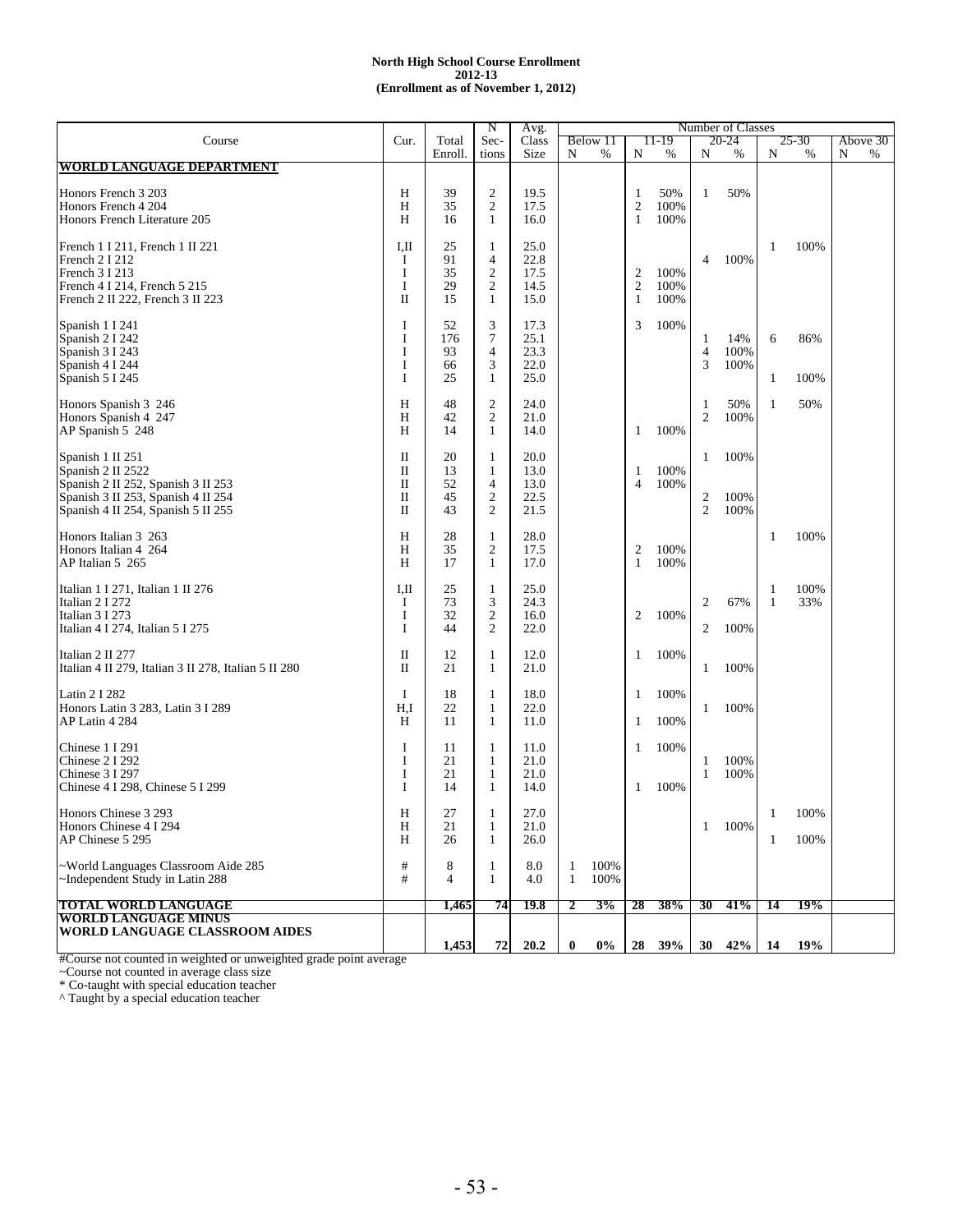|                                                                          |                   |                | N                                | Avg.         |          |          |                         |        |                     | Number of Classes        |    |       |          |
|--------------------------------------------------------------------------|-------------------|----------------|----------------------------------|--------------|----------|----------|-------------------------|--------|---------------------|--------------------------|----|-------|----------|
| Course                                                                   | Cur.              | Total          | Sec-                             | Class        |          | Below 11 |                         | 11-19  |                     | 20-24                    |    | 25-30 | Above 30 |
| <b>WORLD LANGUAGE DEPARTMENT</b>                                         |                   | Enroll.        | tions                            | Size         | N        | %        | N                       | %      | N                   | %                        | N  | %     | N<br>%   |
|                                                                          |                   |                |                                  |              |          |          |                         |        |                     |                          |    |       |          |
| Honors French 3 203                                                      | Н                 | 39             | $\overline{c}$                   | 19.5         |          |          | 1                       | 50%    | 1                   | 50%                      |    |       |          |
| Honors French 4 204                                                      | H                 | 35             | $\overline{c}$                   | 17.5         |          |          | $\overline{\mathbf{c}}$ | 100%   |                     |                          |    |       |          |
| Honors French Literature 205                                             | H                 | 16             | 1                                | 16.0         |          |          | $\mathbf{1}$            | 100%   |                     |                          |    |       |          |
|                                                                          | I,II              | 25             |                                  | 25.0         |          |          |                         |        |                     |                          | -1 | 100%  |          |
| French 1 I 211, French 1 II 221<br>French 2 I 212                        | 1                 | 91             | 1<br>$\overline{4}$              | 22.8         |          |          |                         |        | 4                   | 100%                     |    |       |          |
| French 3 I 213                                                           | I                 | 35             | $\overline{2}$                   | 17.5         |          |          | $\overline{2}$          | 100%   |                     |                          |    |       |          |
| French 4 I 214, French 5 215                                             | Ι                 | 29             | $\mathbf{2}$                     | 14.5         |          |          | $\mathfrak{2}$          | 100%   |                     |                          |    |       |          |
| French 2 II 222, French 3 II 223                                         | $\mathbf{I}$      | 15             | 1                                | 15.0         |          |          | -1                      | 100%   |                     |                          |    |       |          |
|                                                                          | I                 | 52             | 3                                | 17.3         |          |          | 3                       | 100%   |                     |                          |    |       |          |
| Spanish 1 I 241<br>Spanish 2 I 242                                       | 1                 | 176            | 7                                | 25.1         |          |          |                         |        | 1                   | 14%                      | 6  | 86%   |          |
| Spanish 3 I 243                                                          | I                 | 93             | $\overline{4}$                   | 23.3         |          |          |                         |        | 4                   | 100%                     |    |       |          |
| Spanish 4 I 244                                                          | I                 | 66             | 3                                | 22.0         |          |          |                         |        | 3                   | 100%                     |    |       |          |
| Spanish 5 I 245                                                          | I                 | 25             | $\mathbf{1}$                     | 25.0         |          |          |                         |        |                     |                          | 1  | 100%  |          |
|                                                                          |                   |                |                                  |              |          |          |                         |        |                     |                          |    |       |          |
| Honors Spanish 3 246<br>Honors Spanish 4 247                             | Η<br>Н            | 48<br>42       | $\overline{2}$<br>2              | 24.0<br>21.0 |          |          |                         |        | 1<br>$\overline{2}$ | 50%<br>100%              | 1  | 50%   |          |
| AP Spanish 5 248                                                         | Н                 | 14             | 1                                | 14.0         |          |          | 1                       | 100%   |                     |                          |    |       |          |
|                                                                          |                   |                |                                  |              |          |          |                         |        |                     |                          |    |       |          |
| Spanish 1 II 251                                                         | П                 | 20             | $\mathbf{1}$                     | 20.0         |          |          |                         |        | 1                   | 100%                     |    |       |          |
| Spanish 2 II 2522                                                        | $\mathbf{I}$      | 13             | $\mathbf{1}$                     | 13.0         |          |          | 1                       | 100%   |                     |                          |    |       |          |
| Spanish 2 II 252, Spanish 3 II 253                                       | П<br>$\mathbf{I}$ | 52<br>45       | $\overline{4}$<br>$\overline{c}$ | 13.0<br>22.5 |          |          | $\overline{4}$          | 100%   |                     | 100%                     |    |       |          |
| Spanish 3 II 253, Spanish 4 II 254<br>Spanish 4 II 254, Spanish 5 II 255 | $\mathbf{I}$      | 43             | 2                                | 21.5         |          |          |                         |        | 2<br>$\overline{c}$ | 100%                     |    |       |          |
|                                                                          |                   |                |                                  |              |          |          |                         |        |                     |                          |    |       |          |
| Honors Italian 3 263                                                     | H                 | 28             | $\mathbf{1}$                     | 28.0         |          |          |                         |        |                     |                          | 1  | 100%  |          |
| Honors Italian 4 264                                                     | Н                 | 35             | 2                                | 17.5         |          |          | 2                       | 100%   |                     |                          |    |       |          |
| AP Italian 5 265                                                         | H                 | 17             | 1                                | 17.0         |          |          | 1                       | 100%   |                     |                          |    |       |          |
| Italian 1 I 271, Italian 1 II 276                                        | IШ                | 25             | $\mathbf{1}$                     | 25.0         |          |          |                         |        |                     |                          | 1  | 100%  |          |
| Italian 2 I 272                                                          | 1                 | 73             | 3                                | 24.3         |          |          |                         |        | 2                   | 67%                      | 1  | 33%   |          |
| Italian 3 I 273                                                          | I                 | 32             | 2                                | 16.0         |          |          | 2                       | 100%   |                     |                          |    |       |          |
| Italian 4 I 274, Italian 5 I 275                                         | 1                 | 44             | 2                                | 22.0         |          |          |                         |        | 2                   | 100%                     |    |       |          |
| Italian 2 II 277                                                         | П                 | 12             | $\mathbf{1}$                     | 12.0         |          |          | 1                       | 100%   |                     |                          |    |       |          |
| Italian 4 II 279, Italian 3 II 278, Italian 5 II 280                     | П                 | 21             | $\mathbf{1}$                     | 21.0         |          |          |                         |        | 1                   | 100%                     |    |       |          |
|                                                                          |                   |                |                                  |              |          |          |                         |        |                     |                          |    |       |          |
| Latin 2 I 282                                                            | 1                 | 18             | $\mathbf{1}$                     | 18.0         |          |          | 1                       | 100%   |                     |                          |    |       |          |
| Honors Latin 3 283, Latin 3 I 289<br>AP Latin 4 284                      | H.I<br>H          | 22<br>11       | $\mathbf{1}$<br>1                | 22.0<br>11.0 |          |          | 1                       | 100%   | 1                   | 100%                     |    |       |          |
|                                                                          |                   |                |                                  |              |          |          |                         |        |                     |                          |    |       |          |
| Chinese 1 I 291                                                          | 1                 | 11             | 1                                | 11.0         |          |          | 1                       | 100%   |                     |                          |    |       |          |
| Chinese 2 I 292                                                          | I                 | 21             | $\mathbf{1}$                     | 21.0         |          |          |                         |        | 1                   | 100%                     |    |       |          |
| Chinese 3 I 297                                                          | 1                 | 21             | 1                                | 21.0         |          |          |                         |        | 1                   | 100%                     |    |       |          |
| Chinese 4 I 298, Chinese 5 I 299                                         | 1                 | 14             | 1                                | 14.0         |          |          | 1                       | 100%   |                     |                          |    |       |          |
| Honors Chinese 3 293                                                     | H                 | 27             | 1                                | 27.0         |          |          |                         |        |                     |                          | 1  | 100%  |          |
| Honors Chinese 4 I 294                                                   | Η                 | 21             | 1                                | 21.0         |          |          |                         |        | 1                   | 100%                     |    |       |          |
| AP Chinese 5 295                                                         | H                 | 26             | 1                                | 26.0         |          |          |                         |        |                     |                          | 1  | 100%  |          |
| ~World Languages Classroom Aide 285                                      | #                 | 8              | 1                                | 8.0          | -1       | 100%     |                         |        |                     |                          |    |       |          |
| ~Independent Study in Latin 288                                          | #                 | $\overline{4}$ | $\mathbf{1}$                     | 4.0          | -1       | 100%     |                         |        |                     |                          |    |       |          |
|                                                                          |                   |                |                                  |              |          |          |                         |        |                     |                          |    |       |          |
| <b>TOTAL WORLD LANGUAGE</b>                                              |                   | 1,465          | 74                               | 19.8         | 2        | 3%       | 28                      | 38%    | 30                  | 41%                      | 14 | 19%   |          |
| <b>WORLD LANGUAGE MINUS</b><br><b>WORLD LANGUAGE CLASSROOM AIDES</b>     |                   |                |                                  |              |          |          |                         |        |                     |                          |    |       |          |
|                                                                          |                   | 1,453          | 72                               | 20.2         | $\bf{0}$ | $0\%$    |                         | 28 39% |                     | $30 \quad 42\% \quad 14$ |    | 19%   |          |

#Course not counted in weighted or unweighted grade point average

~Course not counted in average class size

\* Co-taught with special education teacher

^ Taught by a special education teacher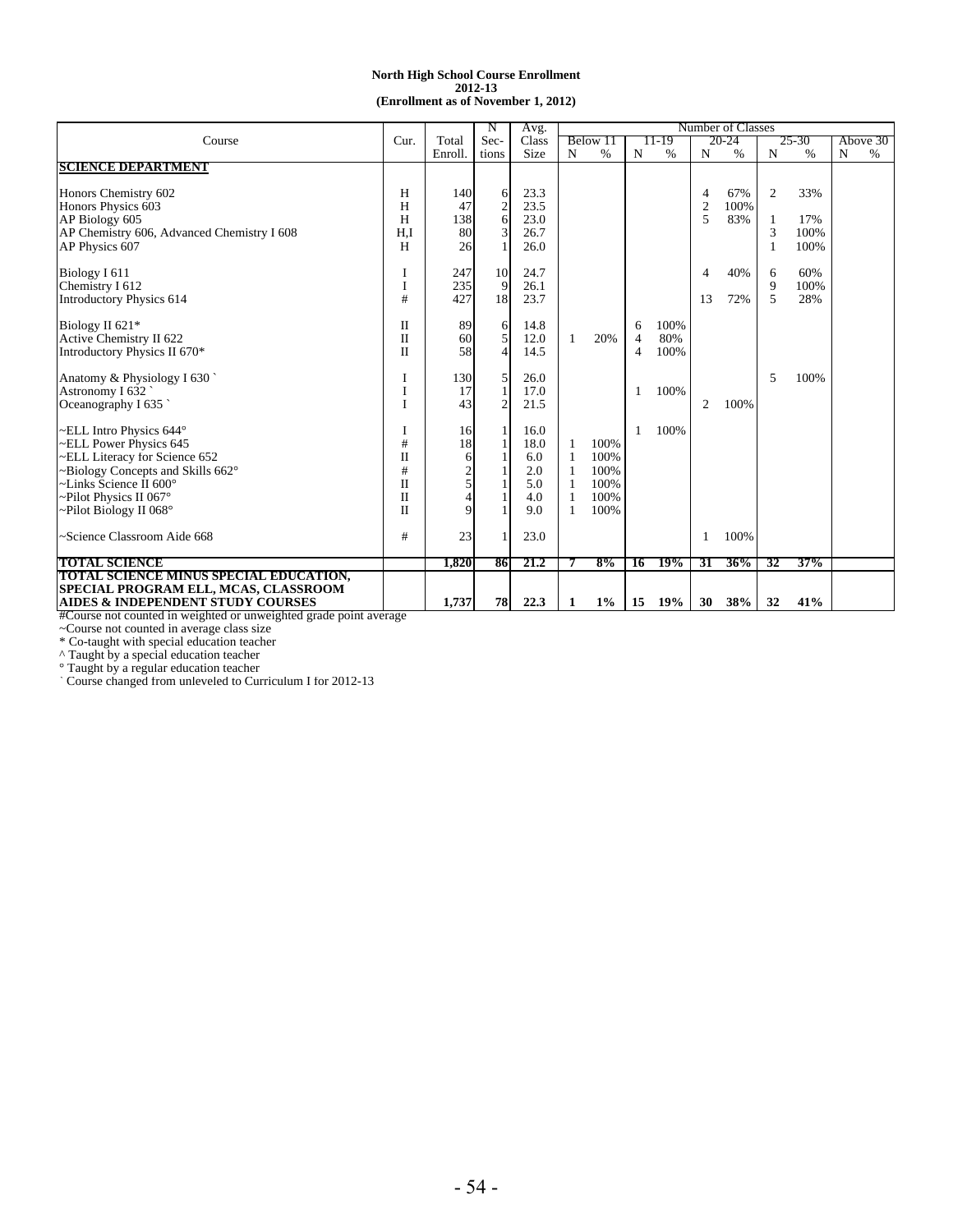#### **(Enrollment as of November 1, 2012) North High School Course Enrollment 2012-13**

|                                                                                                                   |              |         | N                | Avg.  |    |          |    |       |                | Number of Classes |                |           |   |          |
|-------------------------------------------------------------------------------------------------------------------|--------------|---------|------------------|-------|----|----------|----|-------|----------------|-------------------|----------------|-----------|---|----------|
| Course                                                                                                            | Cur.         | Total   | Sec-             | Class |    | Below 11 |    | 11-19 |                | 20-24             |                | $25 - 30$ |   | Above 30 |
|                                                                                                                   |              | Enroll. | tions            | Size  | N  | $\%$     | N  | %     | N              | %                 | N              | $\%$      | N | $\%$     |
| <b>SCIENCE DEPARTMENT</b>                                                                                         |              |         |                  |       |    |          |    |       |                |                   |                |           |   |          |
|                                                                                                                   |              |         |                  |       |    |          |    |       |                |                   |                |           |   |          |
| Honors Chemistry 602                                                                                              | Н            | 140     | 6                | 23.3  |    |          |    |       | 4              | 67%               | $\overline{2}$ | 33%       |   |          |
| Honors Physics 603                                                                                                | H            | 47      | $\mathbf{2}$     | 23.5  |    |          |    |       | $\overline{2}$ | 100%              |                |           |   |          |
| AP Biology 605                                                                                                    | H            | 138     | $6 \overline{6}$ | 23.0  |    |          |    |       | 5              | 83%               |                | 17%       |   |          |
| AP Chemistry 606, Advanced Chemistry I 608                                                                        | H.I          | 80      | 3                | 26.7  |    |          |    |       |                |                   | 3              | 100%      |   |          |
| AP Physics 607                                                                                                    | H            | 26      |                  | 26.0  |    |          |    |       |                |                   |                | 100%      |   |          |
|                                                                                                                   |              | 247     | 10               | 24.7  |    |          |    |       |                | 40%               |                | 60%       |   |          |
| Biology I 611<br>Chemistry I 612                                                                                  |              | 235     | 9                | 26.1  |    |          |    |       | 4              |                   | 6<br>9         | 100%      |   |          |
| <b>Introductory Physics 614</b>                                                                                   | #            | 427     | 18               | 23.7  |    |          |    |       | 13             | 72%               | 5              | 28%       |   |          |
|                                                                                                                   |              |         |                  |       |    |          |    |       |                |                   |                |           |   |          |
| Biology II 621*                                                                                                   | П            | 89      | 6                | 14.8  |    |          | 6  | 100%  |                |                   |                |           |   |          |
| Active Chemistry II 622                                                                                           | $\mathbf{I}$ | 60      | 5                | 12.0  | 1  | 20%      | 4  | 80%   |                |                   |                |           |   |          |
| Introductory Physics II 670*                                                                                      | $\mathbf{I}$ | 58      | $\overline{4}$   | 14.5  |    |          | 4  | 100%  |                |                   |                |           |   |          |
|                                                                                                                   |              |         |                  |       |    |          |    |       |                |                   |                |           |   |          |
| Anatomy & Physiology I 630                                                                                        |              | 130     | 5                | 26.0  |    |          |    |       |                |                   | 5              | 100%      |   |          |
| Astronomy I 632                                                                                                   |              | 17      | $\mathbf{1}$     | 17.0  |    |          | 1  | 100%  |                |                   |                |           |   |          |
| Oceanography I 635                                                                                                |              | 43      | $\overline{2}$   | 21.5  |    |          |    |       | 2              | 100%              |                |           |   |          |
|                                                                                                                   |              |         |                  |       |    |          |    |       |                |                   |                |           |   |          |
| ELL Intro Physics 644°                                                                                            |              | 16      |                  | 16.0  |    |          | 1  | 100%  |                |                   |                |           |   |          |
| ~ELL Power Physics 645                                                                                            | #            | 18      |                  | 18.0  | 1  | 100%     |    |       |                |                   |                |           |   |          |
| -ELL Literacy for Science 652                                                                                     | $\mathbf{I}$ | 6       |                  | 6.0   | 1  | 100%     |    |       |                |                   |                |           |   |          |
| $\sim$ Biology Concepts and Skills 662 $\circ$                                                                    | #            |         |                  | 2.0   |    | 100%     |    |       |                |                   |                |           |   |          |
| ~Links Science $\bar{II}$ 600°                                                                                    | $\mathbf{I}$ |         |                  | 5.0   | -1 | 100%     |    |       |                |                   |                |           |   |          |
| ~Pilot Physics II 067°                                                                                            | $\mathbf{I}$ |         |                  | 4.0   | -1 | 100%     |    |       |                |                   |                |           |   |          |
| -Pilot Biology II 068°                                                                                            | $\mathbf{I}$ | Q       |                  | 9.0   | 1  | 100%     |    |       |                |                   |                |           |   |          |
| -Science Classroom Aide 668                                                                                       | #            | 23      |                  | 23.0  |    |          |    |       | 1              | 100%              |                |           |   |          |
|                                                                                                                   |              |         |                  |       |    |          |    |       |                |                   |                |           |   |          |
| <b>TOTAL SCIENCE</b>                                                                                              |              | 1.820   | 86               | 21.2  |    | 8%       | 16 | 19%   | 31             | 36%               | 32             | 37%       |   |          |
| TOTAL SCIENCE MINUS SPECIAL EDUCATION,                                                                            |              |         |                  |       |    |          |    |       |                |                   |                |           |   |          |
| SPECIAL PROGRAM ELL, MCAS, CLASSROOM                                                                              |              |         |                  |       |    |          |    |       |                |                   |                |           |   |          |
| <b>AIDES &amp; INDEPENDENT STUDY COURSES</b><br>#Course not counted in weighted or unweighted grade point average |              | 1.737   | 78               | 22.3  | 1  | $1\%$    | 15 | 19%   | 30             | 38%               | 32             | 41%       |   |          |

#Course not counted in weighted or unweighted grade point average

~Course not counted in average class size

\* Co-taught with special education teacher

^ Taught by a special education teacher

° Taught by a regular education teacher

` Course changed from unleveled to Curriculum I for 2012-13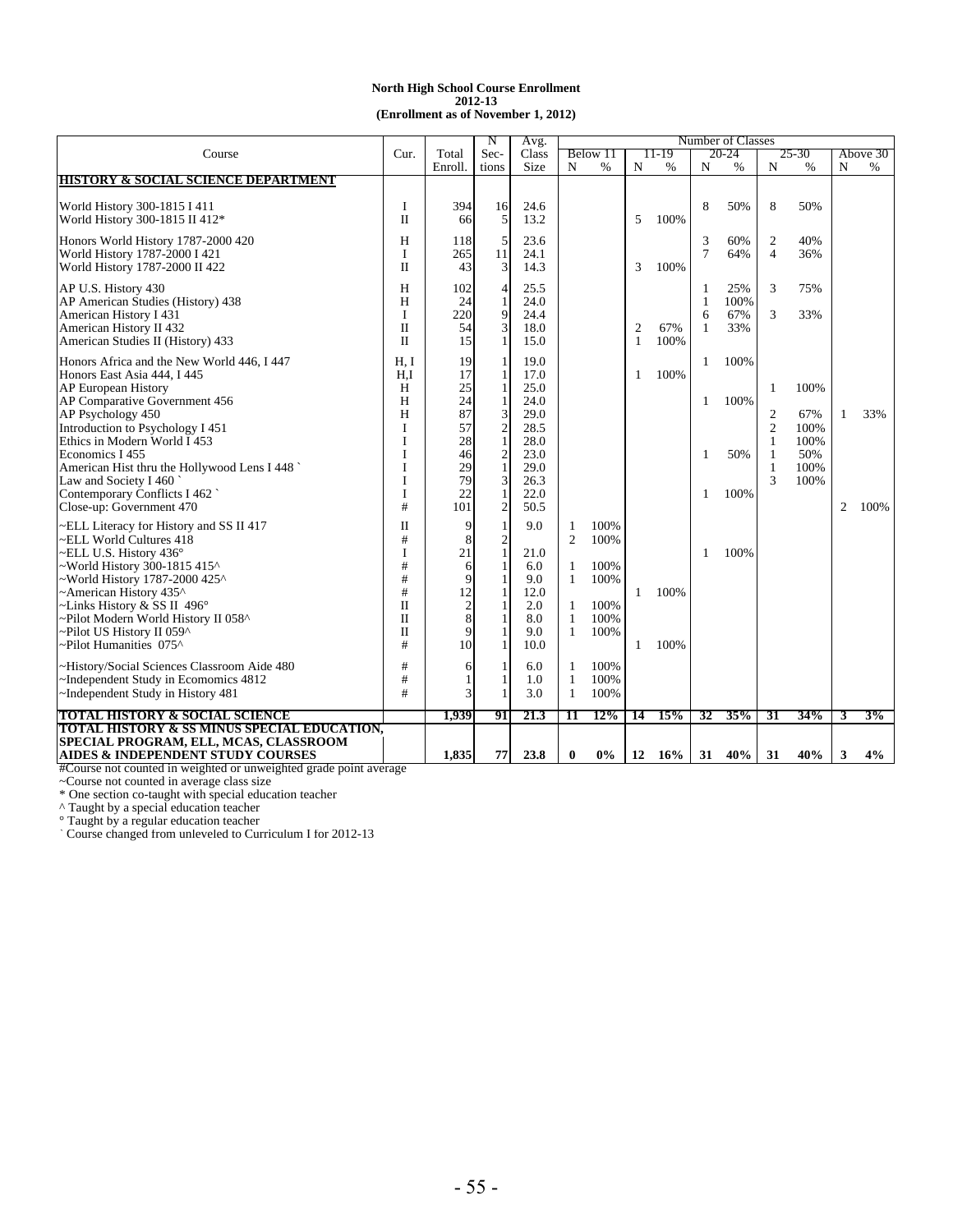#### **(Enrollment as of November 1, 2012) North High School Course Enrollment 2012-13**

|                                                                  |              |                | N                              | Avg.         |              |          |                |        |        | Number of Classes |                |       |   |          |
|------------------------------------------------------------------|--------------|----------------|--------------------------------|--------------|--------------|----------|----------------|--------|--------|-------------------|----------------|-------|---|----------|
| Course                                                           | Cur.         | Total          | Sec-                           | Class        |              | Below 11 |                | 11-19  |        | 20-24             |                | 25-30 |   | Above 30 |
|                                                                  |              | Enroll.        | tions                          | Size         | N            | %        | N              | %      | N      | $\%$              | N              | $\%$  | N | $\%$     |
| <b>HISTORY &amp; SOCIAL SCIENCE DEPARTMENT</b>                   |              |                |                                |              |              |          |                |        |        |                   |                |       |   |          |
|                                                                  |              |                |                                |              |              |          |                |        |        |                   |                |       |   |          |
| World History 300-1815 I 411                                     | I            | 394            | 16                             | 24.6         |              |          |                |        | 8      | 50%               | 8              | 50%   |   |          |
| World History 300-1815 II 412*                                   | $\mathbf{I}$ | 66             | 5                              | 13.2         |              |          | 5              | 100%   |        |                   |                |       |   |          |
| Honors World History 1787-2000 420                               | Н            | 118            | 5                              | 23.6         |              |          |                |        | 3      | 60%               | 2              | 40%   |   |          |
| World History 1787-2000 I 421                                    | I            | 265            | 11                             | 24.1         |              |          |                |        | $\tau$ | 64%               | $\overline{4}$ | 36%   |   |          |
|                                                                  | П            | 43             | 3                              | 14.3         |              |          | 3              | 100%   |        |                   |                |       |   |          |
| World History 1787-2000 II 422                                   |              |                |                                |              |              |          |                |        |        |                   |                |       |   |          |
| AP U.S. History 430                                              | Н            | 102            | 4                              | 25.5         |              |          |                |        | 1      | 25%               | 3              | 75%   |   |          |
| AP American Studies (History) 438                                | H            | 24             | 1                              | 24.0         |              |          |                |        | 1      | 100%              |                |       |   |          |
| American History I 431                                           | I            | 220            | 9                              | 24.4         |              |          |                |        | 6      | 67%               | 3              | 33%   |   |          |
| American History II 432                                          | $\mathbf{I}$ | 54             | 3                              | 18.0         |              |          | $\overline{c}$ | 67%    | 1      | 33%               |                |       |   |          |
| American Studies II (History) 433                                | $\mathbf{I}$ | 15             | $\mathbf{1}$                   | 15.0         |              |          | 1              | 100%   |        |                   |                |       |   |          |
|                                                                  |              |                |                                |              |              |          |                |        |        |                   |                |       |   |          |
| Honors Africa and the New World 446, I 447                       | H. I         | 19<br>17       | 1                              | 19.0         |              |          |                |        | 1      | 100%              |                |       |   |          |
| Honors East Asia 444, I 445                                      | H.I          |                | 1                              | 17.0         |              |          | 1              | 100%   |        |                   |                |       |   |          |
| <b>AP European History</b>                                       | Н            | 25<br>24       | 1                              | 25.0         |              |          |                |        |        |                   | 1              | 100%  |   |          |
| AP Comparative Government 456                                    | H            | 87             | 1                              | 24.0         |              |          |                |        | 1      | 100%              |                |       |   |          |
| AP Psychology 450                                                | H            |                | 3                              | 29.0         |              |          |                |        |        |                   | $\overline{2}$ | 67%   | 1 | 33%      |
| Introduction to Psychology I 451<br>Ethics in Modern World I 453 | I            | 57             | $\frac{2}{1}$                  | 28.5         |              |          |                |        |        |                   | $\mathfrak{2}$ | 100%  |   |          |
|                                                                  | I            | 28             |                                | 28.0<br>23.0 |              |          |                |        |        | 50%               | 1              | 100%  |   |          |
| Economics I 455                                                  | I            | 46             | $\overline{c}$<br>$\mathbf{1}$ |              |              |          |                |        | 1      |                   | 1              | 50%   |   |          |
| American Hist thru the Hollywood Lens I 448                      | I            | 29<br>79       |                                | 29.0         |              |          |                |        |        |                   | 1<br>3         | 100%  |   |          |
| Law and Society I 460                                            | I            | 22             | 3                              | 26.3         |              |          |                |        |        |                   |                | 100%  |   |          |
| Contemporary Conflicts I 462<br>Close-up: Government 470         | I<br>#       | 101            | $\mathbf{1}$<br>$\overline{2}$ | 22.0<br>50.5 |              |          |                |        | 1      | 100%              |                |       | 2 | 100%     |
|                                                                  |              |                |                                |              |              |          |                |        |        |                   |                |       |   |          |
| ~ELL Literacy for History and SS II 417                          | П            | 9              | 1                              | 9.0          | 1            | 100%     |                |        |        |                   |                |       |   |          |
| -ELL World Cultures 418                                          | #            | 8              | $\mathfrak{2}$                 |              | 2            | 100%     |                |        |        |                   |                |       |   |          |
| ~ELL U.S. History 436°                                           | I            | 21             | 1                              | 21.0         |              |          |                |        | 1      | 100%              |                |       |   |          |
| ~World History 300-1815 415^                                     | #            | 6              |                                | 6.0          | 1            | 100%     |                |        |        |                   |                |       |   |          |
| ~World History 1787-2000 425^                                    | #            | 9              |                                | 9.0          | $\mathbf{1}$ | 100%     |                |        |        |                   |                |       |   |          |
| ~American History 435^                                           | $\#$         | 12             |                                | 12.0         |              |          | $\mathbf{1}$   | 100%   |        |                   |                |       |   |          |
| ~Links History & SS II 496°                                      | H            | $\overline{2}$ |                                | 2.0          | 1            | 100%     |                |        |        |                   |                |       |   |          |
| ~Pilot Modern World History II 058^                              | П            | 8              |                                | 8.0          | 1            | 100%     |                |        |        |                   |                |       |   |          |
| ~Pilot US History II 059^                                        | $\mathbf{I}$ | 9              |                                | 9.0          | 1            | 100%     |                |        |        |                   |                |       |   |          |
| ~Pilot Humanities 075^                                           | #            | 10             | 1                              | 10.0         |              |          | $\mathbf{1}$   | 100%   |        |                   |                |       |   |          |
| -History/Social Sciences Classroom Aide 480                      | #            | 6              |                                | 6.0          | $\mathbf{1}$ | 100%     |                |        |        |                   |                |       |   |          |
| ~Independent Study in Ecomomics 4812                             | #            |                |                                | 1.0          | $\mathbf{1}$ | 100%     |                |        |        |                   |                |       |   |          |
| ~Independent Study in History 481                                | #            | 3              |                                | 3.0          | 1            | 100%     |                |        |        |                   |                |       |   |          |
|                                                                  |              |                |                                |              |              |          |                |        |        |                   |                |       |   |          |
| <b>TOTAL HISTORY &amp; SOCIAL SCIENCE</b>                        |              | 1,939          | 91                             | 21.3         | 11           | 12%      | 14             | 15%    | 32     | 35%               | 31             | 34%   | 3 | 3%       |
| <b>TOTAL HISTORY &amp; SS MINUS SPECIAL EDUCATION.</b>           |              |                |                                |              |              |          |                |        |        |                   |                |       |   |          |
| SPECIAL PROGRAM, ELL, MCAS, CLASSROOM                            |              |                |                                |              |              |          |                |        |        |                   |                |       |   |          |
| <b>AIDES &amp; INDEPENDENT STUDY COURSES</b>                     |              | 1,835          | 77                             | 23.8         | $\bf{0}$     | $0\%$    | 12             | $16\%$ | 31     | 40%               | 31             | 40%   | 3 | 4%       |

#Course not counted in weighted or unweighted grade point average

~Course not counted in average class size

\* One section co-taught with special education teacher

^ Taught by a special education teacher

° Taught by a regular education teacher

` Course changed from unleveled to Curriculum I for 2012-13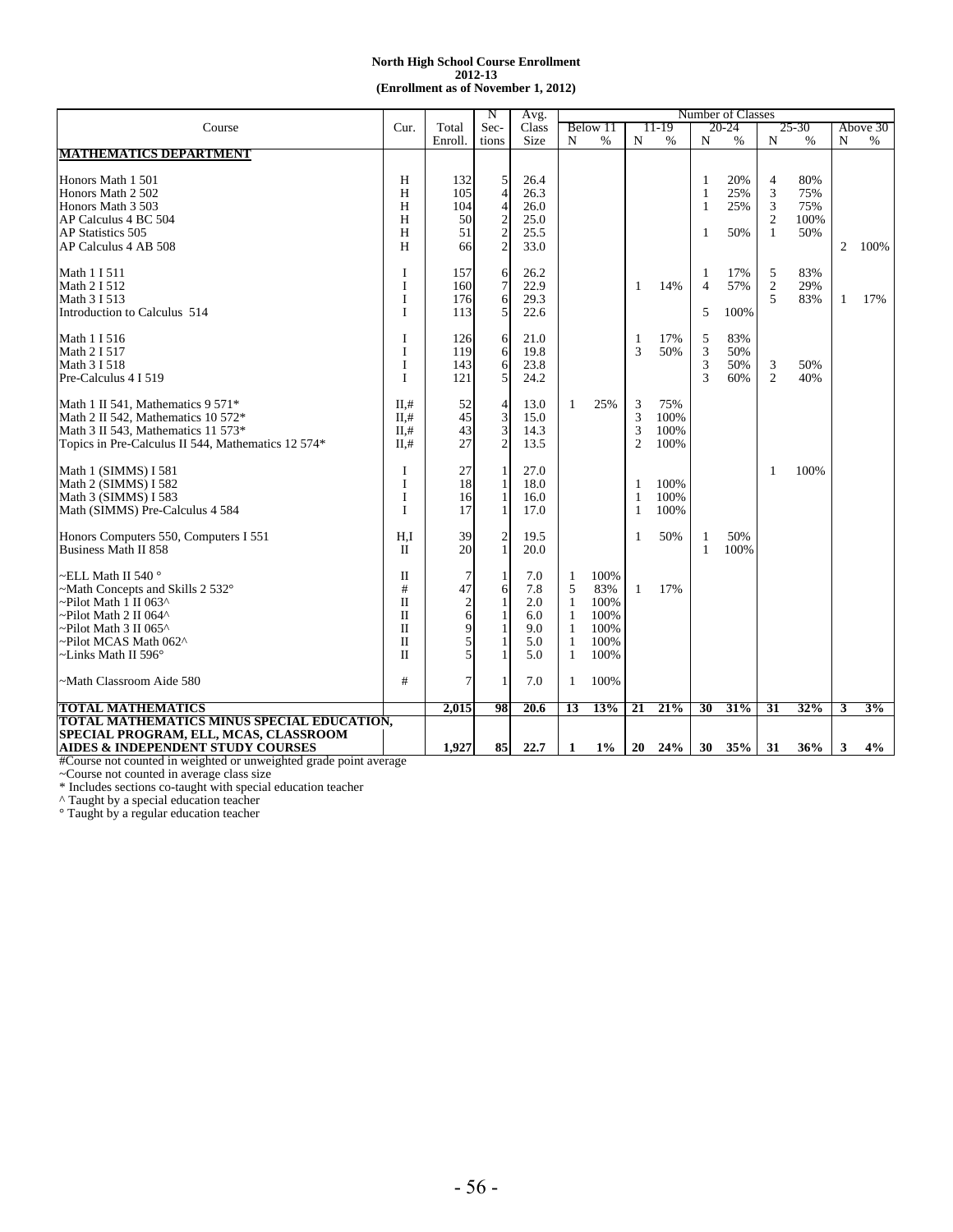#### **2012-13 (Enrollment as of November 1, 2012) North High School Course Enrollment**

|                                                                      |              |                | N              | Avg.         |              |          |                |       |        | Number of Classes |                |               |   |          |
|----------------------------------------------------------------------|--------------|----------------|----------------|--------------|--------------|----------|----------------|-------|--------|-------------------|----------------|---------------|---|----------|
| Course                                                               | Cur.         | Total          | Sec-           | Class        |              | Below 11 |                | 11-19 |        | 20-24             |                | 25-30         |   | Above 30 |
|                                                                      |              | Enroll.        | tions          | Size         | $\mathbf N$  | %        | N              | $\%$  | N      | $\%$              | $\mathbf N$    | $\frac{9}{6}$ | N | $\%$     |
| <b>MATHEMATICS DEPARTMENT</b>                                        |              |                |                |              |              |          |                |       |        |                   |                |               |   |          |
|                                                                      |              |                |                |              |              |          |                |       |        |                   |                |               |   |          |
| Honors Math 1 501                                                    | H            | 132            | 5              | 26.4         |              |          |                |       | 1      | 20%               | $\overline{4}$ | 80%           |   |          |
| Honors Math 2 502                                                    | H            | 105            | $\overline{4}$ | 26.3         |              |          |                |       | 1      | 25%               | 3              | 75%           |   |          |
| Honors Math 3 503                                                    | H            | 104            | $\overline{4}$ | 26.0         |              |          |                |       | 1      | 25%               | 3              | 75%           |   |          |
| AP Calculus 4 BC 504                                                 | H            | 50             |                | 25.0         |              |          |                |       |        |                   | $\mathbf{2}$   | 100%          |   |          |
| <b>AP Statistics 505</b>                                             | H            | 51             | $\frac{2}{2}$  | 25.5         |              |          |                |       | 1      | 50%               | 1              | 50%           |   |          |
| AP Calculus 4 AB 508                                                 | H            | 66             |                | 33.0         |              |          |                |       |        |                   |                |               | 2 | 100%     |
| Math 1 I 511                                                         | I            | 157            | 6              | 26.2         |              |          |                |       | 1      | 17%               | 5              | 83%           |   |          |
| Math 2 I 512                                                         | I            | 160            | 7              | 22.9         |              |          | $\mathbf{1}$   | 14%   | 4      | 57%               | $\mathbf{2}$   | 29%           |   |          |
| Math 3 I 513                                                         | I            | 176            | 6              | 29.3         |              |          |                |       |        |                   | 5              | 83%           | 1 | 17%      |
| Introduction to Calculus 514                                         | I            | 113            | 5              | 22.6         |              |          |                |       | 5      | 100%              |                |               |   |          |
|                                                                      |              |                |                |              |              |          |                |       |        |                   |                |               |   |          |
| Math 1 I 516                                                         | I            | 126            | 6              | 21.0         |              |          | $\mathbf{1}$   | 17%   | 5      | 83%               |                |               |   |          |
| Math 2 I 517                                                         | I            | 119            | 6              | 19.8         |              |          | 3              | 50%   | 3      | 50%               |                |               |   |          |
| Math 3 I 518                                                         | I            | 143            | $\mathbf{6}$   | 23.8         |              |          |                |       | 3      | 50%               | 3              | 50%           |   |          |
| Pre-Calculus 4 I 519                                                 | I            | 121            | 5              | 24.2         |              |          |                |       | 3      | 60%               | $\overline{2}$ | 40%           |   |          |
| Math 1 II 541, Mathematics $9\,571*$                                 | $II, \#$     | 52             |                | 13.0         | 1            | 25%      | 3              | 75%   |        |                   |                |               |   |          |
| Math 2 II 542, Mathematics $10\,572*$                                | $II, \#$     | 45             | $\frac{4}{3}$  | 15.0         |              |          | 3              | 100%  |        |                   |                |               |   |          |
| Math 3 II 543, Mathematics 11 573*                                   | $II, \#$     | 43             | 3              | 14.3         |              |          | 3              | 100%  |        |                   |                |               |   |          |
| Topics in Pre-Calculus II 544, Mathematics 12 574*                   | II.#         | 27             | $\overline{c}$ | 13.5         |              |          | $\overline{2}$ | 100%  |        |                   |                |               |   |          |
|                                                                      |              |                |                |              |              |          |                |       |        |                   |                |               |   |          |
| Math 1 (SIMMS) I 581                                                 | I            | 27             |                | 27.0         |              |          |                |       |        |                   | 1              | 100%          |   |          |
| Math 2 (SIMMS) I 582                                                 | I            | 18             | 1              | 18.0         |              |          | 1              | 100%  |        |                   |                |               |   |          |
| Math 3 (SIMMS) I 583                                                 | I            | 16             | $\mathbf{1}$   | 16.0         |              |          | 1              | 100%  |        |                   |                |               |   |          |
| Math (SIMMS) Pre-Calculus 4 584                                      | I            | 17             | $\mathbf{1}$   | 17.0         |              |          | $\mathbf{1}$   | 100%  |        |                   |                |               |   |          |
|                                                                      |              |                |                |              |              |          |                |       |        |                   |                |               |   |          |
| Honors Computers 550, Computers I 551<br><b>Business Math II 858</b> | H.I          | 39<br>20       | $\frac{2}{1}$  | 19.5<br>20.0 |              |          | 1              | 50%   | 1<br>1 | 50%<br>100%       |                |               |   |          |
|                                                                      | П            |                |                |              |              |          |                |       |        |                   |                |               |   |          |
| ∼ELL Math II 540 °                                                   | $\mathbf{I}$ |                | 1              | 7.0          | 1            | 100%     |                |       |        |                   |                |               |   |          |
| ~Math Concepts and Skills 2 532°                                     | #            | 47             | 6              | 7.8          | 5            | 83%      | 1              | 17%   |        |                   |                |               |   |          |
| ~Pilot Math 1 II 063^                                                | $\Pi$        | $\overline{c}$ | 1              | 2.0          | $\mathbf{1}$ | 100%     |                |       |        |                   |                |               |   |          |
| ~Pilot Math 2 II 064^                                                | $\Pi$        | 6              | 1              | 6.0          | $\mathbf{1}$ | 100%     |                |       |        |                   |                |               |   |          |
| ~Pilot Math 3 II 065^                                                | $\mathbf{I}$ | 9              |                | 9.0          | -1           | 100%     |                |       |        |                   |                |               |   |          |
| ~Pilot MCAS Math 062^                                                | $\mathbf{I}$ |                |                | 5.0          | $\mathbf{1}$ | 100%     |                |       |        |                   |                |               |   |          |
| $\sim$ Links Math II 596 $^{\circ}$                                  | $\mathbf{I}$ | 5              |                | 5.0          | 1            | 100%     |                |       |        |                   |                |               |   |          |
| -Math Classroom Aide 580                                             | #            | 7              |                | 7.0          | 1            | 100%     |                |       |        |                   |                |               |   |          |
|                                                                      |              |                |                |              |              |          |                |       |        |                   |                |               |   |          |
| <b>TOTAL MATHEMATICS</b>                                             |              | 2,015          | 98             | 20.6         | 13           | 13%      | 21             | 21%   | 30     | 31%               | 31             | 32%           | 3 | 3%       |
| <b>TOTAL MATHEMATICS MINUS SPECIAL EDUCATION,</b>                    |              |                |                |              |              |          |                |       |        |                   |                |               |   |          |
| SPECIAL PROGRAM, ELL, MCAS, CLASSROOM                                |              |                |                |              |              |          |                |       |        |                   |                |               |   |          |
| <b>AIDES &amp; INDEPENDENT STUDY COURSES</b>                         |              | 1,927          | 85             | 22.7         | 1            | $1\%$    | 20             | 24%   | 30     | 35%               | 31             | 36%           | 3 | 4%       |

#Course not counted in weighted or unweighted grade point average

~Course not counted in average class size

\* Includes sections co-taught with special education teacher

^ Taught by a special education teacher

° Taught by a regular education teacher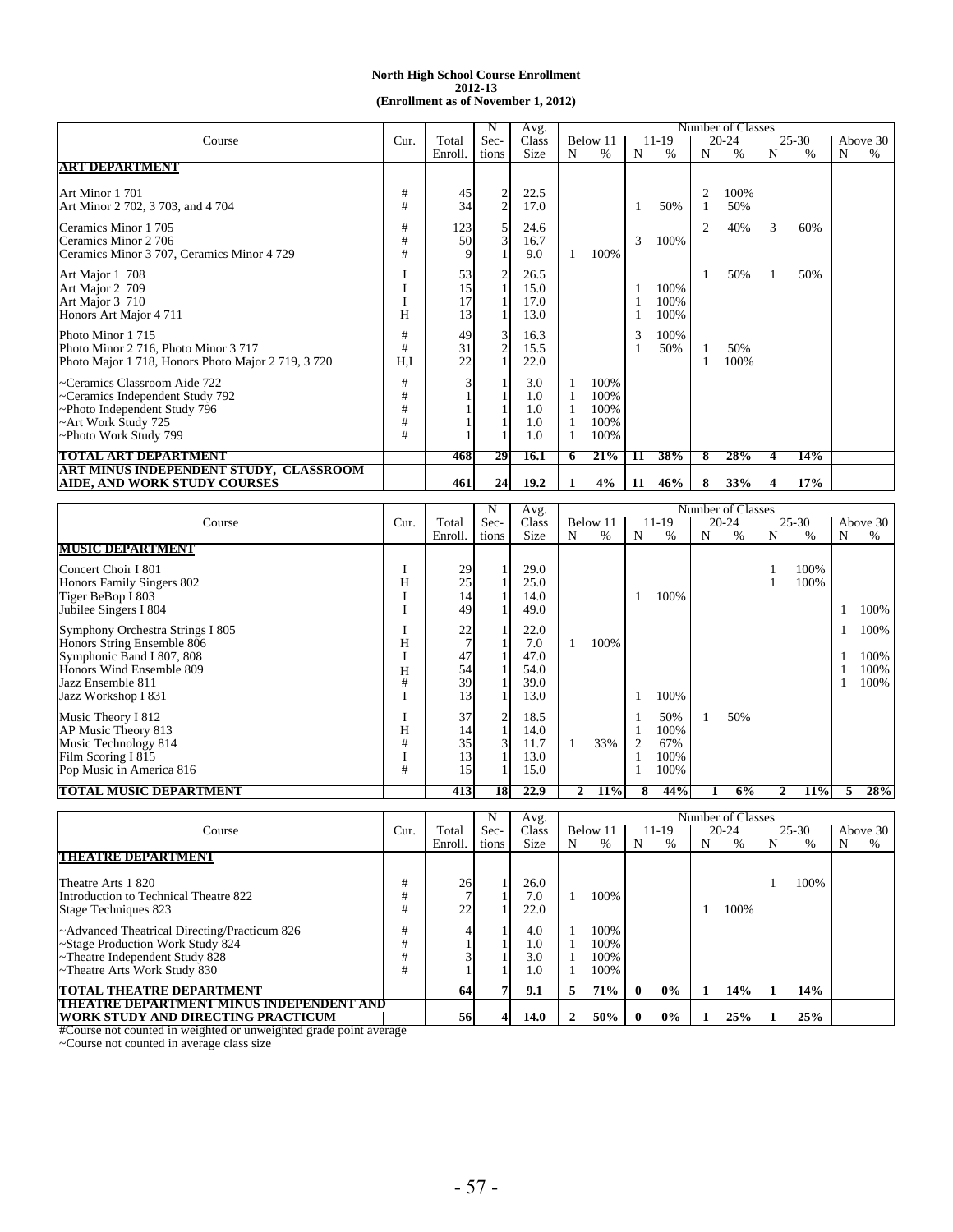|                                                    |        |         |                                  | Avg.  |   |         |    |       |   | Number of Classes |   |       |   |          |
|----------------------------------------------------|--------|---------|----------------------------------|-------|---|---------|----|-------|---|-------------------|---|-------|---|----------|
| Course                                             | Cur.   | Total   | Sec-                             | Class |   | Below 1 |    | 11-19 |   | 20-24             |   | 25-30 |   | Above 30 |
|                                                    |        | Enroll. | tions                            | Size  | N | $\%$    | N  | %     | N | $\%$              | N | %     | N | $\%$     |
| <b>ART DEPARTMENT</b>                              |        |         |                                  |       |   |         |    |       |   |                   |   |       |   |          |
| Art Minor 1701                                     |        | 45      |                                  | 22.5  |   |         |    |       |   | 100%              |   |       |   |          |
| Art Minor 2 702, 3 703, and 4 704                  | #<br># | 34      | $\overline{2}$<br>$\overline{c}$ | 17.0  |   |         |    | 50%   |   | 50%               |   |       |   |          |
|                                                    |        |         |                                  |       |   |         |    |       |   |                   |   |       |   |          |
| Ceramics Minor 1705                                | #      | 123     | 5                                | 24.6  |   |         |    |       | 2 | 40%               | 3 | 60%   |   |          |
| Ceramics Minor 2 706                               | #      | 50      | $\overline{3}$                   | 16.7  |   |         | 3  | 100%  |   |                   |   |       |   |          |
| Ceramics Minor 3 707, Ceramics Minor 4 729         | #      |         |                                  | 9.0   |   | 100%    |    |       |   |                   |   |       |   |          |
| Art Major 1 708                                    |        | 53      | 2                                | 26.5  |   |         |    |       |   | 50%               |   | 50%   |   |          |
| Art Major 2 709                                    |        | 15      |                                  | 15.0  |   |         |    | 100%  |   |                   |   |       |   |          |
| Art Major 3 710                                    |        | 17      |                                  | 17.0  |   |         |    | 100%  |   |                   |   |       |   |          |
| Honors Art Major 4 711                             | Н      | 13      |                                  | 13.0  |   |         |    | 100%  |   |                   |   |       |   |          |
| Photo Minor 1715                                   | #      | 49      | $\overline{3}$                   | 16.3  |   |         |    | 100%  |   |                   |   |       |   |          |
| Photo Minor 2 716, Photo Minor 3 717               | #      | 31      | $\mathbf{2}$                     | 15.5  |   |         |    | 50%   |   | 50%               |   |       |   |          |
| Photo Major 1 718, Honors Photo Major 2 719, 3 720 | H.I    | 22      |                                  | 22.0  |   |         |    |       |   | 100%              |   |       |   |          |
| ~Ceramics Classroom Aide 722                       | #      |         |                                  | 3.0   |   | 100%    |    |       |   |                   |   |       |   |          |
| ~Ceramics Independent Study 792                    | #      |         |                                  | 1.0   |   | 100%    |    |       |   |                   |   |       |   |          |
| ~Photo Independent Study 796                       | #      |         |                                  | 1.0   |   | 100%    |    |       |   |                   |   |       |   |          |
| ~Art Work Study 725                                | #      |         |                                  | 1.0   |   | 100%    |    |       |   |                   |   |       |   |          |
| ~Photo Work Study 799                              | #      |         |                                  | 1.0   |   | 100%    |    |       |   |                   |   |       |   |          |
| TOTAL ART DEPARTMENT                               |        | 4681    | 29                               | 16.1  | 0 | 21%     | 11 | 38%   |   | 28%               |   | 14%   |   |          |
| ART MINUS INDEPENDENT STUDY, CLASSROOM             |        |         |                                  |       |   |         |    |       |   |                   |   |       |   |          |
| <b>AIDE, AND WORK STUDY COURSES</b>                |        | 461     | 24                               | 19.2  |   | 4%      | 11 | 46%   | 8 | 33%               |   | 17%   |   |          |

|                                  |      |         | N     | Avg.  |         |      |   |       |   | Number of Classes |   |           |    |            |
|----------------------------------|------|---------|-------|-------|---------|------|---|-------|---|-------------------|---|-----------|----|------------|
| Course                           | Cur. | Total   | Sec-  | Class | Below 1 |      |   | 11-19 |   | 20-24             |   | $25 - 30$ |    | Above 30   |
|                                  |      | Enroll. | tions | Size  | N       | %    | N | $\%$  | N | $\%$              | N | %         | N  | $\%$       |
| <b>MUSIC DEPARTMENT</b>          |      |         |       |       |         |      |   |       |   |                   |   |           |    |            |
| Concert Choir I 801              |      | 29      |       | 29.0  |         |      |   |       |   |                   |   | 100%      |    |            |
| Honors Family Singers 802        | Н    | 25      |       | 25.0  |         |      |   |       |   |                   |   | 100%      |    |            |
| Tiger BeBop I 803                |      | 14      |       | 14.0  |         |      |   | 100%  |   |                   |   |           |    |            |
| Jubilee Singers I 804            |      | 49      |       | 49.0  |         |      |   |       |   |                   |   |           |    | 100%       |
| Symphony Orchestra Strings I 805 |      | 22      |       | 22.0  |         |      |   |       |   |                   |   |           |    | 100%       |
| Honors String Ensemble 806       | Η    |         |       | 7.0   |         | 100% |   |       |   |                   |   |           |    |            |
| Symphonic Band I 807, 808        |      | 47      |       | 47.0  |         |      |   |       |   |                   |   |           |    | 100%       |
| Honors Wind Ensemble 809         | Н    | 54      |       | 54.0  |         |      |   |       |   |                   |   |           |    | 100%       |
| Jazz Ensemble 811                | #    | 39      |       | 39.0  |         |      |   |       |   |                   |   |           |    | 100%       |
| Jazz Workshop I 831              |      | 13      |       | 13.0  |         |      |   | 100%  |   |                   |   |           |    |            |
| Music Theory I 812               |      | 37      | 2     | 18.5  |         |      |   | 50%   |   | 50%               |   |           |    |            |
| AP Music Theory 813              | н    | 14      |       | 14.0  |         |      |   | 100%  |   |                   |   |           |    |            |
| Music Technology 814             |      | 35      |       | 11.7  |         | 33%  |   | 67%   |   |                   |   |           |    |            |
| Film Scoring I 815               |      | 13      |       | 13.0  |         |      |   | 100%  |   |                   |   |           |    |            |
| Pop Music in America 816         | #    | 15      |       | 15.0  |         |      |   | 100%  |   |                   |   |           |    |            |
| <b>TOTAL MUSIC DEPARTMENT</b>    |      | 413     | 18    | 22.9  | 2       | 11%  | 8 | 44%   |   | 6%                | 2 | 11%       | ÷. | 28%        |
|                                  |      |         | N     | Avg.  |         |      |   |       |   | Number of Classes |   |           |    |            |
| Course                           | Cur. | Total   | Sec-  | Class | Below   |      |   | 1-19  |   | 20-24             |   | 25-30     |    | Above $30$ |
|                                  |      | Enroll. | tions | Size  | N       | %    | N | $\%$  | N | $\%$              | N | $\%$      | N  | %          |

| Course                                                         | Cur. | Total   | Sec-  | Class |   | Below 1. |   | 11-19 |   | 20-24 | 25-30 | Above 30 |
|----------------------------------------------------------------|------|---------|-------|-------|---|----------|---|-------|---|-------|-------|----------|
|                                                                |      | Enroll. | tions | Size  | N | %        | N | %     | N | %     | %     | %        |
| THEATRE DEPARTMENT                                             |      |         |       |       |   |          |   |       |   |       |       |          |
|                                                                |      |         |       |       |   |          |   |       |   |       |       |          |
| Theatre Arts 1 820                                             |      | 26      |       | 26.0  |   |          |   |       |   |       | 100%  |          |
| Introduction to Technical Theatre 822                          |      |         |       | 7.0   |   | 100\%    |   |       |   |       |       |          |
| Stage Techniques 823                                           |      | 22      |       | 22.0  |   |          |   |       |   | 100%  |       |          |
| ~Advanced Theatrical Directing/Practicum 826                   |      |         |       | 4.0   |   | 100%     |   |       |   |       |       |          |
| ~Stage Production Work Study 824                               |      |         |       | 1.0   |   | 100%     |   |       |   |       |       |          |
| ~Theatre Independent Study 828                                 |      |         |       | 3.0   |   | 100%     |   |       |   |       |       |          |
| ~Theatre Arts Work Study 830                                   |      |         |       | 1.0   |   | 100\%    |   |       |   |       |       |          |
| <b>TOTAL THEATRE DEPARTMENT</b>                                |      | -64     |       | 9.1   |   | 71%      |   | $0\%$ |   | 14%   | 14%   |          |
|                                                                |      |         |       |       |   |          |   |       |   |       |       |          |
| <b>THEATRE DEPARTMENT MINUS INDEPENDENT AND</b>                |      |         |       |       |   |          |   |       |   |       |       |          |
| WORK STUDY AND DIRECTING PRACTICUM<br>$\overline{\phantom{a}}$ |      | 56      |       | 14.0  |   | 50%      |   | $0\%$ |   | 25%   | 25%   |          |

#Course not counted in weighted or unweighted grade point average

~Course not counted in average class size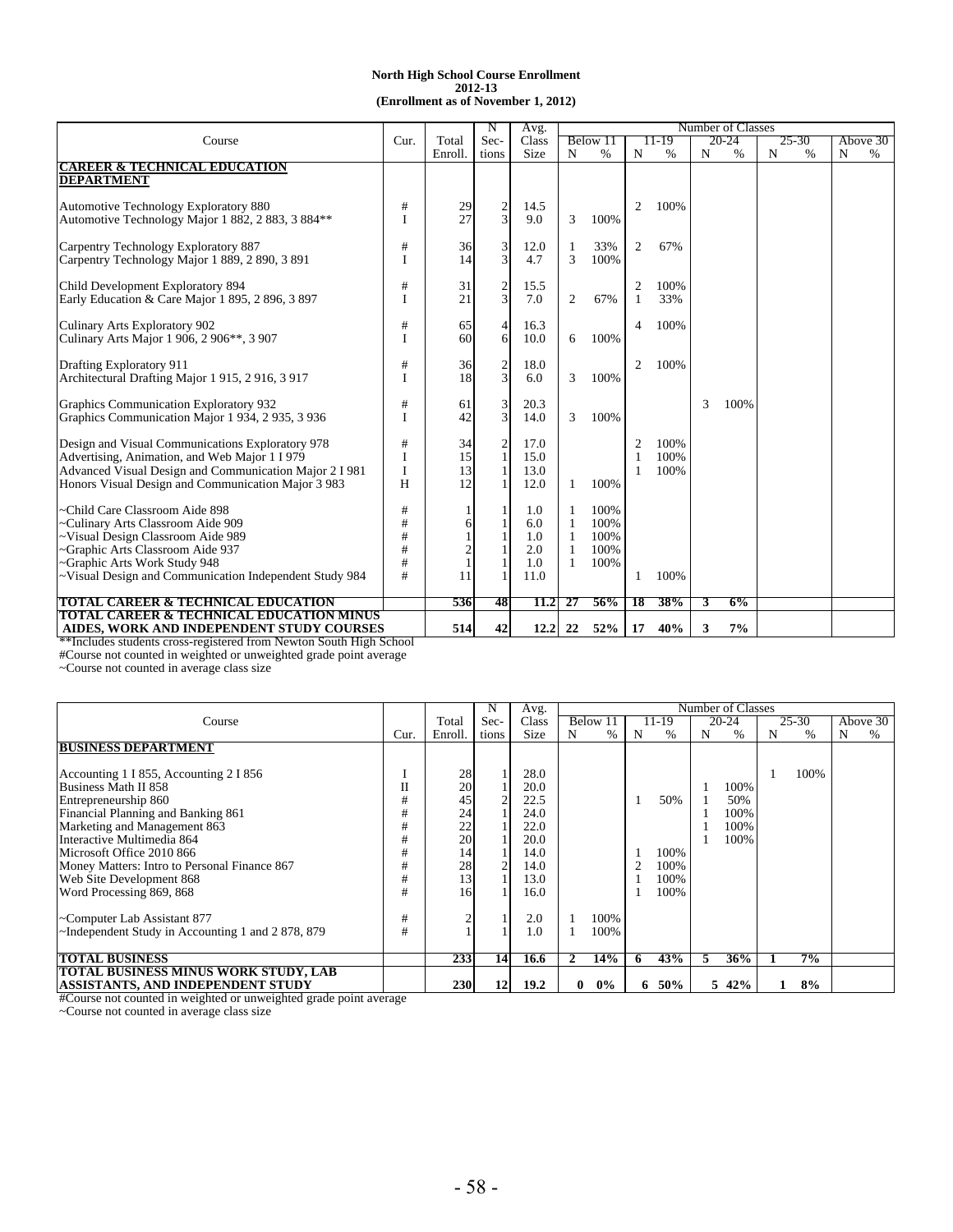|                                                                    |      |                | N                       | Avg.  |    |          |                |       |   | Number of Classes |           |           |
|--------------------------------------------------------------------|------|----------------|-------------------------|-------|----|----------|----------------|-------|---|-------------------|-----------|-----------|
| Course                                                             | Cur. | Total          | Sec-                    | Class |    | Below 11 |                | 11-19 |   | $20 - 24$         | 25-30     | Above 30  |
|                                                                    |      | Enroll.        | tions                   | Size  | N  | $\%$     | N              | $\%$  | N | %                 | N<br>$\%$ | N<br>$\%$ |
| <b>CAREER &amp; TECHNICAL EDUCATION</b>                            |      |                |                         |       |    |          |                |       |   |                   |           |           |
| <b>DEPARTMENT</b>                                                  |      |                |                         |       |    |          |                |       |   |                   |           |           |
|                                                                    |      |                |                         |       |    |          |                |       |   |                   |           |           |
| Automotive Technology Exploratory 880                              | #    | 29             |                         | 14.5  |    |          | $\overline{c}$ | 100%  |   |                   |           |           |
| Automotive Technology Major 1 882, 2 883, 3 884**                  |      | 27             | $\frac{2}{3}$           | 9.0   | 3  | 100%     |                |       |   |                   |           |           |
|                                                                    |      |                |                         |       |    |          |                |       |   |                   |           |           |
| Carpentry Technology Exploratory 887                               | #    | 36             | 3                       | 12.0  |    | 33%      | 2              | 67%   |   |                   |           |           |
| Carpentry Technology Major 1 889, 2 890, 3 891                     | I    | 14             | $\overline{\mathbf{3}}$ | 4.7   | 3  | 100%     |                |       |   |                   |           |           |
|                                                                    |      |                |                         |       |    |          |                |       |   |                   |           |           |
| Child Development Exploratory 894                                  | #    | 31             |                         | 15.5  |    |          | $\overline{2}$ | 100%  |   |                   |           |           |
| Early Education & Care Major 1 895, 2 896, 3 897                   |      | 21             | $\mathbf{3}$            | 7.0   | 2  | 67%      |                | 33%   |   |                   |           |           |
|                                                                    |      |                |                         |       |    |          |                |       |   |                   |           |           |
| Culinary Arts Exploratory 902                                      | $\#$ | 65             |                         | 16.3  |    |          | 4              | 100%  |   |                   |           |           |
| Culinary Arts Major 1 906, 2 906**, 3 907                          |      | 60             | 6                       | 10.0  | 6  | 100%     |                |       |   |                   |           |           |
|                                                                    |      |                |                         |       |    |          |                |       |   |                   |           |           |
| Drafting Exploratory 911                                           | #    | 36             |                         | 18.0  |    |          | 2              | 100%  |   |                   |           |           |
| Architectural Drafting Major 1 915, 2 916, 3 917                   |      | 18             | $\overline{\mathbf{3}}$ | 6.0   | 3  | 100%     |                |       |   |                   |           |           |
|                                                                    |      |                |                         |       |    |          |                |       |   |                   |           |           |
| Graphics Communication Exploratory 932                             | $\#$ | 61             | 3                       | 20.3  |    |          |                |       | 3 | 100%              |           |           |
| Graphics Communication Major 1 934, 2 935, 3 936                   |      | 42             | $\overline{\mathbf{3}}$ | 14.0  | 3  | 100%     |                |       |   |                   |           |           |
|                                                                    |      |                |                         |       |    |          |                |       |   |                   |           |           |
| Design and Visual Communications Exploratory 978                   | #    | 34             |                         | 17.0  |    |          | $\overline{2}$ | 100%  |   |                   |           |           |
| Advertising, Animation, and Web Major 1 I 979                      | I    | 15             | 2                       | 15.0  |    |          |                | 100%  |   |                   |           |           |
|                                                                    |      |                |                         | 13.0  |    |          |                | 100%  |   |                   |           |           |
| Advanced Visual Design and Communication Major 2 I 981             | I    | 13             |                         |       |    |          |                |       |   |                   |           |           |
| Honors Visual Design and Communication Major 3 983                 | H    | 12             |                         | 12.0  | 1  | 100%     |                |       |   |                   |           |           |
|                                                                    |      |                |                         |       |    |          |                |       |   |                   |           |           |
| -Child Care Classroom Aide 898                                     | $\#$ |                |                         | 1.0   |    | 100%     |                |       |   |                   |           |           |
| -Culinary Arts Classroom Aide 909                                  | #    | 6              |                         | 6.0   |    | 100%     |                |       |   |                   |           |           |
| -Visual Design Classroom Aide 989                                  | #    |                |                         | 1.0   |    | 100%     |                |       |   |                   |           |           |
| Graphic Arts Classroom Aide 937                                    | #    | $\overline{c}$ |                         | 2.0   |    | 100%     |                |       |   |                   |           |           |
| -Graphic Arts Work Study 948                                       | #    |                |                         | 1.0   | 1  | 100%     |                |       |   |                   |           |           |
| ~Visual Design and Communication Independent Study 984             | #    | 11             |                         | 11.0  |    |          | 1              | 100%  |   |                   |           |           |
|                                                                    |      |                |                         |       |    |          |                |       |   |                   |           |           |
| <b>TOTAL CAREER &amp; TECHNICAL EDUCATION</b>                      |      | 536            | 48                      | 11.2  | 27 | 56%      | 18             | 38%   | 3 | 6%                |           |           |
| <b>TOTAL CAREER &amp; TECHNICAL EDUCATION MINUS</b>                |      |                |                         |       |    |          |                |       |   |                   |           |           |
| AIDES, WORK AND INDEPENDENT STUDY COURSES                          |      | 514            | 42                      | 12.2  | 22 | 52%      | 17             | 40%   | 3 | 7%                |           |           |
| **Includes students cross-registered from Newton South High School |      |                |                         |       |    |          |                |       |   |                   |           |           |

#Course not counted in weighted or unweighted grade point average

~Course not counted in average class size

|                                                  |      |                                               |       | Avg.        |   |       |    |       |   | Number of Classes |   |       |   |          |
|--------------------------------------------------|------|-----------------------------------------------|-------|-------------|---|-------|----|-------|---|-------------------|---|-------|---|----------|
| Course                                           |      | Total                                         | Sec-  | Class       |   | Below |    | 11-19 |   | 20-24             |   | 25-30 |   | Above 30 |
|                                                  | Cur. | Enroll.                                       | tions | <b>Size</b> | N | $\%$  | N  | $\%$  | N | %                 | N | %     | N | %        |
| <b>BUSINESS DEPARTMENT</b>                       |      |                                               |       |             |   |       |    |       |   |                   |   |       |   |          |
|                                                  |      |                                               |       |             |   |       |    |       |   |                   |   |       |   |          |
| Accounting 1 I 855, Accounting 2 I 856           |      | $\begin{array}{c} 28 \\ 20 \end{array}$       |       | 28.0        |   |       |    |       |   |                   |   | 100%  |   |          |
| Business Math II 858                             | П    |                                               |       | 20.0        |   |       |    |       |   | 100%              |   |       |   |          |
| Entrepreneurship 860                             | #    | 45                                            |       | 22.5        |   |       |    | 50%   |   | 50%               |   |       |   |          |
| Financial Planning and Banking 861               | #    |                                               |       | 24.0        |   |       |    |       |   | 100%              |   |       |   |          |
| Marketing and Management 863                     | #    |                                               |       | 22.0        |   |       |    |       |   | 100%              |   |       |   |          |
| Interactive Multimedia 864                       |      | $\begin{array}{c} 24 \\ 22 \\ 20 \end{array}$ |       | 20.0        |   |       |    |       |   | 100%              |   |       |   |          |
| Microsoft Office 2010 866                        | #    | 14                                            |       | 14.0        |   |       |    | 100%  |   |                   |   |       |   |          |
| Money Matters: Intro to Personal Finance 867     | #    | 28                                            |       | 14.0        |   |       |    | 100%  |   |                   |   |       |   |          |
| Web Site Development 868                         | #    | 13                                            |       | 13.0        |   |       |    | 100%  |   |                   |   |       |   |          |
| Word Processing 869, 868                         | #    | 16                                            |       | 16.0        |   |       |    | 100%  |   |                   |   |       |   |          |
| ~Computer Lab Assistant 877                      | #    |                                               |       | 2.0         |   | 100%  |    |       |   |                   |   |       |   |          |
| ~Independent Study in Accounting 1 and 2878, 879 | #    |                                               |       | 1.0         |   | 100%  |    |       |   |                   |   |       |   |          |
|                                                  |      |                                               |       |             |   |       |    |       |   |                   |   |       |   |          |
| <b>TOTAL BUSINESS</b>                            |      | 233                                           | 14    | 16.6        |   | 14%   | n  | 43%   |   | 36%               |   | 7%    |   |          |
| TOTAL BUSINESS MINUS WORK STUDY, LAB             |      |                                               |       |             |   |       |    |       |   |                   |   |       |   |          |
| ASSISTANTS, AND INDEPENDENT STUDY                |      | 230                                           | 12    | 19.2        | 0 | $0\%$ | 6. | 50%   |   | 5 42%             |   | 8%    |   |          |

#Course not counted in weighted or unweighted grade point average

~Course not counted in average class size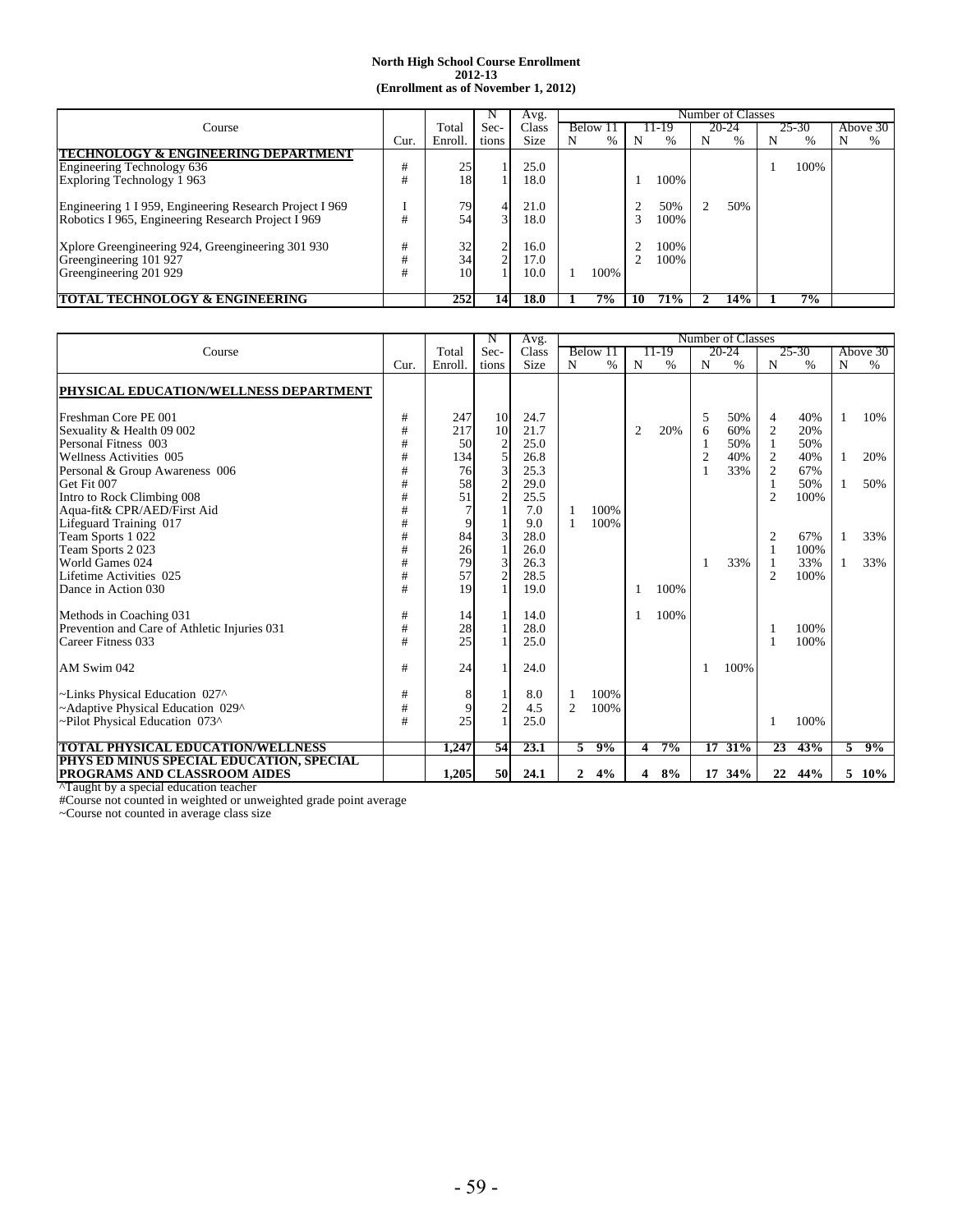|                                                         |      |         |       | Avg.        |   |               |    |      |   | Number of Classes |   |       |   |          |
|---------------------------------------------------------|------|---------|-------|-------------|---|---------------|----|------|---|-------------------|---|-------|---|----------|
| Course                                                  |      | Total   | Sec-  | Class       |   | <b>Below</b>  |    | 1-19 |   | 20-24             |   | 25-30 |   | Above 30 |
|                                                         | Cur. | Enroll. | tions | <b>Size</b> | N | $\frac{0}{0}$ | N  | %    | N | $\%$              | N | %     | N | $\%$     |
| TECHNOLOGY & ENGINEERING DEPARTMENI                     |      |         |       |             |   |               |    |      |   |                   |   |       |   |          |
| Engineering Technology 636                              | #    | 25      |       | 25.0        |   |               |    |      |   |                   |   | 100%  |   |          |
| Exploring Technology 1963                               |      | 18      |       | 18.0        |   |               |    | 100% |   |                   |   |       |   |          |
|                                                         |      |         |       |             |   |               |    |      |   |                   |   |       |   |          |
| Engineering 1 I 959, Engineering Research Project I 969 |      | 79      |       | 21.0        |   |               |    | 50%  | 2 | 50%               |   |       |   |          |
| Robotics I 965, Engineering Research Project I 969      |      | 54      | 3۱    | 18.0        |   |               |    | 100% |   |                   |   |       |   |          |
|                                                         |      |         |       |             |   |               |    |      |   |                   |   |       |   |          |
| Xplore Greengineering 924, Greengineering 301 930       | #    | 32      |       | 16.0        |   |               |    | 100% |   |                   |   |       |   |          |
| Greengineering 101 927                                  |      | 34      |       | 17.0        |   |               |    | 100% |   |                   |   |       |   |          |
| Greengineering 201 929                                  |      | 10      |       | 10.0        |   | 100%          |    |      |   |                   |   |       |   |          |
|                                                         |      |         |       |             |   |               |    |      |   |                   |   |       |   |          |
| TOTAL TECHNOLOGY & ENGINEERING                          |      | 252     | 14    | 18.0        |   | 7%            | 10 | 71%  | L | 14%               |   | 7%    |   |          |

|                                                                                                                                                                                                                    |                                      |                                           |                                                                                                            | Avg.                                                        |                |              |   |       |                          | Number of Classes               |                                                                                |                                                |        |                   |
|--------------------------------------------------------------------------------------------------------------------------------------------------------------------------------------------------------------------|--------------------------------------|-------------------------------------------|------------------------------------------------------------------------------------------------------------|-------------------------------------------------------------|----------------|--------------|---|-------|--------------------------|---------------------------------|--------------------------------------------------------------------------------|------------------------------------------------|--------|-------------------|
| Course                                                                                                                                                                                                             |                                      | Total                                     | Sec-                                                                                                       | Class                                                       | Below 11       |              |   | 11-19 |                          | 20-24                           |                                                                                | 25-30                                          |        | Above 30          |
|                                                                                                                                                                                                                    | Cur.                                 | Enroll.                                   | tions                                                                                                      | Size                                                        | N              | %            | N | $\%$  | N                        | $\%$                            | N                                                                              | $\%$                                           | N      | $\%$              |
| PHYSICAL EDUCATION/WELLNESS DEPARTMENT                                                                                                                                                                             |                                      |                                           |                                                                                                            |                                                             |                |              |   |       |                          |                                 |                                                                                |                                                |        |                   |
| Freshman Core PE 001<br>Sexuality & Health 09 002<br>Personal Fitness 003<br>Wellness Activities 005<br>Personal & Group Awareness 006<br>Get Fit 007<br>Intro to Rock Climbing 008<br>Aqua-fit& CPR/AED/First Aid | #<br>#<br>#<br>#<br>#<br>#<br>#<br># | 247<br>217<br>50<br>134<br>76<br>58<br>51 | <b>10</b><br>10<br>$\overline{\mathbf{c}}$<br>5<br>$\overline{\mathbf{3}}$<br>$\sqrt{2}$<br>$\overline{c}$ | 24.7<br>21.7<br>25.0<br>26.8<br>25.3<br>29.0<br>25.5<br>7.0 |                | 100%         | 2 | 20%   | 5<br>6<br>$\overline{2}$ | 50%<br>60%<br>50%<br>40%<br>33% | 4<br>$\overline{2}$<br>$\overline{c}$<br>$\mathfrak{2}$<br>1<br>$\overline{2}$ | 40%<br>20%<br>50%<br>40%<br>67%<br>50%<br>100% | 1<br>1 | 10%<br>20%<br>50% |
| Lifeguard Training 017<br>Team Sports 1 022<br>Team Sports 2023<br>World Games 024<br>Lifetime Activities 025<br>Dance in Action 030                                                                               | #<br>#<br>#<br>#<br>#<br>#           | 9<br>84<br>26<br>79<br>57<br>19           | 3<br>$\mathbf{1}$<br>3<br>$\overline{c}$                                                                   | 9.0<br>28.0<br>26.0<br>26.3<br>28.5<br>19.0                 |                | 100%         |   | 100%  | 1                        | 33%                             | 2<br>$\overline{c}$                                                            | 67%<br>100%<br>33%<br>100%                     | 1      | 33%<br>33%        |
| Methods in Coaching 031<br>Prevention and Care of Athletic Injuries 031<br>Career Fitness 033<br>AM Swim 042                                                                                                       | #<br>#<br>#<br>#                     | 14<br>28<br>25<br>24                      | $\mathbf{1}$<br>$\mathbf{1}$                                                                               | 14.0<br>28.0<br>25.0<br>24.0                                |                |              |   | 100%  |                          | 100%                            |                                                                                | 100%<br>100%                                   |        |                   |
| ~Links Physical Education 027^<br>~Adaptive Physical Education 029^<br>~Pilot Physical Education 073^                                                                                                              | #<br>#<br>#                          | 8<br>9<br>25                              | $\boldsymbol{2}$                                                                                           | 8.0<br>4.5<br>25.0                                          | $\overline{2}$ | 100%<br>100% |   |       |                          |                                 |                                                                                | 100%                                           |        |                   |
| <b>TOTAL PHYSICAL EDUCATION/WELLNESS</b>                                                                                                                                                                           |                                      | 1.247                                     | 54                                                                                                         | 23.1                                                        | 5.             | 9%           | 4 | $7\%$ | 17                       | 31%                             | 23                                                                             | 43%                                            | 5      | 9%                |
| PHYS ED MINUS SPECIAL EDUCATION, SPECIAL<br><b>PROGRAMS AND CLASSROOM AIDES</b>                                                                                                                                    |                                      | 1,205                                     | 50                                                                                                         | 24.1                                                        | $\overline{2}$ | 4%           | 4 | 8%    |                          | 17 34%                          | 22                                                                             | 44%                                            |        | $5\ 10\%$         |

^Taught by a special education teacher

#Course not counted in weighted or unweighted grade point average

~Course not counted in average class size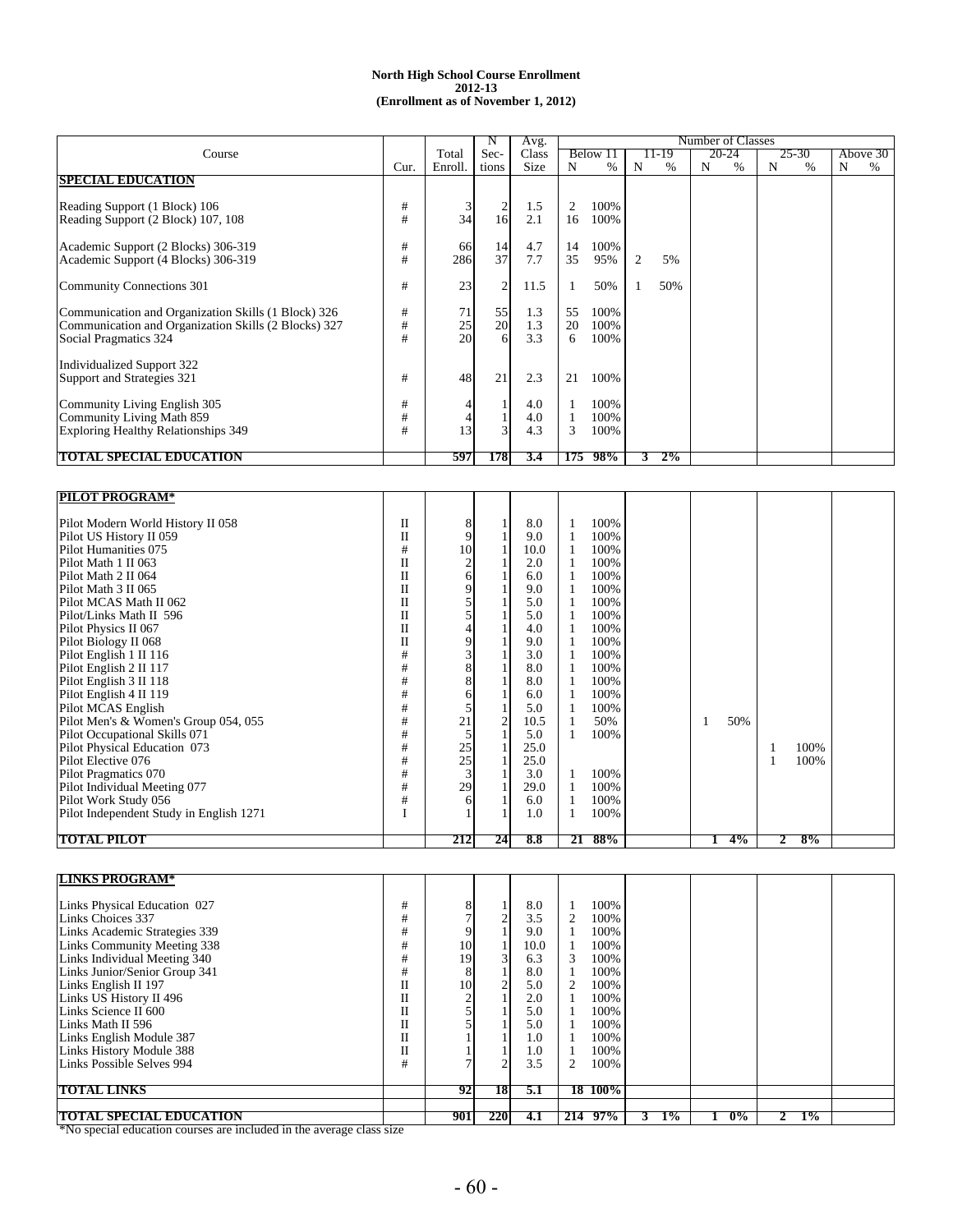#### **2012-13 (Enrollment as of November 1, 2012) North High School Course Enrollment**

|                                                                                                                                      |             |                       |                | Avg.              |               |                      |   |       |   | Number of Classes |   |               |   |          |
|--------------------------------------------------------------------------------------------------------------------------------------|-------------|-----------------------|----------------|-------------------|---------------|----------------------|---|-------|---|-------------------|---|---------------|---|----------|
| Course                                                                                                                               |             | Total                 | Sec-           | Class             |               | Below 11             |   | 11-19 |   | 20-24             |   | 25-30         |   | Above 30 |
|                                                                                                                                      | Cur.        | Enroll.               | tions          | <b>Size</b>       | N             | $\%$                 | N | $\%$  | N | $\%$              | N | $\frac{0}{0}$ | N | %        |
| <b>SPECIAL EDUCATION</b>                                                                                                             |             |                       |                |                   |               |                      |   |       |   |                   |   |               |   |          |
| Reading Support (1 Block) 106<br>Reading Support (2 Block) 107, 108                                                                  | #<br>#      | 34                    | 2<br>16        | 1.5<br>2.1        | 2<br>16       | 100%<br>100%         |   |       |   |                   |   |               |   |          |
| Academic Support (2 Blocks) 306-319<br>Academic Support (4 Blocks) 306-319                                                           | #<br>#      | 66<br>286             | 14<br>37       | 4.7<br>7.7        | 14<br>35      | 100%<br>95%          | 2 | 5%    |   |                   |   |               |   |          |
| Community Connections 301                                                                                                            | #           | 23                    | $\overline{2}$ | 11.5              |               | 50%                  |   | 50%   |   |                   |   |               |   |          |
| Communication and Organization Skills (1 Block) 326<br>Communication and Organization Skills (2 Blocks) 327<br>Social Pragmatics 324 | #<br>#<br># | 71<br>$\frac{25}{20}$ | 55<br>20<br>6  | 1.3<br>1.3<br>3.3 | 55<br>20<br>6 | 100%<br>100%<br>100% |   |       |   |                   |   |               |   |          |
| Individualized Support 322<br>Support and Strategies 321                                                                             | #           | 48                    | 21             | 2.3               | 21            | 100%                 |   |       |   |                   |   |               |   |          |
| Community Living English 305<br>Community Living Math 859<br><b>Exploring Healthy Relationships 349</b>                              | #<br>#<br># | 13                    | $\mathbf{3}$   | 4.0<br>4.0<br>4.3 | 3             | 100%<br>100%<br>100% |   |       |   |                   |   |               |   |          |
| <b>TOTAL SPECIAL EDUCATION</b>                                                                                                       |             | 597                   | 1781           | 3.4               | 175           | 98%                  |   | $2\%$ |   |                   |   |               |   |          |

| <b>PILOT PROGRAM*</b>                   |                         |                 |                |      |    |      |  |       |   |      |  |
|-----------------------------------------|-------------------------|-----------------|----------------|------|----|------|--|-------|---|------|--|
|                                         |                         |                 |                |      |    |      |  |       |   |      |  |
| Pilot Modern World History II 058       | $\mathbf{I}$            | 8               |                | 8.0  |    | 100% |  |       |   |      |  |
| Pilot US History II 059                 | Π                       | 9               |                | 9.0  |    | 100% |  |       |   |      |  |
| Pilot Humanities 075                    | #                       | 10              |                | 10.0 |    | 100% |  |       |   |      |  |
| Pilot Math 1 II 063                     | $\overline{\mathbf{u}}$ |                 |                | 2.0  |    | 100% |  |       |   |      |  |
| Pilot Math 2 II 064                     | $\mathbf{I}$            | 61              |                | 6.0  |    | 100% |  |       |   |      |  |
| Pilot Math 3 II 065                     | $\mathbf{I}$            | 9               |                | 9.0  |    | 100% |  |       |   |      |  |
| Pilot MCAS Math II 062                  | $\overline{\mathbf{u}}$ |                 |                | 5.0  |    | 100% |  |       |   |      |  |
| Pilot/Links Math II 596                 | $\mathbf{I}$            |                 |                | 5.0  |    | 100% |  |       |   |      |  |
| Pilot Physics II 067                    | $\mathbf{I}$            |                 |                | 4.0  |    | 100% |  |       |   |      |  |
| Pilot Biology II 068                    | Π                       | 9               |                | 9.0  |    | 100% |  |       |   |      |  |
| Pilot English 1 II 116                  | #                       |                 |                | 3.0  |    | 100% |  |       |   |      |  |
| Pilot English 2 II 117                  | #                       | 8               |                | 8.0  |    | 100% |  |       |   |      |  |
| Pilot English 3 II 118                  | #                       | 8               |                | 8.0  |    | 100% |  |       |   |      |  |
| Pilot English 4 II 119                  | #                       | 6               |                | 6.0  |    | 100% |  |       |   |      |  |
| Pilot MCAS English                      | #                       |                 |                | 5.0  |    | 100% |  |       |   |      |  |
| Pilot Men's & Women's Group 054, 055    | #                       | 21              | $\overline{c}$ | 10.5 |    | 50%  |  | 50%   |   |      |  |
| Pilot Occupational Skills 071           | #                       |                 |                | 5.0  |    | 100% |  |       |   |      |  |
| Pilot Physical Education 073            | #                       |                 |                | 25.0 |    |      |  |       |   | 100% |  |
| Pilot Elective 076                      | #                       | $\frac{25}{25}$ |                | 25.0 |    |      |  |       |   | 100% |  |
| Pilot Pragmatics 070                    | #                       |                 |                | 3.0  |    | 100% |  |       |   |      |  |
| Pilot Individual Meeting 077            | #                       | 29              |                | 29.0 |    | 100% |  |       |   |      |  |
| Pilot Work Study 056                    | #                       | 6               |                | 6.0  |    | 100% |  |       |   |      |  |
| Pilot Independent Study in English 1271 |                         |                 |                | 1.0  |    | 100% |  |       |   |      |  |
|                                         |                         |                 |                |      |    |      |  |       |   |      |  |
| <b>TOTAL PILOT</b>                      |                         | 212             | 24             | 8.8  | 21 | 88%  |  | $4\%$ | 2 | 8%   |  |

| <b>LINKS PROGRAM*</b>          |    |     |      |      |            |       |       |       |  |
|--------------------------------|----|-----|------|------|------------|-------|-------|-------|--|
|                                |    |     |      |      |            |       |       |       |  |
| Links Physical Education 027   | #  |     |      | 8.0  | 100%       |       |       |       |  |
| Links Choices 337              | #  |     | ⌒    | 3.5  | 100%       |       |       |       |  |
| Links Academic Strategies 339  | #  |     |      | 9.0  | 100%       |       |       |       |  |
| Links Community Meeting 338    | #  | 10  |      | 10.0 | 100%       |       |       |       |  |
| Links Individual Meeting 340   | #  | 19  | 3    | 6.3  | 100%<br>3  |       |       |       |  |
| Links Junior/Senior Group 341  | #  |     |      | 8.0  | 100%       |       |       |       |  |
| Links English II 197           | 11 | 10  | 2    | 5.0  | 100%       |       |       |       |  |
| Links US History II 496        |    |     |      | 2.0  | 100%       |       |       |       |  |
| Links Science II 600           |    |     |      | 5.0  | 100%       |       |       |       |  |
| Links Math II 596              |    |     |      | 5.0  | 100%       |       |       |       |  |
| Links English Module 387       |    |     |      | 1.0  | 100%       |       |       |       |  |
| Links History Module 388       |    |     |      | 1.0  | 100%       |       |       |       |  |
| Links Possible Selves 994      | #  |     |      | 3.5  | 100%       |       |       |       |  |
| <b>TOTAL LINKS</b>             |    | 92  | 18   | 5.1  | 18 100%    |       |       |       |  |
|                                |    |     |      |      |            |       |       |       |  |
| <b>TOTAL SPECIAL EDUCATION</b> |    | 901 | 2201 | 4.1  | 97%<br>214 | $1\%$ | $0\%$ | $1\%$ |  |

\*No special education courses are included in the average class size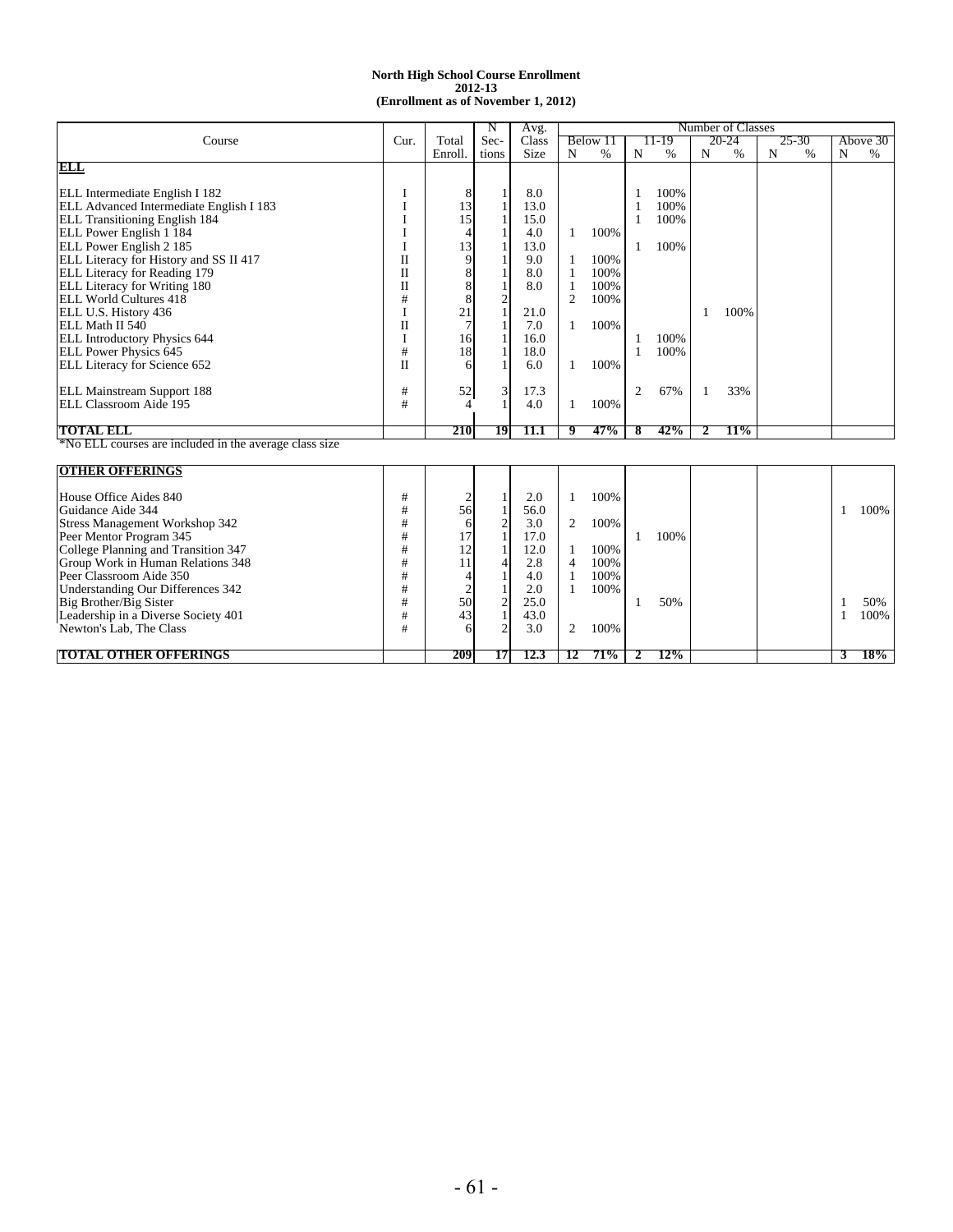|                                                        |      |                                  | N                       | Avg.       |                              |          |                |       |   | Number of Classes |   |       |   |          |
|--------------------------------------------------------|------|----------------------------------|-------------------------|------------|------------------------------|----------|----------------|-------|---|-------------------|---|-------|---|----------|
| Course                                                 | Cur. | Total                            | Sec-                    | Class      |                              | Below 11 |                | 11-19 |   | 20-24             |   | 25-30 |   | Above 30 |
|                                                        |      | Enroll.                          | tions                   | Size       | N                            | $\%$     | N              | %     | N | %                 | N | $\%$  | N | $\%$     |
| ELL                                                    |      |                                  |                         |            |                              |          |                |       |   |                   |   |       |   |          |
|                                                        |      |                                  |                         |            |                              |          |                |       |   |                   |   |       |   |          |
| ELL Intermediate English I 182                         | I    | 8                                | 1                       | 8.0        |                              |          |                | 100%  |   |                   |   |       |   |          |
| ELL Advanced Intermediate English I 183                | I    | 13                               | $\mathbf{1}$            | 13.0       |                              |          | $\mathbf{1}$   | 100%  |   |                   |   |       |   |          |
| ELL Transitioning English 184                          |      | 15                               | $\mathbf{1}$            | 15.0       |                              |          |                | 100%  |   |                   |   |       |   |          |
| ELL Power English 1 184                                |      |                                  |                         | 4.0        | 1                            | 100%     |                |       |   |                   |   |       |   |          |
| ELL Power English 2 185                                | I    | 13                               |                         | 13.0       |                              |          | 1              | 100%  |   |                   |   |       |   |          |
| ELL Literacy for History and SS II 417                 | П    | 9                                |                         | 9.0        | -1                           | 100%     |                |       |   |                   |   |       |   |          |
| ELL Literacy for Reading 179                           | П    | 8                                |                         | 8.0        | $\mathbf{1}$                 | 100%     |                |       |   |                   |   |       |   |          |
| ELL Literacy for Writing 180                           | П    | 8                                |                         | 8.0        | 1                            | 100%     |                |       |   |                   |   |       |   |          |
| <b>ELL World Cultures 418</b>                          | #    | 8                                | $\overline{\mathbf{c}}$ |            | $\overline{2}$               | 100%     |                |       |   |                   |   |       |   |          |
| ELL U.S. History 436                                   |      | 21                               | $\mathbf{1}$            | 21.0       |                              |          |                |       | 1 | 100%              |   |       |   |          |
| ELL Math II 540                                        | П    | $\overline{7}$                   | 1                       | 7.0        | 1                            | 100%     |                |       |   |                   |   |       |   |          |
| <b>ELL Introductory Physics 644</b>                    | I    | 16                               | $\mathbf{1}$            | 16.0       |                              |          | 1              | 100%  |   |                   |   |       |   |          |
| <b>ELL Power Physics 645</b>                           | #    | 18                               | $\mathbf{1}$            | 18.0       |                              |          | $\mathbf{1}$   | 100%  |   |                   |   |       |   |          |
| ELL Literacy for Science 652                           | П    | 6                                |                         | 6.0        | 1                            | 100%     |                |       |   |                   |   |       |   |          |
|                                                        |      |                                  |                         |            |                              |          |                |       |   |                   |   |       |   |          |
| ELL Mainstream Support 188                             | #    | 52                               | 3                       | 17.3       |                              |          | $\overline{2}$ | 67%   | 1 | 33%               |   |       |   |          |
| ELL Classroom Aide 195                                 | #    | 4                                | 1                       | 4.0        | 1                            | 100%     |                |       |   |                   |   |       |   |          |
|                                                        |      |                                  |                         |            |                              |          |                |       |   |                   |   |       |   |          |
| <b>TOTAL ELL</b>                                       |      | 210                              | 19                      | 11.1       | 9                            | 47%      | 8              | 42%   | 2 | 11%               |   |       |   |          |
| *No ELL courses are included in the average class size |      |                                  |                         |            |                              |          |                |       |   |                   |   |       |   |          |
|                                                        |      |                                  |                         |            |                              |          |                |       |   |                   |   |       |   |          |
| <b>OTHER OFFERINGS</b>                                 |      |                                  |                         |            |                              |          |                |       |   |                   |   |       |   |          |
| House Office Aides 840                                 | #    | $\overline{c}$                   | $\mathbf{1}$            | 2.0        | 1                            | 100%     |                |       |   |                   |   |       |   |          |
| Guidance Aide 344                                      | #    | 56                               | $\mathbf{1}$            | 56.0       |                              |          |                |       |   |                   |   |       | 1 | 100%     |
| <b>Stress Management Workshop 342</b>                  | #    | 6                                | $\overline{2}$          | 3.0        | 2                            | 100%     |                |       |   |                   |   |       |   |          |
| Peer Mentor Program 345                                | #    | 17                               | $\mathbf{1}$            | 17.0       |                              |          | 1              | 100%  |   |                   |   |       |   |          |
| College Planning and Transition 347                    | #    | 12                               |                         | 12.0       | 1                            | 100%     |                |       |   |                   |   |       |   |          |
| Group Work in Human Relations 348                      | #    | 11                               | 4                       | 2.8        | $\overline{4}$               | 100%     |                |       |   |                   |   |       |   |          |
| Peer Classroom Aide 350                                | #    |                                  |                         |            |                              | 100%     |                |       |   |                   |   |       |   |          |
|                                                        | #    | $\overline{4}$<br>$\overline{2}$ |                         | 4.0<br>2.0 | $\mathbf{1}$<br>$\mathbf{1}$ | 100%     |                |       |   |                   |   |       |   |          |
| Understanding Our Differences 342                      |      | 50                               |                         |            |                              |          |                |       |   |                   |   |       |   |          |
| Big Brother/Big Sister                                 | #    |                                  | $\mathbf{2}$            | 25.0       |                              |          | 1              | 50%   |   |                   |   |       | 1 | 50%      |
| Leadership in a Diverse Society 401                    | #    | 43                               |                         | 43.0       |                              |          |                |       |   |                   |   |       | 1 | 100%     |
| Newton's Lab, The Class                                | #    |                                  | $\overline{2}$          | 3.0        | $\overline{c}$               | 100%     |                |       |   |                   |   |       |   |          |
| <b>TOTAL OTHER OFFERINGS</b>                           |      | 209                              | 17                      | 12.3       | 12                           | 71%      |                | 12%   |   |                   |   |       | 3 | 18%      |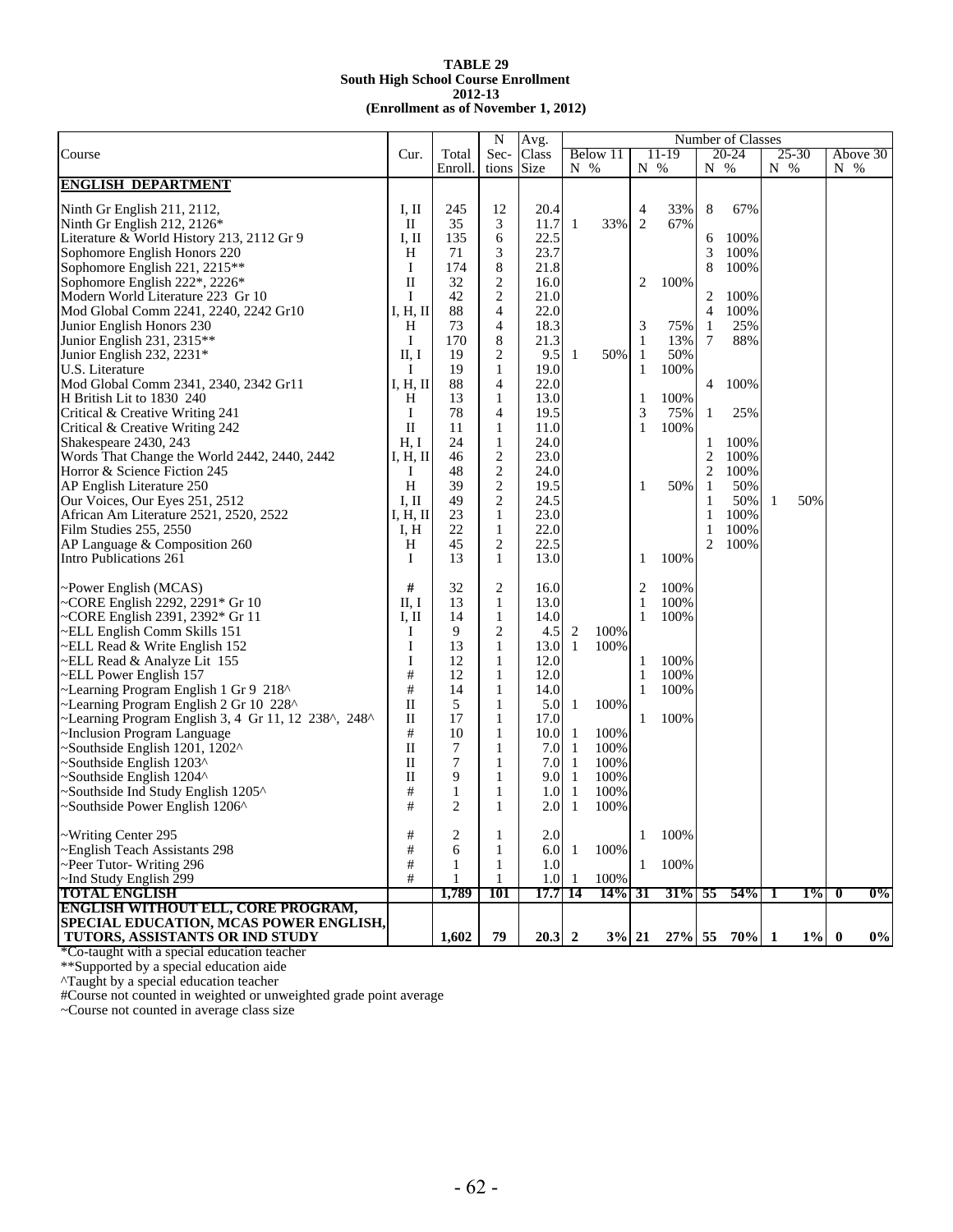|                                                                |              |              | N              | Avg.          |              |          |                |       |              | Number of Classes |               |           |               |       |
|----------------------------------------------------------------|--------------|--------------|----------------|---------------|--------------|----------|----------------|-------|--------------|-------------------|---------------|-----------|---------------|-------|
| Course                                                         | Cur.         | Total        | Sec-           | Class         |              | Below 11 |                | 11-19 |              | $20 - 24$         |               | $25 - 30$ | Above 30      |       |
|                                                                |              | Enroll.      | tions          | Size          | N %          |          | $N_{\odot}$ %  |       | N %          |                   | $N_{\odot}$ % |           | $N_{\odot}$ % |       |
| <b>ENGLISH DEPARTMENT</b>                                      |              |              |                |               |              |          |                |       |              |                   |               |           |               |       |
| Ninth Gr English 211, 2112,                                    | I, II        | 245          | 12             | 20.4          |              |          | 4              | 33%   | 8            | 67%               |               |           |               |       |
| Ninth Gr English 212, 2126*                                    | $\rm II$     | 35           | 3              | 11.7          | $\mathbf{1}$ | 33%      | $\overline{2}$ | 67%   |              |                   |               |           |               |       |
| Literature & World History 213, 2112 Gr 9                      | I, II        | 135          | 6              | 22.5          |              |          |                |       | 6            | 100%              |               |           |               |       |
| Sophomore English Honors 220                                   | H            | 71           | 3              | 23.7          |              |          |                |       | 3            | 100%              |               |           |               |       |
| Sophomore English 221, 2215 <sup>**</sup>                      | Ι            | 174          | $\,$ 8 $\,$    | 21.8          |              |          |                |       | 8            | 100%              |               |           |               |       |
| Sophomore English 222*, 2226*                                  | $\mathbf{I}$ | 32           | $\overline{c}$ | 16.0          |              |          | 2              | 100%  |              |                   |               |           |               |       |
| Modern World Literature 223 Gr 10                              | I            | 42           | $\overline{c}$ | 21.0          |              |          |                |       | 2            | 100%              |               |           |               |       |
| Mod Global Comm 2241, 2240, 2242 Gr10                          | I, H, II     | 88           | $\overline{4}$ | 22.0          |              |          |                |       | 4            | 100%              |               |           |               |       |
| Junior English Honors 230                                      | Η            | 73           | $\overline{4}$ | 18.3          |              |          | 3              | 75%   | 1            | 25%               |               |           |               |       |
| Junior English 231, 2315**                                     | I            | 170          | 8              | 21.3          |              |          | 1              | 13%   | 7            | 88%               |               |           |               |       |
| Junior English 232, 2231*                                      | II, I        | 19           | 2              | 9.5           | 1            | 50%      | -1             | 50%   |              |                   |               |           |               |       |
| U.S. Literature                                                | I            | 19           | $\mathbf{1}$   | 19.0          |              |          | 1              | 100%  |              |                   |               |           |               |       |
| Mod Global Comm 2341, 2340, 2342 Gr11                          | I, H, II     | 88           | $\overline{4}$ | 22.0          |              |          |                |       | 4            | 100%              |               |           |               |       |
| H British Lit to 1830 240                                      | H            | 13           | $\mathbf{1}$   | 13.0          |              |          | 1              | 100%  |              |                   |               |           |               |       |
| Critical & Creative Writing 241                                | I            | 78           | $\overline{4}$ | 19.5          |              |          | 3              | 75%   | 1            | 25%               |               |           |               |       |
| Critical & Creative Writing 242                                | $\mathbf{I}$ | 11           | $\mathbf{1}$   | 11.0          |              |          | $\mathbf{1}$   | 100%  |              |                   |               |           |               |       |
| Shakespeare 2430, 243                                          | H, I         | 24           | $\mathbf{1}$   | 24.0          |              |          |                |       | 1            | 100%              |               |           |               |       |
| Words That Change the World 2442, 2440, 2442                   | I, H, II     | 46           | $\overline{c}$ | 23.0          |              |          |                |       | 2            | 100%              |               |           |               |       |
| Horror & Science Fiction 245                                   | Ι            | 48           | $\overline{2}$ | 24.0          |              |          |                |       | 2            | 100%              |               |           |               |       |
| AP English Literature 250                                      | H            | 39           | $\overline{c}$ | 19.5          |              |          | 1              | 50%   | 1            | 50%               |               |           |               |       |
| Our Voices, Our Eyes 251, 2512                                 | I, II        | 49           | $\overline{2}$ | 24.5          |              |          |                |       | 1            | 50%               | 1             | 50%       |               |       |
| African Am Literature 2521, 2520, 2522                         | I, H, II     | 23           | 1              | 23.0          |              |          |                |       | $\mathbf{1}$ | 100%              |               |           |               |       |
| Film Studies 255, 2550                                         | I, H         | 22           | $\mathbf{1}$   | 22.0          |              |          |                |       | 1            | 100%              |               |           |               |       |
| AP Language & Composition 260                                  | H            | 45           | $\overline{2}$ | 22.5          |              |          |                |       | 2            | 100%              |               |           |               |       |
| Intro Publications 261                                         | I            | 13           | 1              | 13.0          |              |          | 1              | 100%  |              |                   |               |           |               |       |
|                                                                | #            | 32           | 2              | 16.0          |              |          | 2              | 100%  |              |                   |               |           |               |       |
| $\sim$ Power English (MCAS)<br>~CORE English 2292, 2291* Gr 10 | II, I        | 13           | $\mathbf{1}$   | 13.0          |              |          | 1              | 100%  |              |                   |               |           |               |       |
| ~CORE English 2391, 2392* Gr 11                                | I, II        | 14           | $\mathbf{1}$   | 14.0          |              |          | 1              | 100%  |              |                   |               |           |               |       |
| ELL English Comm Skills 151~                                   | Ι            | 9            | 2              | 4.5           | 2            | 100%     |                |       |              |                   |               |           |               |       |
| ~ELL Read & Write English 152                                  | I            | 13           | $\mathbf{1}$   | 13.0          | $\mathbf{1}$ | 100%     |                |       |              |                   |               |           |               |       |
| ~ELL Read & Analyze Lit 155                                    | I            | 12           | $\mathbf{1}$   | 12.0          |              |          | $\mathbf{1}$   | 100%  |              |                   |               |           |               |       |
| ~ELL Power English 157                                         | #            | 12           | $\mathbf{1}$   | 12.0          |              |          | 1              | 100%  |              |                   |               |           |               |       |
| ~Learning Program English 1 Gr 9 218^                          | #            | 14           | 1              | 14.0          |              |          | $\mathbf{1}$   | 100%  |              |                   |               |           |               |       |
| ~Learning Program English 2 Gr 10 228^                         | $\mathbf{I}$ | 5            | 1              | 5.0           | 1            | 100%     |                |       |              |                   |               |           |               |       |
| ~Learning Program English 3, 4 Gr 11, 12 238^, 248^            | $\mathbf{I}$ | 17           | $\mathbf{1}$   | 17.0          |              |          | $\mathbf{1}$   | 100%  |              |                   |               |           |               |       |
| ~Inclusion Program Language                                    | #            | 10           | $\mathbf{1}$   | 10.0          | -1           | 100%     |                |       |              |                   |               |           |               |       |
| Southside English 1201, 1202^                                  | $\mathbf{I}$ | 7            | $\mathbf{1}$   | 7.0           | 1            | 100%     |                |       |              |                   |               |           |               |       |
| ~Southside English 1203^                                       | $\mathbf{I}$ | 7            | 1              | 7.0           | 1            | 100%     |                |       |              |                   |               |           |               |       |
| ~Southside English 1204^                                       | $\mathbf{I}$ | 9            | $\mathbf{1}$   | 9.0           | $\mathbf{1}$ | 100%     |                |       |              |                   |               |           |               |       |
| ~Southside Ind Study English 1205^                             | #            | $\mathbf{1}$ | $\mathbf{1}$   | 1.0           | $\mathbf{1}$ | 100%     |                |       |              |                   |               |           |               |       |
| ~Southside Power English 1206^                                 | #            | 2            | 1              | 2.0           | 1            | 100%     |                |       |              |                   |               |           |               |       |
|                                                                |              |              |                |               |              |          |                |       |              |                   |               |           |               |       |
| ~Writing Center 295                                            | #            | 2            | 1              | 2.0           |              |          | 1              | 100%  |              |                   |               |           |               |       |
| ~English Teach Assistants 298                                  | #            | 6            | 1              | 6.0           | 1            | 100%     |                |       |              |                   |               |           |               |       |
| ~Peer Tutor- Writing 296                                       | #            | 1            | 1              | 1.0           |              |          | 1              | 100%  |              |                   |               |           |               |       |
| $\sim$ Ind Study English 299<br><b>TOTAL ENGLISH</b>           | #            | 1            | 1              | $1.0 \quad 1$ |              | 100%     |                |       |              |                   |               |           |               |       |
| <b>ENGLISH WITHOUT ELL, CORE PROGRAM,</b>                      |              | 1,789        | 101            | 17.7 14       |              | 14%      | 31             | 31%   | 55           | 54%               | 1             | 1%        | $\mathbf{0}$  | 0%    |
| SPECIAL EDUCATION, MCAS POWER ENGLISH,                         |              |              |                |               |              |          |                |       |              |                   |               |           |               |       |
| TUTORS, ASSISTANTS OR IND STUDY                                |              | 1,602        | 79             | 20.32         |              | $3\%$ 21 |                |       |              | 27% 55 70% 1      |               | $1\%$     | $\bf{0}$      | $0\%$ |

\*Co-taught with a special education teacher

\*\*Supported by a special education aide

^Taught by a special education teacher

#Course not counted in weighted or unweighted grade point average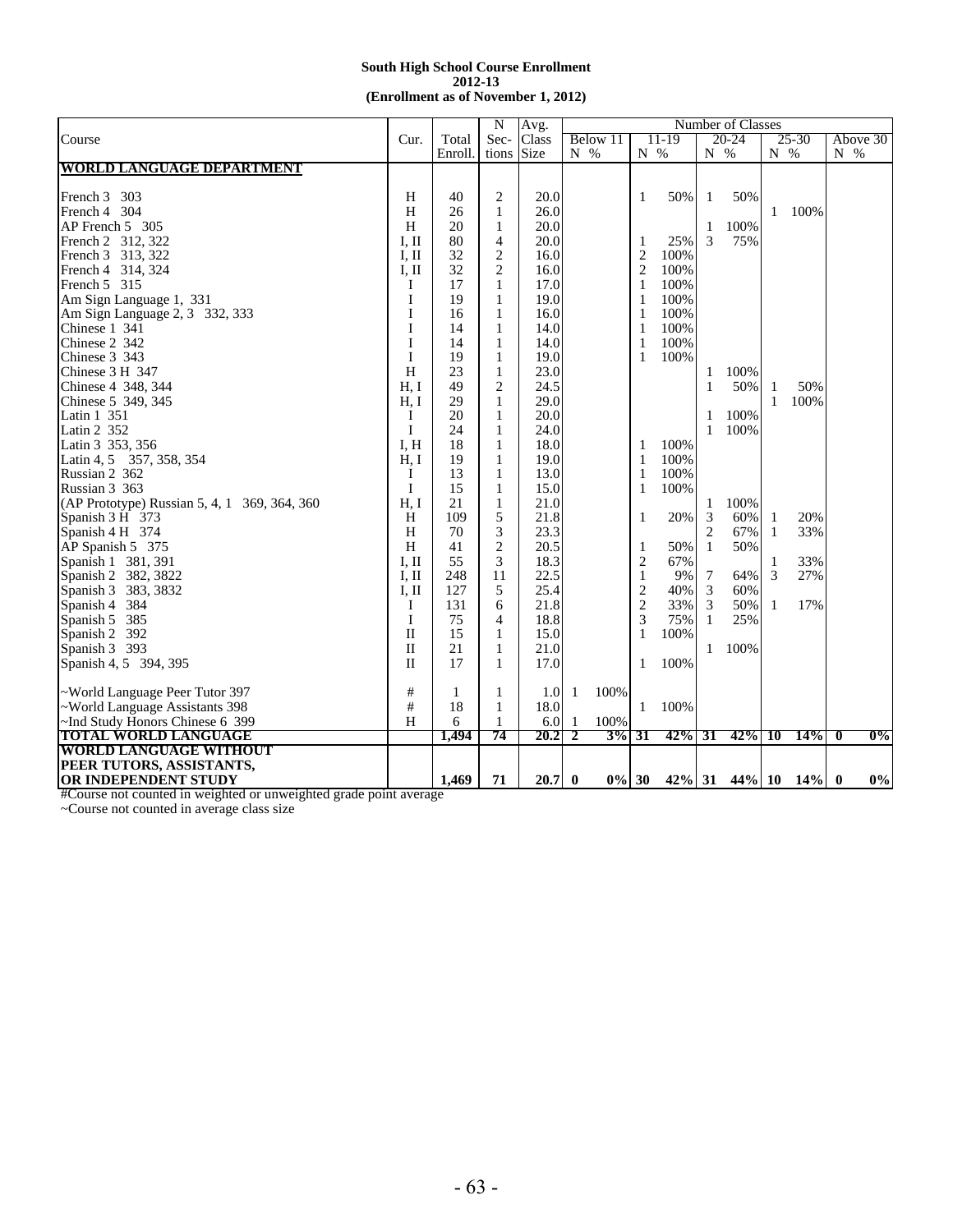|                                              |              |         | N              | Avg.        |                               |                |           |                  | Number of Classes    |                   |       |                |       |
|----------------------------------------------|--------------|---------|----------------|-------------|-------------------------------|----------------|-----------|------------------|----------------------|-------------------|-------|----------------|-------|
| Course                                       | Cur.         | Total   | Sec-           | Class       | Below 11                      |                | 11-19     |                  | 20-24                |                   | 25-30 | Above 30       |       |
|                                              |              | Enroll. | tions          | <b>Size</b> | $N_{0}$ %                     |                | $N_{0}$ % | N %              |                      | $N_{0}$ %         |       | $N_{0}$ %      |       |
| <b>WORLD LANGUAGE DEPARTMENT</b>             |              |         |                |             |                               |                |           |                  |                      |                   |       |                |       |
|                                              |              |         |                |             |                               |                |           |                  |                      |                   |       |                |       |
| French 3 303                                 | H            | 40      | 2              | 20.0        |                               | 1              | 50%       | 1                | 50%                  |                   |       |                |       |
| French 4 304                                 | H            | 26      | $\mathbf{1}$   | 26.0        |                               |                |           |                  |                      | $\mathbf{1}$      | 100%  |                |       |
| AP French 5 305                              | H            | 20      | 1              | 20.0        |                               |                |           | 1                | 100%                 |                   |       |                |       |
| French 2 312, 322                            | I, II        | 80      | $\overline{4}$ | 20.0        |                               | $\mathbf{1}$   | 25%       | 3                | 75%                  |                   |       |                |       |
| French 3 313, 322                            | I. II        | 32      | 2              | 16.0        |                               | $\overline{2}$ | 100%      |                  |                      |                   |       |                |       |
| French 4 314, 324                            | I, II        | 32      | $\overline{c}$ | 16.0        |                               | $\overline{c}$ | 100%      |                  |                      |                   |       |                |       |
| French 5 315                                 | Ι.           | 17      | 1              | 17.0        |                               | 1              | 100%      |                  |                      |                   |       |                |       |
| Am Sign Language 1, 331                      | $\mathbf{I}$ | 19      | $\mathbf{1}$   | 19.0        |                               | 1              | 100%      |                  |                      |                   |       |                |       |
| Am Sign Language 2, 3 332, 333               | I            | 16      | $\mathbf{1}$   | 16.0        |                               | 1              | 100%      |                  |                      |                   |       |                |       |
| Chinese 1 341                                | $\mathbf I$  | 14      | $\mathbf{1}$   | 14.0        |                               | $\mathbf{1}$   | 100%      |                  |                      |                   |       |                |       |
| Chinese 2 342                                | $\mathbf I$  | 14      | $\mathbf{1}$   | 14.0        |                               | $\mathbf{1}$   | 100%      |                  |                      |                   |       |                |       |
| Chinese 3 343                                | I            | 19      | 1              | 19.0        |                               | 1              | 100%      |                  |                      |                   |       |                |       |
| Chinese 3 H 347                              | H            | 23      | 1              | 23.0        |                               |                |           | 1                | 100%                 |                   |       |                |       |
| Chinese 4 348, 344                           | H. I         | 49      | 2              | 24.5        |                               |                |           | 1                | 50%                  | 1                 | 50%   |                |       |
| Chinese 5 349, 345                           | H. I         | 29      | $\mathbf{1}$   | 29.0        |                               |                |           |                  |                      | $\mathbf{1}$      | 100%  |                |       |
| Latin 1 351                                  | Ι            | 20      | 1              | 20.0        |                               |                |           | 1                | 100%                 |                   |       |                |       |
| Latin 2 352                                  | I            | 24      | 1              | 24.0        |                               |                |           | $\mathbf{1}$     | 100%                 |                   |       |                |       |
| Latin 3 353, 356                             | I, H         | 18      | $\mathbf{1}$   | 18.0        |                               | 1              | 100%      |                  |                      |                   |       |                |       |
| Latin 4, 5 357, 358, 354                     | H, I         | 19      | $\mathbf{1}$   | 19.0        |                               | 1              | 100%      |                  |                      |                   |       |                |       |
| Russian 2 362                                | Ι            | 13      | 1              | 13.0        |                               | 1              | 100%      |                  |                      |                   |       |                |       |
| Russian 3 363                                | I            | 15      | 1              | 15.0        |                               | 1              | 100%      |                  |                      |                   |       |                |       |
| (AP Prototype) Russian 5, 4, 1 369, 364, 360 | H. I         | 21      | 1              | 21.0        |                               |                |           | 1                | 100%                 |                   |       |                |       |
| Spanish 3 H 373                              | H            | 109     | 5              | 21.8        |                               | $\mathbf{1}$   | 20%       | 3                | 60%                  |                   | 20%   |                |       |
|                                              | H            | 70      | 3              | 23.3        |                               |                |           | $\overline{c}$   | 67%                  | 1<br>$\mathbf{1}$ | 33%   |                |       |
| Spanish 4 H 374                              | H            |         | $\overline{2}$ | 20.5        |                               |                |           |                  |                      |                   |       |                |       |
| AP Spanish 5 375                             |              | 41      |                |             |                               | $\mathbf{1}$   | 50%       | 1                | 50%                  |                   |       |                |       |
| Spanish 1 381, 391                           | I, II        | 55      | 3              | 18.3        |                               | $\overline{2}$ | 67%       |                  |                      | 1                 | 33%   |                |       |
| Spanish 2 382, 3822                          | I, II        | 248     | 11             | 22.5        |                               | $\mathbf{1}$   | 9%        | $\boldsymbol{7}$ | 64%                  | 3                 | 27%   |                |       |
| Spanish 3 383, 3832                          | I, II        | 127     | 5              | 25.4        |                               | $\overline{c}$ | 40%       | 3                | 60%                  |                   |       |                |       |
| Spanish 4 384                                | I            | 131     | 6              | 21.8        |                               | $\overline{2}$ | 33%       | 3                | 50%                  | 1                 | 17%   |                |       |
| Spanish 5 385                                | I            | 75      | $\overline{4}$ | 18.8        |                               | 3              | 75%       | 1                | 25%                  |                   |       |                |       |
| Spanish 2 392                                | $\mathbf{I}$ | 15      | $\mathbf{1}$   | 15.0        |                               | $\mathbf{1}$   | 100%      |                  |                      |                   |       |                |       |
| Spanish 3 393                                | $\mathbf{I}$ | 21      | $\mathbf{1}$   | 21.0        |                               |                |           | 1                | 100%                 |                   |       |                |       |
| Spanish 4, 5 394, 395                        | $\mathbf{I}$ | 17      | $\mathbf{1}$   | 17.0        |                               | $\mathbf{1}$   | 100%      |                  |                      |                   |       |                |       |
| ~World Language Peer Tutor 397               | #            | 1       | 1              | 1.0         | 100%<br>-1                    |                |           |                  |                      |                   |       |                |       |
| ~World Language Assistants 398               | #            | 18      | $\mathbf{1}$   | 18.0        |                               | $\mathbf{1}$   | 100%      |                  |                      |                   |       |                |       |
| ~Ind Study Honors Chinese 6 399              | H            | 6       | 1              | 6.0         | 100%<br>-1                    |                |           |                  |                      |                   |       |                |       |
| <b>TOTAL WORLD LANGUAGE</b>                  |              | 1.494   | 74             | 20.2        | $\overline{\mathbf{2}}$<br>3% | 31             | 42%       | 31               | $42\%$ 10            |                   | 14%   | $\overline{0}$ | 0%    |
| <b>WORLD LANGUAGE WITHOUT</b>                |              |         |                |             |                               |                |           |                  |                      |                   |       |                |       |
| PEER TUTORS, ASSISTANTS,                     |              |         |                |             |                               |                |           |                  |                      |                   |       |                |       |
| OR INDEPENDENT STUDY                         |              | 1,469   | 71             | $20.7 \, 0$ |                               | $0\%$ 30       |           |                  | $42\%$ 31 44% 10 14% |                   |       | $\bf{0}$       | $0\%$ |

#Course not counted in weighted or unweighted grade point average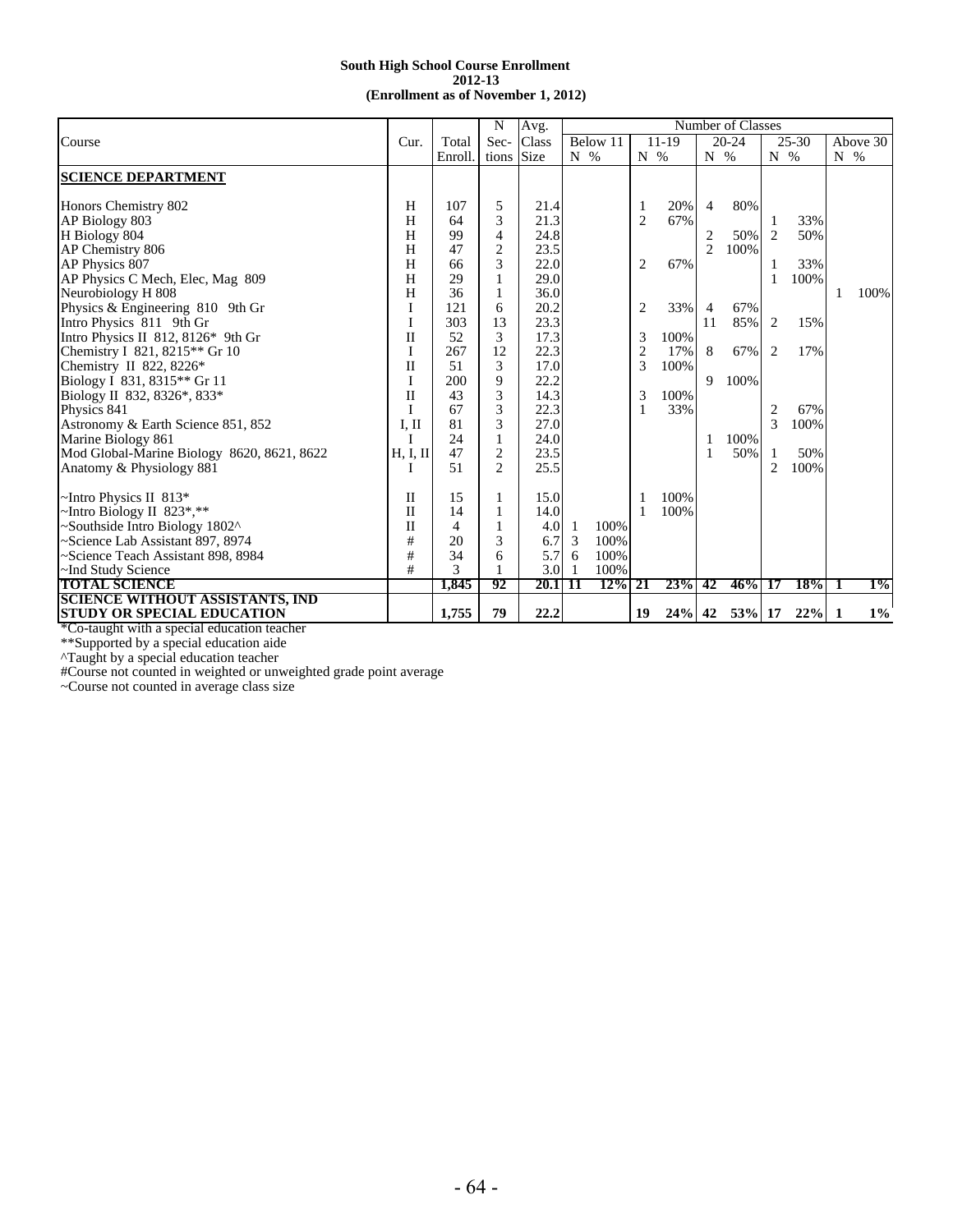|                                               |             |        | N              | Avg.        |           |          |                |            |                | Number of Classes |                |           |           |          |
|-----------------------------------------------|-------------|--------|----------------|-------------|-----------|----------|----------------|------------|----------------|-------------------|----------------|-----------|-----------|----------|
| Course                                        | Cur.        | Total  | Sec-           | Class       |           | Below 11 |                | $11-19$    |                | $20 - 24$         |                | $25 - 30$ |           | Above 30 |
|                                               |             | Enroll | tions          | <b>Size</b> | $N_{0}$ % |          | $N_{\odot}$ %  |            | $N_{\odot}$ %  |                   | $N_{\odot}$ %  |           | $N_{0}$ % |          |
| <b>SCIENCE DEPARTMENT</b>                     |             |        |                |             |           |          |                |            |                |                   |                |           |           |          |
|                                               |             |        |                |             |           |          |                |            |                |                   |                |           |           |          |
| Honors Chemistry 802                          | H           | 107    | 5              | 21.4        |           |          | 1              | 20%        | $\overline{4}$ | 80%               |                |           |           |          |
| AP Biology 803                                | H           | 64     | 3              | 21.3        |           |          | $\overline{2}$ | 67%        |                |                   |                | 33%       |           |          |
| H Biology 804                                 | H           | 99     | $\overline{4}$ | 24.8        |           |          |                |            | 2              | 50%               | 2              | 50%       |           |          |
| AP Chemistry 806                              | H           | 47     | $\overline{c}$ | 23.5        |           |          |                |            | 2              | 100%              |                |           |           |          |
| AP Physics 807                                | Н           | 66     | 3              | 22.0        |           |          | 2              | 67%        |                |                   |                | 33%       |           |          |
| AP Physics C Mech, Elec, Mag 809              | H           | 29     |                | 29.0        |           |          |                |            |                |                   | 1              | 100%      |           |          |
| Neurobiology H 808                            | H           | 36     | 1              | 36.0        |           |          |                |            |                |                   |                |           |           | 100%     |
| Physics & Engineering 810 9th Gr              | I           | 121    | 6              | 20.2        |           |          | $\overline{2}$ | 33%        | 4              | 67%               |                |           |           |          |
| Intro Physics 811 9th Gr                      |             | 303    | 13             | 23.3        |           |          |                |            | 11             | 85%               | 2              | 15%       |           |          |
| Intro Physics II 812, 8126 $*$ 9th Gr         | $\rm _{II}$ | 52     | 3              | 17.3        |           |          | 3              | 100%       |                |                   |                |           |           |          |
| Chemistry I 821, 8215 <sup>**</sup> Gr 10     | I           | 267    | 12             | 22.3        |           |          | $\overline{c}$ | 17%        | 8              | 67%               | 2              | 17%       |           |          |
| Chemistry II 822, 8226 $*$                    | $\rm _{II}$ | 51     | 3              | 17.0        |           |          | 3              | 100%       |                |                   |                |           |           |          |
| Biology I 831, 8315 <sup>**</sup> Gr 11       | I           | 200    | 9              | 22.2        |           |          |                |            | 9              | 100%              |                |           |           |          |
| Biology II 832, 8326*, 833*                   | $\rm _{II}$ | 43     | 3              | 14.3        |           |          | 3              | 100%       |                |                   |                |           |           |          |
| Physics 841                                   | I           | 67     | 3              | 22.3        |           |          | 1              | 33%        |                |                   | 2              | 67%       |           |          |
| Astronomy & Earth Science 851, 852            | I, II       | 81     | 3              | 27.0        |           |          |                |            |                |                   | 3              | 100%      |           |          |
| Marine Biology 861                            | Τ           | 24     | 1              | 24.0        |           |          |                |            | 1              | 100%              |                |           |           |          |
| Mod Global-Marine Biology 8620, 8621, 8622    | H, I, II    | 47     | $\overline{c}$ | 23.5        |           |          |                |            | 1              | 50%               | 1              | 50%       |           |          |
| Anatomy & Physiology 881                      | T           | 51     | $\mathfrak{D}$ | 25.5        |           |          |                |            |                |                   | $\overline{c}$ | 100%      |           |          |
| $\sim$ Intro Physics II 813*                  | П           | 15     |                | 15.0        |           |          |                | 100%       |                |                   |                |           |           |          |
| ~Intro Biology II 823*,**                     | П           | 14     |                | 14.0        |           |          | 1              | 100%       |                |                   |                |           |           |          |
| ~Southside Intro Biology 1802^                | $\rm _{II}$ | 4      | 1              | 4.0         | -1        | 100%     |                |            |                |                   |                |           |           |          |
| Science Lab Assistant 897, 8974               | $\#$        | 20     | 3              | 6.7         | 3         | 100%     |                |            |                |                   |                |           |           |          |
| ~Science Teach Assistant 898, 8984            | #           | 34     | 6              | 5.7         | 6         | 100%     |                |            |                |                   |                |           |           |          |
| ~Ind Study Science                            | #           | 3      |                | 3.0         | -1        | 100%     |                |            |                |                   |                |           |           |          |
| <b>TOTAL SCIENCE</b>                          |             | 1,845  | 92             | 20.1        | -11       | $12\%$   | 21             | <b>23%</b> | 42             | 46%               | 17             | 18%       | л.        | $1\%$    |
| <b>SCIENCE WITHOUT ASSISTANTS, IND</b>        |             |        |                |             |           |          |                |            |                |                   |                |           |           |          |
| <b>STUDY OR SPECIAL EDUCATION</b>             |             | 1,755  | 79             | 22.2        |           |          | 19             | 24%        | 42             | 53% 17            |                | 22%       | 1         | $1\%$    |
| $*C0$ taught with a special education teacher |             |        |                |             |           |          |                |            |                |                   |                |           |           |          |

\*Co-taught with a special education teacher

\*\*Supported by a special education aide

^Taught by a special education teacher

#Course not counted in weighted or unweighted grade point average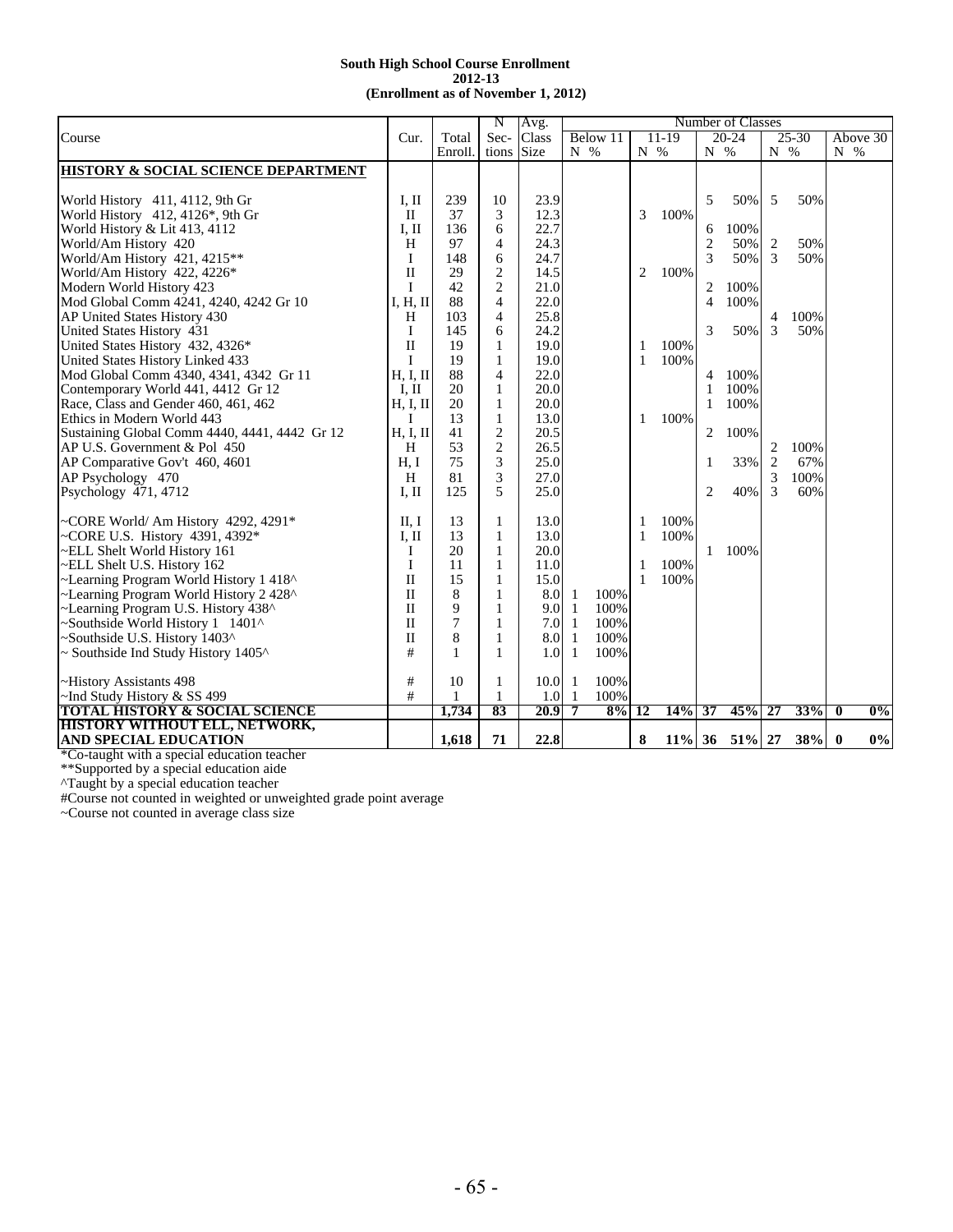|                                                 |              |         | N              | Avg.        |              |          |               |         |                | Number of Classes |               |            |               |       |
|-------------------------------------------------|--------------|---------|----------------|-------------|--------------|----------|---------------|---------|----------------|-------------------|---------------|------------|---------------|-------|
| Course                                          | Cur.         | Total   | Sec-           | Class       |              | Below 11 |               | $11-19$ |                | $20 - 24$         |               | $25 - 30$  | Above 30      |       |
|                                                 |              | Enroll. | tions          | <b>Size</b> | $N_{\infty}$ |          | $N_{\odot}$ % |         | $N_{\odot}$    |                   | $N_{\odot}$ % |            | $N_{\odot}$ % |       |
| <b>HISTORY &amp; SOCIAL SCIENCE DEPARTMENT</b>  |              |         |                |             |              |          |               |         |                |                   |               |            |               |       |
|                                                 |              |         |                |             |              |          |               |         |                |                   |               |            |               |       |
| World History 411, 4112, 9th Gr                 | I, II        | 239     | 10             | 23.9        |              |          |               |         | 5              | 50%               | 5             | 50%        |               |       |
| World History $412, 4126$ <sup>*</sup> , 9th Gr | $\mathbf{I}$ | 37      | 3              | 12.3        |              |          | 3             | 100%    |                |                   |               |            |               |       |
| World History & Lit 413, 4112                   | I, II        | 136     | 6              | 22.7        |              |          |               |         | 6              | 100%              |               |            |               |       |
| World/Am History 420                            | H            | 97      | $\overline{4}$ | 24.3        |              |          |               |         | $\overline{2}$ | 50%               | 2             | 50%        |               |       |
|                                                 | I            | 148     | 6              | 24.7        |              |          |               |         | 3              | 50%               | 3             | 50%        |               |       |
| World/Am History 421, 4215**                    | $\mathbf{I}$ |         | $\overline{2}$ | 14.5        |              |          |               |         |                |                   |               |            |               |       |
| World/Am History 422, 4226*                     |              | 29      |                |             |              |          | 2             | 100%    |                |                   |               |            |               |       |
| Modern World History 423                        | Ι            | 42      | $\overline{c}$ | 21.0        |              |          |               |         | 2              | 100%              |               |            |               |       |
| Mod Global Comm 4241, 4240, 4242 Gr 10          | I, H, II     | 88      | $\overline{4}$ | 22.0        |              |          |               |         | $\overline{4}$ | 100%              |               |            |               |       |
| AP United States History 430                    | H            | 103     | $\overline{4}$ | 25.8        |              |          |               |         |                |                   | 4             | 100%       |               |       |
| United States History 431                       | I            | 145     | 6              | 24.2        |              |          |               |         | 3              | 50%               | 3             | 50%        |               |       |
| United States History 432, 4326*                | $\mathbf{I}$ | 19      | 1              | 19.0        |              |          | 1             | 100%    |                |                   |               |            |               |       |
| United States History Linked 433                | I            | 19      | 1              | 19.0        |              |          | 1             | 100%    |                |                   |               |            |               |       |
| Mod Global Comm 4340, 4341, 4342 Gr 11          | H, I, II     | 88      | $\overline{4}$ | 22.0        |              |          |               |         | 4              | 100%              |               |            |               |       |
| Contemporary World 441, 4412 Gr 12              | I, II        | 20      | 1              | 20.0        |              |          |               |         |                | 100%              |               |            |               |       |
| Race, Class and Gender 460, 461, 462            | H, I, II     | 20      | 1              | 20.0        |              |          |               |         | 1              | 100%              |               |            |               |       |
| Ethics in Modern World 443                      | Ι            | 13      | $\mathbf{1}$   | 13.0        |              |          | 1             | 100%    |                |                   |               |            |               |       |
| Sustaining Global Comm 4440, 4441, 4442 Gr 12   | H, I, II     | 41      | $\overline{2}$ | 20.5        |              |          |               |         | $\overline{2}$ | 100%              |               |            |               |       |
| AP U.S. Government & Pol 450                    | H            | 53      | $\overline{2}$ | 26.5        |              |          |               |         |                |                   | 2             | 100%       |               |       |
| AP Comparative Gov't 460, 4601                  | H. I         | 75      | 3              | 25.0        |              |          |               |         | 1              | 33%               | 2             | 67%        |               |       |
| AP Psychology 470                               | H            | 81      | 3              | 27.0        |              |          |               |         |                |                   | 3             | 100%       |               |       |
| Psychology 471, 4712                            | I, II        | 125     | 5              | 25.0        |              |          |               |         | $\overline{2}$ | 40%               | 3             | 60%        |               |       |
|                                                 |              |         |                |             |              |          |               |         |                |                   |               |            |               |       |
| ~CORE World/ Am History 4292, 4291*             | II, I        | 13      | 1              | 13.0        |              |          | 1             | 100%    |                |                   |               |            |               |       |
| ~CORE U.S. History $4391, 4392*$                | I, II        | 13      | $\mathbf{1}$   | 13.0        |              |          | $\mathbf{1}$  | 100%    |                |                   |               |            |               |       |
| ~ELL Shelt World History 161                    | Ι            | 20      | $\mathbf{1}$   | 20.0        |              |          |               |         | 1              | 100%              |               |            |               |       |
| ~ELL Shelt U.S. History 162                     | I            | 11      | 1              | 11.0        |              |          | -1            | 100%    |                |                   |               |            |               |       |
| ~Learning Program World History 1 418^          | $\mathbf{I}$ | 15      | 1              | 15.0        |              |          | $\mathbf{1}$  | 100%    |                |                   |               |            |               |       |
| ~Learning Program World History 2 428^          | $\mathbf{I}$ | 8       | 1              | 8.0         | -1           | 100%     |               |         |                |                   |               |            |               |       |
| ~Learning Program U.S. History 438^             | $\mathbf{I}$ | 9       | 1              | 9.0         | -1           | 100%     |               |         |                |                   |               |            |               |       |
| Southside World History 1 1401^                 | $\mathbf{I}$ | 7       | 1              | 7.0         | -1           | 100%     |               |         |                |                   |               |            |               |       |
| ~Southside U.S. History 1403^                   | $\mathbf{I}$ | 8       | 1              | 8.0         | 1            | 100%     |               |         |                |                   |               |            |               |       |
| $\sim$ Southside Ind Study History 1405 $\sim$  | #            | 1       | 1              | 1.0         | -1           | 100%     |               |         |                |                   |               |            |               |       |
|                                                 |              |         |                |             |              |          |               |         |                |                   |               |            |               |       |
| ~History Assistants 498                         | #            | 10      | 1              | 10.0        | -1           | 100%     |               |         |                |                   |               |            |               |       |
| $\sim$ Ind Study History & SS 499               | #            | 1       | 1              | 1.0         | 1            | 100%     |               |         |                |                   |               |            |               |       |
| <b>TOTAL HISTORY &amp; SOCIAL SCIENCE</b>       |              | 1,734   | 83             | 20.9        | 7            | $8\%$    | 12            | 14%     | 37             | 45%               | 27            | <b>33%</b> | 0             | $0\%$ |
| <b>HISTORY WITHOUT ELL, NETWORK,</b>            |              |         |                |             |              |          |               |         |                |                   |               |            |               |       |
| <b>AND SPECIAL EDUCATION</b>                    |              | 1,618   | 71             | 22.8        |              |          | 8             |         |                | $11\%$ 36 51\% 27 |               | 38%        | $\bf{0}$      | $0\%$ |

\*Co-taught with a special education teacher

\*\*Supported by a special education aide

^Taught by a special education teacher

#Course not counted in weighted or unweighted grade point average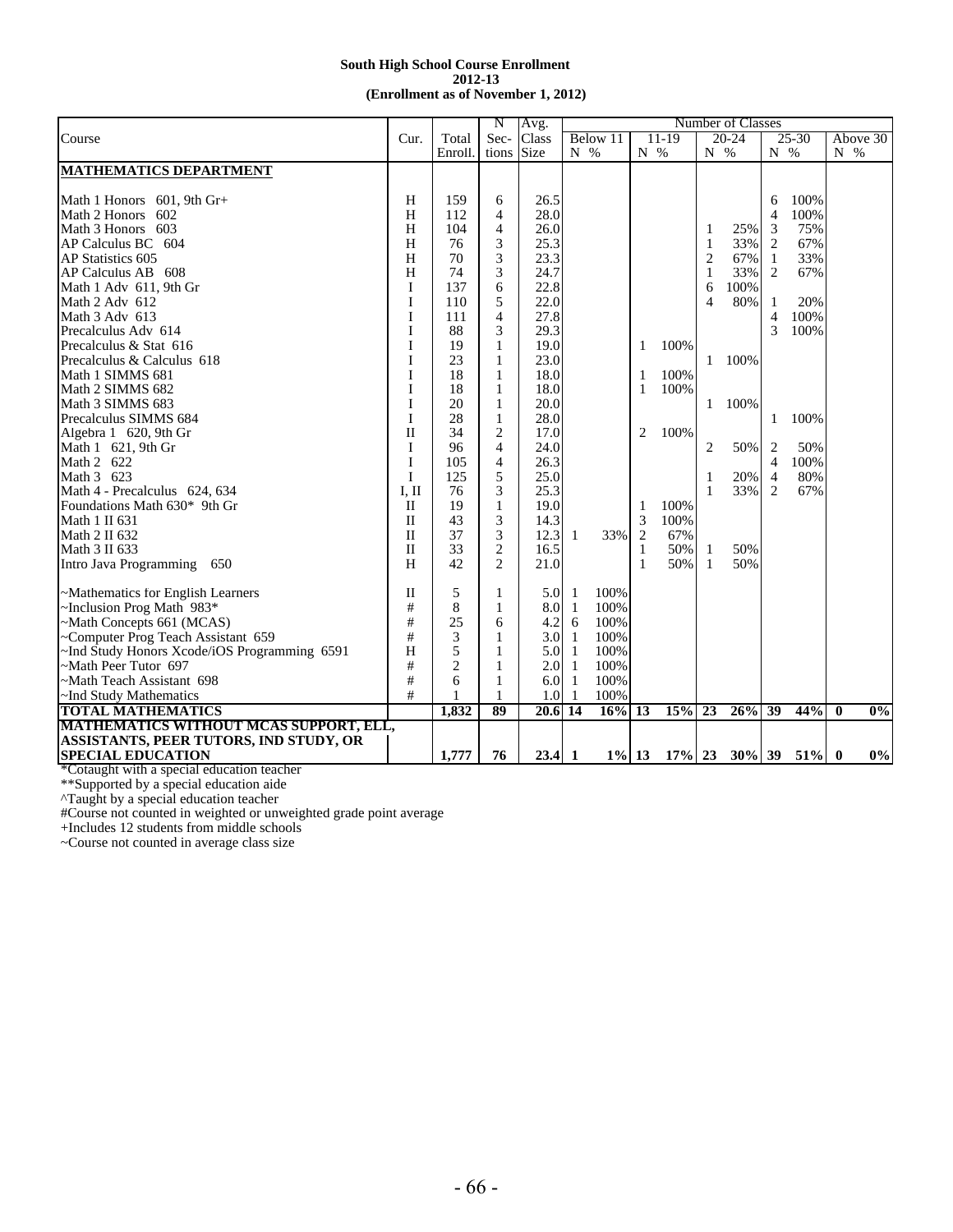|                                               |              |                | N                        | Avg.        |     |          |                |         |                          | Number of Classes |                |           |               |                  |
|-----------------------------------------------|--------------|----------------|--------------------------|-------------|-----|----------|----------------|---------|--------------------------|-------------------|----------------|-----------|---------------|------------------|
| Course                                        | Cur.         | Total          | Sec-                     | Class       |     | Below 11 |                | $11-19$ |                          | $20 - 24$         |                | $25 - 30$ |               | Above 30         |
|                                               |              | Enroll         | tions                    | <b>Size</b> | N % |          | N %            |         | N %                      |                   | N %            |           | $N_{\odot}$ % |                  |
| <b>MATHEMATICS DEPARTMENT</b>                 |              |                |                          |             |     |          |                |         |                          |                   |                |           |               |                  |
|                                               |              |                |                          |             |     |          |                |         |                          |                   |                |           |               |                  |
| Math 1 Honors 601, 9th Gr+                    | Н            | 159            | 6                        | 26.5        |     |          |                |         |                          |                   | 6              | 100%      |               |                  |
| Math 2 Honors<br>602                          | H            | 112            | $\overline{4}$           | 28.0        |     |          |                |         |                          |                   | $\overline{4}$ | 100%      |               |                  |
| Math 3 Honors 603                             | H            | 104            | 4                        | 26.0        |     |          |                |         | 1                        | 25%               | 3              | 75%       |               |                  |
| AP Calculus BC 604                            | H            | 76             | 3                        | 25.3        |     |          |                |         | $\mathbf{1}$             | 33%               | 2              | 67%       |               |                  |
| AP Statistics 605                             | H            | 70             | 3                        | 23.3        |     |          |                |         | $\overline{2}$           | 67%               | $\mathbf{1}$   | 33%       |               |                  |
| AP Calculus AB 608                            | H            | 74             | 3                        | 24.7        |     |          |                |         | $\mathbf{1}$             | 33%               | 2              | 67%       |               |                  |
| Math 1 Adv 611, 9th Gr                        | I            | 137            | 6                        | 22.8        |     |          |                |         | 6                        | 100%              |                |           |               |                  |
| Math 2 Adv 612                                | T            | 110            | 5                        | 22.0        |     |          |                |         | $\overline{\mathcal{A}}$ | 80%               | 1              | 20%       |               |                  |
| Math 3 Adv 613                                | I            | 111            | $\overline{\mathcal{L}}$ | 27.8        |     |          |                |         |                          |                   | 4              | 100%      |               |                  |
| Precalculus Adv 614                           | I            | 88             | 3                        | 29.3        |     |          |                |         |                          |                   | 3              | 100%      |               |                  |
| Precalculus & Stat 616                        | I            | 19             | 1                        | 19.0        |     |          | 1              | 100%    |                          |                   |                |           |               |                  |
| Precalculus & Calculus 618                    | I            | 23             | 1                        | 23.0        |     |          |                |         | 1                        | 100%              |                |           |               |                  |
| Math 1 SIMMS 681                              | I            | 18             | 1                        | 18.0        |     |          | 1              | 100%    |                          |                   |                |           |               |                  |
| Math 2 SIMMS 682                              | I            | 18             | 1                        | 18.0        |     |          | 1              | 100%    |                          |                   |                |           |               |                  |
| Math 3 SIMMS 683                              | I            | 20             | 1                        | 20.0        |     |          |                |         | 1                        | 100%              |                |           |               |                  |
| Precalculus SIMMS 684                         | I            | 28             | $\mathbf{1}$             | 28.0        |     |          |                |         |                          |                   | 1              | 100%      |               |                  |
| Algebra 1 620, 9th Gr                         | $\Pi$        | 34             | $\overline{2}$           | 17.0        |     |          | 2              | 100%    |                          |                   |                |           |               |                  |
| Math 1 621, 9th Gr                            | I            | 96             | 4                        | 24.0        |     |          |                |         | 2                        | 50%               | 2              | 50%       |               |                  |
| Math 2 622                                    | I            | 105            | $\overline{4}$           | 26.3        |     |          |                |         |                          |                   | $\overline{4}$ | 100%      |               |                  |
| Math 3 623                                    | I            | 125            | 5                        | 25.0        |     |          |                |         | 1                        | 20%               | $\overline{4}$ | 80%       |               |                  |
| Math 4 - Precalculus 624, 634                 | $I.$ II      | 76             | 3                        | 25.3        |     |          |                |         | -1                       | 33%               | 2              | 67%       |               |                  |
| Foundations Math 630* 9th Gr                  | H            | 19             | 1                        | 19.0        |     |          | 1              | 100%    |                          |                   |                |           |               |                  |
| Math 1 II 631                                 | $\mathbf{I}$ | 43             | 3                        | 14.3        |     |          | 3              | 100%    |                          |                   |                |           |               |                  |
| Math 2 II 632                                 | $\mathbf{I}$ | 37             | 3                        | 12.3        | -1  | 33%      | $\overline{2}$ | 67%     |                          |                   |                |           |               |                  |
| Math 3 II 633                                 | $\mathbf{I}$ | 33             | $\mathbf{2}$             | 16.5        |     |          | 1              | 50%     | -1                       | 50%               |                |           |               |                  |
| Intro Java Programming 650                    | H            | 42             | $\overline{c}$           | 21.0        |     |          | 1              | 50%     | -1                       | 50%               |                |           |               |                  |
|                                               |              |                |                          |             |     |          |                |         |                          |                   |                |           |               |                  |
| ~Mathematics for English Learners             | $\mathbf{I}$ | 5              | 1                        | 5.0         | -1  | 100%     |                |         |                          |                   |                |           |               |                  |
| ~Inclusion Prog Math 983*                     | #            | 8              | 1                        | 8.0         | -1  | 100%     |                |         |                          |                   |                |           |               |                  |
| ~Math Concepts 661 (MCAS)                     | #            | 25             | 6                        | 4.2         | 6   | 100%     |                |         |                          |                   |                |           |               |                  |
| ~Computer Prog Teach Assistant 659            | $\#$         | 3              | 1                        | 3.0         | -1  | 100%     |                |         |                          |                   |                |           |               |                  |
| ~Ind Study Honors Xcode/iOS Programming 6591  | H            | 5              | 1                        | 5.0         | -1  | 100%     |                |         |                          |                   |                |           |               |                  |
| ~Math Peer Tutor 697                          | #            | $\overline{2}$ | 1                        | 2.0         | 1   | 100%     |                |         |                          |                   |                |           |               |                  |
| ~Math Teach Assistant 698                     | #            | 6              | 1                        | 6.0         | 1   | 100%     |                |         |                          |                   |                |           |               |                  |
| ~Ind Study Mathematics                        | #            |                | $\mathbf{1}$             | 1.0         | -1  | 100%     |                |         |                          |                   |                |           |               |                  |
| <b>TOTAL MATHEMATICS</b>                      |              | 1.832          | 89                       | 20.6        | 14  | 16%      | 13             | 15%     | 23                       | $26\%$ 39         |                | 44%       | $\mathbf{0}$  | $\overline{0\%}$ |
| <b>MATHEMATICS WITHOUT MCAS SUPPORT, ELL,</b> |              |                |                          |             |     |          |                |         |                          |                   |                |           |               |                  |
| ASSISTANTS, PEER TUTORS, IND STUDY, OR        |              |                |                          |             |     |          |                |         |                          |                   |                |           |               |                  |
| <b>SPECIAL EDUCATION</b>                      |              | 1,777          | 76                       | $23.4$ 1    |     | $1\%$ 13 |                |         |                          | $17\%$ 23 30% 39  |                | 51%       | $\bf{0}$      | 0%               |

\*Cotaught with a special education teacher

\*\*Supported by a special education aide

^Taught by a special education teacher

#Course not counted in weighted or unweighted grade point average

+Includes 12 students from middle schools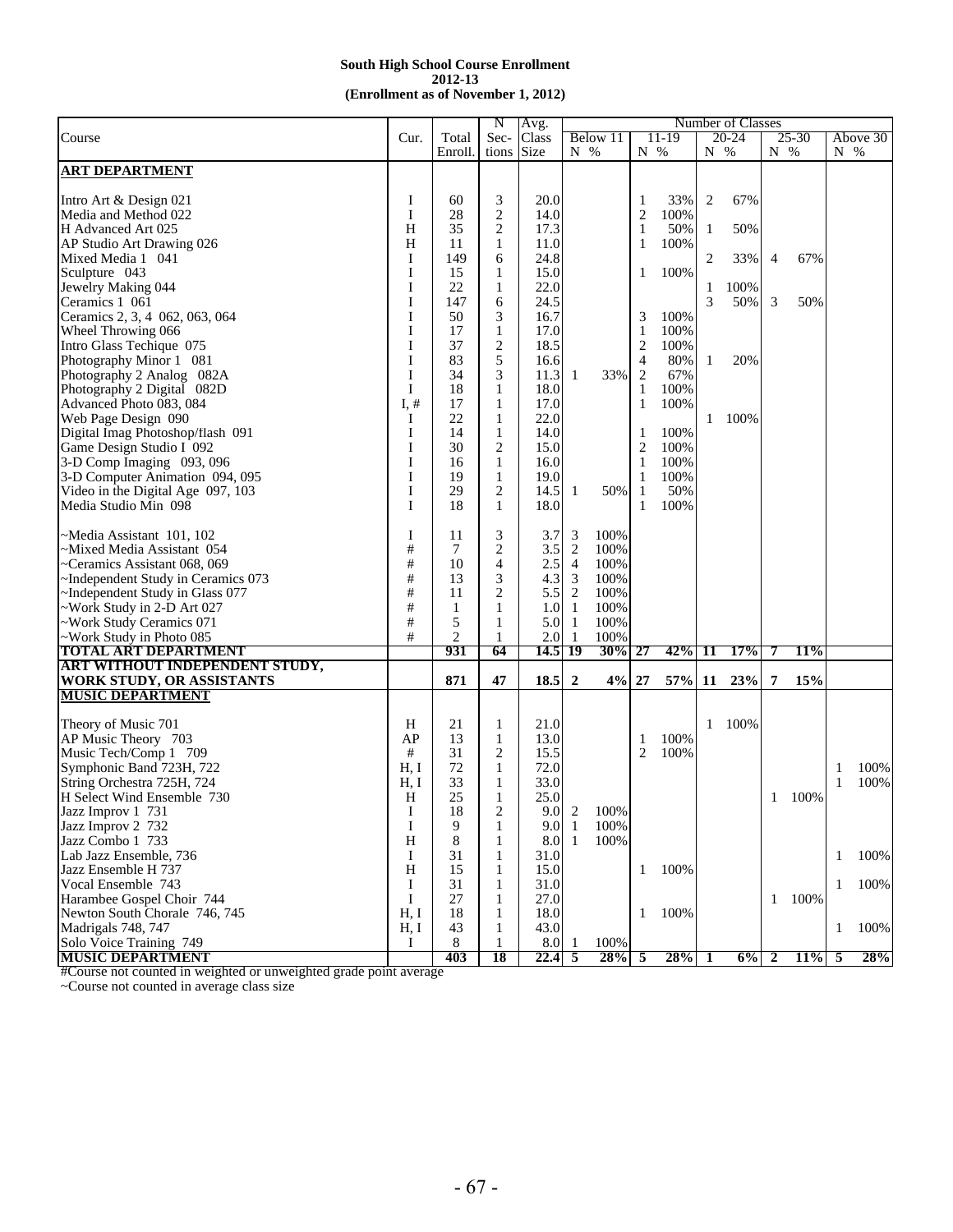|                                    |      |         | N              | Avg.    |                |           |                |       |     | Number of Classes |              |       |         |          |
|------------------------------------|------|---------|----------------|---------|----------------|-----------|----------------|-------|-----|-------------------|--------------|-------|---------|----------|
| Course                             | Cur. | Total   | Sec-           | Class   |                | Below 11  |                | 11-19 |     | 20-24             |              | 25-30 |         | Above 30 |
|                                    |      | Enroll. | tions          | Size    | N %            |           | N %            |       | N % |                   | $N\,$ %      |       | $N\,$ % |          |
| <b>ART DEPARTMENT</b>              |      |         |                |         |                |           |                |       |     |                   |              |       |         |          |
|                                    |      |         |                |         |                |           |                |       |     |                   |              |       |         |          |
| Intro Art & Design 021             | I    | 60      | 3              | 20.0    |                |           | 1              | 33%   | 2   | 67%               |              |       |         |          |
| Media and Method 022               | I    | 28      | $\overline{2}$ | 14.0    |                |           | $\overline{2}$ | 100%  |     |                   |              |       |         |          |
|                                    |      |         |                |         |                |           |                |       |     |                   |              |       |         |          |
| H Advanced Art 025                 | H    | 35      | $\overline{2}$ | 17.3    |                |           | $\mathbf{1}$   | 50%   | 1   | 50%               |              |       |         |          |
| AP Studio Art Drawing 026          | H    | 11      | 1              | 11.0    |                |           | $\mathbf{1}$   | 100%  |     |                   |              |       |         |          |
| Mixed Media 1 041                  | I    | 149     | 6              | 24.8    |                |           |                |       | 2   | 33%               | 4            | 67%   |         |          |
| Sculpture 043                      | I    | 15      | 1              | 15.0    |                |           | 1              | 100%  |     |                   |              |       |         |          |
| Jewelry Making 044                 | I    | 22      | 1              | 22.0    |                |           |                |       | 1   | 100%              |              |       |         |          |
| Ceramics 1 061                     | I    | 147     | 6              | 24.5    |                |           |                |       | 3   | 50%               | 3            | 50%   |         |          |
| Ceramics 2, 3, 4 062, 063, 064     | I    | 50      | 3              | 16.7    |                |           | 3              | 100%  |     |                   |              |       |         |          |
| Wheel Throwing 066                 | I    | 17      | 1              | 17.0    |                |           | 1              | 100%  |     |                   |              |       |         |          |
| Intro Glass Techique 075           | I    | 37      | $\overline{2}$ | 18.5    |                |           | $\overline{2}$ | 100%  |     |                   |              |       |         |          |
|                                    | I    | 83      | 5              | 16.6    |                |           | $\overline{4}$ | 80%   | 1   | 20%               |              |       |         |          |
| Photography Minor 1 081            |      |         |                |         |                |           |                |       |     |                   |              |       |         |          |
| Photography 2 Analog 082A          | I    | 34      | 3              | 11.3    | 1              | 33%       | $\overline{c}$ | 67%   |     |                   |              |       |         |          |
| Photography 2 Digital 082D         | I    | 18      | 1              | 18.0    |                |           | 1              | 100%  |     |                   |              |       |         |          |
| Advanced Photo 083, 084            | I, # | 17      | $\mathbf{1}$   | 17.0    |                |           | $\mathbf{1}$   | 100%  |     |                   |              |       |         |          |
| Web Page Design 090                | Ι    | 22      | 1              | 22.0    |                |           |                |       | 1   | 100%              |              |       |         |          |
| Digital Imag Photoshop/flash 091   | I    | 14      | $\mathbf{1}$   | 14.0    |                |           | 1              | 100%  |     |                   |              |       |         |          |
| Game Design Studio I 092           | I    | 30      | $\overline{2}$ | 15.0    |                |           | $\overline{2}$ | 100%  |     |                   |              |       |         |          |
| 3-D Comp Imaging 093, 096          | I    | 16      | 1              | 16.0    |                |           | 1              | 100%  |     |                   |              |       |         |          |
| 3-D Computer Animation 094, 095    | I    | 19      | $\mathbf{1}$   | 19.0    |                |           | 1              | 100%  |     |                   |              |       |         |          |
| Video in the Digital Age 097, 103  | I    | 29      | 2              | 14.5    | 1              | 50%       | 1              | 50%   |     |                   |              |       |         |          |
| Media Studio Min 098               | I    | 18      | 1              | 18.0    |                |           | 1              | 100%  |     |                   |              |       |         |          |
|                                    |      |         |                |         |                |           |                |       |     |                   |              |       |         |          |
|                                    | I    |         | 3              |         |                |           |                |       |     |                   |              |       |         |          |
| ~Media Assistant 101, 102          |      | 11      |                | 3.7     | 3              | 100%      |                |       |     |                   |              |       |         |          |
| ~Mixed Media Assistant 054         | $\#$ | 7       | 2              | 3.5     | $\overline{c}$ | 100%      |                |       |     |                   |              |       |         |          |
| ~Ceramics Assistant 068, 069       | $\#$ | 10      | 4              | 2.5     | $\overline{4}$ | 100%      |                |       |     |                   |              |       |         |          |
| ~Independent Study in Ceramics 073 | $\#$ | 13      | 3              | 4.3     | 3              | 100%      |                |       |     |                   |              |       |         |          |
| ~Independent Study in Glass 077    | $\#$ | 11      | $\overline{2}$ | 5.5     | $\overline{2}$ | 100%      |                |       |     |                   |              |       |         |          |
| Work Study in 2-D Art 027          | $\#$ | 1       | 1              | 1.0     | 1              | 100%      |                |       |     |                   |              |       |         |          |
| ~Work Study Ceramics 071           | #    | 5       | 1              | 5.0     | 1              | 100%      |                |       |     |                   |              |       |         |          |
| Work Study in Photo 085            | #    | 2       | 1              | 2.0     | 1              | 100%      |                |       |     |                   |              |       |         |          |
| <b>TOTAL ART DEPARTMENT</b>        |      | 931     | 64             | 14.5 19 |                | $30\%$ 27 |                | 42%   | 11  | 17%               |              | 11%   |         |          |
| ART WITHOUT INDEPENDENT STUDY,     |      |         |                |         |                |           |                |       |     |                   |              |       |         |          |
| WORK STUDY, OR ASSISTANTS          |      | 871     | 47             | 18.5    | $\overline{2}$ | 4%        | 27             | 57%   | 11  | 23%               | 7            | 15%   |         |          |
| <b>MUSIC DEPARTMENT</b>            |      |         |                |         |                |           |                |       |     |                   |              |       |         |          |
|                                    |      |         |                |         |                |           |                |       |     |                   |              |       |         |          |
| Theory of Music 701                | H    | 21      | 1              | 21.0    |                |           |                |       | 1   | 100%              |              |       |         |          |
|                                    | AP   |         |                |         |                |           |                | 100%  |     |                   |              |       |         |          |
| AP Music Theory 703                |      | 13      | $\mathbf{1}$   | 13.0    |                |           | 1              |       |     |                   |              |       |         |          |
| Music Tech/Comp 1 709              | #    | 31      | 2              | 15.5    |                |           | 2              | 100%  |     |                   |              |       |         |          |
| Symphonic Band 723H, 722           | H, I | 72      | $\mathbf{1}$   | 72.0    |                |           |                |       |     |                   |              |       | -1      | 100%     |
| String Orchestra 725H, 724         | H, I | 33      | 1              | 33.0    |                |           |                |       |     |                   |              |       | 1       | 100%     |
| H Select Wind Ensemble 730         | H    | 25      | 1              | 25.0    |                |           |                |       |     |                   | 1            | 100%  |         |          |
| Jazz Improv 1 731                  | I    | 18      | $\overline{c}$ | 9.0     | 2              | 100%      |                |       |     |                   |              |       |         |          |
| Jazz Improv 2 732                  | I    | 9       | 1              | 9.0     | $\mathbf{1}$   | 100%      |                |       |     |                   |              |       |         |          |
| Jazz Combo 1 733                   | H    | 8       | 1              | 8.0     | 1              | 100%      |                |       |     |                   |              |       |         |          |
| Lab Jazz Ensemble, 736             | I    | 31      | 1              | 31.0    |                |           |                |       |     |                   |              |       | 1       | 100%     |
| Jazz Ensemble H 737                | H    | 15      | 1              | 15.0    |                |           | $\mathbf{1}$   | 100%  |     |                   |              |       |         |          |
| Vocal Ensemble 743                 | I    | 31      | 1              | 31.0    |                |           |                |       |     |                   |              |       | 1       | 100%     |
|                                    |      |         |                |         |                |           |                |       |     |                   |              |       |         |          |
| Harambee Gospel Choir 744          | I    | 27      | 1              | 27.0    |                |           |                |       |     |                   | $\mathbf{1}$ | 100%  |         |          |
| Newton South Chorale 746, 745      | H, I | 18      | 1              | 18.0    |                |           | 1              | 100%  |     |                   |              |       |         |          |
| Madrigals 748, 747                 | H, I | 43      | 1              | 43.0    |                |           |                |       |     |                   |              |       | 1       | 100%     |
| Solo Voice Training 749            | I    | 8       | 1              | 8.0     | -1             | 100%      |                |       |     |                   |              |       |         |          |
| <b>MUSIC DEPARTMENT</b>            |      | 403     | 18             | 22.4    | -5             | 28%       | 5              | 28%   |     | 6%                | 2            | 11%   | -5      | 28%      |

#Course not counted in weighted or unweighted grade point average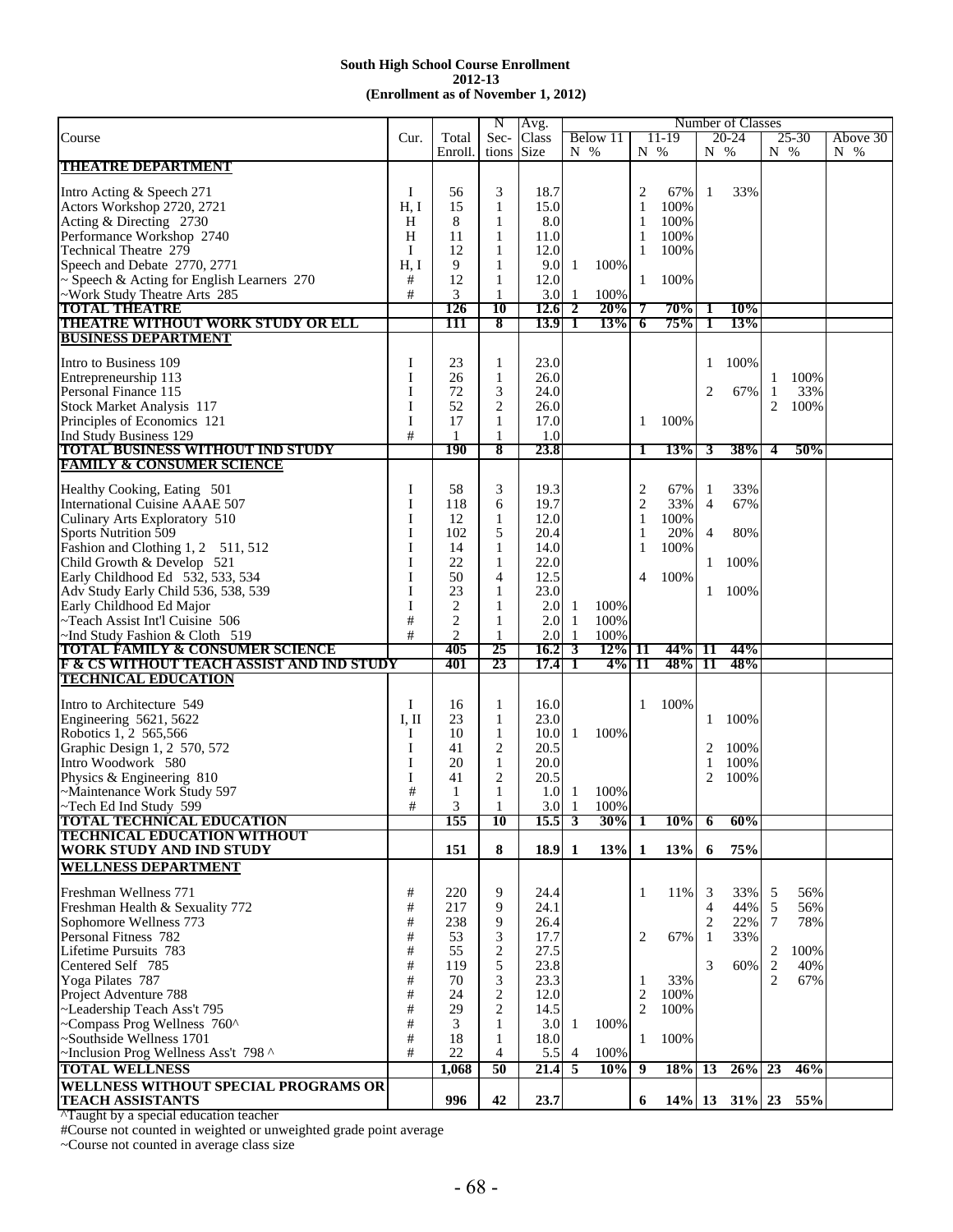|                                                                    |       |                | N              | Avg.             |               |           |                |            |                | Number of Classes |                |           |          |
|--------------------------------------------------------------------|-------|----------------|----------------|------------------|---------------|-----------|----------------|------------|----------------|-------------------|----------------|-----------|----------|
| Course                                                             | Cur.  | Total          | Sec-           | Class            |               | Below 11  |                | 11-19      |                | $20 - 24$         |                | $25 - 30$ | Above 30 |
|                                                                    |       | Enroll.        | tions          | <b>Size</b>      | $N_{\odot}$ % |           | $N_{0}$ %      |            | N %            |                   | $N_{\odot}$ %  |           | N %      |
| <b>THEATRE DEPARTMENT</b>                                          |       |                |                |                  |               |           |                |            |                |                   |                |           |          |
|                                                                    |       |                |                |                  |               |           |                |            |                |                   |                |           |          |
| Intro Acting & Speech 271                                          | Ι     | 56             | 3              | 18.7             |               |           | 2              | 67%        | 1              | 33%               |                |           |          |
| Actors Workshop 2720, 2721                                         | H, I  | 15             | 1              | 15.0             |               |           | 1              | 100%       |                |                   |                |           |          |
| Acting & Directing 2730                                            | H     | 8              | 1              | 8.0              |               |           | 1              | 100%       |                |                   |                |           |          |
|                                                                    |       |                |                |                  |               |           |                |            |                |                   |                |           |          |
| Performance Workshop 2740                                          | H     | 11             | 1              | 11.0             |               |           | 1              | 100%       |                |                   |                |           |          |
| Technical Theatre 279                                              | Ι     | 12             | 1              | 12.0             |               |           | $\mathbf{1}$   | 100%       |                |                   |                |           |          |
| Speech and Debate 2770, 2771                                       | H, I  | 9              | 1              | 9.0              | 1             | 100%      |                |            |                |                   |                |           |          |
| $\sim$ Speech & Acting for English Learners 270                    | #     | 12             | 1              | 12.0             |               |           | 1              | 100%       |                |                   |                |           |          |
| ~Work Study Theatre Arts 285                                       | #     | 3              | 1              | 3.0              | -1            | 100%      |                |            |                |                   |                |           |          |
|                                                                    |       |                |                |                  |               |           |                |            |                |                   |                |           |          |
| <b>TOTAL THEATRE</b>                                               |       | 126            | 10             | 12.6             | 2             | 20%       | 7              | 70%        | 1              | 10%               |                |           |          |
| <b>THEATRE WITHOUT WORK STUDY OR ELL</b>                           |       | 111            | 8              | 13.9             | 1             | 13%       | 6              | 75%        | 1              | 13%               |                |           |          |
| <b>BUSINESS DEPARTMENT</b>                                         |       |                |                |                  |               |           |                |            |                |                   |                |           |          |
|                                                                    |       |                |                |                  |               |           |                |            |                |                   |                |           |          |
| Intro to Business 109                                              | Ι     | 23             | 1              | 23.0             |               |           |                |            | 1              | 100%              |                |           |          |
| Entrepreneurship 113                                               | I     | 26             | $\mathbf{1}$   | 26.0             |               |           |                |            |                |                   | $\mathbf{1}$   | 100%      |          |
| Personal Finance 115                                               | I     | 72             | 3              | 24.0             |               |           |                |            | 2              | 67%               | 1              | 33%       |          |
|                                                                    |       |                |                |                  |               |           |                |            |                |                   |                |           |          |
| Stock Market Analysis 117                                          | I     | 52             | $\overline{2}$ | 26.0             |               |           |                |            |                |                   | 2              | 100%      |          |
| Principles of Economics 121                                        | I     | 17             | 1              | 17.0             |               |           | 1              | 100%       |                |                   |                |           |          |
| Ind Study Business 129                                             | #     | 1              | 1              | 1.0              |               |           |                |            |                |                   |                |           |          |
| <b>TOTAL BUSINESS WITHOUT IND STUDY</b>                            |       | <b>190</b>     | 8              | 23.8             |               |           | 1              | <b>13%</b> | 3              | 38%               | 4              | 50%       |          |
| <b>FAMILY &amp; CONSUMER SCIENCE</b>                               |       |                |                |                  |               |           |                |            |                |                   |                |           |          |
|                                                                    |       |                |                |                  |               |           |                |            |                |                   |                |           |          |
| Healthy Cooking, Eating 501                                        | Ι     | 58             | 3              | 19.3             |               |           | $\overline{c}$ | 67%        | 1              | 33%               |                |           |          |
| International Cuisine AAAE 507                                     | I     | 118            | 6              | 19.7             |               |           |                | 33%        | $\overline{4}$ | 67%               |                |           |          |
|                                                                    |       |                |                |                  |               |           | $\overline{c}$ |            |                |                   |                |           |          |
| Culinary Arts Exploratory 510                                      | I     | 12             | 1              | 12.0             |               |           | $\mathbf{1}$   | 100%       |                |                   |                |           |          |
| <b>Sports Nutrition 509</b>                                        | I     | 102            | 5              | 20.4             |               |           | 1              | 20%        | $\overline{4}$ | 80%               |                |           |          |
| Fashion and Clothing 1, 2 511, 512                                 | I     | 14             | 1              | 14.0             |               |           | 1              | 100%       |                |                   |                |           |          |
| Child Growth & Develop 521                                         | I     | 22             | $\mathbf{1}$   | 22.0             |               |           |                |            | 1              | 100%              |                |           |          |
|                                                                    |       |                |                |                  |               |           |                |            |                |                   |                |           |          |
| Early Childhood Ed 532, 533, 534                                   | I     | 50             | $\overline{4}$ | 12.5             |               |           | 4              | 100%       |                |                   |                |           |          |
| Adv Study Early Child 536, 538, 539                                | I     | 23             | 1              | 23.0             |               |           |                |            | 1              | 100%              |                |           |          |
| Early Childhood Ed Major                                           | I     | $\overline{c}$ | 1              | 2.0              | 1             | 100%      |                |            |                |                   |                |           |          |
| ~Teach Assist Int'l Cuisine 506                                    | #     | $\overline{c}$ | 1              | 2.0              | -1            | 100%      |                |            |                |                   |                |           |          |
|                                                                    | #     | $\overline{c}$ | 1              | 2.0              | -1            | 100%      |                |            |                |                   |                |           |          |
| $\sim$ Ind Study Fashion & Cloth 519                               |       |                |                |                  |               |           |                |            |                |                   |                |           |          |
| <b>TOTAL FAMILY &amp; CONSUMER SCIENCE</b>                         |       | 405            | 25             | 16.2             | 3             | $12\%$ 11 |                | 44% 11     |                | 44%               |                |           |          |
| <b>F &amp; CS WITHOUT TEACH ASSIST AND IND STUDY</b>               |       | 401            | 23             | 17.4             | 1             | 4%        | 11             | 48%        | -11            | 48%               |                |           |          |
| <b>TECHNICAL EDUCATION</b>                                         |       |                |                |                  |               |           |                |            |                |                   |                |           |          |
|                                                                    |       |                |                |                  |               |           |                |            |                |                   |                |           |          |
| Intro to Architecture 549                                          | Ι     | 16             | $\mathbf{1}$   | 16.0             |               |           | 1              | 100%       |                |                   |                |           |          |
| Engineering 5621, 5622                                             | I, II | 23             | 1              | 23.0             |               |           |                |            | 1              | 100%              |                |           |          |
| Robotics 1, 2 565,566                                              | Ι     | 10             | 1              | 10.0             | 1             | 100%      |                |            |                |                   |                |           |          |
| Graphic Design 1, 2 570, 572                                       | I     | 41             | 2              | 20.5             |               |           |                |            | 2              | 100%              |                |           |          |
|                                                                    |       |                |                |                  |               |           |                |            |                |                   |                |           |          |
| Intro Woodwork 580                                                 | I     | 20             | $\mathbf{1}$   | 20.0             |               |           |                |            | 1              | 100%              |                |           |          |
| Physics & Engineering 810                                          | I     | 41             | 2              | 20.5             |               |           |                |            | 2              | 100%              |                |           |          |
| ~Maintenance Work Study 597                                        | #     | 1              | 1              | 1.0              | 1             | 100%      |                |            |                |                   |                |           |          |
| ~Tech Ed Ind Study 599                                             | #     | 3              | 1              | 3.0 <sub>l</sub> | -1            | 100%      |                |            |                |                   |                |           |          |
| <b>TOTAL TECHNICAL EDUCATION</b>                                   |       | 155            | 10             | $15.5 \mid 3$    |               | $30\%$ 1  |                | $10\%$     | 6              | 60%               |                |           |          |
| <b>TECHNICAL EDUCATION WITHOUT</b>                                 |       |                |                |                  |               |           |                |            |                |                   |                |           |          |
| <b>WORK STUDY AND IND STUDY</b>                                    |       | 151            | 8              | $18.9$ 1         |               | 13%       | -1             | 13%        |                | 75%               |                |           |          |
|                                                                    |       |                |                |                  |               |           |                |            | 6              |                   |                |           |          |
| <b>WELLNESS DEPARTMENT</b>                                         |       |                |                |                  |               |           |                |            |                |                   |                |           |          |
|                                                                    |       |                |                |                  |               |           |                |            |                |                   |                |           |          |
| Freshman Wellness 771                                              | $\#$  | 220            | 9              | 24.4             |               |           | 1              | 11%        | 3              | 33%               | 5              | 56%       |          |
| Freshman Health & Sexuality 772                                    | #     | 217            | 9              | 24.1             |               |           |                |            | $\overline{4}$ | 44%               | 5              | 56%       |          |
| Sophomore Wellness 773                                             | $\#$  | 238            | 9              | 26.4             |               |           |                |            | $\overline{2}$ | 22%               | $\tau$         | 78%       |          |
|                                                                    |       |                |                |                  |               |           |                |            |                |                   |                |           |          |
| Personal Fitness 782                                               | #     | 53             | 3              | 17.7             |               |           | 2              | 67%        | -1             | 33%               |                |           |          |
| Lifetime Pursuits 783                                              | #     | 55             | 2              | 27.5             |               |           |                |            |                |                   | $\overline{2}$ | 100%      |          |
| Centered Self 785                                                  | $\#$  | 119            | 5              | 23.8             |               |           |                |            | 3              | 60%               | $\sqrt{2}$     | 40%       |          |
| Yoga Pilates 787                                                   | #     | 70             | 3              | 23.3             |               |           | 1              | 33%        |                |                   | $\overline{2}$ | 67%       |          |
| Project Adventure 788                                              | $\#$  | 24             | $\overline{c}$ | 12.0             |               |           | 2              | 100%       |                |                   |                |           |          |
|                                                                    |       |                |                |                  |               |           |                |            |                |                   |                |           |          |
| ~Leadership Teach Ass't 795                                        | #     | 29             | 2              | 14.5             |               |           | 2              | 100%       |                |                   |                |           |          |
| ~Compass Prog Wellness 760^                                        | $\#$  | 3              | 1              | 3.0              | 1             | 100%      |                |            |                |                   |                |           |          |
| ~Southside Wellness 1701                                           | $\#$  | 18             | 1              | 18.0             |               |           | 1              | 100%       |                |                   |                |           |          |
| ~Inclusion Prog Wellness Ass't 798 ^                               | #     | 22             | 4              | 5.5              | 4             | 100%      |                |            |                |                   |                |           |          |
|                                                                    |       |                |                |                  |               |           |                |            |                |                   |                |           |          |
|                                                                    |       |                |                |                  |               |           |                |            |                |                   |                |           |          |
| <b>TOTAL WELLNESS</b>                                              |       | 1,068          | 50             | 21.4             | 5             | 10%       | 9              | 18%        | 13             | $26\%$ 23         |                | 46%       |          |
| WELLNESS WITHOUT SPECIAL PROGRAMS OR                               |       |                |                |                  |               |           |                |            |                |                   |                |           |          |
| <b>TEACH ASSISTANTS</b><br>ATought hy a special advantion together |       | 996            | 42             | 23.7             |               |           | 6              |            |                | $14\%$ 13 31\% 23 |                | 55%       |          |

^Taught by a special education teacher

#Course not counted in weighted or unweighted grade point average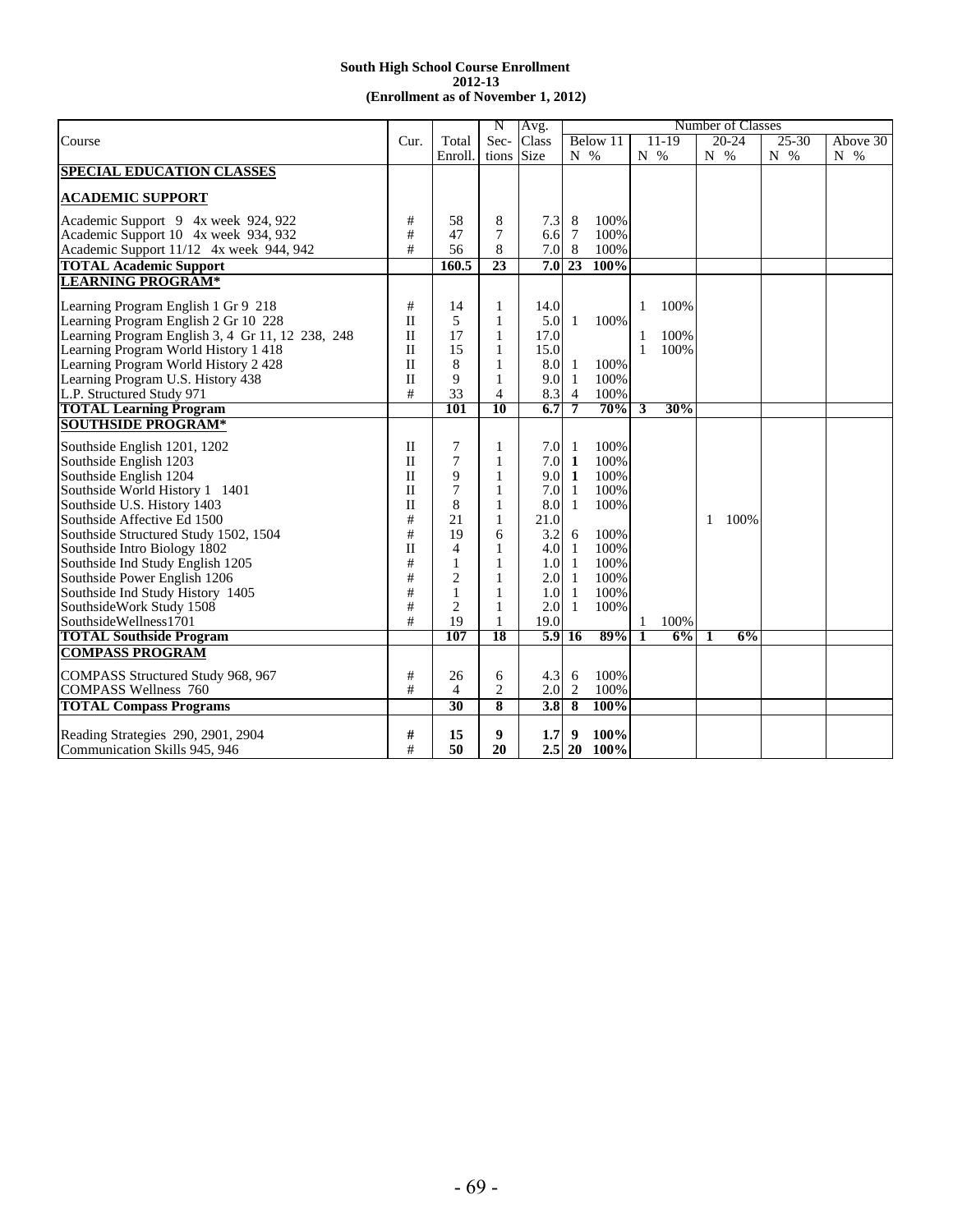|                                                  |              |                | N              | Avg.        |                |             |                      | Number of Classes |               |              |
|--------------------------------------------------|--------------|----------------|----------------|-------------|----------------|-------------|----------------------|-------------------|---------------|--------------|
| Course                                           | Cur.         | Total          | Sec-           | Class       |                | Below 11    | $11-19$              | $20 - 24$         | $25 - 30$     | Above 30     |
|                                                  |              | Enroll.        | tions          | <b>Size</b> | $N_{\odot}$ %  |             | $N_{\infty}$         | N %               | $N_{\odot}$ % | $N_{\infty}$ |
| <b>SPECIAL EDUCATION CLASSES</b>                 |              |                |                |             |                |             |                      |                   |               |              |
|                                                  |              |                |                |             |                |             |                      |                   |               |              |
| <b>ACADEMIC SUPPORT</b>                          |              |                |                |             |                |             |                      |                   |               |              |
| Academic Support 9 4x week 924, 922              | $\#$         | 58             | 8              | 7.3         | 8              | 100%        |                      |                   |               |              |
| Academic Support 10 4x week 934, 932             | #            | 47             | 7              | 6.6         | $\overline{7}$ | 100%        |                      |                   |               |              |
| Academic Support 11/12 4x week 944, 942          | #            | 56             | 8              | 7.0         | 8              | 100%        |                      |                   |               |              |
| <b>TOTAL Academic Support</b>                    |              | 160.5          | 23             | 7.0         | 23             | 100%        |                      |                   |               |              |
| <b>LEARNING PROGRAM*</b>                         |              |                |                |             |                |             |                      |                   |               |              |
|                                                  |              |                |                |             |                |             |                      |                   |               |              |
| Learning Program English 1 Gr 9 218              | $\#$         | 14             | 1              | 14.0        |                |             | 100%<br>1            |                   |               |              |
| Learning Program English 2 Gr 10 228             | $\mathbf{I}$ | 5              | $\mathbf{1}$   | 5.0         | 1              | 100%        |                      |                   |               |              |
| Learning Program English 3, 4 Gr 11, 12 238, 248 | $\mathbf{I}$ | 17             | $\mathbf{1}$   | 17.0        |                |             | 100%<br>1            |                   |               |              |
| Learning Program World History 1 418             | $\mathbf{I}$ | 15             | $\mathbf{1}$   | 15.0        |                |             | $\mathbf{1}$<br>100% |                   |               |              |
| Learning Program World History 2 428             | $\mathbf{I}$ | 8              | 1              | 8.0         | 1              | 100%        |                      |                   |               |              |
| Learning Program U.S. History 438                | П            | 9              | 1              | 9.0         | -1             | 100%        |                      |                   |               |              |
| L.P. Structured Study 971                        | #            | 33             | $\overline{4}$ | 8.3         | $\overline{4}$ | 100%        |                      |                   |               |              |
| <b>TOTAL Learning Program</b>                    |              | 101            | 10             | 6.7         | 7              | 70%         | 30%<br>3             |                   |               |              |
| <b>SOUTHSIDE PROGRAM*</b>                        |              |                |                |             |                |             |                      |                   |               |              |
| Southside English 1201, 1202                     | $\mathbf{I}$ | 7              | 1              | 7.0         | 1              | 100%        |                      |                   |               |              |
| Southside English 1203                           | $\mathbf{I}$ | 7              | $\mathbf{1}$   | 7.0         | 1              | 100%        |                      |                   |               |              |
| Southside English 1204                           | $\rm II$     | 9              | $\mathbf{1}$   | 9.0         | 1              | 100%        |                      |                   |               |              |
| Southside World History 1 1401                   | П            | 7              | 1              | 7.0         | 1              | 100%        |                      |                   |               |              |
| Southside U.S. History 1403                      | $\mathbf{I}$ | 8              | $\mathbf{1}$   | 8.0         | 1              | 100%        |                      |                   |               |              |
| Southside Affective Ed 1500                      | #            | 21             | $\mathbf{1}$   | 21.0        |                |             |                      | 100%<br>1         |               |              |
| Southside Structured Study 1502, 1504            | #            | 19             | 6              | 3.2         | 6              | 100%        |                      |                   |               |              |
| Southside Intro Biology 1802                     | $\mathbf{I}$ | 4              | 1              | 4.0         | $\mathbf{1}$   | 100%        |                      |                   |               |              |
| Southside Ind Study English 1205                 | #            | 1              | 1              | 1.0         | 1              | 100%        |                      |                   |               |              |
| Southside Power English 1206                     | #            | $\overline{2}$ | 1              | 2.0         | -1             | 100%        |                      |                   |               |              |
| Southside Ind Study History 1405                 | #            | 1              | 1              | 1.0         | 1              | 100%        |                      |                   |               |              |
| SouthsideWork Study 1508                         | $\#$         | $\overline{2}$ | $\mathbf{1}$   | 2.0         | 1              | 100%        |                      |                   |               |              |
| SouthsideWellness1701                            | #            | 19             | 1              | 19.0        |                |             | 100%                 |                   |               |              |
| <b>TOTAL Southside Program</b>                   |              | 107            | 18             | 5.9         | <b>16</b>      | 89%         | 6%<br>1              | 6%<br>1           |               |              |
| <b>COMPASS PROGRAM</b>                           |              |                |                |             |                |             |                      |                   |               |              |
| COMPASS Structured Study 968, 967                | #            | 26             | 6              | 4.3         | 6              | 100%        |                      |                   |               |              |
| <b>COMPASS Wellness 760</b>                      | #            | 4              | $\overline{c}$ | 2.0         | 2              | 100%        |                      |                   |               |              |
| <b>TOTAL Compass Programs</b>                    |              | 30             | 8              | 3.8         | 8              | 100%        |                      |                   |               |              |
|                                                  |              |                |                |             |                |             |                      |                   |               |              |
| Reading Strategies 290, 2901, 2904               | #            | 15             | 9              | 1.7         | 9              | 100%        |                      |                   |               |              |
| Communication Skills 945, 946                    | #            | 50             | 20             |             |                | 2.5 20 100% |                      |                   |               |              |